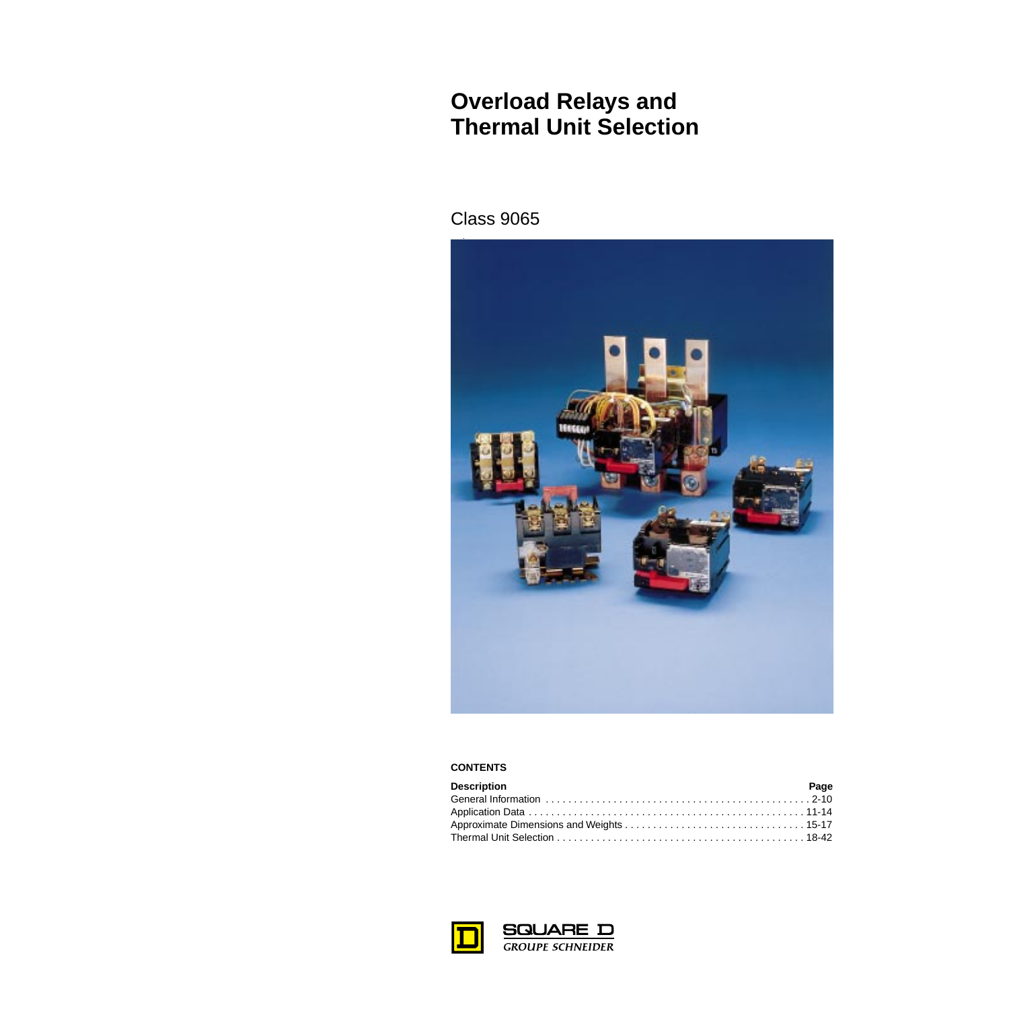# **Overload Relays and Thermal Unit Selection**

# Class 9065



#### **CONTENTS**

| <b>Description</b> | Page |
|--------------------|------|
|                    |      |
|                    |      |
|                    |      |
|                    |      |



**SQUARE D**<br>GROUPE SCHNEIDER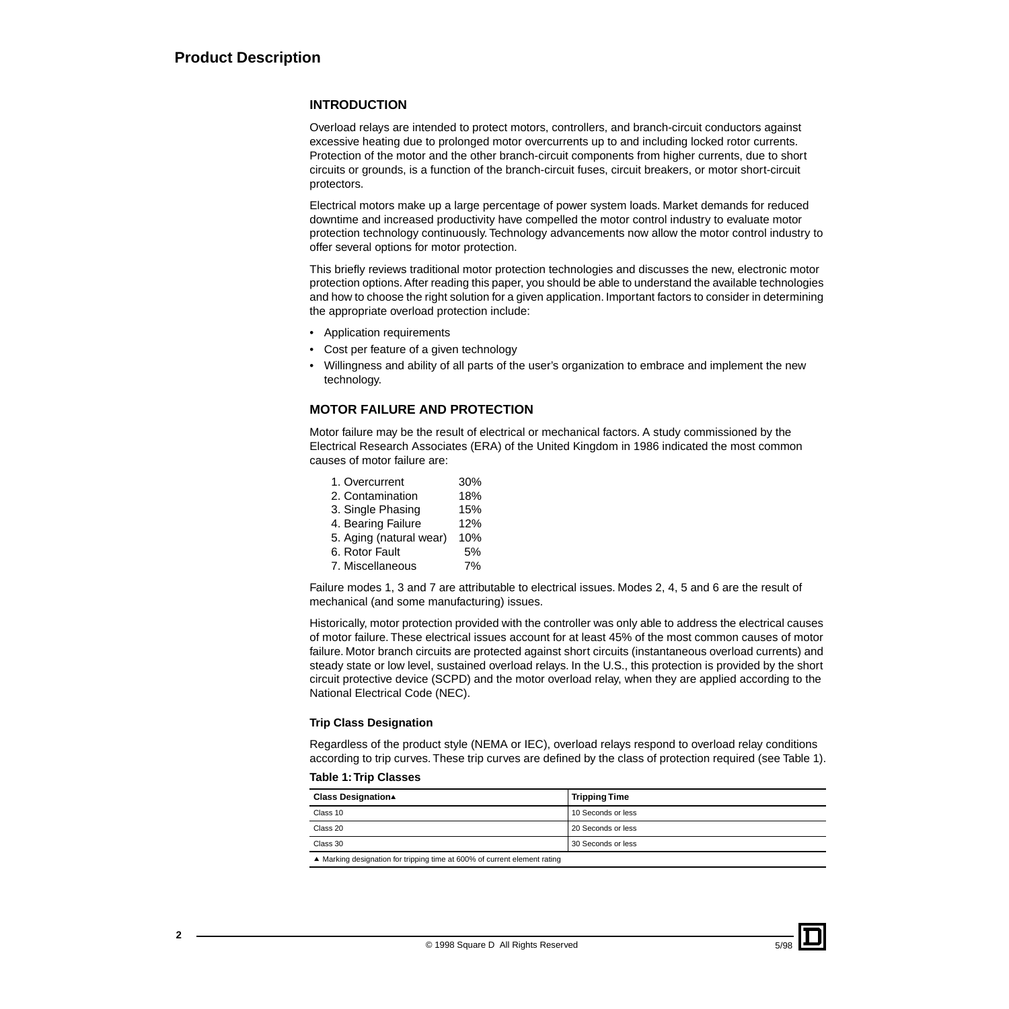#### **INTRODUCTION**

Overload relays are intended to protect motors, controllers, and branch-circuit conductors against excessive heating due to prolonged motor overcurrents up to and including locked rotor currents. Protection of the motor and the other branch-circuit components from higher currents, due to short circuits or grounds, is a function of the branch-circuit fuses, circuit breakers, or motor short-circuit protectors.

Electrical motors make up a large percentage of power system loads. Market demands for reduced downtime and increased productivity have compelled the motor control industry to evaluate motor protection technology continuously. Technology advancements now allow the motor control industry to offer several options for motor protection.

This briefly reviews traditional motor protection technologies and discusses the new, electronic motor protection options. After reading this paper, you should be able to understand the available technologies and how to choose the right solution for a given application. Important factors to consider in determining the appropriate overload protection include:

- Application requirements
- Cost per feature of a given technology
- Willingness and ability of all parts of the user's organization to embrace and implement the new technology.

#### **MOTOR FAILURE AND PROTECTION**

Motor failure may be the result of electrical or mechanical factors. A study commissioned by the Electrical Research Associates (ERA) of the United Kingdom in 1986 indicated the most common causes of motor failure are:

| 1. Overcurrent          | 30% |
|-------------------------|-----|
| 2. Contamination        | 18% |
| 3. Single Phasing       | 15% |
| 4. Bearing Failure      | 12% |
| 5. Aging (natural wear) | 10% |
| 6. Rotor Fault          | 5%  |
| 7. Miscellaneous        | 7%  |
|                         |     |

Failure modes 1, 3 and 7 are attributable to electrical issues. Modes 2, 4, 5 and 6 are the result of mechanical (and some manufacturing) issues.

Historically, motor protection provided with the controller was only able to address the electrical causes of motor failure. These electrical issues account for at least 45% of the most common causes of motor failure. Motor branch circuits are protected against short circuits (instantaneous overload currents) and steady state or low level, sustained overload relays. In the U.S., this protection is provided by the short circuit protective device (SCPD) and the motor overload relay, when they are applied according to the National Electrical Code (NEC).

#### **Trip Class Designation**

Regardless of the product style (NEMA or IEC), overload relays respond to overload relay conditions according to trip curves. These trip curves are defined by the class of protection required (see Table 1).

|  |  | Table 1: Trip Classes |
|--|--|-----------------------|
|--|--|-----------------------|

| <b>Class Designation▲</b>                                                 | <b>Tripping Time</b> |
|---------------------------------------------------------------------------|----------------------|
| Class 10                                                                  | 10 Seconds or less   |
| Class 20                                                                  | 20 Seconds or less   |
| Class 30                                                                  | 30 Seconds or less   |
| ▲ Marking designation for tripping time at 600% of current element rating |                      |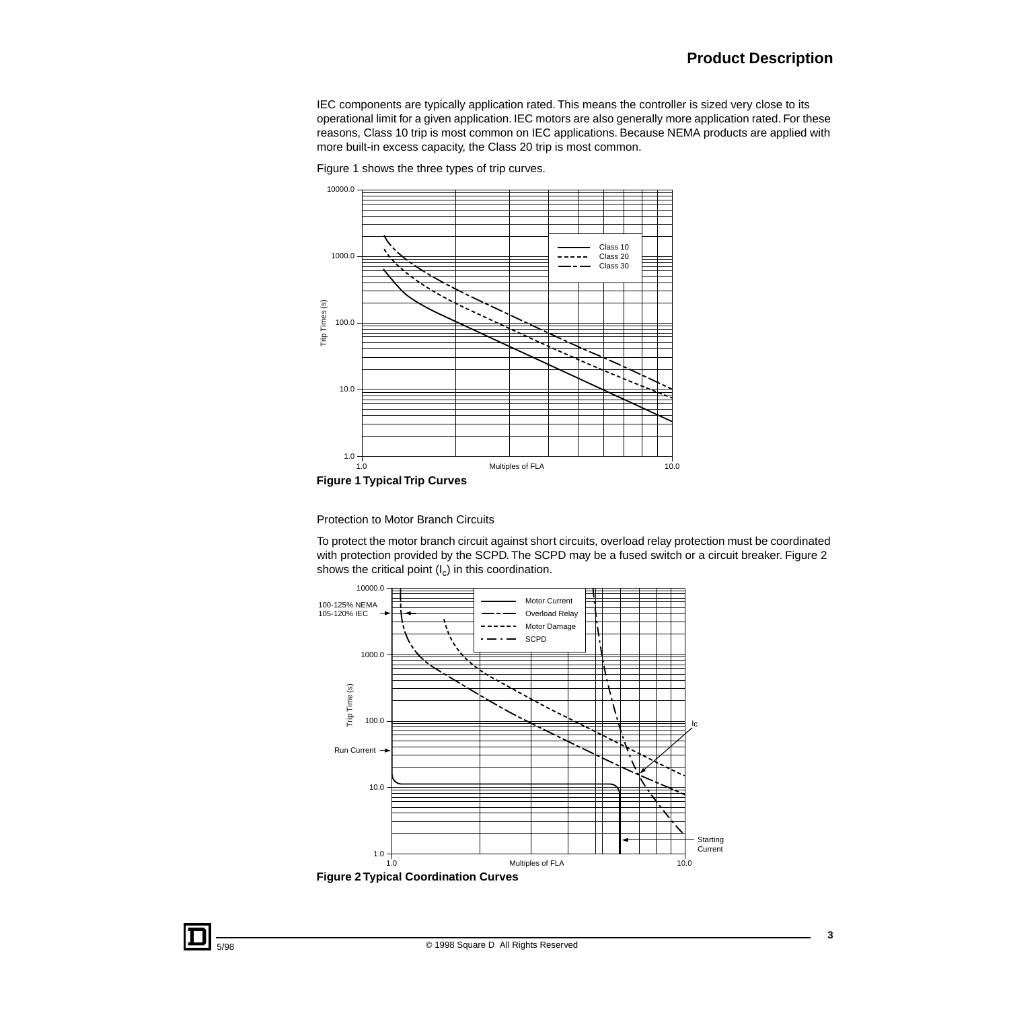# **Product Description**

IEC components are typically application rated. This means the controller is sized very close to its operational limit for a given application. IEC motors are also generally more application rated. For these reasons, Class 10 trip is most common on IEC applications. Because NEMA products are applied with more built-in excess capacity, the Class 20 trip is most common.



Figure 1 shows the three types of trip curves.

**Figure 1 Typical Trip Curves**

Protection to Motor Branch Circuits

To protect the motor branch circuit against short circuits, overload relay protection must be coordinated with protection provided by the SCPD. The SCPD may be a fused switch or a circuit breaker. Figure 2 shows the critical point  $(I_c)$  in this coordination.

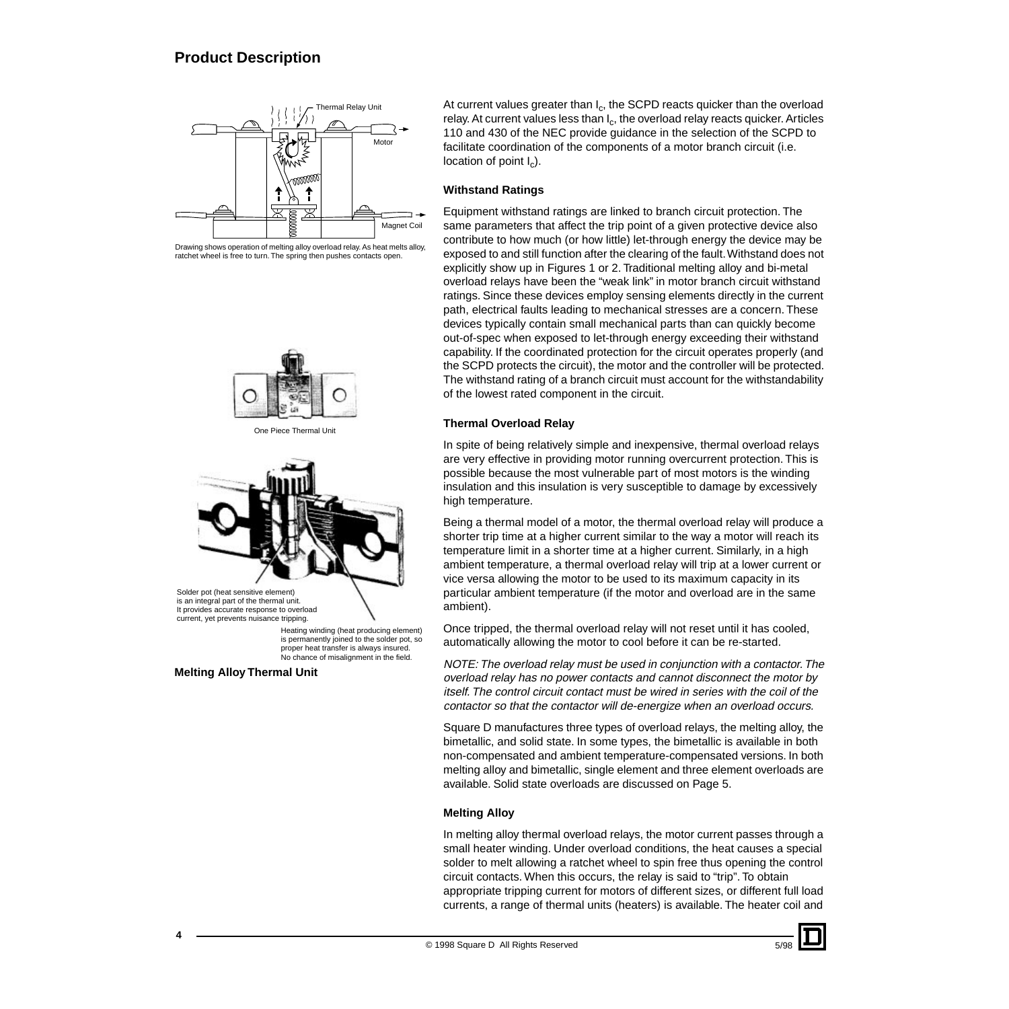

Drawing shows operation of melting alloy overload relay. As heat melts alloy, ratchet wheel is free to turn. The spring then pushes contacts open.



One Piece Thermal Unit



is an integral part of the thermal unit. It provides accurate response to overload current, yet prevents nuisance tripping.

Heating winding (heat producing element) is permanently joined to the solder pot, so proper heat transfer is always insured. No chance of misalignment in the field.

```
Melting Alloy Thermal Unit
```
At current values greater than  $I_c$ , the SCPD reacts quicker than the overload relay. At current values less than  $I_c$ , the overload relay reacts quicker. Articles 110 and 430 of the NEC provide guidance in the selection of the SCPD to facilitate coordination of the components of a motor branch circuit (i.e. location of point  $I_c$ ).

#### **Withstand Ratings**

Equipment withstand ratings are linked to branch circuit protection. The same parameters that affect the trip point of a given protective device also contribute to how much (or how little) let-through energy the device may be exposed to and still function after the clearing of the fault. Withstand does not explicitly show up in Figures 1 or 2. Traditional melting alloy and bi-metal overload relays have been the "weak link" in motor branch circuit withstand ratings. Since these devices employ sensing elements directly in the current path, electrical faults leading to mechanical stresses are a concern. These devices typically contain small mechanical parts than can quickly become out-of-spec when exposed to let-through energy exceeding their withstand capability. If the coordinated protection for the circuit operates properly (and the SCPD protects the circuit), the motor and the controller will be protected. The withstand rating of a branch circuit must account for the withstandability of the lowest rated component in the circuit.

#### **Thermal Overload Relay**

In spite of being relatively simple and inexpensive, thermal overload relays are very effective in providing motor running overcurrent protection. This is possible because the most vulnerable part of most motors is the winding insulation and this insulation is very susceptible to damage by excessively high temperature.

Being a thermal model of a motor, the thermal overload relay will produce a shorter trip time at a higher current similar to the way a motor will reach its temperature limit in a shorter time at a higher current. Similarly, in a high ambient temperature, a thermal overload relay will trip at a lower current or vice versa allowing the motor to be used to its maximum capacity in its particular ambient temperature (if the motor and overload are in the same ambient).

Once tripped, the thermal overload relay will not reset until it has cooled, automatically allowing the motor to cool before it can be re-started.

NOTE: The overload relay must be used in conjunction with a contactor. The overload relay has no power contacts and cannot disconnect the motor by itself. The control circuit contact must be wired in series with the coil of the contactor so that the contactor will de-energize when an overload occurs.

Square D manufactures three types of overload relays, the melting alloy, the bimetallic, and solid state. In some types, the bimetallic is available in both non-compensated and ambient temperature-compensated versions. In both melting alloy and bimetallic, single element and three element overloads are available. Solid state overloads are discussed on Page 5.

#### **Melting Alloy**

In melting alloy thermal overload relays, the motor current passes through a small heater winding. Under overload conditions, the heat causes a special solder to melt allowing a ratchet wheel to spin free thus opening the control circuit contacts. When this occurs, the relay is said to "trip". To obtain appropriate tripping current for motors of different sizes, or different full load currents, a range of thermal units (heaters) is available. The heater coil and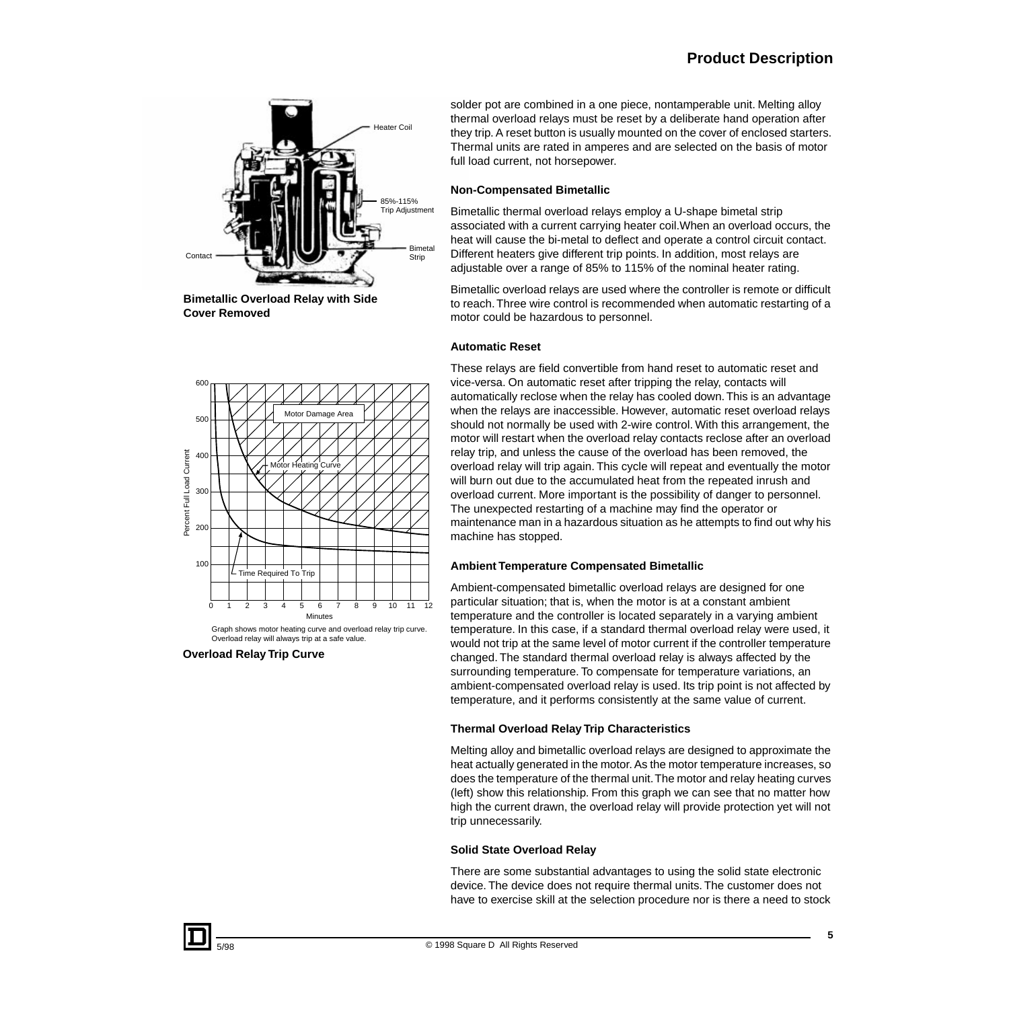# **Product Description**



**Bimetallic Overload Relay with Side Cover Removed**

solder pot are combined in a one piece, nontamperable unit. Melting alloy thermal overload relays must be reset by a deliberate hand operation after they trip. A reset button is usually mounted on the cover of enclosed starters. Thermal units are rated in amperes and are selected on the basis of motor full load current, not horsepower.

#### **Non-Compensated Bimetallic**

Bimetallic thermal overload relays employ a U-shape bimetal strip associated with a current carrying heater coil.When an overload occurs, the heat will cause the bi-metal to deflect and operate a control circuit contact. Different heaters give different trip points. In addition, most relays are adjustable over a range of 85% to 115% of the nominal heater rating.

Bimetallic overload relays are used where the controller is remote or difficult to reach. Three wire control is recommended when automatic restarting of a motor could be hazardous to personnel.

#### **Automatic Reset**

These relays are field convertible from hand reset to automatic reset and vice-versa. On automatic reset after tripping the relay, contacts will automatically reclose when the relay has cooled down. This is an advantage when the relays are inaccessible. However, automatic reset overload relays should not normally be used with 2-wire control. With this arrangement, the motor will restart when the overload relay contacts reclose after an overload relay trip, and unless the cause of the overload has been removed, the overload relay will trip again. This cycle will repeat and eventually the motor will burn out due to the accumulated heat from the repeated inrush and overload current. More important is the possibility of danger to personnel. The unexpected restarting of a machine may find the operator or maintenance man in a hazardous situation as he attempts to find out why his machine has stopped.

#### **Ambient Temperature Compensated Bimetallic**

Ambient-compensated bimetallic overload relays are designed for one particular situation; that is, when the motor is at a constant ambient temperature and the controller is located separately in a varying ambient temperature. In this case, if a standard thermal overload relay were used, it would not trip at the same level of motor current if the controller temperature changed. The standard thermal overload relay is always affected by the surrounding temperature. To compensate for temperature variations, an ambient-compensated overload relay is used. Its trip point is not affected by temperature, and it performs consistently at the same value of current.

#### **Thermal Overload Relay Trip Characteristics**

Melting alloy and bimetallic overload relays are designed to approximate the heat actually generated in the motor. As the motor temperature increases, so does the temperature of the thermal unit. The motor and relay heating curves (left) show this relationship. From this graph we can see that no matter how high the current drawn, the overload relay will provide protection yet will not trip unnecessarily.

#### **Solid State Overload Relay**

There are some substantial advantages to using the solid state electronic device. The device does not require thermal units. The customer does not have to exercise skill at the selection procedure nor is there a need to stock



Graph shows motor heating curve and overload relay trip curve. Overload relay will always trip at a safe value.

**Overload Relay Trip Curve**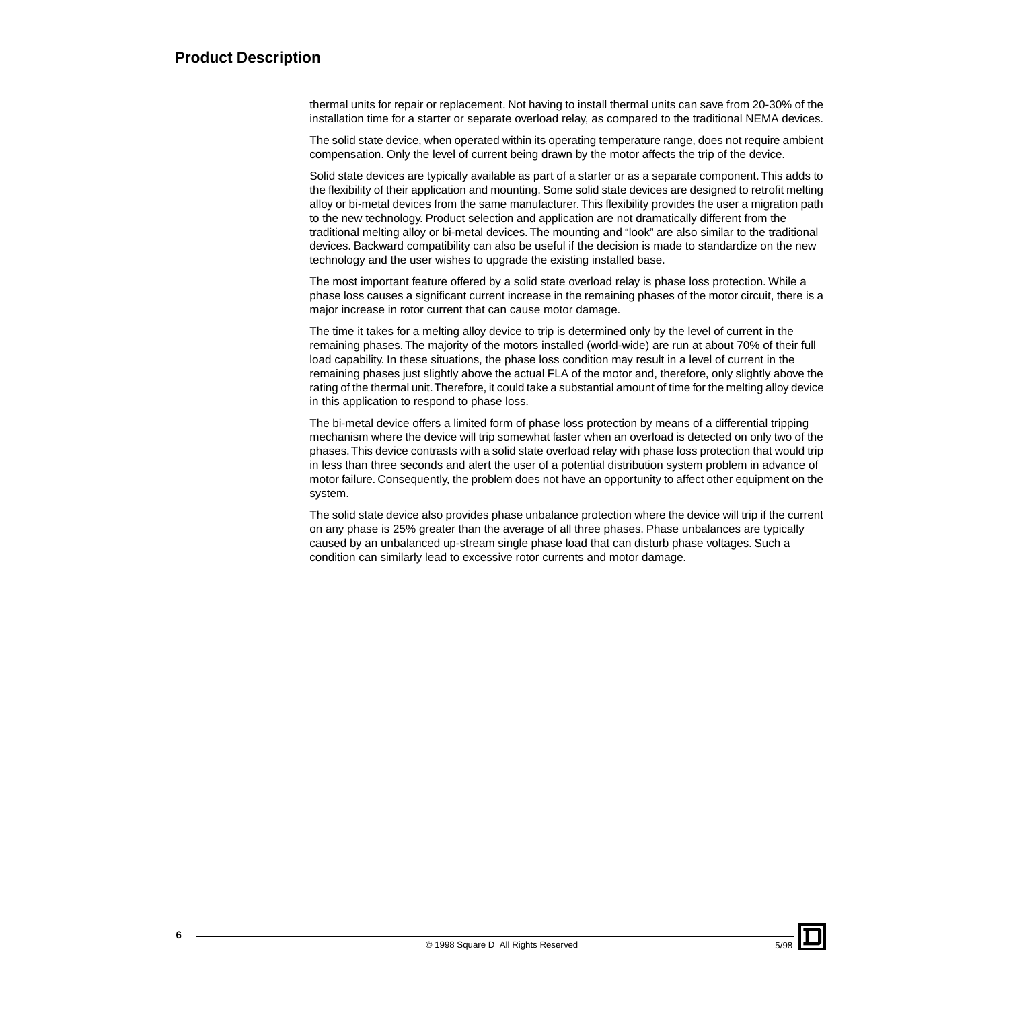# **Product Description**

thermal units for repair or replacement. Not having to install thermal units can save from 20-30% of the installation time for a starter or separate overload relay, as compared to the traditional NEMA devices.

The solid state device, when operated within its operating temperature range, does not require ambient compensation. Only the level of current being drawn by the motor affects the trip of the device.

Solid state devices are typically available as part of a starter or as a separate component. This adds to the flexibility of their application and mounting. Some solid state devices are designed to retrofit melting alloy or bi-metal devices from the same manufacturer. This flexibility provides the user a migration path to the new technology. Product selection and application are not dramatically different from the traditional melting alloy or bi-metal devices. The mounting and "look" are also similar to the traditional devices. Backward compatibility can also be useful if the decision is made to standardize on the new technology and the user wishes to upgrade the existing installed base.

The most important feature offered by a solid state overload relay is phase loss protection. While a phase loss causes a significant current increase in the remaining phases of the motor circuit, there is a major increase in rotor current that can cause motor damage.

The time it takes for a melting alloy device to trip is determined only by the level of current in the remaining phases. The majority of the motors installed (world-wide) are run at about 70% of their full load capability. In these situations, the phase loss condition may result in a level of current in the remaining phases just slightly above the actual FLA of the motor and, therefore, only slightly above the rating of the thermal unit. Therefore, it could take a substantial amount of time for the melting alloy device in this application to respond to phase loss.

The bi-metal device offers a limited form of phase loss protection by means of a differential tripping mechanism where the device will trip somewhat faster when an overload is detected on only two of the phases. This device contrasts with a solid state overload relay with phase loss protection that would trip in less than three seconds and alert the user of a potential distribution system problem in advance of motor failure. Consequently, the problem does not have an opportunity to affect other equipment on the system.

The solid state device also provides phase unbalance protection where the device will trip if the current on any phase is 25% greater than the average of all three phases. Phase unbalances are typically caused by an unbalanced up-stream single phase load that can disturb phase voltages. Such a condition can similarly lead to excessive rotor currents and motor damage.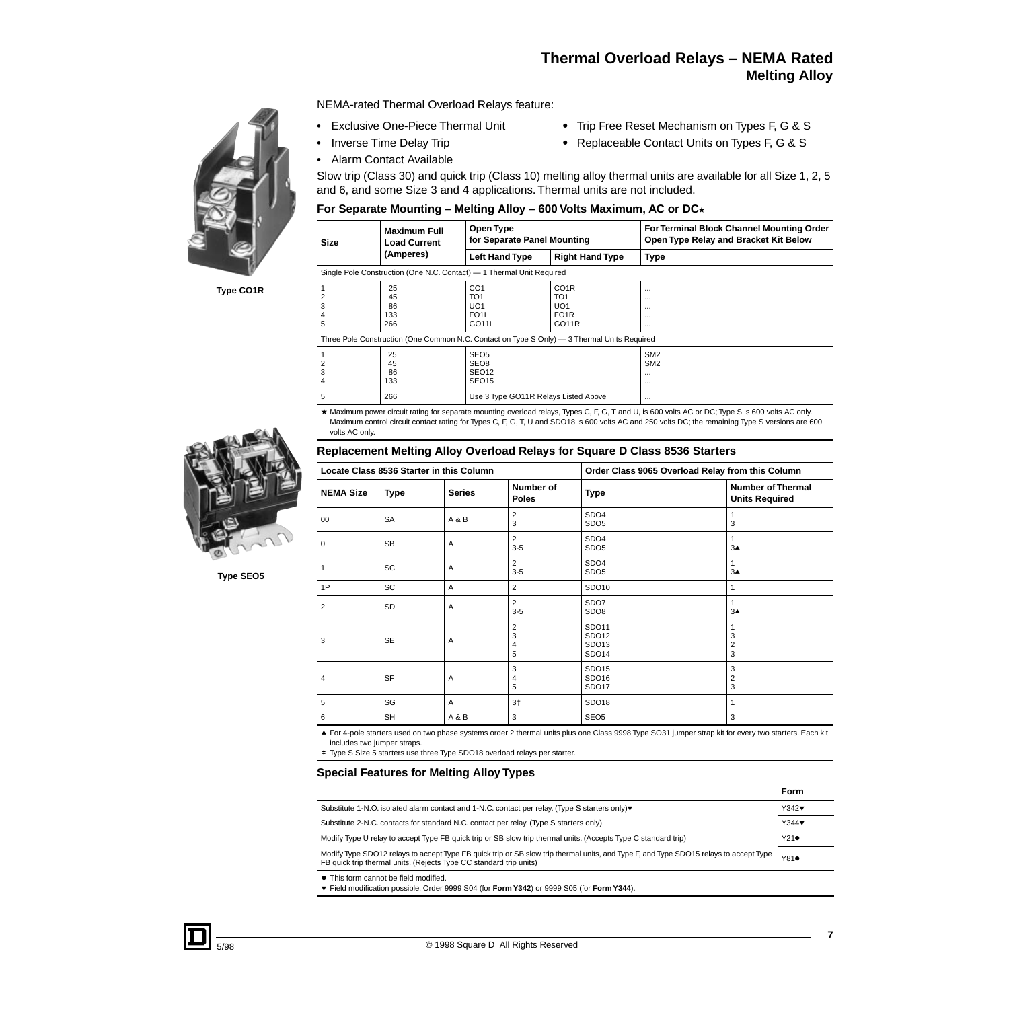# **Thermal Overload Relays – NEMA Rated Melting Alloy**

NEMA-rated Thermal Overload Relays feature:

- Exclusive One-Piece Thermal Unit Trip Free Reset Mechanism on Types F, G & S
	-
- Inverse Time Delay Trip Replaceable Contact Units on Types F, G & S
- Alarm Contact Available

Slow trip (Class 30) and quick trip (Class 10) melting alloy thermal units are available for all Size 1, 2, 5 and 6, and some Size 3 and 4 applications. Thermal units are not included.

#### For Separate Mounting – Melting Alloy – 600 Volts Maximum, AC or DC<sup>\*</sup>

| <b>Maximum Full</b><br>Size<br><b>Load Current</b>                                          |                                                                       | Open Type<br>for Separate Panel Mounting                                             |                                                                                       | For Terminal Block Channel Mounting Order<br>Open Type Relay and Bracket Kit Below |  |  |
|---------------------------------------------------------------------------------------------|-----------------------------------------------------------------------|--------------------------------------------------------------------------------------|---------------------------------------------------------------------------------------|------------------------------------------------------------------------------------|--|--|
|                                                                                             | (Amperes)                                                             | <b>Left Hand Type</b>                                                                | <b>Right Hand Type</b>                                                                | <b>Type</b>                                                                        |  |  |
|                                                                                             | Single Pole Construction (One N.C. Contact) - 1 Thermal Unit Required |                                                                                      |                                                                                       |                                                                                    |  |  |
| 2<br>3<br>4<br>5                                                                            | 25<br>45<br>86<br>133<br>266                                          | CO <sub>1</sub><br>TO <sub>1</sub><br>UO1<br>FO <sub>1</sub> L<br>GO <sub>11</sub> L | CO <sub>1</sub> R<br>TO <sub>1</sub><br>UO <sub>1</sub><br>FO <sub>1</sub> R<br>GO11R | $\cdots$<br>$\cdots$<br>$\cdots$<br>$\cdots$<br>$\cdots$                           |  |  |
| Three Pole Construction (One Common N.C. Contact on Type S Only) — 3 Thermal Units Required |                                                                       |                                                                                      |                                                                                       |                                                                                    |  |  |
| 2<br>3                                                                                      | 25<br>45<br>86<br>133                                                 | SEO <sub>5</sub><br>SEO <sub>8</sub><br>SEO <sub>12</sub><br>SEO <sub>15</sub>       |                                                                                       | SM <sub>2</sub><br>SM <sub>2</sub><br>$\cdots$<br>$\cdots$                         |  |  |

\* Maximum power circuit rating for separate mounting overload relays, Types C, F, G, T and U, is 600 volts AC or DC; Type S is 600 volts AC only. Maximum control circuit contact rating for Types C, F, G, T, U and SDO18 is 600 volts AC and 250 volts DC; the remaining Type S versions are 600 volts AC only.

#### **Replacement Melting Alloy Overload Relays for Square D Class 8536 Starters**

| Locate Class 8536 Starter in this Column |             | Order Class 9065 Overload Relay from this Column |                               |                                              |                                                   |
|------------------------------------------|-------------|--------------------------------------------------|-------------------------------|----------------------------------------------|---------------------------------------------------|
| <b>NEMA Size</b>                         | <b>Type</b> | <b>Series</b>                                    | Number of<br><b>Poles</b>     | <b>Type</b>                                  | <b>Number of Thermal</b><br><b>Units Required</b> |
| 00                                       | <b>SA</b>   | A & B                                            | $\overline{2}$<br>3           | SDO <sub>4</sub><br>SDO <sub>5</sub>         | 3                                                 |
| $\Omega$                                 | <b>SB</b>   | A                                                | 2<br>$3-5$                    | SDO <sub>4</sub><br>SDO <sub>5</sub>         | $\mathbf{1}$<br>$3\blacktriangle$                 |
|                                          | <b>SC</b>   | $\overline{A}$                                   | 2<br>$3-5$                    | SDO <sub>4</sub><br>SDO <sub>5</sub>         | 1<br>$3\blacktriangle$                            |
| 1P                                       | <b>SC</b>   | $\overline{A}$                                   | 2                             | SDO10                                        | 1                                                 |
| 2                                        | SD          | A                                                | 2<br>$3-5$                    | SDO7<br>SDO <sub>8</sub>                     | 1<br>$3\blacktriangle$                            |
| 3                                        | <b>SE</b>   | A                                                | $\overline{2}$<br>3<br>4<br>5 | SDO11<br>SDO12<br>SDO <sub>13</sub><br>SDO14 | 3<br>$\overline{\mathbf{c}}$<br>3                 |
| 4                                        | <b>SF</b>   | A                                                | 3<br>4<br>5                   | SDO15<br>SDO <sub>16</sub><br>SDO17          | 3<br>$\overline{2}$<br>3                          |
| 5                                        | SG          | $\overline{A}$                                   | $3+$                          | SDO <sub>18</sub>                            | 1                                                 |
| 6                                        | <b>SH</b>   | A&B                                              | 3                             | SEO <sub>5</sub>                             | 3                                                 |

▲ For 4-pole starters used on two phase systems order 2 thermal units plus one Class 9998 Type SO31 jumper strap kit for every two starters. Each kit includes two jumper straps.

# Type S Size 5 starters use three Type SDO18 overload relays per starter.

5 266 266 Use 3 Type GO11R Relays Listed Above

#### **Special Features for Melting Alloy Types**

|                                                                                                                                                                                                             | Form |
|-------------------------------------------------------------------------------------------------------------------------------------------------------------------------------------------------------------|------|
| Substitute 1-N.O. isolated alarm contact and 1-N.C. contact per relay. (Type S starters only)▼                                                                                                              | Y342 |
| Substitute 2-N.C. contacts for standard N.C. contact per relay. (Type S starters only)                                                                                                                      | Y344 |
| Modify Type U relay to accept Type FB quick trip or SB slow trip thermal units. (Accepts Type C standard trip)                                                                                              | Y21  |
| Modify Type SDO12 relays to accept Type FB quick trip or SB slow trip thermal units, and Type F, and Type SDO15 relays to accept Type<br>FB quick trip thermal units. (Rejects Type CC standard trip units) | Y81  |
| • This form cannot be field modified.<br>$\bullet$ Field modification possible Order 0000 S04 (for <b>Form V342)</b> or 0000 S05 (for <b>Form V344)</b>                                                     |      |

 $\overline{\mathbf{v}}$ Field modification possible. Order 9999 S04 (for **Form Y342**) or 9999 S05 (for **Form Y344**).



**Type CO1R**



**Type SEO5**

**7**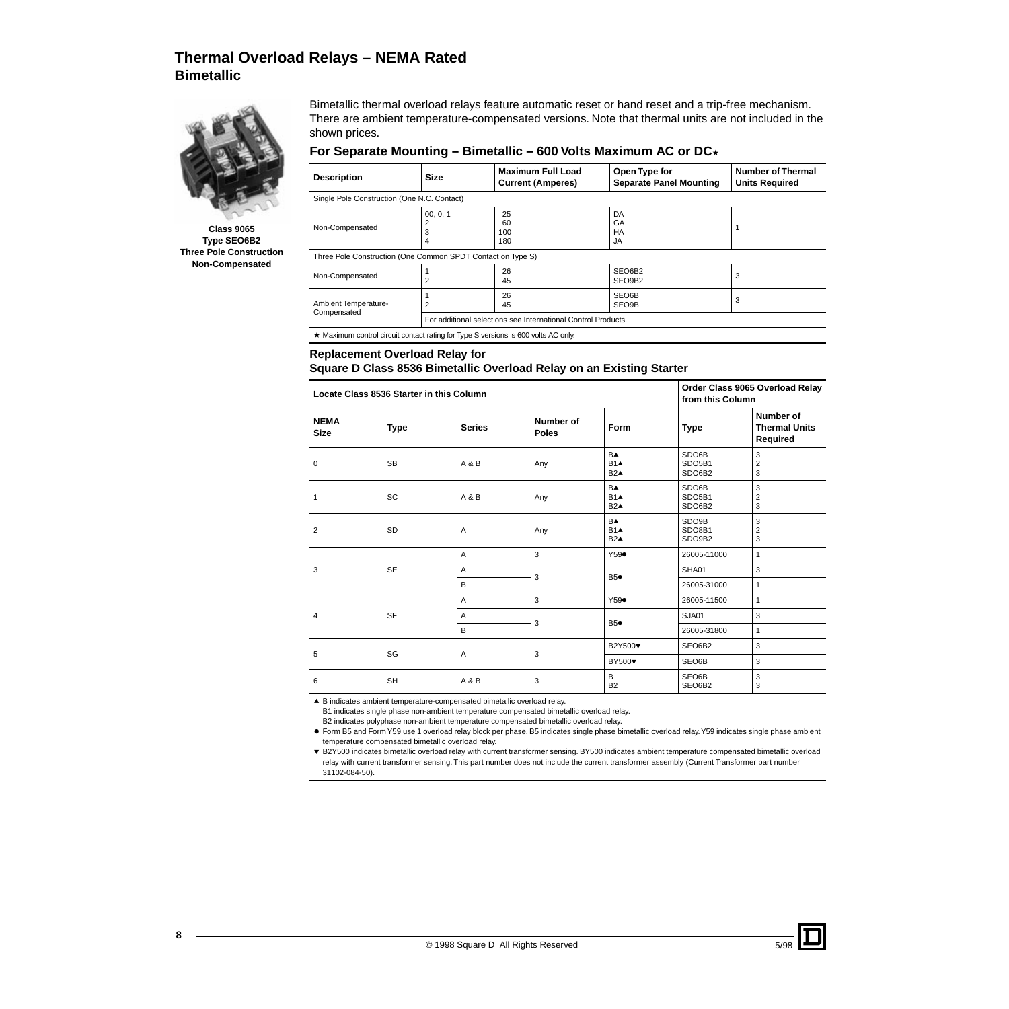# **Thermal Overload Relays – NEMA Rated Bimetallic**



**Class 9065 Type SEO6B2 Three Pole Construction Non-Compensated**

Bimetallic thermal overload relays feature automatic reset or hand reset and a trip-free mechanism. There are ambient temperature-compensated versions. Note that thermal units are not included in the shown prices.

#### For Separate Mounting – Bimetallic – 600 Volts Maximum AC or DC<sup>\*</sup>

| <b>Description</b>                                                                 | <b>Size</b>                                                 | <b>Maximum Full Load</b><br><b>Current (Amperes)</b> | Open Type for<br><b>Separate Panel Mounting</b> | <b>Number of Thermal</b><br><b>Units Required</b> |  |  |
|------------------------------------------------------------------------------------|-------------------------------------------------------------|------------------------------------------------------|-------------------------------------------------|---------------------------------------------------|--|--|
|                                                                                    | Single Pole Construction (One N.C. Contact)                 |                                                      |                                                 |                                                   |  |  |
| Non-Compensated                                                                    | 00.0.1<br>4                                                 | 25<br>60<br>100<br>180                               | DA<br>GA<br>HA<br>JA                            |                                                   |  |  |
|                                                                                    | Three Pole Construction (One Common SPDT Contact on Type S) |                                                      |                                                 |                                                   |  |  |
| Non-Compensated                                                                    | 2                                                           | 26<br>45                                             | SEO6B2<br>SEO9B2                                | 3                                                 |  |  |
| Ambient Temperature-<br>Compensated                                                | $\overline{c}$                                              | 26<br>45                                             | SEO6B<br>SEO9B                                  | 3                                                 |  |  |
| For additional selections see International Control Products.                      |                                                             |                                                      |                                                 |                                                   |  |  |
| ★ Maximum control circuit contact rating for Type S versions is 600 volts AC only. |                                                             |                                                      |                                                 |                                                   |  |  |

#### **Replacement Overload Relay for**

#### **Square D Class 8536 Bimetallic Overload Relay on an Existing Starter**

| Locate Class 8536 Starter in this Column |             |               |                           | Order Class 9065 Overload Relay<br>from this Column |                           |                                               |
|------------------------------------------|-------------|---------------|---------------------------|-----------------------------------------------------|---------------------------|-----------------------------------------------|
| <b>NEMA</b><br><b>Size</b>               | <b>Type</b> | <b>Series</b> | Number of<br><b>Poles</b> | Form                                                | <b>Type</b>               | Number of<br><b>Thermal Units</b><br>Required |
| 0                                        | <b>SB</b>   | A & B         | Any                       | <b>B</b> <sup>∆</sup><br>$B1\blacktriangle$<br>B2A  | SDO6B<br>SDO5B1<br>SDO6B2 | 3<br>$\overline{2}$<br>3                      |
| 1                                        | <b>SC</b>   | A & B         | Any                       | <b>B</b> ▲<br>$B1\blacktriangle$<br>B2A             | SDO6B<br>SDO5B1<br>SDO6B2 | 3<br>$\overline{2}$<br>3                      |
| 2                                        | <b>SD</b>   | A             | Any                       | <b>B</b> <sup>∆</sup><br>$B1\blacktriangle$<br>B2A  | SDO9B<br>SDO8B1<br>SDO9B2 | 3<br>$\overline{2}$<br>3                      |
|                                          |             | A             | 3                         | $Y59\bullet$                                        | 26005-11000               | $\mathbf{1}$                                  |
| 3                                        | <b>SE</b>   | A             | 3                         | <b>B5●</b>                                          | SHA01                     | $\mathbf{3}$                                  |
|                                          |             | B             |                           |                                                     |                           | 26005-31000                                   |
|                                          |             | A             | 3                         | $Y59\bullet$                                        | 26005-11500               | $\mathbf{1}$                                  |
| 4                                        | <b>SF</b>   | A             |                           | <b>B5●</b>                                          | SJA01                     | 3                                             |
|                                          |             | B             | 3                         |                                                     | 26005-31800               | $\mathbf{1}$                                  |
| 5                                        | SG          | Α             | 3                         | B2Y500                                              | SEO6B2                    | 3                                             |
|                                          |             |               |                           | <b>BY500</b>                                        | SEO6B                     | 3                                             |
| 6                                        | <b>SH</b>   | A & B         | 3                         | B<br><b>B2</b>                                      | SEO6B<br>SEO6B2           | 3<br>3                                        |

▲ B indicates ambient temperature-compensated bimetallic overload relay.

B1 indicates single phase non-ambient temperature compensated bimetallic overload relay.

B2 indicates polyphase non-ambient temperature compensated bimetallic overload relay.

k Form B5 and Form Y59 use 1 overload relay block per phase. B5 indicates single phase bimetallic overload relay. Y59 indicates single phase ambient temperature compensated bimetallic overload relay.

p B2Y500 indicates bimetallic overload relay with current transformer sensing. BY500 indicates ambient temperature compensated bimetallic overload relay with current transformer sensing. This part number does not include the current transformer assembly (Current Transformer part number 31102-084-50).

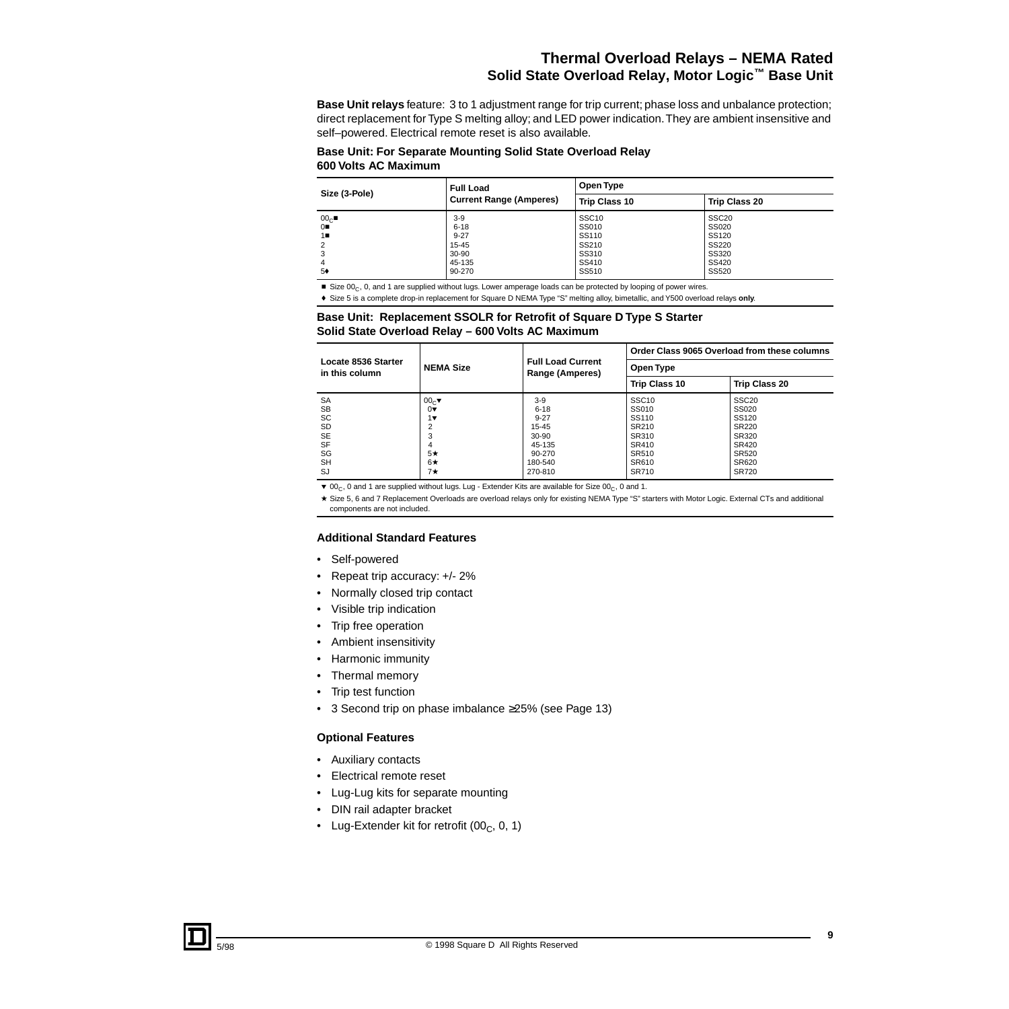# **Thermal Overload Relays – NEMA Rated Solid State Overload Relay, Motor Logic™ Base Unit**

**Base Unit relays** feature: 3 to 1 adjustment range for trip current; phase loss and unbalance protection; direct replacement for Type S melting alloy; and LED power indication. They are ambient insensitive and self–powered. Electrical remote reset is also available.

#### **Base Unit: For Separate Mounting Solid State Overload Relay 600 Volts AC Maximum**

| Size (3-Pole)   | Full Load<br><b>Current Range (Amperes)</b> | Open Type            |                      |  |
|-----------------|---------------------------------------------|----------------------|----------------------|--|
|                 |                                             | <b>Trip Class 10</b> | <b>Trip Class 20</b> |  |
| 00 <sub>C</sub> | $3-9$                                       | SSC <sub>10</sub>    | SSC <sub>20</sub>    |  |
| 0∎              | $6 - 18$                                    | SS010                | SS020                |  |
| 1∎              | $9 - 27$                                    | SS110                | <b>SS120</b>         |  |
| 2               | 15-45                                       | SS210                | SS220                |  |
| 3               | 30-90                                       | SS310                | SS320                |  |
| 4               | 45-135                                      | SS410                | SS420                |  |
| 5♦              | 90-270                                      | SS510                | SS520                |  |

Size  $00_C$ , 0, and 1 are supplied without lugs. Lower amperage loads can be protected by looping of power wires.

f Size 5 is a complete drop-in replacement for Square D NEMA Type "S" melting alloy, bimetallic, and Y500 overload relays **only**.

#### **Base Unit: Replacement SSOLR for Retrofit of Square D Type S Starter Solid State Overload Relay – 600 Volts AC Maximum**

|                                       |                       | <b>Full Load Current</b><br>Range (Amperes) | Order Class 9065 Overload from these columns |                      |  |
|---------------------------------------|-----------------------|---------------------------------------------|----------------------------------------------|----------------------|--|
| Locate 8536 Starter<br>in this column | <b>NEMA Size</b>      |                                             | Open Type                                    |                      |  |
|                                       |                       |                                             | <b>Trip Class 10</b>                         | <b>Trip Class 20</b> |  |
| <b>SA</b>                             | 00 <sub>∈</sub>       | $3-9$                                       | SSC <sub>10</sub>                            | SSC <sub>20</sub>    |  |
| <b>SB</b>                             | $0\blacktriangledown$ | $6 - 18$                                    | SS010                                        | SS020                |  |
| SC                                    | $1\blacktriangledown$ | $9 - 27$                                    | SS110                                        | SS120                |  |
| <b>SD</b>                             | າ                     | 15-45                                       | SR210                                        | <b>SR220</b>         |  |
| <b>SE</b>                             | 3                     | $30 - 90$                                   | SR310                                        | SR320                |  |
| <b>SF</b>                             | 4                     | 45-135                                      | SR410                                        | SR420                |  |
| SG                                    | $5\star$              | 90-270                                      | SR510                                        | SR520                |  |
| <b>SH</b>                             | $6\star$              | 180-540                                     | SR610                                        | SR620                |  |
| SJ                                    | $7\star$              | 270-810                                     | SR710                                        | <b>SR720</b>         |  |

 $\blacktriangledown$  00<sub>C</sub>, 0 and 1 are supplied without lugs. Lug - Extender Kits are available for Size 00<sub>C</sub>, 0 and 1.

\* Size 5, 6 and 7 Replacement Overloads are overload relays only for existing NEMA Type "S" starters with Motor Logic. External CTs and additional components are not included.

#### **Additional Standard Features**

- Self-powered
- Repeat trip accuracy: +/- 2%
- Normally closed trip contact
- Visible trip indication
- Trip free operation
- Ambient insensitivity
- Harmonic immunity
- Thermal memory
- Trip test function
- 3 Second trip on phase imbalance ≥25% (see Page 13)

#### **Optional Features**

- Auxiliary contacts
- Electrical remote reset
- Lug-Lug kits for separate mounting
- DIN rail adapter bracket
- Lug-Extender kit for retrofit  $(00_C, 0, 1)$

**9**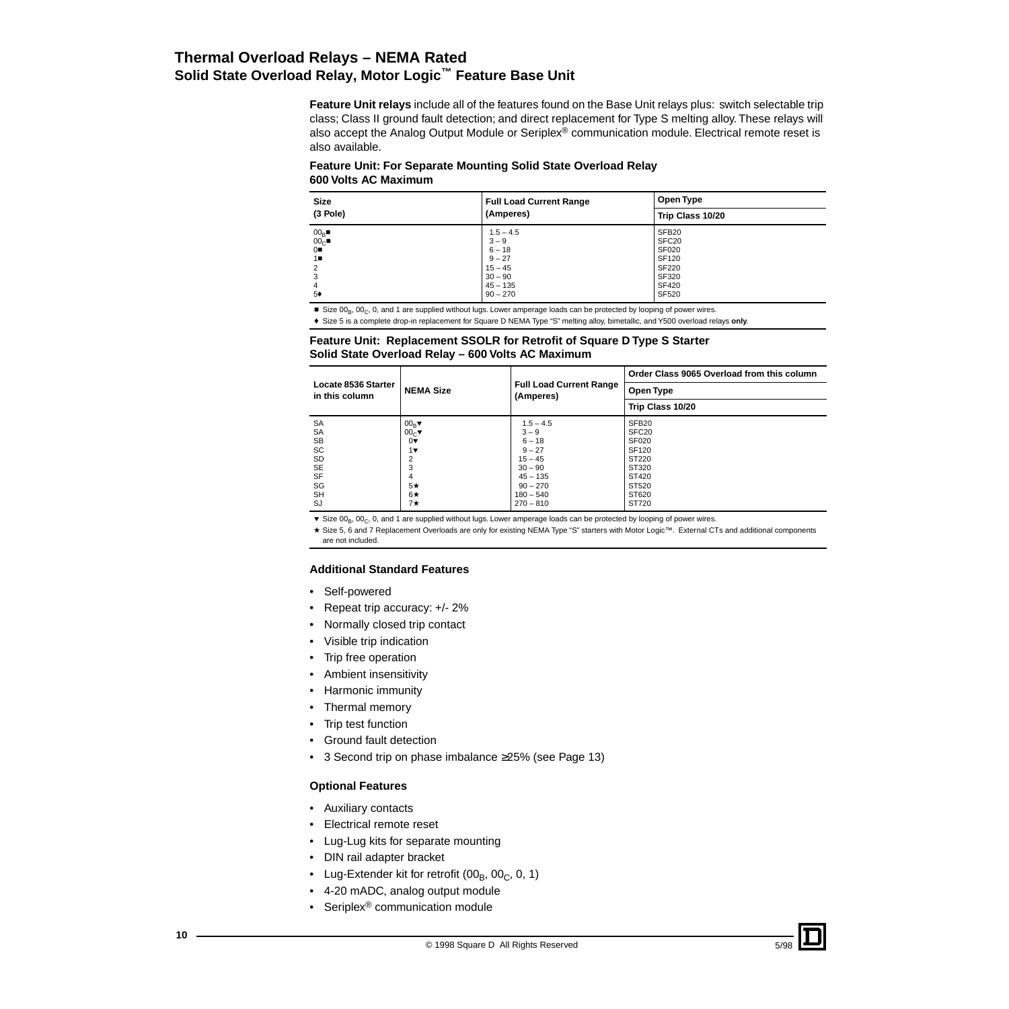# **Thermal Overload Relays – NEMA Rated Solid State Overload Relay, Motor Logic™ Feature Base Unit**

**Feature Unit relays** include all of the features found on the Base Unit relays plus: switch selectable trip class; Class II ground fault detection; and direct replacement for Type S melting alloy. These relays will also accept the Analog Output Module or Seriplex® communication module. Electrical remote reset is also available.

#### **Feature Unit: For Separate Mounting Solid State Overload Relay 600 Volts AC Maximum**

| <b>Size</b>                                                              | <b>Full Load Current Range</b>                                                                       | Open Type                                                                                                         |  |
|--------------------------------------------------------------------------|------------------------------------------------------------------------------------------------------|-------------------------------------------------------------------------------------------------------------------|--|
| (3 Pole)                                                                 | (Amperes)                                                                                            | Trip Class 10/20                                                                                                  |  |
| $00_B$<br>00 <sub>C</sub><br>0<br>1∎<br>2<br>3<br>$\overline{4}$<br>$5*$ | $1.5 - 4.5$<br>$3 - 9$<br>$6 - 18$<br>$9 - 27$<br>$15 - 45$<br>$30 - 90$<br>$45 - 135$<br>$90 - 270$ | SFB <sub>20</sub><br>SFC <sub>20</sub><br><b>SF020</b><br>SF120<br><b>SF220</b><br>SF320<br><b>SF420</b><br>SF520 |  |

 $Size 00_B$ ,  $00_C$ , 0, and 1 are supplied without lugs. Lower amperage loads can be protected by looping of power wires.

f Size 5 is a complete drop-in replacement for Square D NEMA Type "S" melting alloy, bimetallic, and Y500 overload relays **only**.

#### **Feature Unit: Replacement SSOLR for Retrofit of Square D Type S Starter Solid State Overload Relay – 600 Volts AC Maximum**

|                                       |                       |                                             | Order Class 9065 Overload from this column |
|---------------------------------------|-----------------------|---------------------------------------------|--------------------------------------------|
| Locate 8536 Starter<br>in this column | <b>NEMA Size</b>      | <b>Full Load Current Range</b><br>(Amperes) | Open Type                                  |
|                                       |                       |                                             | Trip Class 10/20                           |
| <b>SA</b>                             | $00_R$                | $1.5 - 4.5$                                 | SFB <sub>20</sub>                          |
| <b>SA</b>                             | 00 <sub>C</sub>       | $3 - 9$                                     | SFC <sub>20</sub>                          |
| <b>SB</b>                             | $0\blacktriangledown$ | $6 - 18$                                    | <b>SF020</b>                               |
| SC                                    | $1\blacktriangledown$ | $9 - 27$                                    | SF <sub>120</sub>                          |
| <b>SD</b>                             | 2                     | $15 - 45$                                   | ST220                                      |
| <b>SE</b>                             | 3                     | $30 - 90$                                   | ST320                                      |
| <b>SF</b>                             | 4                     | $45 - 135$                                  | ST420                                      |
| SG                                    | $5\star$              | $90 - 270$                                  | ST520                                      |
| <b>SH</b>                             | $6\star$              | $180 - 540$                                 | ST620                                      |
| SJ                                    | 7★                    | $270 - 810$                                 | ST720                                      |

 $\blacktriangledown$  Size 00<sub>B</sub>, 00<sub>C</sub>, 0, and 1 are supplied without lugs. Lower amperage loads can be protected by looping of power wires.

★ Size 5, 6 and 7 Replacement Overloads are only for existing NEMA Type "S" starters with Motor Logic™. External CTs and additional components are not included.

#### **Additional Standard Features**

- Self-powered
- Repeat trip accuracy: +/- 2%
- Normally closed trip contact
- Visible trip indication
- Trip free operation
- Ambient insensitivity
- Harmonic immunity
- Thermal memory
- Trip test function
- Ground fault detection
- 3 Second trip on phase imbalance ≥25% (see Page 13)

#### **Optional Features**

- Auxiliary contacts
- Electrical remote reset
- Lug-Lug kits for separate mounting
- DIN rail adapter bracket
- Lug-Extender kit for retrofit  $(00_B, 00_C, 0, 1)$
- 4-20 mADC, analog output module
- Seriplex<sup>®</sup> communication module

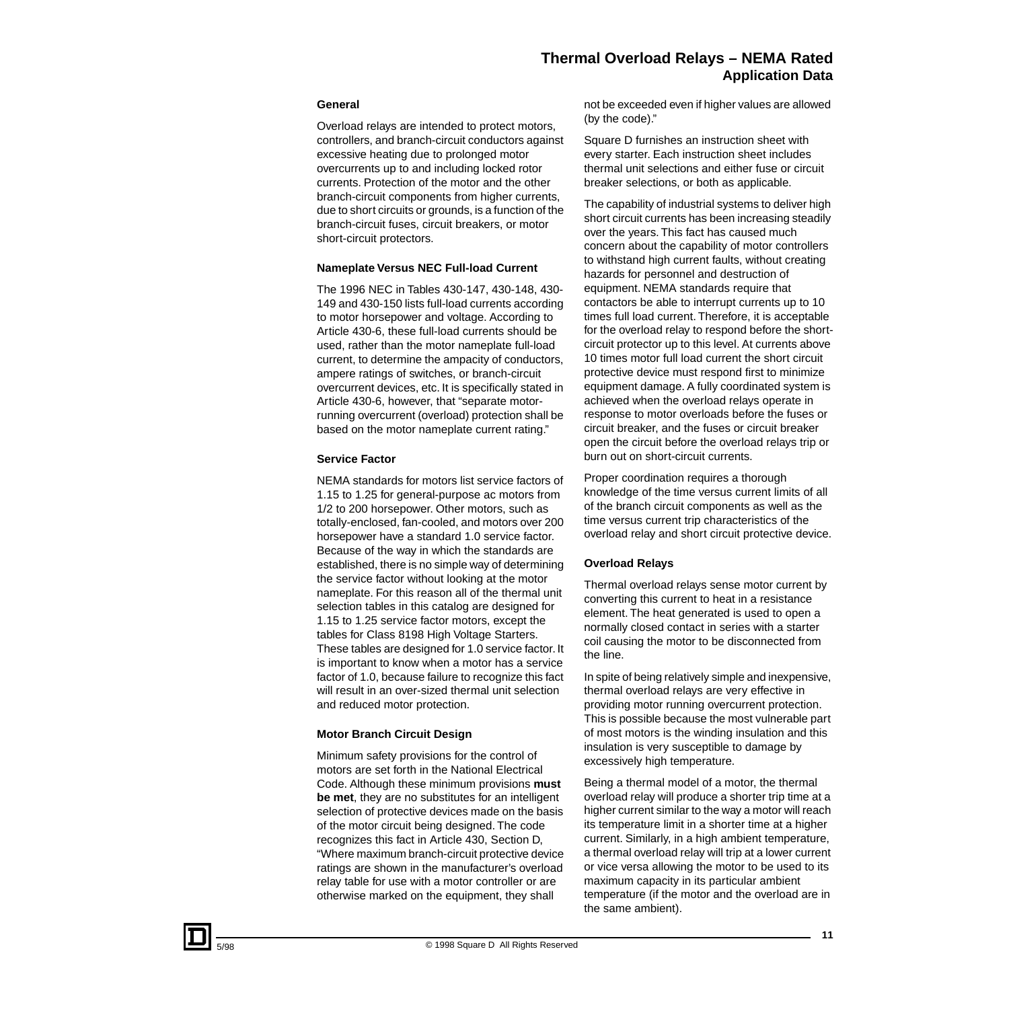#### **General**

Overload relays are intended to protect motors, controllers, and branch-circuit conductors against excessive heating due to prolonged motor overcurrents up to and including locked rotor currents. Protection of the motor and the other branch-circuit components from higher currents, due to short circuits or grounds, is a function of the branch-circuit fuses, circuit breakers, or motor short-circuit protectors.

#### **Nameplate Versus NEC Full-load Current**

The 1996 NEC in Tables 430-147, 430-148, 430- 149 and 430-150 lists full-load currents according to motor horsepower and voltage. According to Article 430-6, these full-load currents should be used, rather than the motor nameplate full-load current, to determine the ampacity of conductors, ampere ratings of switches, or branch-circuit overcurrent devices, etc. It is specifically stated in Article 430-6, however, that "separate motorrunning overcurrent (overload) protection shall be based on the motor nameplate current rating."

#### **Service Factor**

NEMA standards for motors list service factors of 1.15 to 1.25 for general-purpose ac motors from 1/2 to 200 horsepower. Other motors, such as totally-enclosed, fan-cooled, and motors over 200 horsepower have a standard 1.0 service factor. Because of the way in which the standards are established, there is no simple way of determining the service factor without looking at the motor nameplate. For this reason all of the thermal unit selection tables in this catalog are designed for 1.15 to 1.25 service factor motors, except the tables for Class 8198 High Voltage Starters. These tables are designed for 1.0 service factor. It is important to know when a motor has a service factor of 1.0, because failure to recognize this fact will result in an over-sized thermal unit selection and reduced motor protection.

#### **Motor Branch Circuit Design**

Minimum safety provisions for the control of motors are set forth in the National Electrical Code. Although these minimum provisions **must be met**, they are no substitutes for an intelligent selection of protective devices made on the basis of the motor circuit being designed. The code recognizes this fact in Article 430, Section D, "Where maximum branch-circuit protective device ratings are shown in the manufacturer's overload relay table for use with a motor controller or are otherwise marked on the equipment, they shall

not be exceeded even if higher values are allowed (by the code)."

Square D furnishes an instruction sheet with every starter. Each instruction sheet includes thermal unit selections and either fuse or circuit breaker selections, or both as applicable.

The capability of industrial systems to deliver high short circuit currents has been increasing steadily over the years. This fact has caused much concern about the capability of motor controllers to withstand high current faults, without creating hazards for personnel and destruction of equipment. NEMA standards require that contactors be able to interrupt currents up to 10 times full load current. Therefore, it is acceptable for the overload relay to respond before the shortcircuit protector up to this level. At currents above 10 times motor full load current the short circuit protective device must respond first to minimize equipment damage. A fully coordinated system is achieved when the overload relays operate in response to motor overloads before the fuses or circuit breaker, and the fuses or circuit breaker open the circuit before the overload relays trip or burn out on short-circuit currents.

Proper coordination requires a thorough knowledge of the time versus current limits of all of the branch circuit components as well as the time versus current trip characteristics of the overload relay and short circuit protective device.

#### **Overload Relays**

Thermal overload relays sense motor current by converting this current to heat in a resistance element. The heat generated is used to open a normally closed contact in series with a starter coil causing the motor to be disconnected from the line.

In spite of being relatively simple and inexpensive, thermal overload relays are very effective in providing motor running overcurrent protection. This is possible because the most vulnerable part of most motors is the winding insulation and this insulation is very susceptible to damage by excessively high temperature.

Being a thermal model of a motor, the thermal overload relay will produce a shorter trip time at a higher current similar to the way a motor will reach its temperature limit in a shorter time at a higher current. Similarly, in a high ambient temperature, a thermal overload relay will trip at a lower current or vice versa allowing the motor to be used to its maximum capacity in its particular ambient temperature (if the motor and the overload are in the same ambient).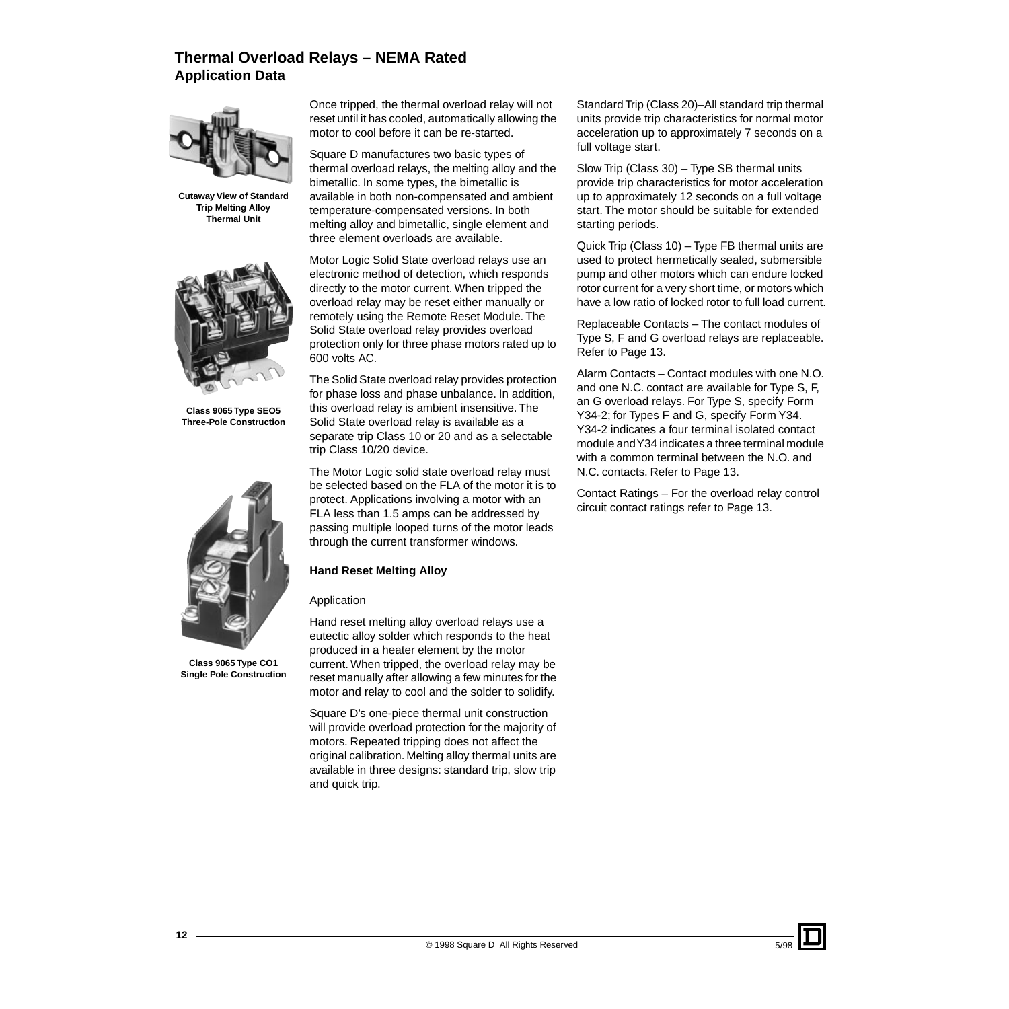

**Cutaway View of Standard Trip Melting Alloy Thermal Unit**



**Class 9065 Type SEO5 Three-Pole Construction**



**Class 9065 Type CO1 Single Pole Construction**

Once tripped, the thermal overload relay will not reset until it has cooled, automatically allowing the motor to cool before it can be re-started.

Square D manufactures two basic types of thermal overload relays, the melting alloy and the bimetallic. In some types, the bimetallic is available in both non-compensated and ambient temperature-compensated versions. In both melting alloy and bimetallic, single element and three element overloads are available.

Motor Logic Solid State overload relays use an electronic method of detection, which responds directly to the motor current. When tripped the overload relay may be reset either manually or remotely using the Remote Reset Module. The Solid State overload relay provides overload protection only for three phase motors rated up to 600 volts AC.

The Solid State overload relay provides protection for phase loss and phase unbalance. In addition, this overload relay is ambient insensitive. The Solid State overload relay is available as a separate trip Class 10 or 20 and as a selectable trip Class 10/20 device.

The Motor Logic solid state overload relay must be selected based on the FLA of the motor it is to protect. Applications involving a motor with an FLA less than 1.5 amps can be addressed by passing multiple looped turns of the motor leads through the current transformer windows.

#### **Hand Reset Melting Alloy**

#### Application

Hand reset melting alloy overload relays use a eutectic alloy solder which responds to the heat produced in a heater element by the motor current. When tripped, the overload relay may be reset manually after allowing a few minutes for the motor and relay to cool and the solder to solidify.

Square D's one-piece thermal unit construction will provide overload protection for the majority of motors. Repeated tripping does not affect the original calibration. Melting alloy thermal units are available in three designs: standard trip, slow trip and quick trip.

Standard Trip (Class 20)–All standard trip thermal units provide trip characteristics for normal motor acceleration up to approximately 7 seconds on a full voltage start.

Slow Trip (Class 30) – Type SB thermal units provide trip characteristics for motor acceleration up to approximately 12 seconds on a full voltage start. The motor should be suitable for extended starting periods.

Quick Trip (Class 10) – Type FB thermal units are used to protect hermetically sealed, submersible pump and other motors which can endure locked rotor current for a very short time, or motors which have a low ratio of locked rotor to full load current.

Replaceable Contacts – The contact modules of Type S, F and G overload relays are replaceable. Refer to Page 13.

Alarm Contacts – Contact modules with one N.O. and one N.C. contact are available for Type S, F, an G overload relays. For Type S, specify Form Y34-2; for Types F and G, specify Form Y34. Y34-2 indicates a four terminal isolated contact module and Y34 indicates a three terminal module with a common terminal between the N.O. and N.C. contacts. Refer to Page 13.

Contact Ratings – For the overload relay control circuit contact ratings refer to Page 13.

5/98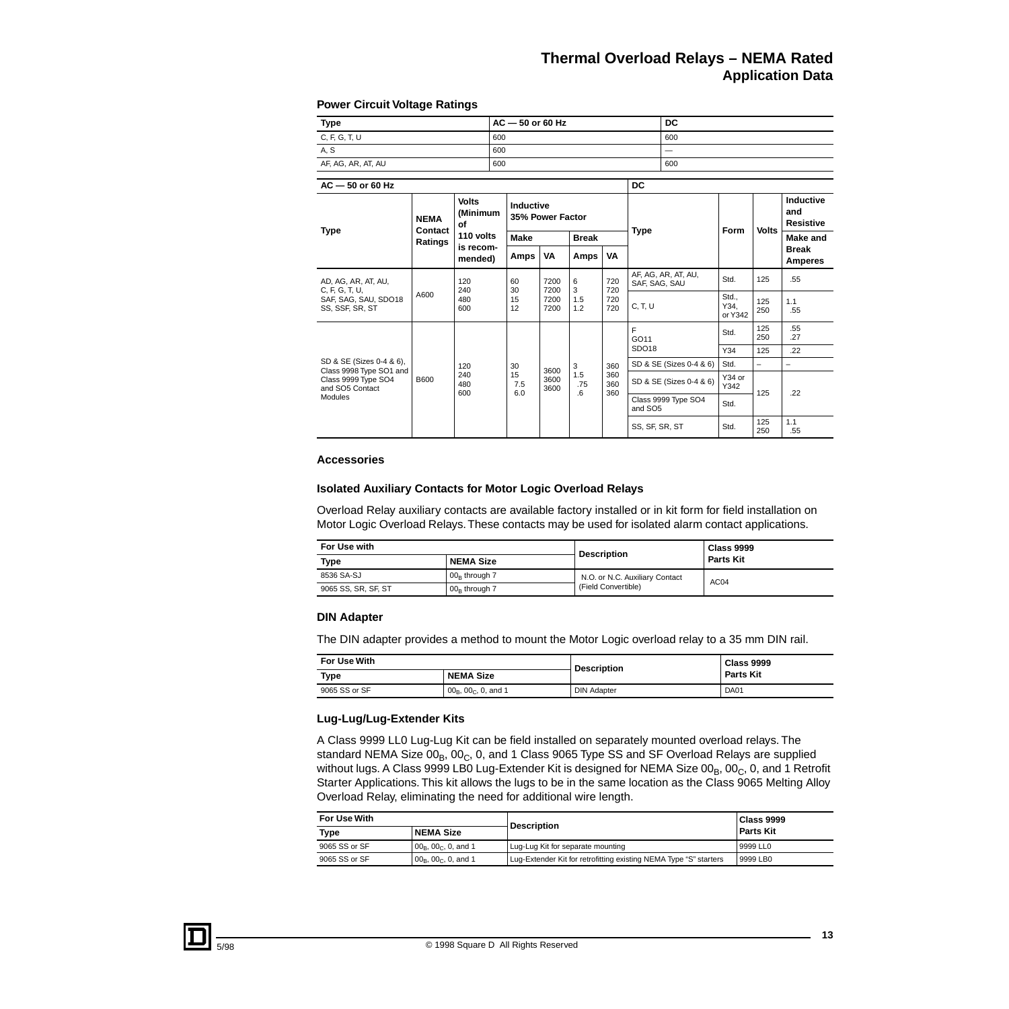#### **Power Circuit Voltage Ratings**

| <b>Type</b>                                                       |                        |                                | $AC - 50$ or 60 Hz |                               |                 |                   | DC                  |                         |                        |            |                                      |
|-------------------------------------------------------------------|------------------------|--------------------------------|--------------------|-------------------------------|-----------------|-------------------|---------------------|-------------------------|------------------------|------------|--------------------------------------|
| C, F, G, T, U                                                     |                        |                                | 600                |                               |                 |                   |                     | 600                     |                        |            |                                      |
| A, S                                                              |                        |                                | 600                |                               |                 |                   |                     |                         |                        |            |                                      |
| AF, AG, AR, AT, AU                                                |                        |                                | 600                |                               |                 |                   |                     | 600                     |                        |            |                                      |
|                                                                   |                        |                                |                    |                               |                 |                   |                     |                         |                        |            |                                      |
| $AC - 50$ or 60 Hz                                                |                        |                                |                    |                               |                 |                   | DC                  |                         |                        |            |                                      |
| <b>Type</b>                                                       | <b>NEMA</b><br>Contact | <b>Volts</b><br>(Minimum<br>οf |                    | Inductive<br>35% Power Factor |                 |                   | <b>Type</b>         |                         |                        | Volts      | Inductive<br>and<br><b>Resistive</b> |
|                                                                   | Ratings                | 110 volts                      | <b>Make</b>        | <b>Break</b>                  |                 |                   |                     |                         | Form                   |            | Make and                             |
|                                                                   |                        | is recom-<br>mended)           | Amps               | VA                            | Amps            | VA                |                     |                         |                        |            | <b>Break</b><br>Amperes              |
| AD, AG, AR, AT, AU,<br>C. F. G. T. U.                             | A600                   | 120<br>240<br>480<br>600       | 60<br>30           | 7200<br>7200                  | 6<br>3          | 720<br>720        | SAF, SAG, SAU       | AF, AG, AR, AT, AU,     | Std.                   | 125        | .55                                  |
| SAF, SAG, SAU, SDO18<br>SS, SSF, SR, ST                           |                        |                                | 15<br>12           | 7200<br>7200                  | 1.5<br>1.2      | 720<br>720        | C, T, U             |                         | Std<br>Y34.<br>or Y342 | 125<br>250 | 1.1<br>.55                           |
|                                                                   |                        |                                |                    |                               |                 |                   | F<br>GO11           | Std.                    | 125<br>250             | .55<br>.27 |                                      |
|                                                                   |                        |                                |                    |                               |                 |                   | SDO <sub>18</sub>   |                         | Y34                    | 125        | .22                                  |
| SD & SE (Sizes 0-4 & 6),                                          |                        | 120                            | 30                 | 3600                          | 3               | 360               |                     | SD & SE (Sizes 0-4 & 6) | Std.                   | -          | $\overline{\phantom{0}}$             |
| Class 9998 Type SO1 and<br>Class 9999 Type SO4<br>and SO5 Contact | <b>B600</b>            | 240<br>480                     | 15<br>7.5<br>6.0   | 3600<br>3600                  | 1.5<br>.75<br>6 | 360<br>360<br>360 |                     | SD & SE (Sizes 0-4 & 6) | Y34 or<br>Y342         | 125        | .22                                  |
| Modules                                                           |                        | 600                            |                    |                               |                 |                   | and SO <sub>5</sub> | Class 9999 Type SO4     | Std.                   |            |                                      |
|                                                                   |                        |                                |                    |                               |                 |                   | SS, SF, SR, ST      |                         | Std.                   | 125<br>250 | 1.1<br>.55                           |

#### **Accessories**

#### **Isolated Auxiliary Contacts for Motor Logic Overload Relays**

Overload Relay auxiliary contacts are available factory installed or in kit form for field installation on Motor Logic Overload Relays. These contacts may be used for isolated alarm contact applications.

| For Use with        |                  | <b>Description</b>             | Class 9999<br><b>Parts Kit</b> |  |
|---------------------|------------------|--------------------------------|--------------------------------|--|
| Type                | <b>NEMA Size</b> |                                |                                |  |
| 8536 SA-SJ          | $00R$ through 7  | N.O. or N.C. Auxiliary Contact | AC <sub>04</sub>               |  |
| 9065 SS, SR, SF, ST | $00R$ through 7  | (Field Convertible)            |                                |  |

#### **DIN Adapter**

The DIN adapter provides a method to mount the Motor Logic overload relay to a 35 mm DIN rail.

| For Use With  |                            | <b>Description</b> | <b>Class 9999</b> |  |
|---------------|----------------------------|--------------------|-------------------|--|
| Type          | <b>NEMA Size</b>           |                    | <b>Parts Kit</b>  |  |
| 9065 SS or SF | $00_B$ , $00_C$ , 0, and 1 | <b>DIN Adapter</b> | DA01              |  |

#### **Lug-Lug/Lug-Extender Kits**

A Class 9999 LL0 Lug-Lug Kit can be field installed on separately mounted overload relays. The standard NEMA Size  $00_B$ ,  $00_C$ , 0, and 1 Class 9065 Type SS and SF Overload Relays are supplied without lugs. A Class 9999 LB0 Lug-Extender Kit is designed for NEMA Size 00<sub>B</sub>, 00<sub>C</sub>, 0, and 1 Retrofit Starter Applications. This kit allows the lugs to be in the same location as the Class 9065 Melting Alloy Overload Relay, eliminating the need for additional wire length.

| For Use With  |                                         | <b>Description</b>                                                | Class 9999       |
|---------------|-----------------------------------------|-------------------------------------------------------------------|------------------|
| <b>Type</b>   | NEMA Size                               |                                                                   | <b>Parts Kit</b> |
| 9065 SS or SF | $ 00_{\rm B}$ , $00_{\rm C}$ , 0, and 1 | Lug-Lug Kit for separate mounting                                 | 9999 LL0         |
| 9065 SS or SF | $ 00_{\rm B}$ , $00_{\rm C}$ , 0, and 1 | Lug-Extender Kit for retrofitting existing NEMA Type "S" starters | 9999 LB0         |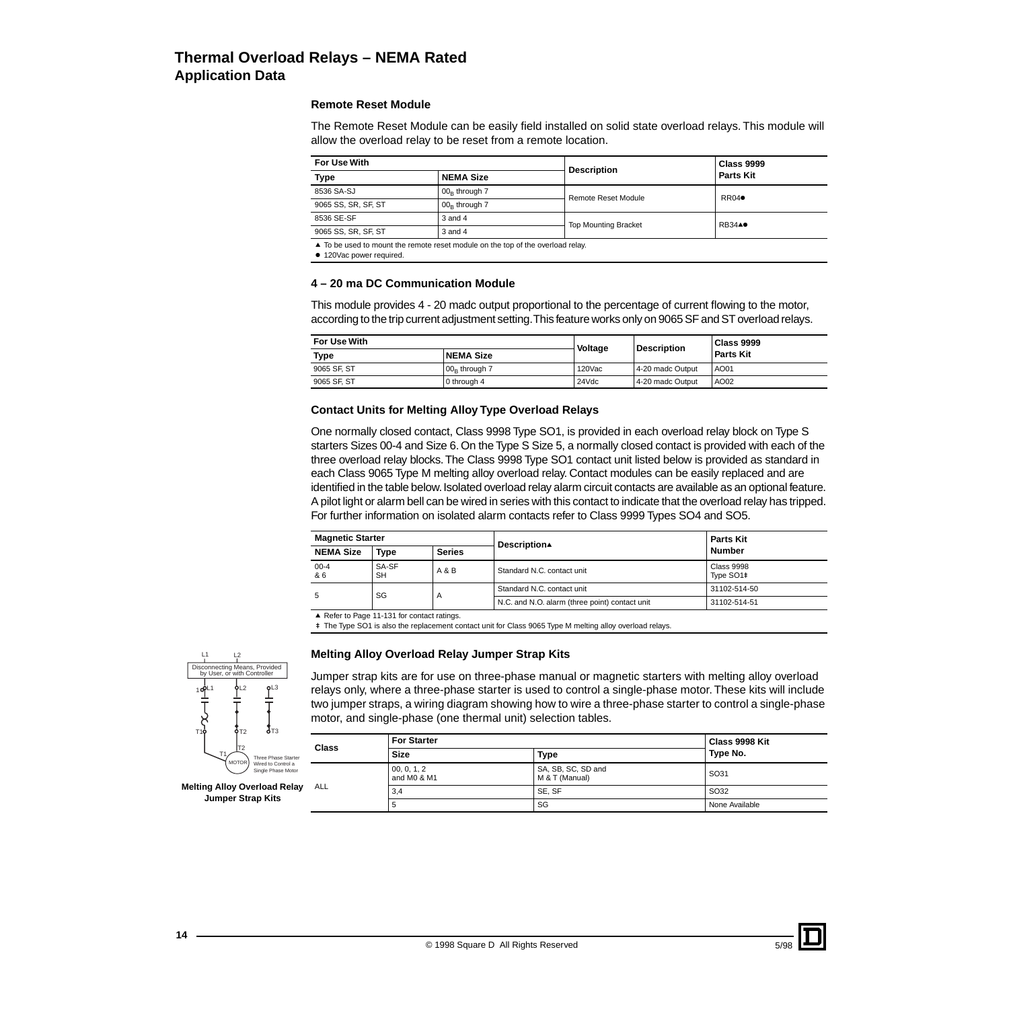#### **Remote Reset Module**

The Remote Reset Module can be easily field installed on solid state overload relays. This module will allow the overload relay to be reset from a remote location.

| For Use With                                                                    |                 | <b>Description</b>          | <b>Class 9999</b> |  |  |
|---------------------------------------------------------------------------------|-----------------|-----------------------------|-------------------|--|--|
| <b>Type</b><br><b>NEMA Size</b>                                                 |                 |                             | Parts Kit         |  |  |
| 8536 SA-SJ                                                                      | $00B$ through 7 | <b>Remote Reset Module</b>  | $RRO4\bullet$     |  |  |
| 9065 SS, SR, SF, ST                                                             | $00R$ through 7 |                             |                   |  |  |
| 8536 SE-SF                                                                      | $3$ and $4$     | <b>Top Mounting Bracket</b> | <b>RB34</b> A●    |  |  |
| 9065 SS, SR, SF, ST                                                             | $3$ and $4$     |                             |                   |  |  |
| ▲ To be used to mount the remote reset module on the top of the overload relay. |                 |                             |                   |  |  |

**120Vac power required.** 

#### **4 – 20 ma DC Communication Module**

This module provides 4 - 20 madc output proportional to the percentage of current flowing to the motor, according to the trip current adjustment setting. This feature works only on 9065 SF and ST overload relays.

| For Use With | Voltage          | Description | <b>Class 9999</b> |                  |  |
|--------------|------------------|-------------|-------------------|------------------|--|
| <b>Type</b>  | <b>NEMA Size</b> |             |                   | <b>Parts Kit</b> |  |
| 9065 SF, ST  | $00B$ through 7  | 120Vac      | 4-20 madc Output  | AO01             |  |
| 9065 SF. ST  | 0 through 4      | 24Vdc       | 4-20 madc Output  | AO02             |  |

#### **Contact Units for Melting Alloy Type Overload Relays**

One normally closed contact, Class 9998 Type SO1, is provided in each overload relay block on Type S starters Sizes 00-4 and Size 6. On the Type S Size 5, a normally closed contact is provided with each of the three overload relay blocks. The Class 9998 Type SO1 contact unit listed below is provided as standard in each Class 9065 Type M melting alloy overload relay. Contact modules can be easily replaced and are identified in the table below. Isolated overload relay alarm circuit contacts are available as an optional feature. A pilot light or alarm bell can be wired in series with this contact to indicate that the overload relay has tripped. For further information on isolated alarm contacts refer to Class 9999 Types SO4 and SO5.

| <b>Magnetic Starter</b> |                    |                | Description▲                                   | <b>Parts Kit</b>               |  |
|-------------------------|--------------------|----------------|------------------------------------------------|--------------------------------|--|
| <b>NEMA Size</b>        | Type               | <b>Series</b>  |                                                | Number                         |  |
| $00 - 4$<br>& 6         | SA-SF<br><b>SH</b> | $A$ & $B$      | Standard N.C. contact unit                     | <b>Class 9998</b><br>Type SO1# |  |
|                         | SG                 |                | Standard N.C. contact unit                     | 31102-514-50                   |  |
|                         |                    | $\overline{A}$ | N.C. and N.O. alarm (three point) contact unit | 31102-514-51                   |  |

▲ Refer to Page 11-131 for contact ratings.

<sup>#</sup> The Type SO1 is also the replacement contact unit for Class 9065 Type M melting alloy overload relays.

#### **Melting Alloy Overload Relay Jumper Strap Kits**

Jumper strap kits are for use on three-phase manual or magnetic starters with melting alloy overload relays only, where a three-phase starter is used to control a single-phase motor. These kits will include two jumper straps, a wiring diagram showing how to wire a three-phase starter to control a single-phase motor, and single-phase (one thermal unit) selection tables.

| Class<br>tarter     |     | <b>For Starter</b>         | Class 9998 Kit                       |                |
|---------------------|-----|----------------------------|--------------------------------------|----------------|
|                     |     | Size                       | Type                                 | Type No.       |
| a k<br><b>Motor</b> |     | 00, 0, 1, 2<br>and M0 & M1 | SA, SB, SC, SD and<br>M & T (Manual) | SO31           |
| elav                | ALL | 3,4                        | SE, SF                               | SO32           |
|                     |     | b                          | SG                                   | None Available |



**Melting Alloy Overload Re Jumper Strap Kits**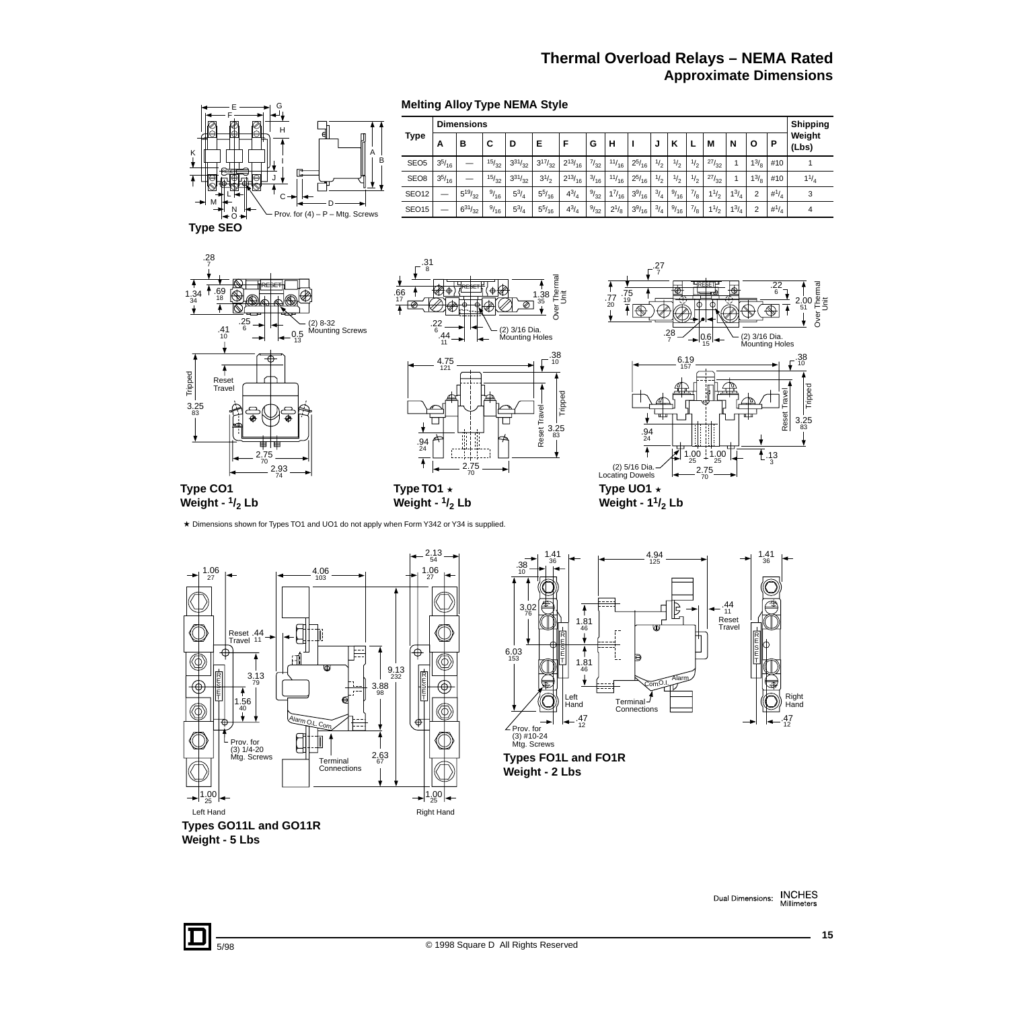# **Thermal Overload Relays – NEMA Rated Approximate Dimensions**



# **Types FO1L and FO1R Weight - 2 Lbs**

Left Hand Right Hand **Types GO11L and GO11R Weight - 5 Lbs**

Connections

2.63 67

 $1.00$ <br> $25$ 

 $25 \rightarrow 1.00$ 

**INCHES**<br>Millimeters Dual Dimensions:

1.00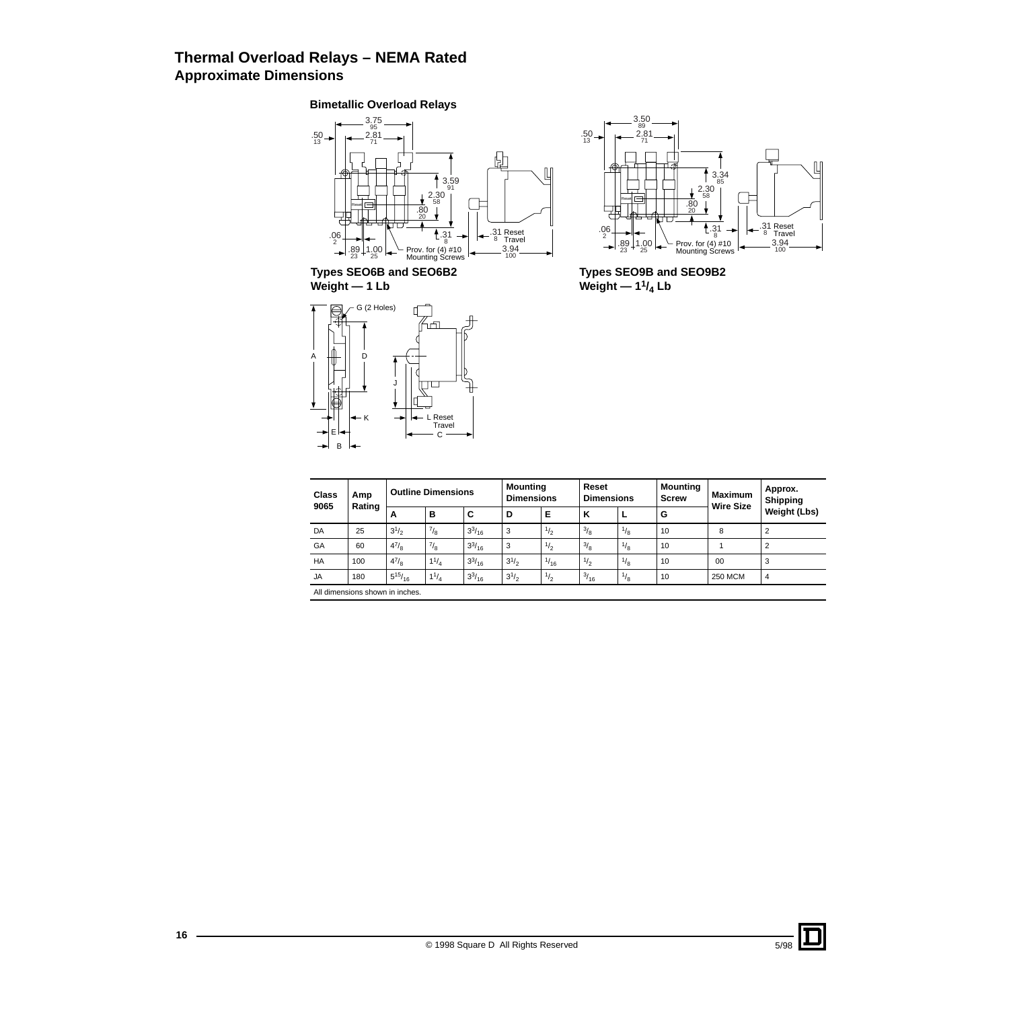# **Thermal Overload Relays – NEMA Rated Approximate Dimensions**

#### **Bimetallic Overload Relays**



**Types SEO6B and SEO6B2 Weight — 1 Lb**





**Types SEO9B and SEO9B2** Weight — 1<sup>1</sup>/<sub>4</sub> Lb

| Class<br>Amp<br>9065<br>Rating |                                 | <b>Outline Dimensions</b> |           |               |           | Reset<br><b>Mounting</b><br><b>Dimensions</b> |           | <b>Dimensions</b> | <b>Mounting</b><br><b>Screw</b> | <b>Maximum</b><br><b>Wire Size</b> | Approx.<br>Shipping |
|--------------------------------|---------------------------------|---------------------------|-----------|---------------|-----------|-----------------------------------------------|-----------|-------------------|---------------------------------|------------------------------------|---------------------|
|                                |                                 | A                         | в         | C             | D         | Е                                             | к         |                   | G                               |                                    | Weight (Lbs)        |
| DA                             | 25                              | $3^{1/2}$                 | 7/8       | $3^{3}/_{16}$ | 3         | $\frac{1}{2}$                                 | $^{13/8}$ | $^{1/8}$          | 10                              | 8                                  | $\overline{2}$      |
| GA                             | 60                              | $4^{7}/_{8}$              | $^{7}/_8$ | $3^{3}/_{16}$ | 3         | $\frac{1}{2}$                                 | 3/8       | $\frac{1}{8}$     | 10                              |                                    | $\overline{2}$      |
| HA                             | 100                             | $4^{7}/_{8}$              | $1^{1/4}$ | $3^{3}/_{16}$ | $3^{1/2}$ | $\frac{1}{16}$                                | $^{1/2}$  | $\frac{1}{8}$     | 10                              | 00                                 | 3                   |
| <b>JA</b>                      | 180                             | $5^{15}/_{16}$            | $1^{1/4}$ | $3^{3}/_{16}$ | $3^{1/2}$ | $\frac{1}{2}$                                 | $^{3/16}$ | $\frac{1}{8}$     | 10                              | <b>250 MCM</b>                     | $\overline{4}$      |
|                                | All dimensions shown in inches. |                           |           |               |           |                                               |           |                   |                                 |                                    |                     |

J.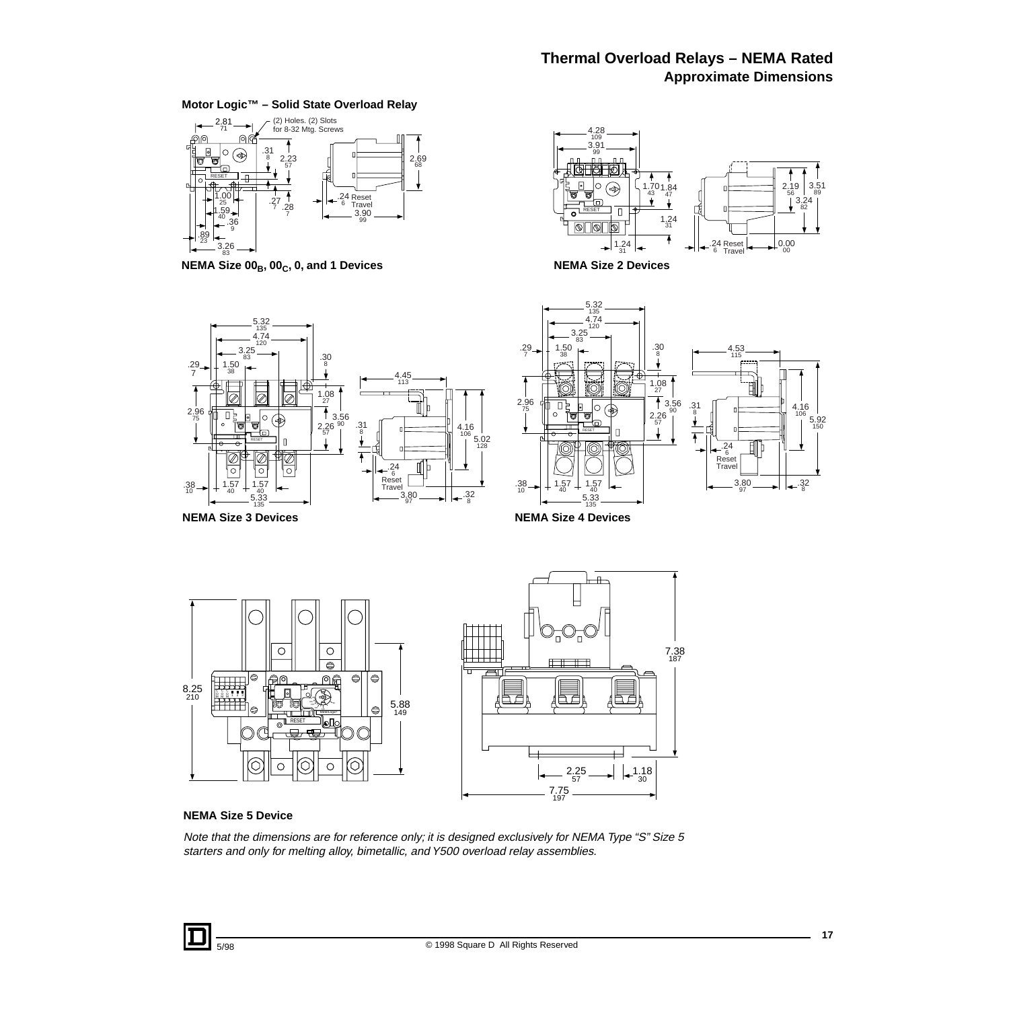# **Thermal Overload Relays – NEMA Rated Approximate Dimensions**

#### **Motor Logic™ – Solid State Overload Relay**



**NEMA Size 00<sub>B</sub>, 00<sub>C</sub>, 0, and 1 Devices <b>NEMA Size 2 Devices** 









### **NEMA Size 5 Device**

Note that the dimensions are for reference only; it is designed exclusively for NEMA Type "S" Size 5 starters and only for melting alloy, bimetallic, and Y500 overload relay assemblies.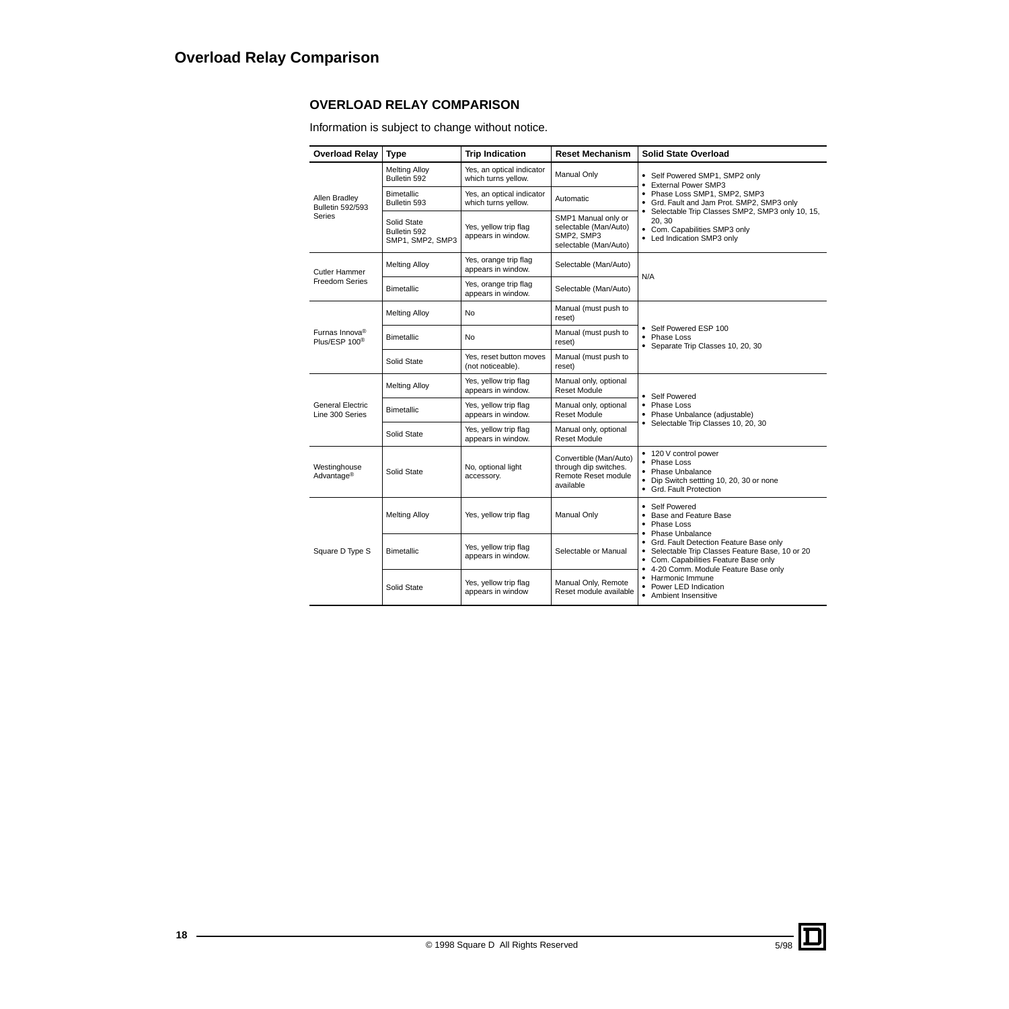# **OVERLOAD RELAY COMPARISON**

Information is subject to change without notice.

| <b>Overload Relay</b>                                   | <b>Type</b>                                     | <b>Trip Indication</b>                           | <b>Reset Mechanism</b>                                                              | <b>Solid State Overload</b>                                                                                                                                                    |
|---------------------------------------------------------|-------------------------------------------------|--------------------------------------------------|-------------------------------------------------------------------------------------|--------------------------------------------------------------------------------------------------------------------------------------------------------------------------------|
|                                                         | <b>Melting Alloy</b><br>Bulletin 592            | Yes, an optical indicator<br>which turns yellow. | Manual Only                                                                         | • Self Powered SMP1, SMP2 only<br><b>External Power SMP3</b>                                                                                                                   |
| Allen Bradley<br>Bulletin 592/593<br>Series             | <b>Bimetallic</b><br>Bulletin 593               | Yes, an optical indicator<br>which turns yellow. | Automatic                                                                           | • Phase Loss SMP1, SMP2, SMP3<br>• Grd. Fault and Jam Prot. SMP2, SMP3 only                                                                                                    |
|                                                         | Solid State<br>Bulletin 592<br>SMP1, SMP2, SMP3 | Yes, yellow trip flag<br>appears in window.      | SMP1 Manual only or<br>selectable (Man/Auto)<br>SMP2, SMP3<br>selectable (Man/Auto) | • Selectable Trip Classes SMP2, SMP3 only 10, 15,<br>20, 30<br>• Com. Capabilities SMP3 only<br>• Led Indication SMP3 only                                                     |
| Cutler Hammer                                           | <b>Melting Alloy</b>                            | Yes, orange trip flag<br>appears in window.      | Selectable (Man/Auto)                                                               | N/A                                                                                                                                                                            |
| <b>Freedom Series</b>                                   | <b>Bimetallic</b>                               | Yes, orange trip flag<br>appears in window.      | Selectable (Man/Auto)                                                               |                                                                                                                                                                                |
|                                                         | <b>Melting Alloy</b>                            | <b>No</b>                                        | Manual (must push to<br>reset)                                                      |                                                                                                                                                                                |
| Furnas Innova <sup>®</sup><br>Plus/ESP 100 <sup>®</sup> | <b>No</b><br><b>Bimetallic</b>                  |                                                  | Manual (must push to<br>reset)                                                      | • Self Powered ESP 100<br>• Phase Loss<br>• Separate Trip Classes 10, 20, 30                                                                                                   |
|                                                         | Solid State                                     | Yes, reset button moves<br>(not noticeable).     | Manual (must push to<br>reset)                                                      |                                                                                                                                                                                |
|                                                         | <b>Melting Alloy</b>                            | Yes, yellow trip flag<br>appears in window.      | Manual only, optional<br><b>Reset Module</b>                                        | • Self Powered                                                                                                                                                                 |
| <b>General Electric</b><br>Line 300 Series              | Bimetallic                                      | Yes, yellow trip flag<br>appears in window.      | Manual only, optional<br><b>Reset Module</b>                                        | • Phase Loss<br>Phase Unbalance (adjustable)<br>٠                                                                                                                              |
|                                                         | Solid State                                     | Yes, yellow trip flag<br>appears in window.      | Manual only, optional<br><b>Reset Module</b>                                        | • Selectable Trip Classes 10, 20, 30                                                                                                                                           |
| Westinghouse<br>Advantage <sup>®</sup>                  | Solid State                                     | No, optional light<br>accessory.                 | Convertible (Man/Auto)<br>through dip switches.<br>Remote Reset module<br>available | • 120 V control power<br>Phase Loss<br>$\bullet$<br>• Phase Unbalance<br>• Dip Switch settting 10, 20, 30 or none<br>• Grd. Fault Protection                                   |
|                                                         | <b>Melting Alloy</b>                            | Yes, yellow trip flag                            | Manual Only                                                                         | • Self Powered<br>• Base and Feature Base<br>Phase Loss<br>٠<br>• Phase Unbalance                                                                                              |
| Square D Type S                                         | <b>Bimetallic</b>                               | Yes, yellow trip flag<br>appears in window.      | Selectable or Manual                                                                | • Grd. Fault Detection Feature Base only<br>• Selectable Trip Classes Feature Base, 10 or 20<br>• Com. Capabilities Feature Base only<br>• 4-20 Comm. Module Feature Base only |
|                                                         | Solid State                                     | Yes, yellow trip flag<br>appears in window       | Manual Only, Remote<br>Reset module available                                       | • Harmonic Immune<br>Power LED Indication<br>٠<br>• Ambient Insensitive                                                                                                        |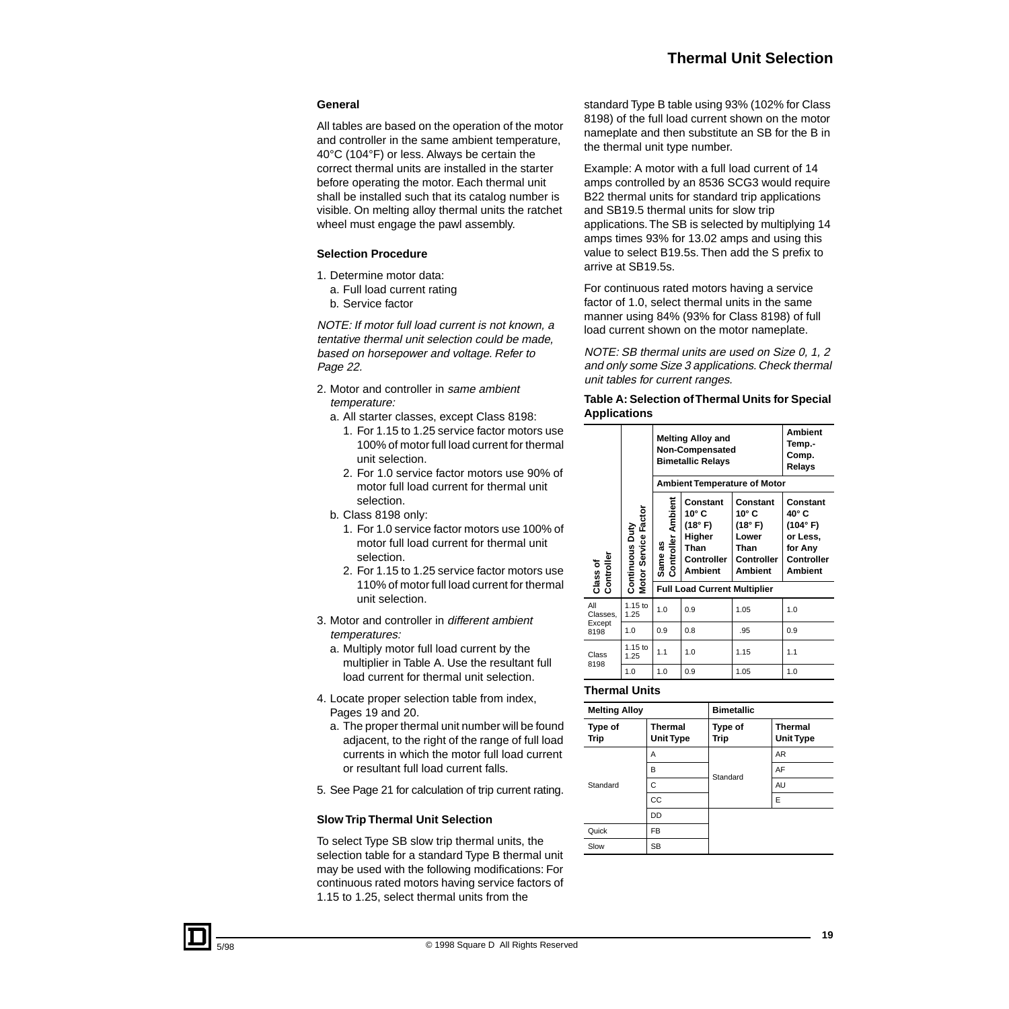#### **General**

All tables are based on the operation of the motor and controller in the same ambient temperature, 40°C (104°F) or less. Always be certain the correct thermal units are installed in the starter before operating the motor. Each thermal unit shall be installed such that its catalog number is visible. On melting alloy thermal units the ratchet wheel must engage the pawl assembly.

#### **Selection Procedure**

- 1. Determine motor data:
- a. Full load current rating
- b. Service factor

NOTE: If motor full load current is not known, a tentative thermal unit selection could be made, based on horsepower and voltage. Refer to Page 22.

- 2. Motor and controller in same ambient temperature:
	- a. All starter classes, except Class 8198:
		- 1. For 1.15 to 1.25 service factor motors use 100% of motor full load current for thermal unit selection.
		- 2. For 1.0 service factor motors use 90% of motor full load current for thermal unit selection.
	- b. Class 8198 only:
		- 1. For 1.0 service factor motors use 100% of motor full load current for thermal unit selection.
		- 2. For 1.15 to 1.25 service factor motors use 110% of motor full load current for thermal unit selection.
- 3. Motor and controller in different ambient temperatures:
	- a. Multiply motor full load current by the multiplier in Table A. Use the resultant full load current for thermal unit selection.
- 4. Locate proper selection table from index, Pages 19 and 20.
	- a. The proper thermal unit number will be found adjacent, to the right of the range of full load currents in which the motor full load current or resultant full load current falls.
- 5. See Page 21 for calculation of trip current rating.

#### **Slow Trip Thermal Unit Selection**

To select Type SB slow trip thermal units, the selection table for a standard Type B thermal unit may be used with the following modifications: For continuous rated motors having service factors of 1.15 to 1.25, select thermal units from the

standard Type B table using 93% (102% for Class 8198) of the full load current shown on the motor nameplate and then substitute an SB for the B in the thermal unit type number.

Example: A motor with a full load current of 14 amps controlled by an 8536 SCG3 would require B22 thermal units for standard trip applications and SB19.5 thermal units for slow trip applications. The SB is selected by multiplying 14 amps times 93% for 13.02 amps and using this value to select B19.5s. Then add the S prefix to arrive at SB19.5s.

For continuous rated motors having a service factor of 1.0, select thermal units in the same manner using 84% (93% for Class 8198) of full load current shown on the motor nameplate.

NOTE: SB thermal units are used on Size 0, 1, 2 and only some Size 3 applications. Check thermal unit tables for current ranges.

#### **Table A: Selection of Thermal Units for Special Applications**

|                        |                                         |                                     | <b>Melting Alloy and</b><br>Non-Compensated<br><b>Bimetallic Relays</b>                 | <b>Ambient</b><br>Temp.-<br>Comp.<br>Relays                                                   |                                                                                             |  |  |  |
|------------------------|-----------------------------------------|-------------------------------------|-----------------------------------------------------------------------------------------|-----------------------------------------------------------------------------------------------|---------------------------------------------------------------------------------------------|--|--|--|
|                        |                                         |                                     |                                                                                         | <b>Ambient Temperature of Motor</b>                                                           |                                                                                             |  |  |  |
| Class of<br>Controller | Motor Service Factor<br>Continuous Duty | Same as<br>Controller Ambient       | Constant<br>$10^{\circ}$ C<br>(18° F)<br>Higher<br>Than<br>Controller<br><b>Ambient</b> | Constant<br>$10^{\circ}$ C<br>(18° F)<br>Lower<br>Than<br><b>Controller</b><br><b>Ambient</b> | Constant<br>40° C<br>(104° F)<br>or Less,<br>for Any<br><b>Controller</b><br><b>Ambient</b> |  |  |  |
|                        |                                         | <b>Full Load Current Multiplier</b> |                                                                                         |                                                                                               |                                                                                             |  |  |  |
| All<br>Classes,        | 1.15 to<br>1.25                         | 1.0                                 | 0.9                                                                                     | 1.05                                                                                          | 1.0                                                                                         |  |  |  |
| Except<br>8198         | 1.0                                     | 0.9                                 | 0.8                                                                                     | .95                                                                                           | 0.9                                                                                         |  |  |  |
| Class                  | $1.15$ to<br>1.25                       | 1.1                                 | 1.0                                                                                     | 1.15                                                                                          | 1.1                                                                                         |  |  |  |
| 8198                   | 1.0                                     | 1.0                                 | 0.9                                                                                     | 1.05                                                                                          | 1.0                                                                                         |  |  |  |

#### **Thermal Units**

| <b>Melting Alloy</b> |                             | <b>Bimetallic</b> |                                    |  |  |  |
|----------------------|-----------------------------|-------------------|------------------------------------|--|--|--|
| Type of<br>Trip      | Thermal<br><b>Unit Type</b> | Type of<br>Trip   | <b>Thermal</b><br><b>Unit Type</b> |  |  |  |
|                      | A                           |                   | AR                                 |  |  |  |
|                      | B                           | Standard          | AF                                 |  |  |  |
| Standard             | C                           |                   | AU                                 |  |  |  |
|                      | CC                          |                   | E                                  |  |  |  |
|                      | DD                          |                   |                                    |  |  |  |
| Quick                | <b>FB</b>                   |                   |                                    |  |  |  |
| Slow                 | <b>SB</b>                   |                   |                                    |  |  |  |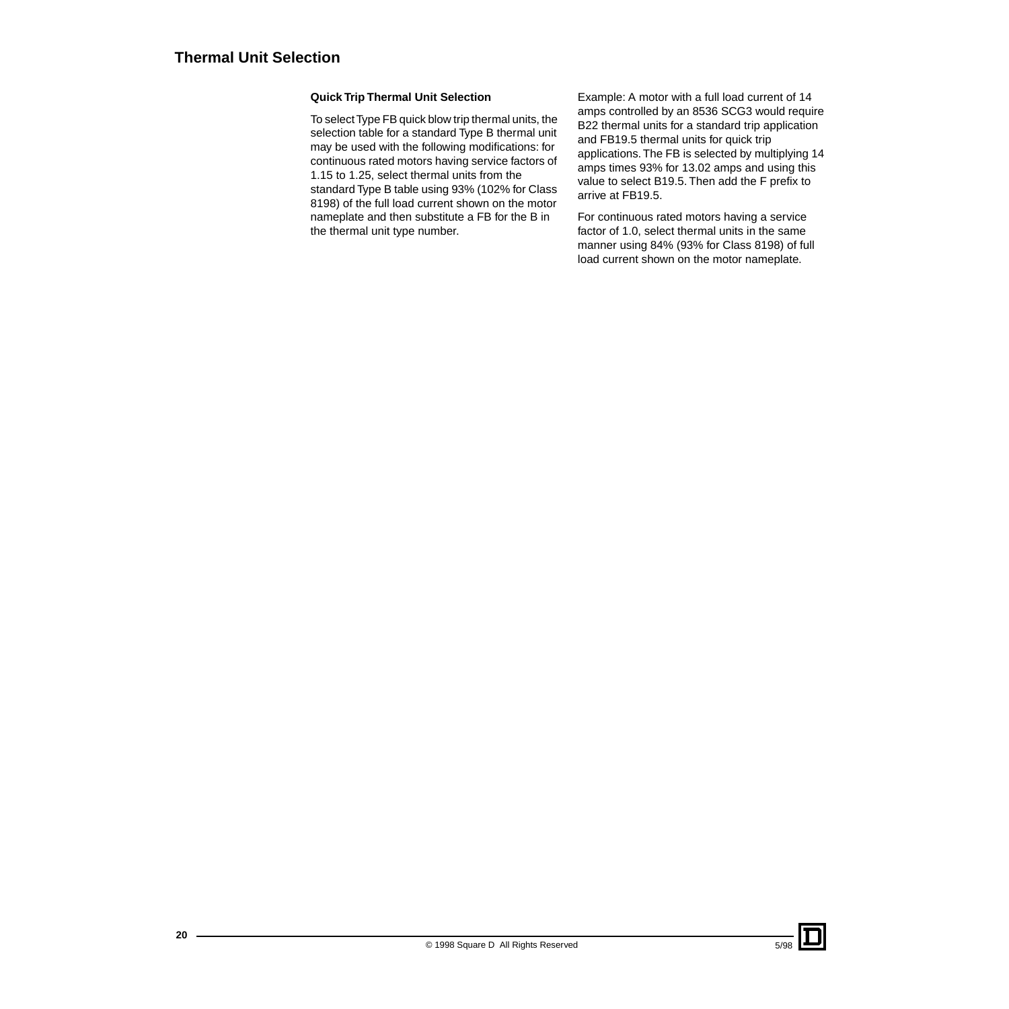#### **Quick Trip Thermal Unit Selection**

To select Type FB quick blow trip thermal units, the selection table for a standard Type B thermal unit may be used with the following modifications: for continuous rated motors having service factors of 1.15 to 1.25, select thermal units from the standard Type B table using 93% (102% for Class 8198) of the full load current shown on the motor nameplate and then substitute a FB for the B in the thermal unit type number.

Example: A motor with a full load current of 14 amps controlled by an 8536 SCG3 would require B22 thermal units for a standard trip application and FB19.5 thermal units for quick trip applications. The FB is selected by multiplying 14 amps times 93% for 13.02 amps and using this value to select B19.5. Then add the F prefix to arrive at FB19.5.

For continuous rated motors having a service factor of 1.0, select thermal units in the same manner using 84% (93% for Class 8198) of full load current shown on the motor nameplate.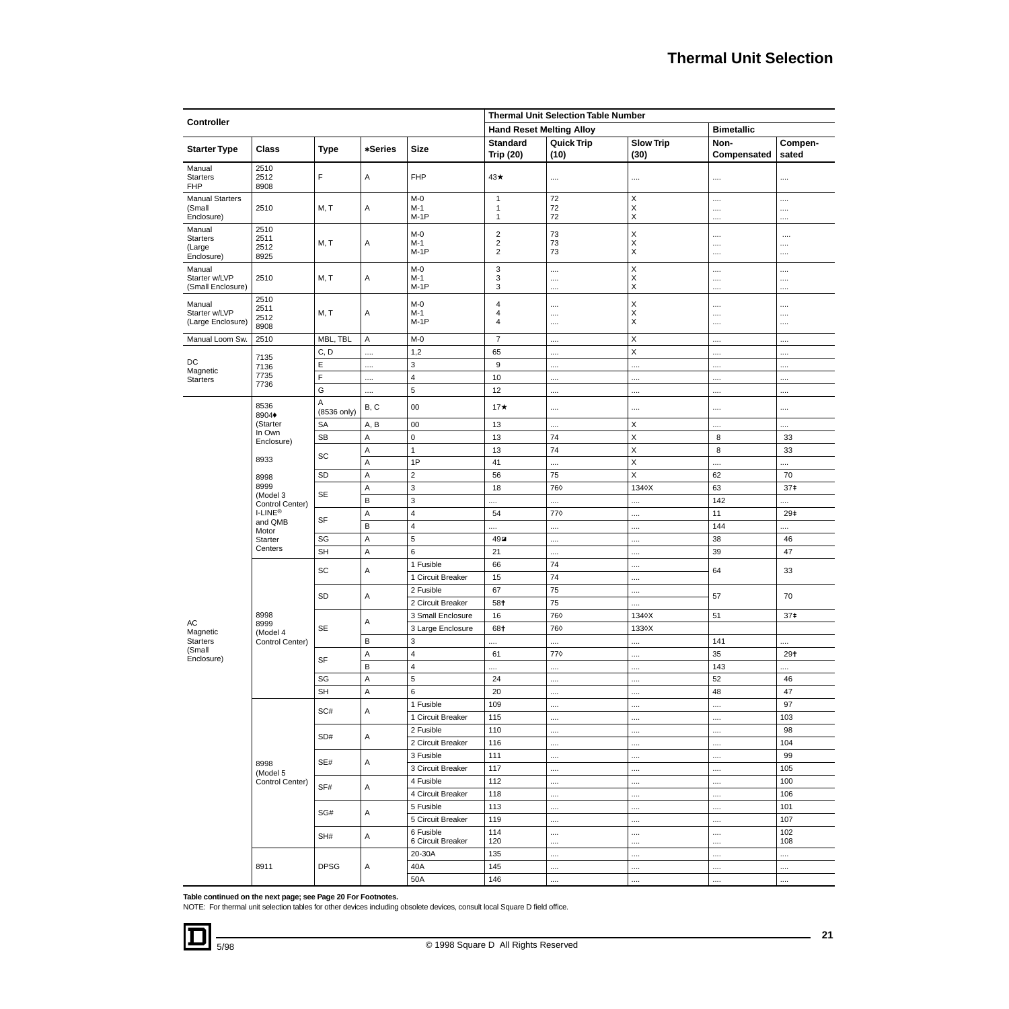|                                                   |                              |                        |                   |                                  |                                               | <b>Thermal Unit Selection Table Number</b> |                                              |                     |                  |  |   |     |     |  |          |          |  |
|---------------------------------------------------|------------------------------|------------------------|-------------------|----------------------------------|-----------------------------------------------|--------------------------------------------|----------------------------------------------|---------------------|------------------|--|---|-----|-----|--|----------|----------|--|
| <b>Controller</b>                                 |                              |                        |                   |                                  | <b>Hand Reset Melting Alloy</b>               |                                            |                                              | <b>Bimetallic</b>   |                  |  |   |     |     |  |          |          |  |
| <b>Starter Type</b>                               | <b>Class</b>                 | <b>Type</b>            | *Series           | <b>Size</b>                      | <b>Standard</b><br><b>Trip (20)</b>           | <b>Quick Trip</b><br>(10)                  | <b>Slow Trip</b><br>(30)                     | Non-<br>Compensated | Compen-<br>sated |  |   |     |     |  |          |          |  |
| Manual<br><b>Starters</b><br><b>FHP</b>           | 2510<br>2512<br>8908         | F                      | Α                 | <b>FHP</b>                       | 43★                                           | $\cdots$                                   |                                              |                     |                  |  |   |     |     |  |          |          |  |
| <b>Manual Starters</b><br>(Small<br>Enclosure)    | 2510                         | M, T                   | Α                 | $M-0$<br>$M-1$<br>$M-1P$         | $\mathbf{1}$<br>$\mathbf{1}$<br>$\mathbf{1}$  | 72<br>72<br>72                             | X<br>Χ<br>$\pmb{\times}$                     | <br><br>            | <br><br>.        |  |   |     |     |  |          |          |  |
| Manual<br><b>Starters</b><br>(Large<br>Enclosure) | 2510<br>2511<br>2512<br>8925 | M, T                   | Α                 | $M-0$<br>$M-1$<br>$M-1P$         | $\sqrt{2}$<br>$\sqrt{2}$<br>$\sqrt{2}$        | 73<br>73<br>73                             | $\begin{array}{c}\nX \\ X \\ X\n\end{array}$ | <br><br>            | $\cdots$<br><br> |  |   |     |     |  |          |          |  |
| Manual<br>Starter w/LVP<br>(Small Enclosure)      | 2510                         | M, T                   | Α                 | $M-0$<br>$M-1$<br>$M-1P$         | 3<br>$\ensuremath{\mathsf{3}}$<br>$\mathbf 3$ | <br><br>                                   | X<br>$\boldsymbol{\mathsf{X}}$<br>X          | <br><br>.           | <br>.<br>.       |  |   |     |     |  |          |          |  |
| Manual<br>Starter w/LVP<br>(Large Enclosure)      | 2510<br>2511<br>2512<br>8908 | M, T                   | Α                 | $M-0$<br>$M-1$<br>$M-1P$         | 4<br>4<br>$\overline{4}$                      | <br><br>                                   | $_{\rm X}^{\rm X}$<br>$\pmb{\times}$         | <br><br>            | .<br><br>        |  |   |     |     |  |          |          |  |
| Manual Loom Sw.                                   | 2510                         | MBL, TBL               | A                 | $M-0$                            | $\overline{7}$                                |                                            | Χ                                            |                     |                  |  |   |     |     |  |          |          |  |
|                                                   |                              | C, D                   |                   | 1,2                              | 65                                            |                                            | $\mathsf X$                                  |                     | .                |  |   |     |     |  |          |          |  |
| DC                                                | 7135<br>7136                 | E                      |                   | $\ensuremath{\mathsf{3}}$        | 9                                             |                                            |                                              |                     | .                |  |   |     |     |  |          |          |  |
| Magnetic<br><b>Starters</b>                       | 7735                         | F                      |                   | $\sqrt{4}$                       | 10                                            |                                            |                                              |                     |                  |  |   |     |     |  |          |          |  |
|                                                   | 7736                         | G                      |                   | 5                                | 12                                            |                                            |                                              |                     | .                |  |   |     |     |  |          |          |  |
|                                                   | 8536<br>8904+                | Α<br>(8536 only)       | B, C              | 00                               | $17\star$                                     |                                            |                                              |                     |                  |  |   |     |     |  |          |          |  |
|                                                   | (Starter                     | SA                     | A, B              | 00                               | 13                                            |                                            | X                                            |                     | .                |  |   |     |     |  |          |          |  |
|                                                   | In Own<br>Enclosure)         | <b>SB</b>              | Α                 | $\pmb{0}$                        | 13                                            | 74                                         | $\mathsf X$                                  | 8                   | 33               |  |   |     |     |  |          |          |  |
| 8933                                              | SC                           | $\mathsf A$            | $\mathbf{1}$      | 13                               | 74                                            | $\mathsf X$                                | 8                                            | 33                  |                  |  |   |     |     |  |          |          |  |
|                                                   |                              | A                      | 1P                | 41                               |                                               | $\mathsf X$                                | .                                            | $\ddotsc$           |                  |  |   |     |     |  |          |          |  |
|                                                   | 8998                         | SD                     | A                 | $\overline{2}$                   | 56                                            | 75                                         | $\mathsf X$                                  | 62                  | 70               |  |   |     |     |  |          |          |  |
|                                                   | 8999<br>(Model 3             | SE                     | $\mathsf A$       | $\mathsf 3$                      | 18                                            | 760                                        | 1340X                                        | 63                  | 37 <sup>‡</sup>  |  |   |     |     |  |          |          |  |
|                                                   | Control Center)              |                        | В                 | 3                                | .                                             |                                            |                                              | 142                 |                  |  |   |     |     |  |          |          |  |
|                                                   | I-LINE®<br>and QMB           | SF                     | A                 | $\sqrt{4}$                       | 54                                            | 770                                        |                                              | 11                  | 29‡              |  |   |     |     |  |          |          |  |
|                                                   | Motor                        |                        | B                 | $\sqrt{4}$                       |                                               |                                            |                                              | 144                 |                  |  |   |     |     |  |          |          |  |
|                                                   | Starter<br>Centers           | SG                     | $\mathsf A$       | 5                                | $49\text{m}$                                  |                                            |                                              | 38                  | 46               |  |   |     |     |  |          |          |  |
|                                                   |                              | <b>SH</b>              | $\mathsf A$       | $\,6\,$                          | 21                                            |                                            |                                              | 39                  | 47               |  |   |     |     |  |          |          |  |
|                                                   |                              | SC                     | Α                 | 1 Fusible                        | 66                                            | 74                                         |                                              | 64                  | 33               |  |   |     |     |  |          |          |  |
|                                                   |                              |                        |                   | 1 Circuit Breaker                | 15                                            | 74                                         |                                              |                     |                  |  |   |     |     |  |          |          |  |
|                                                   |                              | SD                     | Α                 | 2 Fusible                        | 67                                            | 75                                         |                                              | 57                  | 70               |  |   |     |     |  |          |          |  |
|                                                   |                              |                        |                   | 2 Circuit Breaker                | 58+                                           | 75                                         |                                              |                     |                  |  |   |     |     |  |          |          |  |
| AC                                                | 8998<br>8999                 |                        | Α                 | 3 Small Enclosure                | 16                                            | 760                                        | 1340X                                        | 51                  | 37 <sup>‡</sup>  |  |   |     |     |  |          |          |  |
| Magnetic<br><b>Starters</b>                       | (Model 4                     | SE                     | $\sf B$           | 3 Large Enclosure<br>$\mathsf 3$ | 68+                                           | 760                                        | 1330X                                        | 141                 |                  |  |   |     |     |  |          |          |  |
| (Small                                            | Control Center)              |                        | A                 | $\overline{4}$                   | .<br>61                                       | <br>770                                    | .                                            | 35                  | <br>$29+$        |  |   |     |     |  |          |          |  |
| Enclosure)                                        |                              | <b>SF</b>              | $\sf B$           | $\pmb{4}$                        |                                               |                                            |                                              | 143                 |                  |  |   |     |     |  |          |          |  |
|                                                   |                              | $\mathbb{S}\mathbb{G}$ | A                 | 5                                | <br>24                                        |                                            |                                              | 52                  | .<br>46          |  |   |     |     |  |          |          |  |
|                                                   |                              | <b>SH</b>              | Α                 | 6                                | 20                                            | $\cdots$<br>                               | $\cdots$<br>$\cdots$                         | 48                  | 47               |  |   |     |     |  |          |          |  |
|                                                   |                              |                        |                   | 1 Fusible                        | 109                                           |                                            | $\cdots$                                     |                     | 97               |  |   |     |     |  |          |          |  |
|                                                   |                              | SC#                    | Α                 | 1 Circuit Breaker                | 115                                           |                                            |                                              |                     | 103              |  |   |     |     |  |          |          |  |
|                                                   |                              |                        |                   | 2 Fusible                        | 110                                           |                                            | $\cdots$                                     |                     | 98               |  |   |     |     |  |          |          |  |
|                                                   |                              | SD#                    | Α                 | 2 Circuit Breaker                | 116                                           |                                            | $\cdots$                                     |                     | 104              |  |   |     |     |  |          |          |  |
| 8998<br>(Model 5<br>Control Center)               |                              |                        | 3 Fusible         | 111                              |                                               |                                            |                                              | 99                  |                  |  |   |     |     |  |          |          |  |
|                                                   | SE#                          | Α                      | 3 Circuit Breaker | 117                              |                                               | $\cdots$                                   |                                              | 105                 |                  |  |   |     |     |  |          |          |  |
|                                                   |                              |                        | 4 Fusible         | 112                              |                                               | $\cdots$                                   |                                              | 100                 |                  |  |   |     |     |  |          |          |  |
|                                                   | SF#                          | Α                      | 4 Circuit Breaker | 118                              |                                               |                                            |                                              | 106                 |                  |  |   |     |     |  |          |          |  |
|                                                   |                              |                        | 5 Fusible         | 113                              |                                               | $\cdots$                                   |                                              | 101                 |                  |  |   |     |     |  |          |          |  |
|                                                   |                              | SG#                    | Α                 | 5 Circuit Breaker                | 119                                           |                                            | $\cdots$                                     |                     | 107              |  |   |     |     |  |          |          |  |
|                                                   |                              | SH#                    | Α                 | 6 Fusible<br>6 Circuit Breaker   | 114<br>120                                    | $\cdots$<br>                               | <br>$\cdots$                                 | <br>                | 102<br>108       |  |   |     |     |  |          |          |  |
|                                                   |                              |                        |                   | 20-30A                           | 135                                           |                                            | $\cdots$                                     |                     |                  |  |   |     |     |  |          |          |  |
|                                                   | 8911                         | <b>DPSG</b>            |                   |                                  |                                               |                                            |                                              |                     |                  |  | Α | 40A | 145 |  | $\cdots$ | $\cdots$ |  |
|                                                   |                              |                        |                   | 50A                              | 146                                           |                                            | $\cdots$                                     | $\cdots$            |                  |  |   |     |     |  |          |          |  |

**Table continued on the next page; see Page 20 For Footnotes.**

NOTE: For thermal unit selection tables for other devices including obsolete devices, consult local Square D field office.

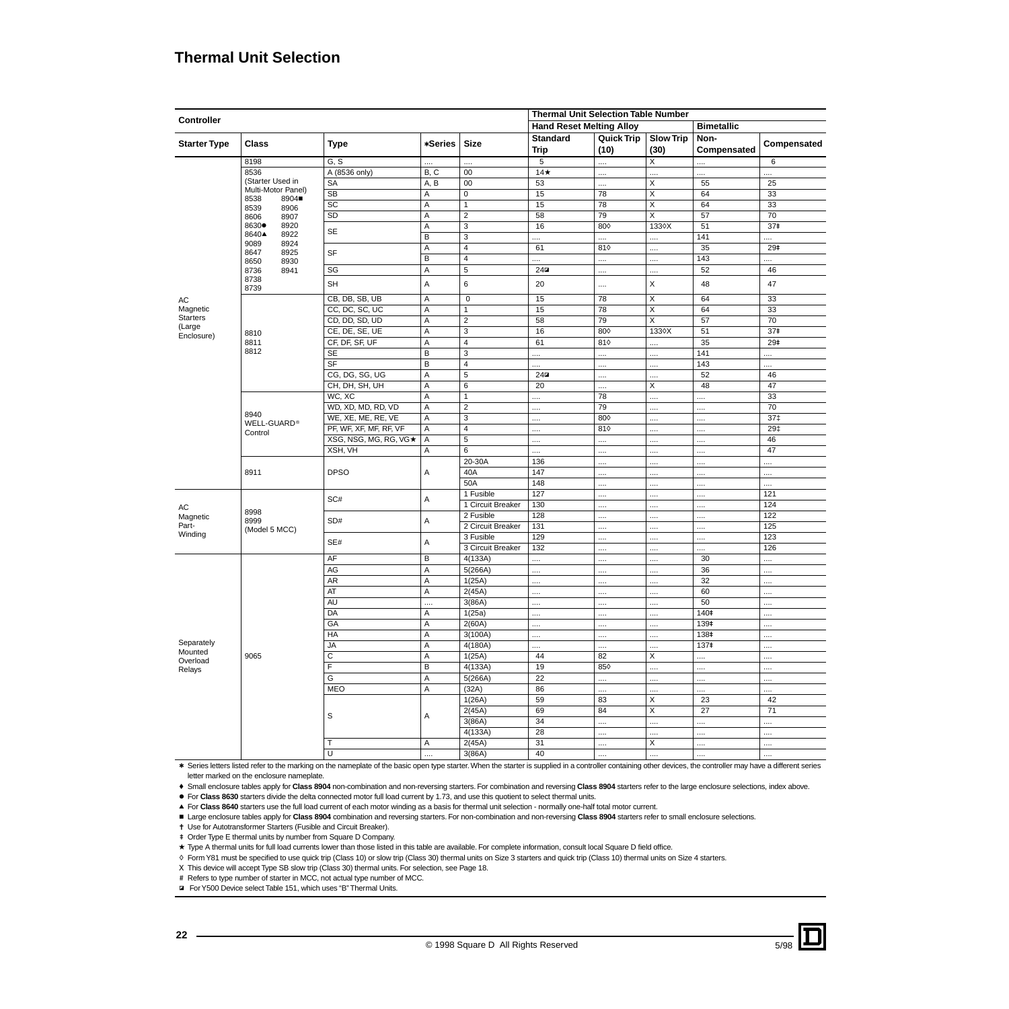# **Thermal Unit Selection**

|                      |                                     |                        |                         |                         | <b>Thermal Unit Selection Table Number</b> |                   |                         |                   |                 |
|----------------------|-------------------------------------|------------------------|-------------------------|-------------------------|--------------------------------------------|-------------------|-------------------------|-------------------|-----------------|
| Controller           |                                     |                        |                         |                         | <b>Hand Reset Melting Alloy</b>            |                   |                         | <b>Bimetallic</b> |                 |
|                      |                                     |                        |                         |                         | <b>Standard</b>                            | <b>Quick Trip</b> | <b>Slow Trip</b>        | Non-              |                 |
| <b>Starter Type</b>  | <b>Class</b>                        | <b>Type</b>            | *Series                 | <b>Size</b>             | <b>Trip</b>                                | (10)              | (30)                    | Compensated       | Compensated     |
|                      | 8198                                | G, S                   | .                       | $\ddotsc$               | 5                                          |                   | X                       | .                 | $\,6\,$         |
|                      | 8536                                | A (8536 only)          | B, C                    | 00                      | $14*$                                      |                   |                         |                   |                 |
|                      | (Starter Used in                    | SA                     | A, B                    | $\overline{00}$         | 53                                         |                   | $\overline{x}$          | 55                | $\overline{25}$ |
|                      | Multi-Motor Panel)<br>8904■<br>8538 | <b>SB</b>              | Α                       | $\overline{0}$          | 15                                         | 78                | $\overline{\mathsf{x}}$ | 64                | 33              |
|                      | 8906<br>8539                        | SC                     | Α                       | $\mathbf{1}$            | 15                                         | 78                | X                       | 64                | 33              |
|                      | 8606<br>8907                        | SD                     | Α                       | $\overline{2}$          | 58                                         | 79                | X                       | 57                | 70              |
|                      | 8630●<br>8920                       | <b>SE</b>              | $\overline{A}$          | $\overline{3}$          | 16                                         | 800               | 1330X                   | 51                | 37 <sup>‡</sup> |
|                      | 8640▲<br>8922<br>9089<br>8924       |                        | В                       | 3                       |                                            |                   | .                       | 141               |                 |
|                      | 8647<br>8925                        | SF                     | Α                       | $\overline{4}$          | 61                                         | 810               |                         | 35                | 29#             |
|                      | 8650<br>8930                        |                        | В                       | $\overline{4}$          |                                            |                   |                         | 143               |                 |
|                      | 8736<br>8941                        | SG                     | Α                       | 5                       | $24 \square$                               |                   |                         | 52                | 46              |
|                      | 8738<br>8739                        | SH                     | A                       | 6                       | 20                                         |                   | $\pmb{\times}$          | 48                | 47              |
| AC                   |                                     | CB, DB, SB, UB         | A                       | $\overline{0}$          | 15                                         | 78                | $\overline{\mathsf{x}}$ | 64                | 33              |
| Magnetic             |                                     | CC, DC, SC, UC         | Α                       | $\mathbf{1}$            | 15                                         | 78                | $\overline{\mathsf{x}}$ | 64                | 33              |
| <b>Starters</b>      |                                     | CD, DD, SD, UD         | Α                       | $\overline{2}$          | 58                                         | 79                | $\overline{\mathsf{x}}$ | $\overline{57}$   | 70              |
| (Large<br>Enclosure) | 8810                                | CE, DE, SE, UE         | A                       | 3                       | 16                                         | 800               | 1330X                   | 51                | 37#             |
|                      | 8811                                | CF, DF, SF, UF         | $\overline{A}$          | $\overline{4}$          | 61                                         | 810               | .                       | 35                | 29 <sup>‡</sup> |
|                      | 8812                                | SE                     | $\overline{B}$          | $\overline{3}$          |                                            |                   |                         | 141               |                 |
|                      |                                     | SF                     | $\overline{B}$          | $\overline{\mathbf{4}}$ |                                            |                   |                         | 143               |                 |
|                      |                                     | CG, DG, SG, UG         | A                       | $\sqrt{5}$              | $24 \square$                               |                   | $\cdots$                | 52                | 46              |
|                      |                                     | CH, DH, SH, UH         | A                       | 6                       | 20                                         |                   | X                       | 48                | 47              |
|                      | WC, XC                              | A                      | $\mathbf{1}$            |                         | 78                                         |                   | .                       | 33                |                 |
|                      |                                     | WD, XD, MD, RD, VD     | A                       | $\overline{2}$          |                                            | 79                |                         |                   | 70              |
|                      | 8940<br>WELL-GUARD®                 | WE, XE, ME, RE, VE     | Α                       | 3                       |                                            | 800               |                         |                   | $37+$           |
|                      | Control                             | PF, WF, XF, MF, RF, VF | Α                       | $\overline{4}$          |                                            | 810               |                         |                   | 29‡             |
|                      |                                     | XSG, NSG, MG, RG, VG★  | Α                       | 5                       |                                            |                   |                         |                   | 46              |
|                      |                                     | XSH, VH                | Α                       | 6                       |                                            |                   |                         |                   | $\overline{47}$ |
|                      |                                     |                        |                         | $20-30A$                | 136                                        |                   |                         |                   |                 |
|                      | 8911                                | <b>DPSO</b>            | Α                       | 40A                     | 147                                        |                   | .                       |                   |                 |
|                      |                                     |                        |                         | 50A                     | 148                                        |                   |                         |                   |                 |
|                      |                                     | SC#                    | A                       | 1 Fusible               | 127                                        |                   |                         |                   | 121             |
| AC                   | 8998                                |                        |                         | 1 Circuit Breaker       | 130                                        | $\cdots$          |                         | $\cdots$          | 124             |
| Magnetic             | 8999                                | SD#                    | Α                       | 2 Fusible               | 128                                        |                   | .                       |                   | 122             |
| Part-                | (Model 5 MCC)                       |                        |                         | 2 Circuit Breaker       | 131                                        |                   |                         |                   | 125             |
| Winding              |                                     | SE#                    | Α                       | 3 Fusible               | 129                                        |                   |                         |                   | 123             |
|                      |                                     |                        |                         | 3 Circuit Breaker       | 132                                        |                   |                         |                   | 126             |
|                      |                                     | AF                     | В                       | 4(133A)                 |                                            |                   | .                       | 30                |                 |
|                      |                                     | AG                     | Ā                       | 5(266A)                 |                                            |                   |                         | 36                |                 |
|                      |                                     | <b>AR</b>              | $\overline{\mathsf{A}}$ | 1(25A)                  | $\cdots$                                   |                   |                         | $\overline{32}$   |                 |
|                      |                                     | AT                     | A                       | 2(45A)                  | $\cdots$                                   |                   | .                       | 60                |                 |
|                      |                                     | <b>AU</b>              | .                       | 3(86A)                  |                                            |                   | .                       | 50                |                 |
|                      |                                     | DA                     | Α                       | 1(25a)                  |                                            |                   |                         | 140 <sup>‡</sup>  |                 |
|                      |                                     | GA                     | Α                       | 2(60A)                  |                                            |                   | .                       | 139#              |                 |
| Separately           |                                     | <b>HA</b>              | $\overline{A}$          | 3(100A)                 |                                            |                   |                         | 138‡              |                 |
| Mounted              |                                     | <b>JA</b>              | A                       | 4(180A)                 | .                                          |                   | .                       | 137‡              | .               |
| Overload             | 9065                                | $\overline{c}$         | $\overline{A}$          | 1(25A)                  | 44                                         | 82                | $\overline{\mathsf{x}}$ |                   |                 |
| Relays               |                                     | F                      | В                       | 4(133A)                 | 19                                         | 850               |                         |                   |                 |
|                      |                                     | G                      | Α                       | 5(266A)                 | 22                                         |                   | .                       |                   |                 |
|                      |                                     | <b>MEO</b>             | А                       | (32A)                   | 86                                         |                   | .                       |                   |                 |
|                      |                                     |                        |                         | 1(26A)                  | 59                                         | 83                | X                       | 23                | 42              |
|                      |                                     | S                      | Α                       | 2(45A)                  | 69                                         | 84                | $\overline{\mathsf{x}}$ | 27                | $\overline{71}$ |
|                      |                                     |                        |                         | 3(86A)                  | 34                                         |                   |                         |                   |                 |
|                      |                                     |                        |                         | 4(133A)                 | 28                                         |                   |                         |                   | .               |
|                      |                                     | $\mathsf{T}$           | Α                       | 2(45A)                  | 31                                         |                   | X                       |                   |                 |
|                      |                                     | $\overline{U}$         |                         | 3(86A)                  | 40                                         |                   |                         |                   |                 |

\* Series letters listed refer to the marking on the nameplate of the basic open type starter. When the starter is supplied in a controller containing other devices, the controller may have a different series letter marked on the enclosure nameplate.

f Small enclosure tables apply for **Class 8904** non-combination and non-reversing starters. For combination and reversing **Class 8904** starters refer to the large enclosure selections, index above.

**For Class 8630** starters divide the delta connected motor full load current by 1.73, and use this quotient to select thermal units.

► For Class 8640 starters use the full load current of each motor winding as a basis for thermal unit selection - normally one-half total motor current.

E Large enclosure tables apply for Class 8904 combination and reversing starters. For non-combination and non-reversing Class 8904 starters refer to small enclosure selections.

<sup>†</sup> Use for Autotransformer Starters (Fusible and Circuit Breaker).

+ Order Type E thermal units by number from Square D Company.

\* Type A thermal units for full load currents lower than those listed in this table are available. For complete information, consult local Square D field office.

h Form Y81 must be specified to use quick trip (Class 10) or slow trip (Class 30) thermal units on Size 3 starters and quick trip (Class 10) thermal units on Size 4 starters.

X This device will accept Type SB slow trip (Class 30) thermal units. For selection, see Page 18.

# Refers to type number of starter in MCC, not actual type number of MCC.

e For Y500 Device select Table 151, which uses "B" Thermal Units.

5/98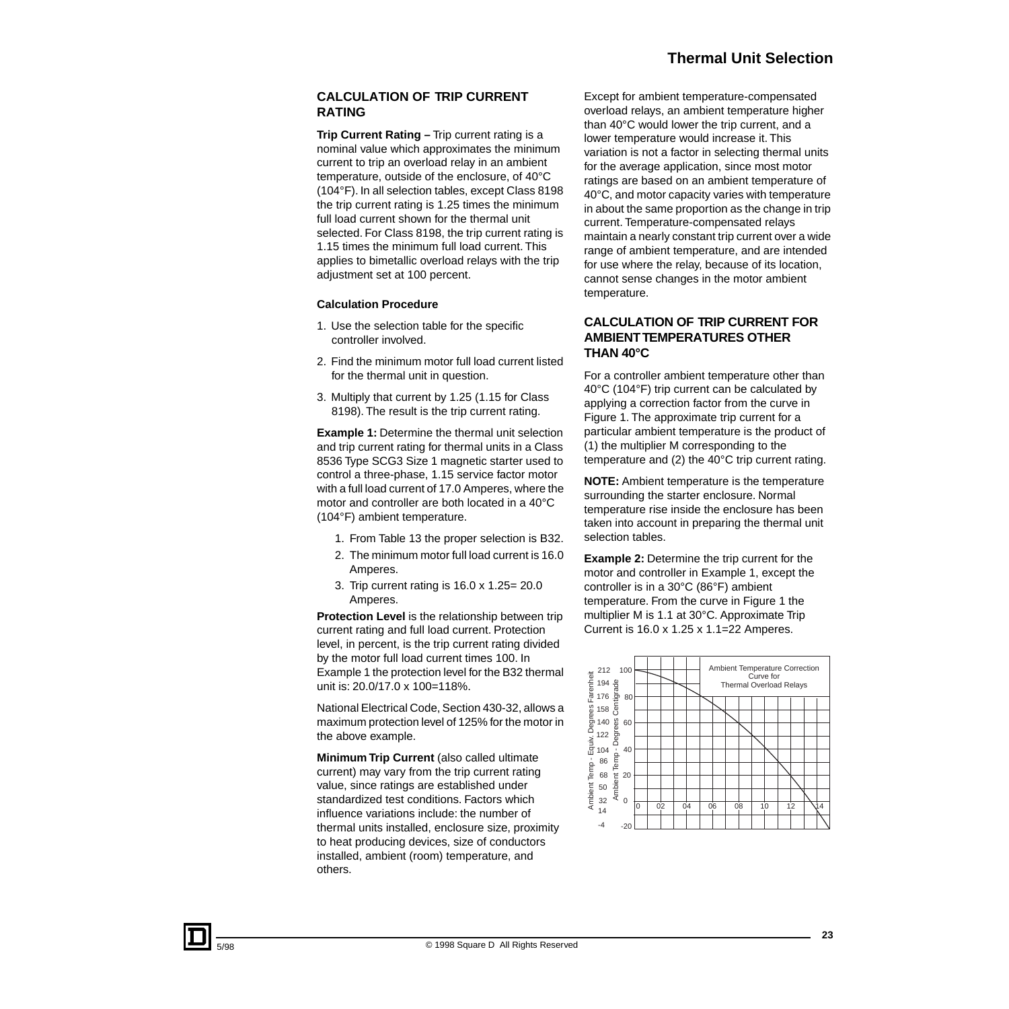### **CALCULATION OF TRIP CURRENT RATING**

**Trip Current Rating –** Trip current rating is a nominal value which approximates the minimum current to trip an overload relay in an ambient temperature, outside of the enclosure, of 40°C (104°F). In all selection tables, except Class 8198 the trip current rating is 1.25 times the minimum full load current shown for the thermal unit selected. For Class 8198, the trip current rating is 1.15 times the minimum full load current. This applies to bimetallic overload relays with the trip adjustment set at 100 percent.

#### **Calculation Procedure**

- 1. Use the selection table for the specific controller involved.
- 2. Find the minimum motor full load current listed for the thermal unit in question.
- 3. Multiply that current by 1.25 (1.15 for Class 8198). The result is the trip current rating.

**Example 1:** Determine the thermal unit selection and trip current rating for thermal units in a Class 8536 Type SCG3 Size 1 magnetic starter used to control a three-phase, 1.15 service factor motor with a full load current of 17.0 Amperes, where the motor and controller are both located in a 40°C (104°F) ambient temperature.

- 1. From Table 13 the proper selection is B32.
- 2. The minimum motor full load current is 16.0 Amperes.
- 3. Trip current rating is 16.0 x 1.25= 20.0 Amperes.

**Protection Level** is the relationship between trip current rating and full load current. Protection level, in percent, is the trip current rating divided by the motor full load current times 100. In Example 1 the protection level for the B32 thermal unit is: 20.0/17.0 x 100=118%.

National Electrical Code, Section 430-32, allows a maximum protection level of 125% for the motor in the above example.

**Minimum Trip Current** (also called ultimate current) may vary from the trip current rating value, since ratings are established under standardized test conditions. Factors which influence variations include: the number of thermal units installed, enclosure size, proximity to heat producing devices, size of conductors installed, ambient (room) temperature, and others.

Except for ambient temperature-compensated overload relays, an ambient temperature higher than 40°C would lower the trip current, and a lower temperature would increase it. This variation is not a factor in selecting thermal units for the average application, since most motor ratings are based on an ambient temperature of 40°C, and motor capacity varies with temperature in about the same proportion as the change in trip current. Temperature-compensated relays maintain a nearly constant trip current over a wide range of ambient temperature, and are intended for use where the relay, because of its location, cannot sense changes in the motor ambient temperature.

#### **CALCULATION OF TRIP CURRENT FOR AMBIENT TEMPERATURES OTHER THAN 40°C**

For a controller ambient temperature other than 40°C (104°F) trip current can be calculated by applying a correction factor from the curve in Figure 1. The approximate trip current for a particular ambient temperature is the product of (1) the multiplier M corresponding to the temperature and (2) the 40°C trip current rating.

**NOTE:** Ambient temperature is the temperature surrounding the starter enclosure. Normal temperature rise inside the enclosure has been taken into account in preparing the thermal unit selection tables.

**Example 2:** Determine the trip current for the motor and controller in Example 1, except the controller is in a 30°C (86°F) ambient temperature. From the curve in Figure 1 the multiplier M is 1.1 at 30°C. Approximate Trip Current is 16.0 x 1.25 x 1.1=22 Amperes.

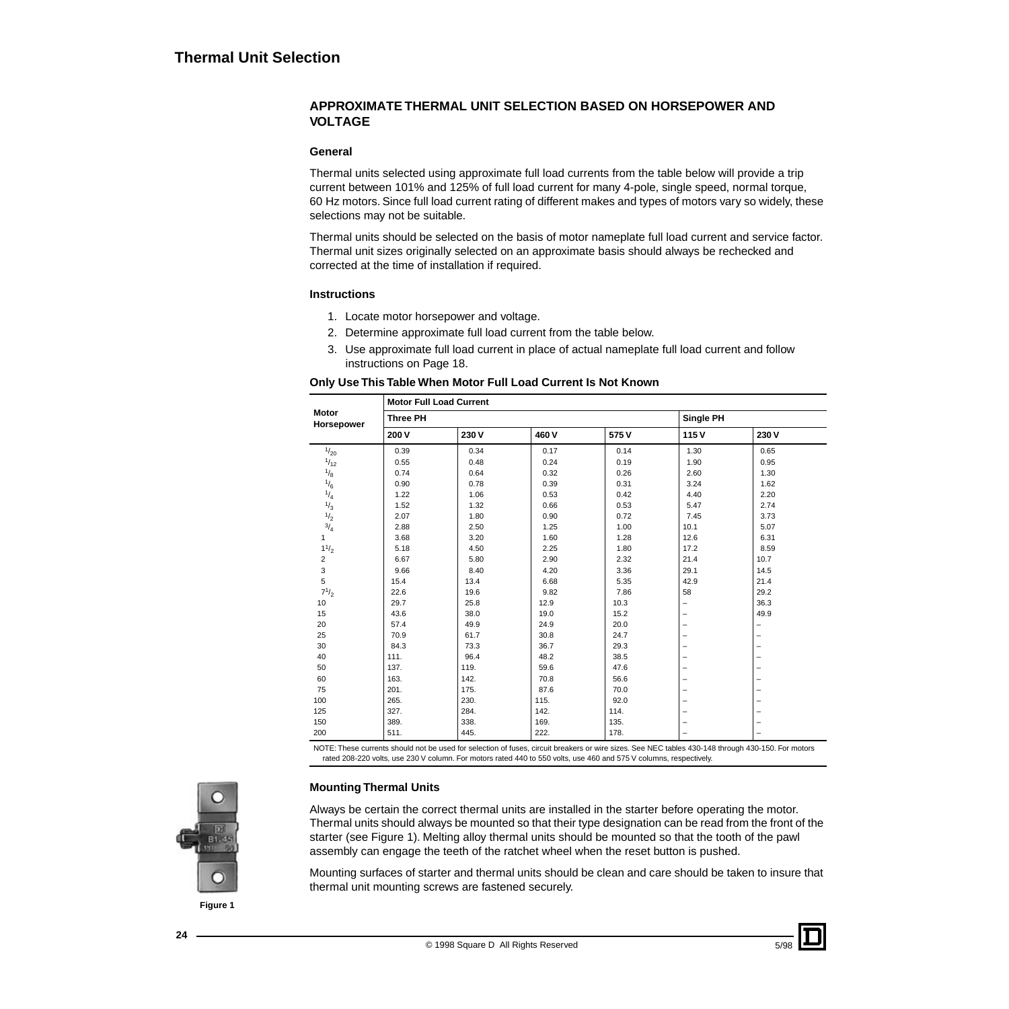#### **APPROXIMATE THERMAL UNIT SELECTION BASED ON HORSEPOWER AND VOLTAGE**

#### **General**

Thermal units selected using approximate full load currents from the table below will provide a trip current between 101% and 125% of full load current for many 4-pole, single speed, normal torque, 60 Hz motors. Since full load current rating of different makes and types of motors vary so widely, these selections may not be suitable.

Thermal units should be selected on the basis of motor nameplate full load current and service factor. Thermal unit sizes originally selected on an approximate basis should always be rechecked and corrected at the time of installation if required.

#### **Instructions**

- 1. Locate motor horsepower and voltage.
- 2. Determine approximate full load current from the table below.
- 3. Use approximate full load current in place of actual nameplate full load current and follow instructions on Page 18.

#### **Only Use This Table When Motor Full Load Current Is Not Known**

|                            | <b>Motor Full Load Current</b> |      |      |      |                          |                          |
|----------------------------|--------------------------------|------|------|------|--------------------------|--------------------------|
| <b>Motor</b><br>Horsepower | <b>Three PH</b>                |      |      |      | Single PH                |                          |
|                            | 200 V                          | 230V | 460V | 575V | 115V                     | 230V                     |
| 1/20                       | 0.39                           | 0.34 | 0.17 | 0.14 | 1.30                     | 0.65                     |
| $^{1/12}$                  | 0.55                           | 0.48 | 0.24 | 0.19 | 1.90                     | 0.95                     |
| $^{1/3}$                   | 0.74                           | 0.64 | 0.32 | 0.26 | 2.60                     | 1.30                     |
| $\frac{1}{6}$              | 0.90                           | 0.78 | 0.39 | 0.31 | 3.24                     | 1.62                     |
| $^{1/4}$                   | 1.22                           | 1.06 | 0.53 | 0.42 | 4.40                     | 2.20                     |
| $\frac{1}{3}$              | 1.52                           | 1.32 | 0.66 | 0.53 | 5.47                     | 2.74                     |
| $\frac{1}{2}$              | 2.07                           | 1.80 | 0.90 | 0.72 | 7.45                     | 3.73                     |
| $\frac{3}{4}$              | 2.88                           | 2.50 | 1.25 | 1.00 | 10.1                     | 5.07                     |
| $\mathbf{1}$               | 3.68                           | 3.20 | 1.60 | 1.28 | 12.6                     | 6.31                     |
| 11/2                       | 5.18                           | 4.50 | 2.25 | 1.80 | 17.2                     | 8.59                     |
| $\overline{2}$             | 6.67                           | 5.80 | 2.90 | 2.32 | 21.4                     | 10.7                     |
| 3                          | 9.66                           | 8.40 | 4.20 | 3.36 | 29.1                     | 14.5                     |
| 5                          | 15.4                           | 13.4 | 6.68 | 5.35 | 42.9                     | 21.4                     |
| $7^{1/2}$                  | 22.6                           | 19.6 | 9.82 | 7.86 | 58                       | 29.2                     |
| 10                         | 29.7                           | 25.8 | 12.9 | 10.3 | $\overline{\phantom{0}}$ | 36.3                     |
| 15                         | 43.6                           | 38.0 | 19.0 | 15.2 | $\qquad \qquad -$        | 49.9                     |
| 20                         | 57.4                           | 49.9 | 24.9 | 20.0 | $\qquad \qquad -$        | -                        |
| 25                         | 70.9                           | 61.7 | 30.8 | 24.7 | $\qquad \qquad -$        | -                        |
| 30                         | 84.3                           | 73.3 | 36.7 | 29.3 | $\overline{\phantom{0}}$ | -                        |
| 40                         | 111.                           | 96.4 | 48.2 | 38.5 | $\qquad \qquad -$        | -                        |
| 50                         | 137.                           | 119. | 59.6 | 47.6 | $\qquad \qquad -$        | -                        |
| 60                         | 163.                           | 142. | 70.8 | 56.6 | $\qquad \qquad -$        | -                        |
| 75                         | 201.                           | 175. | 87.6 | 70.0 | $\qquad \qquad -$        | ۳                        |
| 100                        | 265.                           | 230. | 115. | 92.0 | $\overline{\phantom{0}}$ | -                        |
| 125                        | 327.                           | 284. | 142. | 114. | -                        | -                        |
| 150                        | 389.                           | 338. | 169. | 135. | -                        | $\overline{\phantom{0}}$ |
| 200                        | 511.                           | 445. | 222. | 178. | $\qquad \qquad -$        | -                        |

NOTE: These currents should not be used for selection of fuses, circuit breakers or wire sizes. See NEC tables 430-148 through 430-150. For motors rated 208-220 volts, use 230 V column. For motors rated 440 to 550 volts, use 460 and 575 V columns, respectively.

### **Mounting Thermal Units**

Always be certain the correct thermal units are installed in the starter before operating the motor. Thermal units should always be mounted so that their type designation can be read from the front of the starter (see Figure 1). Melting alloy thermal units should be mounted so that the tooth of the pawl assembly can engage the teeth of the ratchet wheel when the reset button is pushed.

Mounting surfaces of starter and thermal units should be clean and care should be taken to insure that thermal unit mounting screws are fastened securely.



**Figure 1**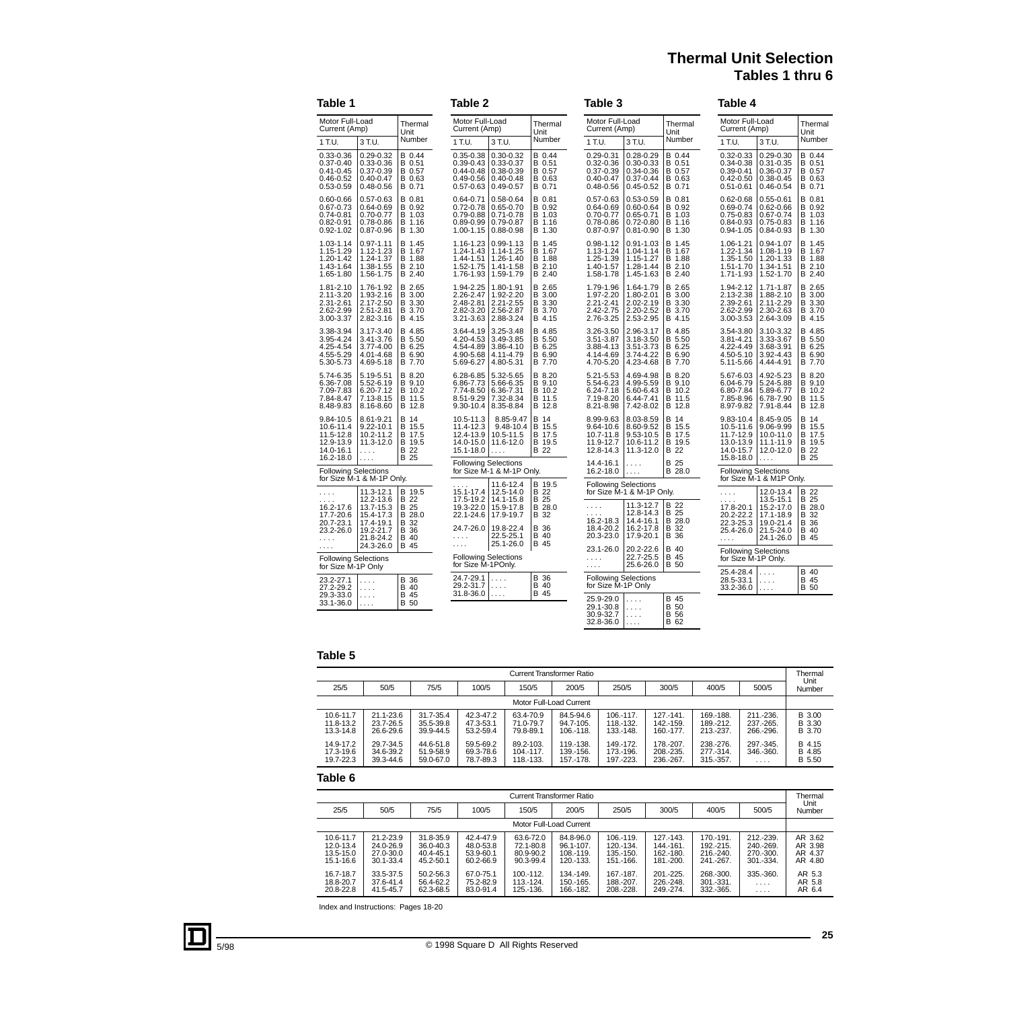# **Thermal Unit Selection Tables 1 thru 6**

| Table 1                                                                           |                                                                                   |                                                    | Table 2                                                                                      |                                                                                        |                                                | Table 3                                                                           |                                                                                   |                                                    | Table 4                                                                           |                                                                                   |                                                           |
|-----------------------------------------------------------------------------------|-----------------------------------------------------------------------------------|----------------------------------------------------|----------------------------------------------------------------------------------------------|----------------------------------------------------------------------------------------|------------------------------------------------|-----------------------------------------------------------------------------------|-----------------------------------------------------------------------------------|----------------------------------------------------|-----------------------------------------------------------------------------------|-----------------------------------------------------------------------------------|-----------------------------------------------------------|
| Motor Full-Load<br>Current (Amp)                                                  |                                                                                   | Thermal<br>Unit                                    | Motor Full-Load<br>Current (Amp)                                                             |                                                                                        | Thermal<br>Unit                                | Motor Full-Load<br>Current (Amp)                                                  |                                                                                   | Thermal<br>Unit                                    | Motor Full-Load<br>Current (Amp)                                                  |                                                                                   | Thermal<br>Unit                                           |
| 1 T.U.                                                                            | 3 T.U.                                                                            | Number                                             | 1 T.U.                                                                                       | 3 T.U.                                                                                 | Number                                         | 1 T.U.                                                                            | 3 T.U.                                                                            | Number                                             | 1 T.U.                                                                            | 3 T.U.                                                                            | Number                                                    |
| $0.33 - 0.36$<br>$0.37 - 0.40$<br>$0.41 - 0.45$<br>$0.46 - 0.52$<br>0.53-0.59     | $0.29 - 0.32$<br>$0.33 - 0.36$<br>$0.37 - 0.39$<br>$0.40 - 0.47$<br>$0.48 - 0.56$ | B 0.44<br>B 0.51<br>B 0.57<br>B 0.63<br>B 0.71     | $0.35 - 0.38$<br>$0.39 - 0.43$<br>$0.44 - 0.48$<br>$0.49 - 0.56$<br>$0.57 - 0.63$            | $0.30 - 0.32$<br>0.33-0.37<br>$0.38 - 0.39$<br>$0.40 - 0.48$<br>$0.49 - 0.57$          | B 0.44<br>B 0.51<br>B 0.57<br>B 0.63<br>B 0.71 | $0.29 - 0.31$<br>$0.32 - 0.36$<br>$0.37 - 0.39$<br>$0.40 - 0.47$<br>$0.48 - 0.56$ | $0.28 - 0.29$<br>$0.30 - 0.33$<br>$0.34 - 0.36$<br>$0.37 - 0.44$<br>$0.45 - 0.52$ | B 0.44<br>B 0.51<br>B 0.57<br>B 0.63<br>B 0.71     | $0.32 - 0.33$<br>$0.34 - 0.38$<br>$0.39 - 0.41$<br>$0.42 - 0.50$<br>$0.51 - 0.61$ | $0.29 - 0.30$<br>$0.31 - 0.35$<br>0.36-0.37<br>$0.38 - 0.45$<br>$0.46 - 0.54$     | B 0.44<br>B 0.51<br>B 0.57<br>B 0.63<br>B 0.71            |
| $0.60 - 0.66$<br>$0.67 - 0.73$<br>$0.74 - 0.81$<br>$0.82 - 0.91$<br>$0.92 - 1.02$ | $0.57 - 0.63$<br>$0.64 - 0.69$<br>$0.70 - 0.77$<br>$0.78 - 0.86$<br>$0.87 - 0.96$ | B 0.81<br>B 0.92<br>B 1.03<br>B 1.16<br>B 1.30     | $0.64 - 0.71$<br>$0.72 - 0.78$<br>0.79-0.88<br>$0.89 - 0.99$<br>1.00-1.15                    | 0.58-0.64<br>$0.65 - 0.70$<br>$0.71 - 0.78$<br>$0.79 - 0.87$<br>$0.88 - 0.98$          | B 0.81<br>B 0.92<br>B 1.03<br>B 1.16<br>B 1.30 | $0.57 - 0.63$<br>$0.64 - 0.69$<br>$0.70 - 0.77$<br>0.78-0.86<br>$0.87 - 0.97$     | $0.53 - 0.59$<br>$0.60 - 0.64$<br>$0.65 - 0.71$<br>$0.72 - 0.80$<br>$0.81 - 0.90$ | B 0.81<br>B 0.92<br>B 1.03<br>B 1.16<br>B 1.30     | $0.62 - 0.68$<br>0.69-0.74<br>$0.75 - 0.83$<br>$0.84 - 0.93$<br>$0.94 - 1.05$     | $0.55 - 0.61$<br>$0.62 - 0.66$<br>$0.67 - 0.74$<br>$0.75 - 0.83$<br>$0.84 - 0.93$ | B 0.81<br>B 0.92<br>B 1.03<br>B 1.16<br>B 1.30            |
| 1.03-1.14<br>1.15-1.29<br>1.20-1.42<br>1.43-1.64<br>1.65-1.80                     | $0.97 - 1.11$<br>1.12-1.23<br>1.24-1.37<br>1.38-1.55<br>1.56-1.75                 | B 1.45<br>B 1.67<br>B 1.88<br>B 2.10<br>B 2.40     | 1.16-1.23<br>1.24-1.43<br>1.44-1.51<br>1.52-1.75<br>1.76-1.93                                | $0.99 - 1.13$<br>1.14-1.25<br>1.26-1.40<br>1.41-1.58<br>$1.59 - 1.79$                  | B 1.45<br>B 1.67<br>B 1.88<br>B 2.10<br>B 2.40 | $0.98 - 1.12$<br>1.13-1.24<br>1.25-1.39<br>1.40-1.57<br>1.58-1.78                 | $0.91 - 1.03$<br>1.04-1.14<br>1.15-1.27<br>1.28-1.44<br>1.45-1.63                 | B 1.45<br>B 1.67<br>B 1.88<br>B 2.10<br>B 2.40     | 1.06-1.21<br>1.22-1.34<br>1.35-1.50<br>1.51-1.70<br>1.71-1.93                     | 0.94-1.07<br>1.08-1.19<br>1.20-1.33<br>1.34-1.51<br>1.52-1.70                     | B 1.45<br>B 1.67<br>B 1.88<br>B 2.10<br>B 2.40            |
| 1.81-2.10<br>2.11-3.20<br>2.31-2.61<br>2.62-2.99<br>3.00-3.37                     | 1.76-1.92<br>1.93-2.16<br>2.17-2.50<br>2.51-2.81<br>$2.82 - 3.16$                 | B 2.65<br>B 3.00<br>B 3.30<br>B 3.70<br>B 4.15     | 1.94-2.25<br>2.26-2.47<br>2.48-2.81<br>2.82-3.20<br>3.21-3.63                                | 1.80-1.91<br>1.92-2.20<br>2.21-2.55<br>2.56-2.87<br>2.88-3.24                          | B 2.65<br>B 3.00<br>B 3.30<br>B 3.70<br>B 4.15 | 1.79-1.96<br>1.97-2.20<br>$2.21 - 2.41$<br>2.42-2.75<br>2.76-3.25                 | 1.64-1.79<br>1.80-2.01<br>2.02-2.19<br>2.20-2.52<br>2.53-2.95                     | B 2.65<br>B 3.00<br>B 3.30<br>B 3.70<br>B 4.15     | 1.94-2.12<br>2.13-2.38<br>2.39-2.61<br>2.62-2.99<br>3.00-3.53                     | 1.71-1.87<br>1.88-2.10<br>2.11-2.29<br>2.30-2.63<br>2.64-3.09                     | B 2.65<br>B 3.00<br>B 3.30<br>B 3.70<br>B 4.15            |
| 3.38-3.94<br>3.95-4.24<br>4.25-4.54<br>4.55-5.29<br>5.30-5.73                     | 3.17-3.40<br>3.41-3.76<br>3.77-4.00<br>4.01-4.68<br>4.69-5.18                     | B 4.85<br>B 5.50<br>B 6.25<br>B 6.90<br>B 7.70     | 3.64-4.19<br>4.20-4.53<br>4.54-4.89<br>4.90-5.68<br>5.69-6.27                                | 3.25-3.48<br>3.49-3.85<br>3.86-4.10<br>4.11-4.79<br>4.80-5.31                          | B 4.85<br>B 5.50<br>B 6.25<br>B 6.90<br>B 7.70 | 3.26-3.50<br>3.51-3.87<br>3.88-4.13<br>4.14-4.69<br>4.70-5.20                     | 2.96-3.17<br>3.18-3.50<br>3.51-3.73<br>3.74-4.22<br>4.23-4.68                     | B 4.85<br>B 5.50<br>B 6.25<br>B 6.90<br>B 7.70     | 3.54-3.80<br>3.81-4.21<br>4.22-4.49<br>4.50-5.10<br>5.11-5.66                     | 3.10-3.32<br>3.33-3.67<br>3.68-3.91<br>3.92-4.43<br>4.44-4.91                     | B 4.85<br>B 5.50<br>B 6.25<br>B 6.90<br>B 7.70            |
| 5.74-6.35<br>6.36-7.08<br>7.09-7.83<br>7.84-8.47<br>8.48-9.83                     | 5.19-5.51<br>5.52-6.19<br>6.20-7.12<br>7.13-8.15<br>8.16-8.60                     | B 8.20<br>B 9.10<br>B 10.2<br>B 11.5<br>B 12.8     | 6.28-6.85<br>6.86-7.73<br>7.74-8.50<br>8.51-9.29<br>9.30-10.4                                | 5.32-5.65<br>5.66-6.35<br>6.36-7.31<br>7.32-8.34<br>8.35-8.84                          | B 8.20<br>B 9.10<br>B 10.2<br>B 11.5<br>B 12.8 | 5.21-5.53<br>5.54-6.23<br>6.24-7.18<br>7.19-8.20<br>8.21-8.98                     | 4.69-4.98<br>4.99-5.59<br>5.60-6.43<br>6.44-7.41<br>7.42-8.02                     | B 8.20<br>B 9.10<br>B 10.2<br>B 11.5<br>B 12.8     | 5.67-6.03<br>6.04-6.79<br>6.80-7.84<br>7.85-8.96<br>8.97-9.82                     | 4.92-5.23<br>5.24-5.88<br>5.89-6.77<br>6.78-7.90<br>7.91-8.44                     | B 8.20<br>B 9.10<br>B 10.2<br>B 11.5<br>B 12.8            |
| 9.84-10.5<br>10.6-11.4<br>11.5-12.8<br>12.9-13.9<br>14.0-16.1<br>16.2-18.0        | 8.61-9.21<br>$9.22 - 10.1$<br>10.2-11.2<br>11.3-12.0<br>$\ldots$ .<br>.           | B 14<br>B 15.5<br>B 17.5<br>B 19.5<br>B 22<br>B 25 | 10.5-11.3<br>11.4-12.3<br>12.4-13.9<br>14.0-15.0<br>15.1-18.0<br><b>Following Selections</b> | 8.85-9.47<br>9.48-10.4<br>10.5-11.5<br>11.6-12.0<br>.                                  | B 14<br>B 15.5<br>B 17.5<br>B 19.5<br>B 22     | 8.99-9.63<br>9.64-10.6<br>10.7-11.8<br>11.9-12.7<br>12.8-14.3<br>14.4-16.1        | 8.03-8.59<br>8.60-9.52<br>9.53-10.5<br>10.6-11.2<br>11.3-12.0                     | B 14<br>B 15.5<br>B 17.5<br>B 19.5<br>B 22<br>B 25 | 9.83-10.4<br>10.5-11.6<br>11.7-12.9<br>13.0-13.9<br>14.0-15.7<br>15.8-18.0        | 8.45-9.05<br>9.06-9.99<br>10.0-11.0<br>11.1-11.9<br>12.0-12.0<br>.                | <b>B</b> 14<br>B 15.5<br>B 17.5<br>B 19.5<br>B 22<br>B 25 |
| <b>Following Selections</b>                                                       | for Size M-1 & M-1P Only.                                                         |                                                    |                                                                                              | for Size M-1 & M-1P Only.                                                              |                                                | 16.2-18.0                                                                         | .<br>$\cdots$                                                                     | B 28.0                                             | <b>Following Selections</b>                                                       | for Size M-1 & M1P Only.                                                          |                                                           |
| .                                                                                 | 11.3-12.1                                                                         | B 19.5                                             | 15.1-17.4                                                                                    | 11.6-12.4<br>12.5-14.0                                                                 | B 19.5<br>B 22                                 | <b>Following Selections</b>                                                       | for Size M-1 & M-1P Only.                                                         |                                                    | .                                                                                 | 12.0-13.4                                                                         | B 22                                                      |
| 16.2-17.6<br>17.7-20.6<br>20.7-23.1<br>23.2-26.0<br>.                             | 12.2-13.6<br>13.7-15.3<br>15.4-17.3<br>17.4-19.1<br>19.2-21.7<br>21.8-24.2        | B 22<br>B 25<br>B 28.0<br>B 32<br>B 36<br>B 40     | 17.5-19.2<br>19.3-22.0<br>24.7-26.0<br>.<br>.                                                | 14.1-15.8<br>15.9-17.8<br>22.1-24.6   17.9-19.7<br>19.8-22.4<br>22.5-25.1<br>25.1-26.0 | B 25<br>B 28.0<br>B 32<br>B 36<br>B 40<br>B 45 | $\cdots$<br>16.2-18.3<br>18.4-20.2<br>20.3-23.0                                   | 11.3-12.7<br>12.8-14.3<br>14.4-16.1<br>16.2-17.8<br>17.9-20.1                     | B 22<br>B 25<br>B 28.0<br>B 32<br>B 36             | 17.8-20.1<br>20.2-22.2<br>22.3-25.3<br>25.4-26.0<br>1.1.1                         | 13.5-15.1<br>15.2-17.0<br>17.1-18.9<br>19.0-21.4<br>21.5-24.0<br>24.1-26.0        | B 25<br>B 28.0<br>B 32<br><b>B</b> 36<br>B 40<br>B 45     |
| $\ldots$<br><b>Following Selections</b>                                           | 24.3-26.0                                                                         | B 45                                               | for Size M-1POnly.                                                                           | <b>Following Selections</b>                                                            |                                                | 23.1-26.0<br>$\ldots$ .<br>$\cdots$                                               | 20.2-22.6<br>22.7-25.5<br>25.6-26.0                                               | B 40<br>B 45<br>B 50                               | <b>Following Selections</b><br>for Size M-1P Only.                                |                                                                                   |                                                           |
| for Size M-1P Only<br>23.2-27.1<br>27.2-29.2                                      | .<br>$\ldots$ .                                                                   | B 36<br>B 40                                       | 24.7-29.1<br>29.2-31.7                                                                       | .<br>.                                                                                 | B 36<br>B 40                                   | <b>Following Selections</b><br>for Size M-1P Only                                 |                                                                                   |                                                    | 25.4-28.4<br>28.5-33.1<br>33.2-36.0                                               | .<br>.<br>.                                                                       | B 40<br>B 45<br><b>B</b> 50                               |
| 29.3-33.0<br>33.1-36.0                                                            | $\ldots$ .<br>.                                                                   | B 45<br>B 50                                       | 31.8-36.0                                                                                    | .                                                                                      | B 45                                           | 25.9-29.0<br>29.1-30.8<br>30.9-32.7<br>32.8-36.0                                  | .<br>$\ldots$ .<br>$\ldots$ .<br>$\ldots$ .                                       | B 45<br>B 50<br>B 56<br><b>B</b> 62                |                                                                                   |                                                                                   |                                                           |

#### **Table 5**

|                                     |                                     |                                     |                                     |                                         | <b>Current Transformer Ratio</b>    |                                      |                                         |                                      |                                      | Thermal                    |
|-------------------------------------|-------------------------------------|-------------------------------------|-------------------------------------|-----------------------------------------|-------------------------------------|--------------------------------------|-----------------------------------------|--------------------------------------|--------------------------------------|----------------------------|
| 25/5                                | 50/5                                | 75/5                                | 100/5                               | 150/5                                   | 200/5                               | 250/5                                | 300/5                                   | 400/5                                | 500/5                                | Unit<br>Number             |
|                                     |                                     |                                     |                                     |                                         | Motor Full-Load Current             |                                      |                                         |                                      |                                      |                            |
| 10.6-11.7<br>11.8-13.2<br>13.3-14.8 | 21.1-23.6<br>23.7-26.5<br>26.6-29.6 | 31.7-35.4<br>35.5-39.8<br>39.9-44.5 | 42.3-47.2<br>47.3-53.1<br>53.2-59.4 | 63.4-70.9<br>71.0-79.7<br>79.8-89.1     | 84.5-94.6<br>94.7-105.<br>106.-118. | 106.-117.<br>118.-132.<br>133 - 148. | $127 - 141$ .<br>142.-159.<br>160.-177. | 169.-188.<br>189.-212.<br>213.-237.  | 211 - 236.<br>237.-265.<br>266.-296. | B 3.00<br>B 3.30<br>B 3.70 |
| 14.9-17.2<br>17.3-19.6<br>19.7-22.3 | 29.7-34.5<br>34.6-39.2<br>39.3-44.6 | 44.6-51.8<br>51.9-58.9<br>59.0-67.0 | 59.5-69.2<br>69.3-78.6<br>78.7-89.3 | 89.2-103.<br>$104 - 117$ .<br>118.-133. | 119.-138.<br>139.-156.<br>157.-178. | 149.-172.<br>173.-196.<br>197.-223.  | 178, -207.<br>208.-235.<br>236.-267.    | 238, -276.<br>277.-314.<br>315, 357. | 297.-345.<br>346.-360.<br>.          | B 4.15<br>B 4.85<br>B 5.50 |

#### **Table 6**

|                                                      |                                                  |                                                      |                                                  |                                                  | Current Transformer Ratio                            |                                                          |                                                      |                                                    |                                                    | Thermal                                  |
|------------------------------------------------------|--------------------------------------------------|------------------------------------------------------|--------------------------------------------------|--------------------------------------------------|------------------------------------------------------|----------------------------------------------------------|------------------------------------------------------|----------------------------------------------------|----------------------------------------------------|------------------------------------------|
| 25/5                                                 | 50/5                                             | 75/5                                                 | 100/5                                            | 150/5                                            | 200/5                                                | 250/5                                                    | 300/5                                                | 400/5                                              | 500/5                                              | Unit<br>Number                           |
|                                                      |                                                  |                                                      |                                                  |                                                  | Motor Full-Load Current                              |                                                          |                                                      |                                                    |                                                    |                                          |
| 10.6-11.7<br>12.0-13.4<br>$13.5 - 15.0$<br>15.1-16.6 | 21.2-23.9<br>24.0-26.9<br>27.0-30.0<br>30.1-33.4 | 31.8-35.9<br>$36.0 - 40.3$<br>40.4-45.1<br>45.2-50.1 | 42.4-47.9<br>48.0-53.8<br>53.9-60.1<br>60.2-66.9 | 63.6-72.0<br>72.1-80.8<br>80.9-90.2<br>90.3-99.4 | 84.8-96.0<br>$96.1 - 107.$<br>108,-119.<br>120.-133. | 106.-119.<br>$120 - 134$ .<br>$135 - 150$ .<br>151.-166. | 127.-143.<br>144.-161.<br>162.-180.<br>$181 - 200$ . | 170.-191.<br>192.-215.<br>$216 - 240$<br>241.-267. | 212.-239.<br>240.-269.<br>270.-300.<br>$301 - 334$ | AR 3.62<br>AR 3.98<br>AR 4.37<br>AR 4.80 |
| 16.7-18.7<br>18.8-20.7<br>20.8-22.8                  | 33.5-37.5<br>37.6-41.4<br>41.5-45.7              | 50.2-56.3<br>56.4-62.2<br>62.3-68.5                  | 67.0-75.1<br>75.2-82.9<br>83.0-91.4              | 100.-112.<br>113.-124.<br>125.-136.              | 134.-149.<br>150.-165.<br>166.-182.                  | 167.-187.<br>188.-207.<br>208, -228.                     | 201.-225.<br>226.-248.<br>249.-274.                  | 268, - 300.<br>301.-331.<br>332.-365.              | 335.-360.<br>$\cdots$<br>$\cdots$                  | AR 5.3<br>AR 5.8<br>AR 6.4               |

Index and Instructions: Pages 18-20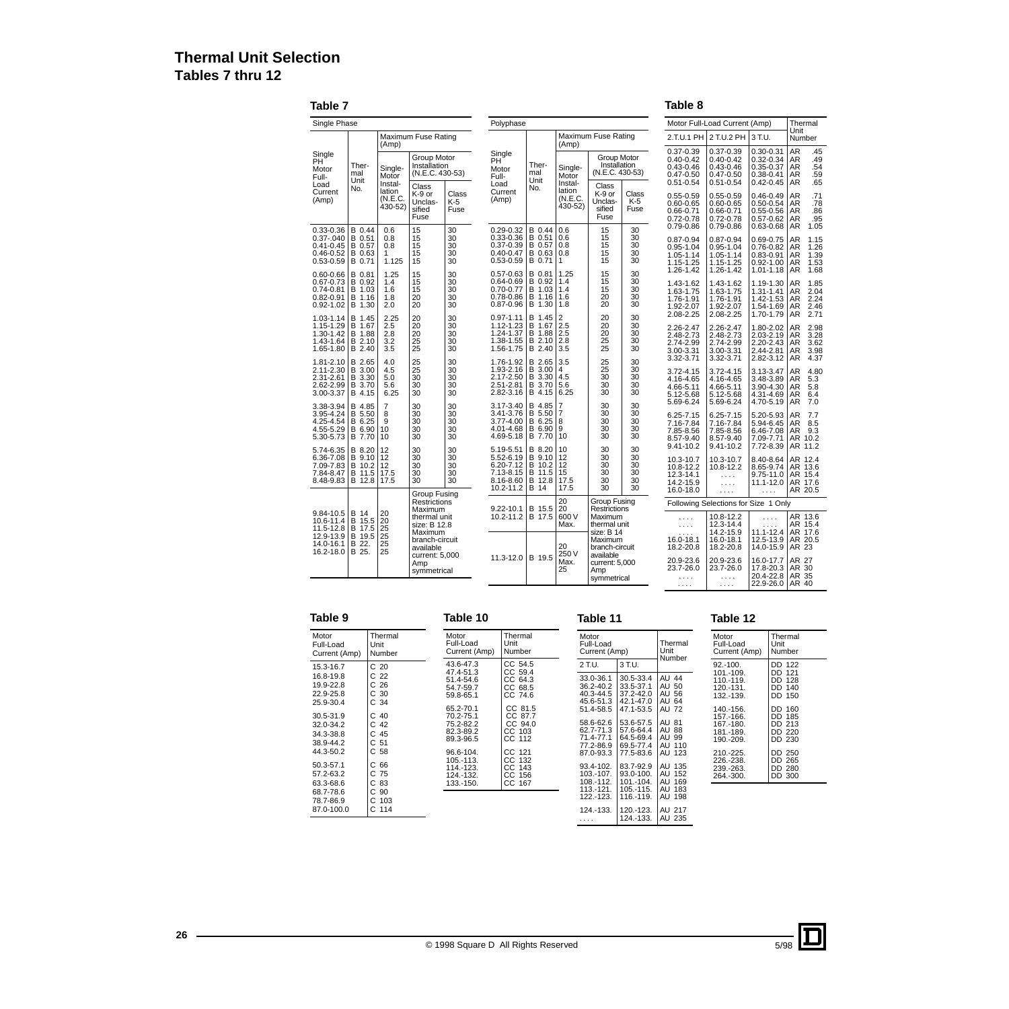# **Thermal Unit Selection Tables 7 thru 12**

**Table 7**

**Table 8**

| Single Phase                                                                 |                                                              |                                  |                                                         |                            | Polyphase                                                                           |                                                            |                                      |                                                         |                                  |                                                                                   | Motor Full-Load Current (Amp)                                                     |                                                                                      |                                                   | Thermal                              |
|------------------------------------------------------------------------------|--------------------------------------------------------------|----------------------------------|---------------------------------------------------------|----------------------------|-------------------------------------------------------------------------------------|------------------------------------------------------------|--------------------------------------|---------------------------------------------------------|----------------------------------|-----------------------------------------------------------------------------------|-----------------------------------------------------------------------------------|--------------------------------------------------------------------------------------|---------------------------------------------------|--------------------------------------|
|                                                                              |                                                              | (Amp)                            | Maximum Fuse Rating                                     |                            |                                                                                     |                                                            | (Amp)                                | Maximum Fuse Rating                                     |                                  |                                                                                   | 2.T.U.1 PH 2 T.U.2 PH 3 T.U.                                                      |                                                                                      | Unit<br>Number                                    |                                      |
| Single<br>PH<br>Motor<br>Full-<br>Load                                       | Ther-<br>mal<br>Unit                                         | Single-<br>Motor<br>Instal-      | Group Motor<br>Installation<br>(N.E.C. 430-53)<br>Class |                            | Single<br>PH <sup>®</sup><br>Motor<br>Full-<br>Load                                 | Ther-<br>mal<br>Unit                                       | Single-<br>Motor<br>Instal-          | Group Motor<br>Installation<br>(N.E.C. 430-53)<br>Class |                                  | $0.37 - 0.39$<br>$0.40 - 0.42$<br>$0.43 - 0.46$<br>$0.47 - 0.50$<br>$0.51 - 0.54$ | $0.37 - 0.39$<br>$0.40 - 0.42$<br>$0.43 - 0.46$<br>$0.47 - 0.50$<br>$0.51 - 0.54$ | $0.30 - 0.31$<br>$0.32 - 0.34$<br>$0.35 - 0.37$<br>$0.38 - 0.41$<br>$0.42 - 0.45$ AR | AR<br><b>AR</b><br>AR<br>AR                       | .45<br>.49<br>.54<br>.59<br>.65      |
| Current<br>(Amp)                                                             | No.                                                          | lation<br>(N.E.C.<br>430-52)     | K-9 or<br>Unclas-<br>sified<br>Fuse                     | Class<br>$K-5$<br>Fuse     | Current<br>(Amp)                                                                    | No.                                                        | lation<br>(N.E.C.<br>430-52)         | K-9 or<br>Unclas-<br>sified<br>Fuse                     | Class<br>K-5<br>Fuse             | $0.55 - 0.59$<br>$0.60 - 0.65$<br>$0.66 - 0.71$<br>$0.72 - 0.78$                  | $0.55 - 0.59$<br>$0.60 - 0.65$<br>$0.66 - 0.71$<br>$0.72 - 0.78$                  | $0.46 - 0.49$<br>$0.50 - 0.54$<br>$0.55 - 0.56$<br>$0.57 - 0.62$                     | AR<br><b>AR</b><br>l AR<br>AR                     | .71<br>.78<br>.86<br>.95             |
| 0.33-0.36<br>$0.37 - 040$<br>$0.41 - 0.45$<br>$0.46 - 0.52$<br>$0.53 - 0.59$ | B 0.44<br>B 0.51<br>B 0.57<br>B 0.63<br>B 0.71               | 0.6<br>0.8<br>0.8<br>1.<br>1.125 | 15<br>15<br>15<br>15<br>15                              | 30<br>30<br>30<br>30<br>30 | $0.29 - 0.32$<br>0.33-0.36<br>0.37-0.39<br>$0.40 - 0.47$<br>0.53-0.59               | B 0.44<br>B 0.51<br>B 0.57<br>B 0.63<br>B 0.71             | 0.6<br>0.6<br>0.8<br>0.8<br>1        | 15<br>15<br>15<br>15<br>15                              | 30<br>30<br>30<br>30<br>30       | $0.79 - 0.86$<br>$0.87 - 0.94$<br>$0.95 - 1.04$<br>1.05-1.14<br>1.15-1.25         | $0.79 - 0.86$<br>$0.87 - 0.94$<br>$0.95 - 1.04$<br>$1.05 - 1.14$<br>1.15-1.25     | $0.63 - 0.68$<br>$0.69 - 0.75$<br>$0.76 - 0.82$<br>$0.83 - 0.91$<br>$0.92 - 1.00$    | <b>AR</b><br><b>AR</b><br>AR<br>l AR<br><b>AR</b> | 1.05<br>1.15<br>1.26<br>1.39<br>1.53 |
| 0.60-0.66<br>0.67-0.73<br>0.74-0.81<br>0.82-0.91<br>0.92-1.02                | <b>B</b> 0.81<br>B 0.92<br><b>B</b> 1.03<br>B 1.16<br>B 1.30 | 1.25<br>1.4<br>1.6<br>1.8<br>2.0 | 15<br>15<br>15<br>20<br>20                              | 30<br>30<br>30<br>30<br>30 | $0.57 - 0.63$<br>$0.64 - 0.69$<br>$0.70 - 0.77$<br>0.78-0.86<br>0.87-0.96           | B 0.81<br>B 0.92<br>B 1.03<br>B 1.16<br>B 1.30             | 1.25<br>1.4<br>1.4<br>1.6<br>1.8     | 15<br>15<br>15<br>20<br>20                              | 30<br>30<br>30<br>30<br>30       | 1.26-1.42<br>1.43-1.62<br>1.63-1.75<br>1.76-1.91<br>1.92-2.07                     | 1.26-1.42<br>1.43-1.62<br>1.63-1.75<br>1.76-1.91<br>1.92-2.07                     | $1.01 - 1.18$<br>1.19-1.30<br>1.31-1.41<br>1.42-1.53<br>1.54-1.69                    | AR <sup></sup><br><b>AR</b><br>AR.<br>AR<br>I AR  | 1.68<br>1.85<br>2.04<br>2.24<br>2.46 |
| 1.03-1.14<br>1.15-1.29<br>1.30-1.42<br>1.43-1.64<br>1.65-1.80                | B 1.45<br>B 1.67<br>B 1.88<br>B 2.10<br>B 2.40               | 2.25<br>2.5<br>2.8<br>3.2<br>3.5 | 20<br>20<br>20<br>25<br>25                              | 30<br>30<br>30<br>30<br>30 | $0.97 - 1.11$<br>1.12-1.23<br>1.24-1.37<br>1.38-1.55<br>1.56-1.75                   | B 1.45<br>B 1.67 2.5<br>B 1.88 2.5<br>B 2.10<br>B 2.40 3.5 | $\overline{2}$<br>2.8                | 20<br>20<br>20<br>25<br>25                              | 30<br>30<br>30<br>30<br>30       | 2.08-2.25<br>2.26-2.47<br>2.48-2.73<br>2.74-2.99<br>3.00-3.31                     | 2.08-2.25<br>2.26-2.47<br>2.48-2.73<br>2.74-2.99<br>3.00-3.31                     | 1.70-1.79<br>1.80-2.02<br>2.03-2.19<br>2.20-2.43<br>2.44-2.81                        | AR.<br>AR<br>l AR<br>AR.<br>AR.                   | 2.71<br>2.98<br>3.28<br>3.62<br>3.98 |
| 1.81-2.10<br>2.11-2.30<br>2.31-2.61<br>2.62-2.99<br>3.00-3.37                | B 2.65<br>B 3.00<br>B 3.30<br>B 3.70<br>B 4.15               | 4.0<br>4.5<br>5.0<br>5.6<br>6.25 | 25<br>25<br>30<br>30<br>30                              | 30<br>30<br>30<br>30<br>30 | 1.76-1.92<br>1.93-2.16<br>2.17-2.50<br>2.51-2.81<br>2.82-3.16                       | B 2.65<br>B 3.00<br>B 3.30<br>B 3.70<br>B 4.15             | 3.5<br>4<br>4.5<br>5.6<br>6.25       | 25<br>25<br>30<br>30<br>30                              | 30<br>30<br>30<br>30<br>30       | 3.32-3.71<br>3.72-4.15<br>4.16-4.65<br>4.66-5.11<br>5.12-5.68                     | 3.32-3.71<br>$3.72 - 4.15$<br>4.16-4.65<br>4.66-5.11<br>5.12-5.68                 | 2.82-3.12<br>3.13-3.47<br>3.48-3.89<br>3.90-4.30<br>4.31-4.69                        | AR <sup></sup><br><b>AR</b><br>AR<br>l AR<br>AR.  | 4.37<br>4.80<br>5.3<br>5.8<br>6.4    |
| 3.38-3.94<br>3.95-4.24<br>4.25-4.54<br>4.55-5.29<br>5.30-5.73                | B 4.85<br>B 5.50<br>B 6.25<br>B 6.90<br>B 7.70               | 7<br>8<br>9<br>10<br>10          | 30<br>30<br>30<br>30<br>30                              | 30<br>30<br>30<br>30<br>30 | 3.17-3.40<br>3.41-3.76<br>3.77-4.00<br>4.01-4.68<br>4.69-5.18                       | B 4.85 7<br>B 5.50<br>B 6.25<br>B 6.90<br>B 7.70           | $\overline{7}$<br>18<br>9<br>10      | 30<br>30<br>30<br>30<br>30                              | 30<br>30<br>30<br>30<br>30       | 5.69-6.24<br>6.25-7.15<br>7.16-7.84<br>7.85-8.56<br>8.57-9.40                     | 5.69-6.24<br>6.25-7.15<br>7.16-7.84<br>7.85-8.56<br>8.57-9.40                     | 4.70-5.19<br>5.20-5.93<br>5.94-6.45<br>6.46-7.08<br>7.09-7.71                        | l AR<br>AR<br>AR.<br>l AR                         | 7.0<br>7.7<br>8.5<br>9.3<br>AR 10.2  |
| 5.74-6.35<br>6.36-7.08<br>7.09-7.83<br>7.84-8.47<br>8.48-9.83                | B 8.20<br>B 9.10<br>B 10.2<br>B 11.5<br>B 12.8 17.5          | 12<br>l 12<br>12<br>17.5         | 30<br>30<br>30<br>30<br>30                              | 30<br>30<br>30<br>30<br>30 | 5.19-5.51<br>5.52-6.19<br>6.20-7.12<br>7.13-8.15<br>8.16-8.60<br>$10.2 - 11.2$ B 14 | B 8.20<br>B 9.10<br>B 10.2<br>B 11.5<br>B 12.8             | 10<br>12<br>12<br>15<br>17.5<br>17.5 | 30<br>30<br>30<br>30<br>30<br>30                        | 30<br>30<br>30<br>30<br>30<br>30 | 9.41-10.2<br>10.3-10.7<br>10.8-12.2<br>12.3-14.1<br>14.2-15.9<br>16.0-18.0        | 9.41-10.2<br>10.3-10.7<br>10.8-12.2<br>.<br>$\ldots$ .<br>$\ldots$ .              | 7.72-8.39<br>8.40-8.64<br>8.65-9.74<br>9.75-11.0<br>11.1-12.0 AR 17.6<br>$\cdots$    | AR 11.2<br>AR 13.6<br>AR 15.4                     | AR 12.4<br>AR 20.5                   |
|                                                                              |                                                              |                                  | Group Fusing<br>Restrictions<br>Maximum                 |                            | 9.22-10.1                                                                           | B 15.5                                                     | 20<br>20                             | Group Fusing<br><b>Restrictions</b>                     |                                  |                                                                                   | Following Selections for Size 1 Only                                              |                                                                                      |                                                   |                                      |
| 9.84-10.5<br>10.6-11.4<br>11.5-12.8                                          | <b>B</b> 14<br>B 15.5 20<br>B 17.5                           | 20<br>25                         | thermal unit<br>size: B 12.8<br>Maximum                 |                            | 10.2-11.2 B 17.5                                                                    |                                                            | 600 V<br>Max.                        | Maximum<br>thermal unit<br>size: B 14                   |                                  | $\ldots$ .<br>$\ldots$ .                                                          | 10.8-12.2<br>12.3-14.4<br>14.2-15.9                                               | $\ldots$ .<br>1.1.1<br>11.1-12.4                                                     | AR 17.6                                           | AR 13.6<br>AR 15.4                   |
| 12.9-13.9<br>14.0-16.1<br>16.2-18.0                                          | B 19.5 25<br>B 22.<br>B 25.                                  | 25<br>25                         | branch-circuit<br>available<br>current: 5,000           |                            | 11.3-12.0 B 19.5                                                                    |                                                            | 20<br>250 V                          | Maximum<br>branch-circuit<br>available                  |                                  | 16.0-18.1<br>18.2-20.8                                                            | 16.0-18.1<br>18.2-20.8                                                            | 12.5-13.9<br>14.0-15.9                                                               | AR 20.5<br>AR 23                                  |                                      |
|                                                                              |                                                              |                                  | Amp<br>symmetrical                                      |                            |                                                                                     |                                                            | Max.<br>25                           | current: 5,000<br>Amp<br>symmetrical                    |                                  | 20.9-23.6<br>23.7-26.0<br>.<br>1.1.1                                              | 20.9-23.6<br>23.7-26.0<br>.<br>1.1.1                                              | 16.0-17.7<br>17.8-20.3<br>20.4-22.8<br>22.9-26.0 AR 40                               | AR 27<br>AR 30<br>AR 35                           |                                      |

| Table 9                             |                           |                                     |                           | Table 11                            |           |                           | Table 12                            |                           |  |
|-------------------------------------|---------------------------|-------------------------------------|---------------------------|-------------------------------------|-----------|---------------------------|-------------------------------------|---------------------------|--|
| Motor<br>Full-Load<br>Current (Amp) | Thermal<br>Unit<br>Number | Motor<br>Full-Load<br>Current (Amp) | Thermal<br>Unit<br>Number | Motor<br>Full-Load<br>Current (Amp) |           | Thermal<br>Unit<br>Number | Motor<br>Full-Load<br>Current (Amp) | Thermal<br>Unit<br>Number |  |
| 15.3-16.7                           | C <sub>20</sub>           | 43.6-47.3                           | CC 54.5                   | 2 T.U.                              | 3 T.U.    |                           | $92.-100.$                          | DD 122                    |  |
| 16.8-19.8                           | C <sub>22</sub>           | 47.4-51.3<br>51.4-54.6              | CC 59.4<br>CC 64.3        | 33.0-36.1                           | 30.5-33.4 | <b>AU 44</b>              | 101.-109.<br>110.-119.              | DD 121<br>DD 128          |  |
| 19.9-22.8                           | C <sub>26</sub>           | 54.7-59.7                           | CC 68.5                   | 36.2-40.2                           | 33.5-37.1 | AU 50                     | 120.-131.                           | DD 140                    |  |
| 22.9-25.8                           | C 30                      | 59.8-65.1                           | CC 74.6                   | 40.3-44.5                           | 37.2-42.0 | AU 56                     | 132.-139.                           | DD 150                    |  |
| 25.9-30.4                           | C 34                      |                                     |                           | 45.6-51.3                           | 42.1-47.0 | AU 64                     |                                     |                           |  |
|                                     |                           | 65.2-70.1                           | CC 81.5                   | 51.4-58.5                           | 47.1-53.5 | AU 72                     | 140.-156.                           | DD 160                    |  |
| 30.5-31.9                           | C <sub>40</sub>           | 70.2-75.1                           | CC 87.7                   | $58.6 - 62.6$                       | 53.6-57.5 | AU 81                     | 157.-166.                           | DD 185                    |  |
| 32.0-34.2                           | C <sub>42</sub>           | 75.2-82.2                           | CC 94.0                   | 62.7-71.3                           | 57.6-64.4 | <b>AU 88</b>              | 167.-180.                           | DD 213                    |  |
| 34.3-38.8                           | C <sub>45</sub>           | 82.3-89.2                           | CC 103                    | 71.4-77.1                           | 64.5-69.4 | AU 99                     | 181.-189.                           | DD 220                    |  |
| 38.9-44.2                           | C <sub>51</sub>           | 89.3-96.5                           | CC 112                    | 77.2-86.9                           | 69.5-77.4 | AU 110                    | 190.-209.                           | DD 230                    |  |
| 44.3-50.2                           | C 58                      | 96.6-104.                           | CC 121                    | 87.0-93.3                           | 77.5-83.6 | AU 123                    | 210.-225.                           | DD 250                    |  |
|                                     |                           | 105.-113.                           | CC 132                    |                                     |           |                           | 226.-238.                           | DD 265                    |  |
| 50.3-57.1                           | C <sub>66</sub>           | 114.-123.                           | CC 143                    | 93.4-102.                           | 83.7-92.9 | AU 135                    | 239.-263.                           | DD 280                    |  |
| 57.2-63.2                           | C 75                      | 124.-132.                           | CC 156                    | 103.-107.                           | 93.0-100. | AU 152                    | 264.-300.                           | DD 300                    |  |
| 63.3-68.6                           | C 83                      | 133.-150.                           | CC 167                    | 108.-112.                           | 101.-104. | AU 169                    |                                     |                           |  |
| 68.7-78.6                           | C 90                      |                                     |                           | 113.-121.                           | 105.-115. | AU 183                    |                                     |                           |  |
| 78.7-86.9                           | C 103                     |                                     |                           | 122.-123.                           | 116.-119. | AU 198                    |                                     |                           |  |
| 87.0-100.0                          | $C$ 114                   |                                     |                           | 124.-133.                           | 120.-123. | AU 217                    |                                     |                           |  |
|                                     |                           |                                     |                           | $\cdots$                            | 124.-133. | <b>AU 235</b>             |                                     |                           |  |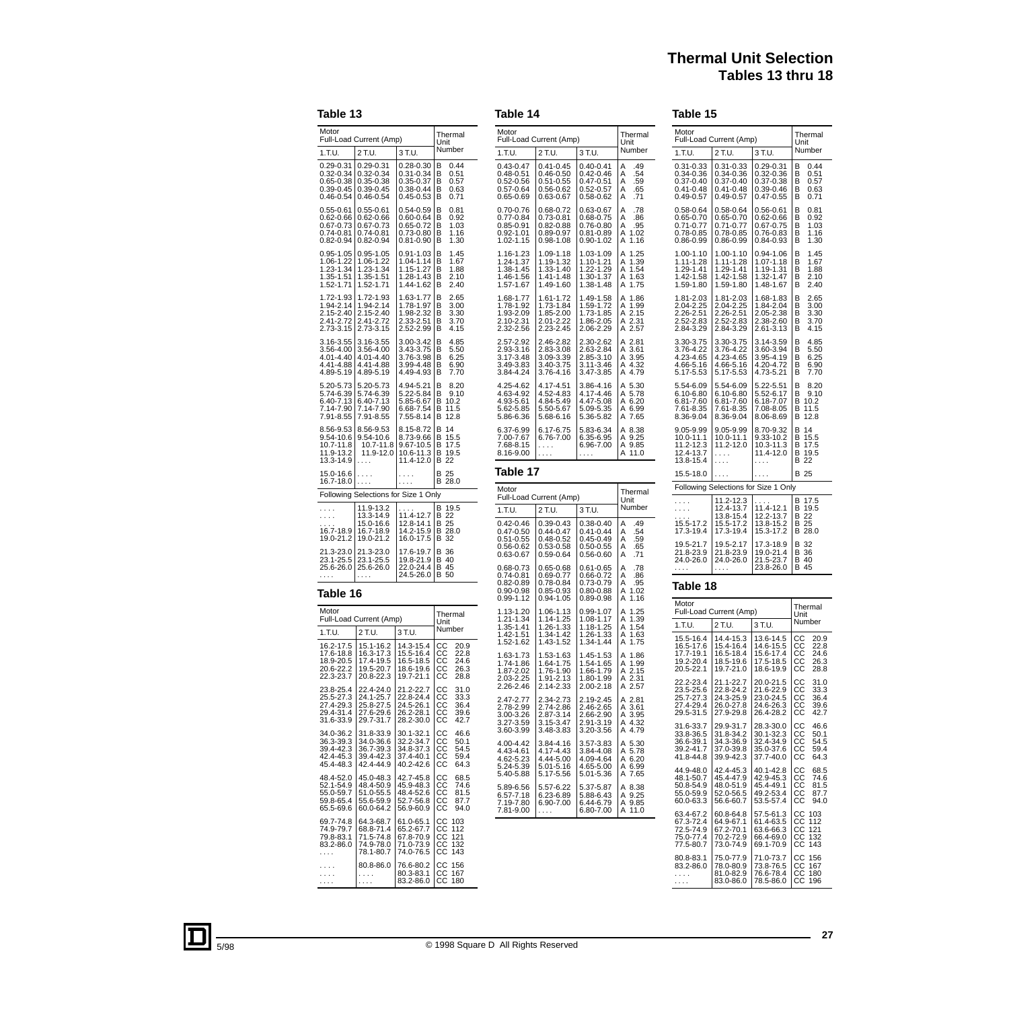# **Thermal Unit Selection Tables 13 thru 18**

Thermal Unit Number

CC 20.9 CC 22.8 CC 24.6 CC 26.3 CC 28.8

CC 31.0 CC 33.3 CC 36.4 CC 39.6 CC 42.7

CC 46.6 CC 50.1 CC 54.5 CC 59.4 CC 64.3

CC 68.5 CC 74.6 CC 81.5 CC 87.7 CC 94.0

#### **Table 13**

# **Table 14**

#### **Table 15**

| ı au                                                              | . J                                                               |                                                                           |                                                                                |
|-------------------------------------------------------------------|-------------------------------------------------------------------|---------------------------------------------------------------------------|--------------------------------------------------------------------------------|
| Motor                                                             | Full-Load Current (Amp)                                           |                                                                           | Thermal<br>Unit                                                                |
| 1.T.U.                                                            | 2 T.U.                                                            | 3 T.U.                                                                    | Number                                                                         |
| 0.29-0.31<br>0.32-0.34<br>0.65-0.38<br>0.39-0.45<br>0.46-0.54     | 0.29-0.31<br>0.32-0.34<br>0.35-0.38<br>0.39-0.45<br>0.46-0.54     | 0.28-0.30<br>0.31-0.34<br>0.35-0.37<br>0.38-0.44<br>0.45-0.53             | В<br>0.44<br>в<br>0.51<br>В<br>0.57<br>в<br>0.63<br>в<br>0.71                  |
| $0.55 - 0.61$<br>0.62-0.66<br>0.67-0.73<br>0.74-0.81<br>0.82-0.94 | 0.55-0.61<br>0.62-0.66<br>0.67-0.73<br>0.74-0.81<br>$0.82 - 0.94$ | 0.54-0.59<br>0.60-0.64<br>$0.65 - 0.72$<br>$0.73 - 0.80$<br>$0.81 - 0.90$ | В<br>0.81<br>в<br>0.92<br>В<br>1.03<br>В<br>1.16<br>1.30<br>В                  |
| 0.95-1.05<br>1.06-1.22<br>1.23-1.34<br>1.35-1.51<br>1.52-1.71     | 0.95-1.05<br>1.06-1.22<br>1.23-1.34<br>1.35-1.51<br>1.52-1.71     | 0.91-1.03<br>1.04-1.14<br>1.15-1.27<br>1.28-1.43<br>1.44-1.62             | в<br>1.45<br>В<br>1.67<br>В<br>1.88<br>В<br>2.10<br>В<br>2.40                  |
| 1.72-1.93<br>1.94-2.14<br>$2.15 - 2.40$<br>2.41-2.72<br>2.73-3.15 | 1.72-1.93<br>1.94-2.14<br>2.15-2.40<br>2.41-2.72<br>2.73-3.15     | 1.63-1.77<br>1.78-1.97<br>$1.98 - 2.32$<br>2.33-2.51<br>2.52-2.99         | в<br>2.65<br>в<br>3.00<br>$\frac{3.30}{3.70}$<br>В<br>в<br>В<br>4.15           |
| 3.16-3.55<br>3.56-4.00<br>4.01-4.40<br>4.41-4.88<br>4.89-5.19     | 3.16-3.55<br>3.56-4.00<br>4.01-4.40<br>4.41-4.88<br>4.89-5.19     | 3.00-3.42<br>3.43-3.75<br>3.76-3.98<br>3.99-4.48<br>4.49-4.93             | В<br>4.85<br>В<br>5.50<br>В<br>6.25<br>В<br>6.90<br>В<br>7.70                  |
| 5.20-5.73<br>5.74-6.39<br>6.40-7.13<br>7.14-7.90<br>7.91-8.55     | 5.20-5.73<br>5.74-6.39<br>6.40-7.13<br>7.14-7.90<br>7.91-8.55     | 4.94-5.21<br>5.22-5.84<br>5.85-6.67<br>6.68-7.54<br>7.55-8.14             | В<br>8.20<br>$\frac{9.10}{10.2}$<br>В<br>В<br>В<br>11.5<br>12.8<br>В           |
| 8.56-9.53<br>9.54-10.6<br>10.7-11.8<br>11.9-13.2<br>13.3-14.9     | 8.56-9.53<br>9.54-10.6<br>10.7-11.8<br>11.9-12.0                  | 8.15-8.72<br>8.73-9.66<br>9.67-10.5<br>10.6-11.3<br>11.4-12.0             | в<br>14<br>в<br>15.5<br>в<br>17.5<br>в<br>19.5<br>В<br>22                      |
| 15.0-16.6<br>16.7-18.0                                            | .<br>.                                                            | .<br>.                                                                    | в<br>25<br>В<br>28.0                                                           |
|                                                                   | Following Selections for Size 1 Only                              |                                                                           |                                                                                |
| .<br>.<br>$16.7 - 18.9$<br>19.0-21.2                              | 11.9-13.2<br>13.3-14.9<br>15.0-16.6<br>16.7-18.9<br>19.0-21.2     | 11.4-12.7<br>12.8-14.1<br>14.2-15.9<br>16.0-17.5                          | в<br>19.5<br>В<br>22<br>В<br>25<br>В<br>28.0<br>В<br>32                        |
| 21.3-23.0<br>23.1-25.5<br>25.6-26.0<br>.                          | 21.3-23.0<br>23.1-25.5<br>25.6-26.0<br>.                          | 17.6-19.7<br>19.8-21.9<br>22.0-24.4<br>24.5-26.0                          | 36<br>В<br>В<br>40<br>В<br>45<br>в<br>50                                       |
| Table 16                                                          |                                                                   |                                                                           |                                                                                |
| Motor                                                             |                                                                   |                                                                           | Thermal                                                                        |
| 1.T.U.                                                            | Full-Load Current (Amp)<br>2 T.U.                                 | 3 T.U.                                                                    | Unit<br>Number                                                                 |
| 16.2-17.5<br>17.6-18.8<br>18.9-20.5<br>20.6-22.2<br>22.3-23.7     | 15.1-16.2<br>$16.3 - 17.3$<br>17.4-19.5<br>19.5-20.7<br>20.8-22.3 | 14.3-15.4<br>15.5-16.4<br>16.5-18.5<br>18.6-19.6<br>19.7-21.1             | CС<br>20.9<br>$\frac{CC}{2}$<br>22.8<br>čć<br>24.6<br>26.3<br>CС<br>ċс<br>28.8 |
| 23.8-25.4<br>25.5-27.3<br>27.4-29.3<br>29.4-31.4<br>31.6-33.9     | 22.4-24.0<br>24.1-25.7<br>25.8-27.5<br>27.6-29.6<br>29.7-31.7     | 21.2-22.7<br>22.8-24.4<br>24.5-26.1<br>26.2-28.1<br>28.2-30.0             | CC<br>31.0<br>33.3<br>CС<br>CС<br>36.4<br>CС<br>39.6<br>CС<br>42.7             |
| 34.0-36.2<br>36.3-39.3<br>39.4-42.3<br>42.4-45.3<br>45.4-48.3     | 31.8-33.9<br>34.0-36.6<br>36.7-39.3<br>39.4-42.3<br>42.4-44.9     | 30.1-32.1<br>32.2-34.7<br>34.8-37.3<br>$37.4 - 40.1$<br>40.2-42.6         | CС<br>46.6<br>CC<br>CC<br>22<br>50.1<br>54.5<br>CС<br>59.4<br>64.3<br>CС       |
| 48.4-52.0<br>52.1-54.9<br>55.0-59.7<br>59.8-65.4<br>65.5-69.6     | 45.0-48.3<br>48.4-50.9<br>51.0-55.5<br>55.6-59.9<br>60.0-64.2     | 42.7-45.8<br>45.9-48.3<br>48.4-52.6<br>52.7-56.8<br>56.9-60.9             | cс<br>68.5<br>CС<br>74.6<br>CС<br>81.5<br>cс<br>87.7<br>CС<br>94.0             |
| 69.7-74.8<br>74.9-79.7<br>79.8-83.1<br>83.2-86.0<br>.             | 64.3-68.7<br>68.8-71.4<br>71.5-74.8<br>74.9-78.0<br>78.1-80.7     | 61.0-65.1<br>65.2-67.7<br>67.8-70.9<br>71.0-73.9<br>74.0-76.5             | CС<br>103<br>112<br>ċс<br>$\frac{CC}{2}$<br>121<br>132<br>ČС<br>143<br>cс      |
| .                                                                 | 80.8-86.0<br>$\ldots$<br>×.                                       | 76.6-80.2<br>80.3-83.1<br>83.2-86.0                                       | CC<br>CC<br>156<br>167<br>CC<br>180                                            |

| Motor                                                                             | Full-Load Current (Amp)                                           |                                                                           | Thermal<br>Unit                                                      | Motor                                                             | Full-Load Current (Amp)                                           |                                                               | Therma<br>Unit                                                |
|-----------------------------------------------------------------------------------|-------------------------------------------------------------------|---------------------------------------------------------------------------|----------------------------------------------------------------------|-------------------------------------------------------------------|-------------------------------------------------------------------|---------------------------------------------------------------|---------------------------------------------------------------|
| 1.T.U.                                                                            | 2 T.U.                                                            | 3 T.U.                                                                    | Number                                                               | 1.T.U.                                                            | 2 T.U.                                                            | 3 T.U.                                                        | Number                                                        |
| $0.43 - 0.47$<br>$0.48 - 0.51$<br>$0.52 - 0.56$<br>$0.57 - 0.64$<br>$0.65 - 0.69$ | 0.41-0.45<br>0.46-0.50<br>$0.51 - 0.55$<br>0.56-0.62<br>0.63-0.67 | $0.40 - 0.41$<br>0.42-0.46<br>0.47-0.51<br>$0.52 - 0.57$<br>0.58-0.62     | Α<br>.49<br>Α<br>.54<br>Α<br>.59<br>Α<br>.65<br>Α<br>.71             | 0.31-0.33<br>0.34-0.36<br>0.37-0.40<br>0.41-0.48<br>$0.49 - 0.57$ | 0.31-0.33<br>0.34-0.36<br>0.37-0.40<br>0.41-0.48<br>$0.49 - 0.57$ | 0.29-0.31<br>0.32-0.36<br>0.37-0.38<br>0.39-0.46<br>0.47-0.55 | 0.44<br>В<br>В<br>0.51<br>0.57<br>В<br>В<br>0.63<br>в<br>0.71 |
| $0.70 - 0.76$<br>$0.77 - 0.84$<br>$0.85 - 0.91$<br>$0.92 - 1.01$<br>1.02-1.15     | 0.68-0.72<br>0.73-0.81<br>$0.82 - 0.88$<br>0.89-0.97<br>0.98-1.08 | 0.63-0.67<br>0.68-0.75<br>0.76-0.80<br>$0.81 - 0.89$<br>0.90-1.02         | Α<br>.78<br>Α<br>.86<br>Α<br>.95<br>A 1.02<br>Α<br>1.16              | 0.58-0.64<br>0.65-0.70<br>0.71-0.77<br>0.78-0.85<br>0.86-0.99     | 0.58-0.64<br>0.65-0.70<br>$0.71 - 0.77$<br>0.78-0.85<br>0.86-0.99 | 0.56-0.61<br>0.62-0.66<br>0.67-0.75<br>0.76-0.83<br>0.84-0.93 | В<br>0.81<br>В<br>0.92<br>1.03<br>В<br>В<br>1.16<br>в<br>1.30 |
| 1.16-1.23<br>1.24-1.37<br>1.38-1.45<br>1.46-1.56<br>1.57-1.67                     | 1.09-1.18<br>1.19-1.32<br>1.33-1.40<br>1.41-1.48<br>1.49-1.60     | 1.03-1.09<br>1.10-1.21<br>1.22-1.29<br>1.30-1.37<br>1.38-1.48             | 1.25<br>A<br>$\frac{1.39}{1.54}$<br>A<br>A<br>A<br>1.63<br>Α<br>1.75 | 1.00-1.10<br>1.11-1.28<br>1.29-1.41<br>1.42-1.58<br>1.59-1.80     | 1.00-1.10<br>1.11-1.28<br>1.29-1.41<br>1.42-1.58<br>1.59-1.80     | 0.94-1.06<br>1.07-1.18<br>1.19-1.31<br>1.32-1.47<br>1.48-1.67 | В<br>1.45<br>1.67<br>В<br>В<br>1.88<br>В<br>2.10<br>в<br>2.40 |
| 1.68-1.77<br>1.78-1.92<br>1.93-2.09<br>2.10-2.31<br>2.32-2.56                     | 1.61-1.72<br>1.73-1.84<br>1.85-2.00<br>2.01-2.22<br>2.23-2.45     | 1.49-1.58<br>1.59-1.72<br>1.73-1.85<br>1.86-2.05<br>2.06-2.29             | A<br>1.86<br>A 1.99<br>A 2.15<br>A 2.31<br>A 2.57                    | 1.81-2.03<br>2.04-2.25<br>2.26-2.51<br>2.52-2.83<br>2.84-3.29     | 1.81-2.03<br>2.04-2.25<br>2.26-2.51<br>2.52-2.83<br>2.84-3.29     | 1.68-1.83<br>1.84-2.04<br>2.05-2.38<br>2.38-2.60<br>2.61-3.13 | в<br>2.65<br>в<br>3.00<br>В<br>3.30<br>В<br>3.70<br>в<br>4.15 |
| 2.57-2.92<br>2.93-3.16<br>3.17-3.48<br>3.49-3.83<br>3.84-4.24                     | 2.46-2.82<br>2.83-3.08<br>3.09-3.39<br>3.40-3.75<br>3.76-4.16     | 2.30-2.62<br>2.63-2.84<br>2.85-3.10<br>3.11-3.46<br>3.47-3.85             | A 2.81<br>A<br>3.61<br>3.95<br>A<br>A 4.32<br>A 4.79                 | 3.30-3.75<br>3.76-4.22<br>4.23-4.65<br>4.66-5.16<br>5.17-5.53     | 3.30-3.75<br>3.76-4.22<br>4.23-4.65<br>4.66-5.16<br>5.17-5.53     | 3.14-3.59<br>3.60-3.94<br>3.95-4.19<br>4.20-4.72<br>4.73-5.21 | В<br>4.85<br>В<br>5.50<br>6.25<br>В<br>В<br>6.90<br>в<br>7.70 |
| 4.25-4.62<br>4.63-4.92<br>4.93-5.61<br>5.62-5.85<br>5.86-6.36                     | 4.17-4.51<br>4.52-4.83<br>4.84-5.49<br>5.50-5.67<br>5.68-6.16     | 3.86-4.16<br>4.17-4.46<br>4.47-5.08<br>5.09-5.35<br>5.36-5.82             | A 5.30<br>A 5.78<br>A 6.20<br>A 6.99<br>A 7.65                       | 5.54-6.09<br>6.10-6.80<br>6.81-7.60<br>7.61-8.35<br>8.36-9.04     | 5.54-6.09<br>6.10-6.80<br>6.81-7.60<br>7.61-8.35<br>8.36-9.04     | 5.22-5.51<br>5.52-6.17<br>6.18-7.07<br>7.08-8.05<br>8.06-8.69 | в<br>8.20<br>В<br>9.10<br>в<br>10.2<br>в<br>11.5<br>В<br>12.8 |
| 6.37-6.99<br>7.00-7.67<br>7.68-8.15<br>8.16-9.00                                  | 6.17-6.75<br>6.76-7.00<br>.<br>.                                  | 5.83-6.34<br>6.35-6.95<br>6.96-7.00<br>.                                  | A 8.38<br>A 9.25<br>A 9.85<br>A 11.0                                 | 9.05-9.99<br>10.0-11.1<br>11.2-12.3<br>12.4-13.7<br>13.8-15.4     | 9.05-9.99<br>10.0-11.1<br>11.2-12.0<br>.<br>$\cdots$              | 8.70-9.32<br>9.33-10.2<br>10.3-11.3<br>11.4-12.0<br>.         | 14<br>в<br>15.5<br>в<br>17.5<br>в<br>в<br>19.5<br>B 22        |
| Table 17                                                                          |                                                                   |                                                                           |                                                                      | 15.5-18.0                                                         | $\cdots$                                                          | .                                                             | B 25                                                          |
| Motor                                                                             | Full-Load Current (Amp)                                           |                                                                           | Thermal                                                              |                                                                   | Following Selections for Size 1 Only                              |                                                               |                                                               |
| 1.T.U.                                                                            | 2 T.U.                                                            | 3 T.U.                                                                    | Unit<br>Number                                                       | .<br>.                                                            | 11.2-12.3<br>12.4-13.7                                            | 11.4-12.1                                                     | в<br>17.5<br>в<br>19.5                                        |
| $0.42 - 0.46$<br>$0.47 - 0.50$<br>$0.51 - 0.55$                                   | 0.39-0.43<br>$0.44 - 0.47$<br>$0.48 - 0.52$                       | $0.38 - 0.40$<br>$0.41 - 0.44$<br>$0.45 - 0.49$                           | Α<br>.49<br>Α<br>.54<br>Α<br>.59                                     | 15.5-17.2<br>17.3-19.4<br>19.5-21.7                               | 13.8-15.4<br>15.5-17.2<br>17.3-19.4<br>19.5-2.17                  | 12.2-13.7<br>13.8-15.2<br>15.3-17.2<br>17.3-18.9              | B 22<br>B 25<br>B 28.0<br>в<br>32                             |
| $0.56 - 0.62$<br>0.63-0.67                                                        | 0.53-0.58<br>0.59-0.64                                            | $0.50 - 0.55$<br>0.56-0.60                                                | Α<br>.65<br>Α<br>.71                                                 | 21.8-23.9<br>24.0-26.0                                            | 21.8-23.9<br>24.0-26.0                                            | 19.0-21.4<br>21.5-23.7                                        | 36<br>в<br>B 40                                               |
| 0.68-0.73<br>$0.74 - 0.81$<br>$0.82 - 0.89$<br>$0.90 - 0.98$<br>0.99-1.12         | 0.65-0.68<br>0.69-0.77<br>0.78-0.84<br>0.85-0.93<br>0.94-1.05     | $0.61 - 0.65$<br>0.66-0.72<br>0.73-0.79<br>$0.80 - 0.88$<br>$0.89 - 0.98$ | Α<br>.78<br>Α<br>.86<br>Α<br>.95<br>1.02<br>Α<br>Α<br>1.16           | $\dots$<br>Table 18                                               | $\cdots$                                                          | 23.8-26.0                                                     | B 45                                                          |
| 1.13-1.20                                                                         | 1.06-1.13                                                         | 0.99-1.07                                                                 | A<br>1.25                                                            | Motor                                                             | Full-Load Current (Amp)                                           |                                                               | Thermal<br>Unit                                               |
| 1.21-1.34<br>1.35-1.41<br>1.42-1.51                                               | 1.14-1.25<br>1.26-1.33<br>1.34-1.42                               | 1.08-1.17<br>1.18-1.25<br>1.26-1.33                                       | A 1.39<br>A 1.54<br>1.63<br>А                                        | 1.T.U.                                                            | 2 T.U.                                                            | 3 T.U.                                                        | Number                                                        |
| 1.52-1.62<br>1.63-1.73<br>1.74-1.86                                               | 1.43-1.52<br>1.53-1.63<br>1.64-1.75                               | 1.34-1.44<br>1.45-1.53<br>1.54-1.65                                       | A 1.75<br>A 1.86<br>Α<br>1.99                                        | 15.5-16.4<br>16.5-17.6<br>17.7-19.1<br>19.2-20.4<br>20.5-22.1     | 14.4-15.3<br>15.4-16.4<br>16.5-18.4<br>18.5-19.6<br>19.7-21.0     | 13.6-14.5<br>14.6-15.5<br>15.6-17.4<br>17.5-18.5<br>18.6-19.9 | CС<br>20<br>CС<br>22.<br>CС<br>24.<br>CС<br>26<br>CС<br>28    |
| 1.87-2.02<br>2.03-2.25<br>2.26-2.46                                               | 1.76-1.90<br>1.91-2.13<br>2.14-2.33                               | 1.66-1.79<br>1.80-1.99<br>2.00-2.18                                       | A 2.15<br>A 2.31<br>A 2.57                                           | 22.2-23.4<br>23.5-25.6                                            | 21.1-22.7<br>22.8-24.2                                            | 20.0-21.5<br>21.6-22.9                                        | CС<br>31<br>33.<br>UU                                         |
| 2.47-2.77<br>2.78-2.99<br>3.00-3.26<br>3.27-3.59<br>3.60-3.99                     | 2.34-2.73<br>2.74-2.86<br>2.87-3.14<br>3.15-3.47<br>3.48-3.83     | 2.19-2.45<br>2.46-2.65<br>2.66-2.90<br>2.91-3.19<br>3.20-3.56             | A 2.81<br>A 3.61<br>A 3.95<br>A 4.32<br>A 4.79                       | 25.7-27.3<br>27.4-29.4<br>29.5-31.5<br>31.6-33.7<br>33.8-36.5     | 24.3-25.9<br>26.0-27.8<br>27.9-29.8<br>29.9-31.7                  | 23.0-24.5<br>24.6-26.3<br>26.4-28.2<br>28.3-30.0              | cс<br>36.<br>CС<br>39.<br>cс<br>42<br>cс<br>46                |
| 4.00-4.42<br>4.43-4.61<br>4.62-5.23<br>5.24-5.39                                  | 3.84-4.16<br>4.17-4.43<br>4.44-5.00<br>5.01-5.16                  | 3.57-3.83<br>3.84-4.08<br>4.09-4.64<br>4.65-5.00                          | A 5.30<br>A 5.78<br>A 6.20<br>A 6.99                                 | 36.6-39.1<br>39.2-41.7<br>41.8-44.8<br>44.9-48.0                  | 31.8-34.2<br>34.3-36.9<br>37.0-39.8<br>39.9-42.3<br>42.4-45.3     | 30.1-32.3<br>32.4-34.9<br>35.0-37.6<br>37.7-40.0<br>40.1-42.8 | cс<br>50<br>CС<br>54<br>cс<br>59<br>cс<br>64<br>cс<br>68      |
| 5.40-5.88<br>5.89-6.56<br>6.57-7.18<br>7.19-7.80<br>7.81-9.00                     | 5.17-5.56<br>5.57-6.22<br>6.23-6.89<br>6.90-7.00<br>.             | 5.01-5.36<br>5.37-5.87<br>5.88-6.43<br>6.44-6.79<br>6.80-7.00             | A 7.65<br>A 8.38<br>A 9.25<br>A 9.85<br>A 11.0                       | 48.1-50.7<br>50.8-54.9<br>55.0-59.9<br>60.0-63.3                  | 45.4-47.9<br>48.0-51.9<br>52.0-56.5<br>56.6-60.7                  | 42.9-45.3<br>45.4-49.1<br>49.2-53.4<br>53.5-57.4              | CС<br>74.<br>CС<br>81.<br>CС<br>87.<br>cс<br>94               |
|                                                                                   |                                                                   |                                                                           |                                                                      | 63.4-67.2<br>67.3-72.4<br>72.5-74.9<br>75.0-77.4<br>77.5-80.7     | 60.8-64.8<br>64.9-67.1<br>67.2-70.1<br>70.2-72.9<br>73.0-74.9     | 57.5-61.3<br>61.4-63.5<br>63.6-66.3<br>66.4-69.0<br>69.1-70.9 | CС<br>103<br>112<br>CС<br>cс<br>121<br>CС<br>132<br>cс<br>143 |
|                                                                                   |                                                                   |                                                                           |                                                                      | 80.8-83.1<br>83.2-86.0<br>.<br>.                                  | 75.0-77.9<br>78.0-80.9<br>81.0-82.9<br>83.0-86.0                  | 71.0-73.7<br>73.8-76.5<br>76.6-78.4<br>78.5-86.0              | CС<br>156<br>167<br>CС<br>CС<br>180<br>CС<br>196              |

. . . .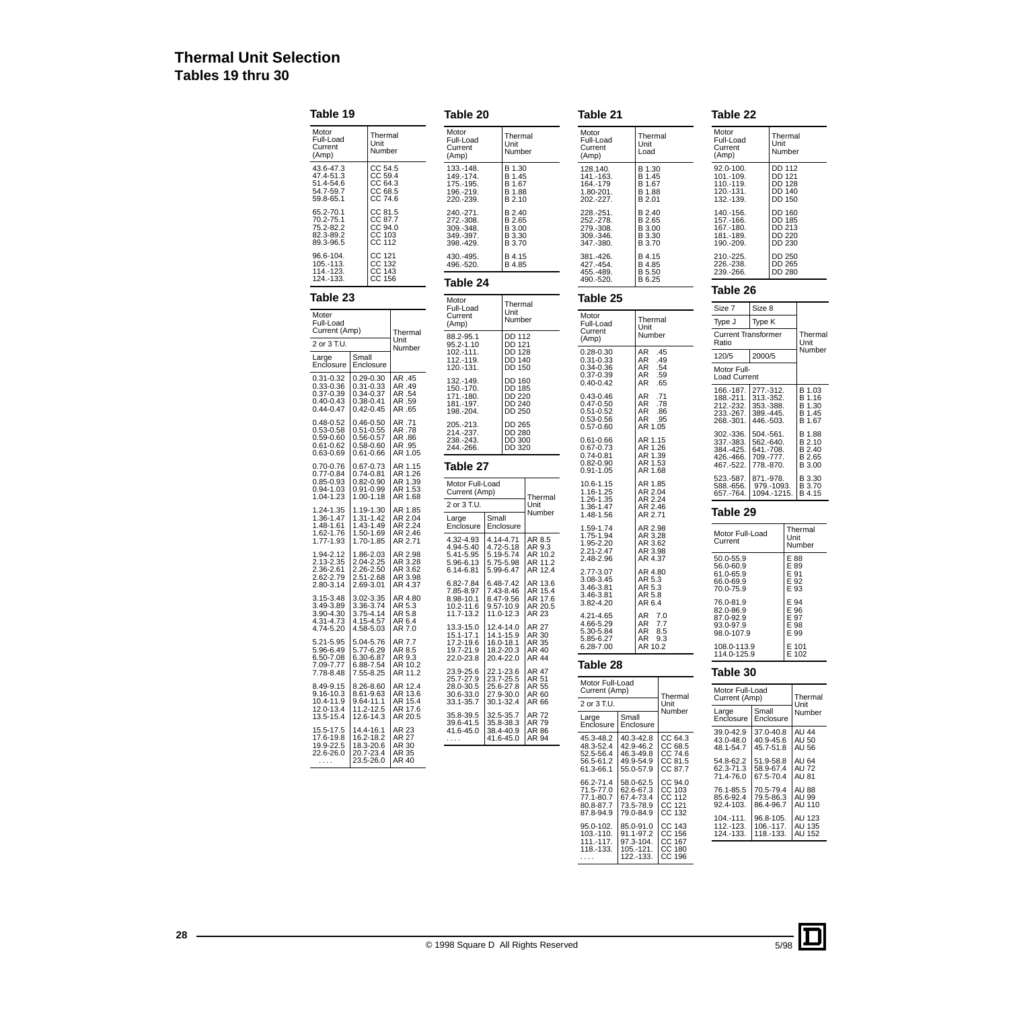# **Thermal Unit Selection Tables 19 thru 30**

| Table 19                                                              |                                                                                   |                                                 | Table 20                                                      |                                                               |                                                  | Table 21                                                                      |                                                               |                                          |
|-----------------------------------------------------------------------|-----------------------------------------------------------------------------------|-------------------------------------------------|---------------------------------------------------------------|---------------------------------------------------------------|--------------------------------------------------|-------------------------------------------------------------------------------|---------------------------------------------------------------|------------------------------------------|
| Motor<br>Full-Load<br>Current<br>(Amp)                                | Thermal<br>Unit<br>Number                                                         |                                                 | Motor<br>Full-Load<br>Current<br>(Amp)                        | Thermal<br>Unit<br>Number                                     |                                                  | Motor<br>Full-Load<br>Current<br>(Amp)                                        | Thermal<br>Unit<br>Load                                       |                                          |
| 43.6-47.3<br>47.4-51.3<br>51.4-54.6<br>54.7-59.7<br>59.8-65.1         | CC 54.5<br>CC 59.4<br>CC 64.3<br>CC 68.5<br>CC 74.6                               |                                                 | 133.-148.<br>149.-174.<br>175.-195.<br>196.-219.<br>220.-239. | B 1.30<br>B 1.45<br>B 1.67<br>B 1.88<br>B 2.10                |                                                  | 128.140.<br>141.-163.<br>164.-179<br>1.80-201.<br>202.-227.                   | B 1.30<br>B 1.45<br>B 1.67<br><b>B</b> 1.88<br>B 2.01         |                                          |
| 65.2-70.1<br>70.2-75.1<br>75.2-82.2<br>82.3-89.2<br>89.3-96.5         | CC 81.5<br>CC 87.7<br>CC 94.0<br>CC 103<br>CC 112                                 |                                                 | 240.-271.<br>272.-308.<br>309.-348.<br>349.-397.<br>398.-429. | B 2.40<br>B 2.65<br>B 3.00<br>B 3.30<br><b>B3.70</b>          |                                                  | 228.-251.<br>252.-278.<br>279.-308.<br>309.-346.<br>347.-380.                 | B 2.40<br>B 2.65<br>B 3.00<br>B 3.30<br>B 3.70                |                                          |
| 96.6-104.<br>105.-113.<br>114.-123.<br>124.-133.                      | CC 121<br>CC 132<br>CC 143<br>CC 156                                              |                                                 | 430.-495.<br>B 4.15<br>496.-520.<br>B 4.85                    |                                                               |                                                  | 381.-426.<br>427.-454.<br>455.-489.<br>490.-520.                              | B 4.15<br>B 4.85<br>B 5.50<br>B 6.25                          |                                          |
| Table 23                                                              |                                                                                   | Table 24<br>Motor                               |                                                               |                                                               | Table 25                                         |                                                                               |                                                               |                                          |
| Moter<br>Full-Load<br>Current (Amp)                                   |                                                                                   | Thermal                                         | Full-Load<br>Current<br>(Amp)<br>88.2-95.1                    | Thermal<br>Unit<br>Number<br><b>DD 112</b>                    |                                                  | Motor<br>Full-Load<br>Current<br>(Amp)                                        | Thermal<br>Unit<br>Number                                     |                                          |
| 2 or 3 T.U.<br>Large<br>Enclosure                                     | Small<br>Enclosure                                                                | Unit<br>Number                                  | 95.2-1.10<br>102.-111.<br>112.-119.<br>120.-131.              | DD 121<br><b>DD 128</b><br><b>DD 140</b><br><b>DD 150</b>     |                                                  | $0.28 - 0.30$<br>$0.31 - 0.33$<br>0.34-0.36                                   | AR<br>AR<br>AR                                                | .45<br>.49<br>.54                        |
| 0.31-0.32<br>0.33-0.36<br>0.37-0.39<br>$0.40 - 0.43$<br>$0.44 - 0.47$ | $0.29 - 0.30$<br>$0.31 - 0.33$<br>0.34-0.37<br>$0.38 - 0.41$<br>$0.42 - 0.45$     | AR .45<br>AR .49<br>AR .54<br>AR .59<br>AR .65  | 132.-149.<br>150.-170.<br>171.-180.<br>181.-197.<br>198.-204. | DD 160<br>DD 185<br><b>DD 220</b><br>DD 240<br>DD 250         |                                                  | 0.37-0.39<br>$0.40 - 0.42$<br>$0.43 - 0.46$<br>$0.47 - 0.50$<br>$0.51 - 0.52$ | AR<br>AR<br>AR<br>AR<br>AR                                    | .59<br>.65<br>.71<br>.78<br>.86          |
| 0.48-0.52<br>$0.53 - 0.58$<br>0.59-0.60<br>$0.61 - 0.62$<br>0.63-0.69 | $0.46 - 0.50$<br>$0.51 - 0.55$<br>$0.56 - 0.57$<br>$0.58 - 0.60$<br>$0.61 - 0.66$ | AR .71<br>AR .78<br>AR .86<br>AR .95<br>AR 1.05 | 205.-213.<br>214.-237.<br>238.-243.<br>244.-266.              | <b>DD 265</b><br><b>DD 280</b><br>DD 300<br>DD 320            |                                                  | $0.53 - 0.56$<br>$0.57 - 0.60$<br>0.61-0.66<br>$0.67 - 0.73$                  | <b>AR</b><br>AR 1.05<br>AR 1.15<br>AR 1.26                    | .95                                      |
| 0.70-0.76<br>$0.77 - 0.84$                                            | 0.67-0.73<br>$0.74 - 0.81$                                                        | AR 1.15<br>AR 1.26                              | Table 27                                                      |                                                               |                                                  | $0.74 - 0.81$<br>$0.82 - 0.90$<br>$0.91 - 1.05$                               | AR 1.39<br>AR 1.53<br>AR 1.68                                 |                                          |
| 0.85-0.93<br>0.94-1.03<br>1.04-1.23                                   | $0.82 - 0.90$<br>$0.91 - 0.99$<br>$1.00 - 1.18$                                   | AR 1.39<br>AR 1.53<br>AR 1.68                   | Motor Full-Load<br>Current (Amp)<br>2 or 3 T.U.               |                                                               | Thermal<br>Unit                                  | 10.6-1.15<br>1.16-1.25<br>1.26-1.35                                           | AR 1.85<br>AR 2.04<br>AR 2.24                                 |                                          |
| 1.24-1.35<br>1.36-1.47<br>1.48-1.61                                   | 1.19-1.30<br>1.31-1.42<br>1.43-1.49                                               | AR 1.85<br>AR 2.04<br>AR 2.24                   | Large<br>Enclosure                                            | Small<br>Enclosure                                            | Number                                           | 1.36-1.47<br>1.48-1.56<br>1.59-1.74                                           | AR 2.46<br>AR 2.71<br>AR 2.98                                 |                                          |
| 1.62-1.76<br>1.77-1.93<br>1.94-2.12<br>2.13-2.35                      | 1.50-1.69<br>1.70-1.85<br>1.86-2.03<br>2.04-2.25                                  | AR 2.46<br>AR 2.71<br>AR 2.98<br>AR 3.28        | 4.32-4.93<br>4.94-5.40<br>5.41-5.95<br>5.96-6.13              | 4.14-4.71<br>4.72-5.18<br>5.19-5.74<br>5.75-5.98              | AR 8.5<br>AR 9.3<br>AR 10.2<br>AR 11.2           | 1.75-1.94<br>1.95-2.20<br>2.21-2.47<br>2.48-2.96                              | AR 3.28<br>AR 3.62<br>AR 3.98<br>AR 4.37                      |                                          |
| 2.36-2.61<br>2.62-2.79<br>2.80-3.14                                   | 2.26-2.50<br>2.51-2.68<br>2.69-3.01                                               | AR 3.62<br>AR 3.98<br>AR 4.37                   | 6.14-6.81<br>6.82-7.84<br>7.85-8.97                           | 5.99-6.47<br>6.48-7.42<br>7.43-8.46                           | AR 12.4<br>AR 13.6<br>AR 15.4                    | 2.77-3.07<br>3.08-3.45<br>3.46-3.81<br>3.46-3.81                              | AR 4.80<br>AR 5.3<br>AR 5.3<br>AR 5.8                         |                                          |
| 3.15-3.48<br>3.49-3.89<br>3.90-4.30<br>4.31-4.73                      | 3.02-3.35<br>3.36-3.74<br>3.75-4.14<br>4.15-4.57                                  | AR 4.80<br>AR 5.3<br>AR 5.8<br>AR 6.4           | 8.98-10.1<br>10.2-11.6<br>11.7-13.2                           | 8.47-9.56<br>9.57-10.9<br>11.0-12.3                           | AR 17.6<br>AR 20.5<br>AR 23                      | 3.82-4.20<br>4.21-4.65<br>4.66-5.29                                           | AR 6.4<br>AR<br>AR                                            | 7.0<br>7.7                               |
| 4.74-5.20<br>5.21-5.95<br>5.96-6.49                                   | 4.58-5.03<br>5.04-5.76<br>5.77-6.29<br>6.30-6.87                                  | AR 7.0<br>AR 7.7<br>AR 8.5<br>AR 9.3            | 13.3-15.0<br>15.1-17.1<br>17.2-19.6<br>19.7-21.9<br>22.0-23.8 | 12.4-14.0<br>14.1-15.9<br>16.0-18.1<br>18.2-20.3<br>20.4-22.0 | <b>AR 27</b><br>AR 30<br>AR 35<br>AR 40<br>AR 44 | 5.30-5.84<br>5.85-6.27<br>6.28-7.00                                           | AR<br>AR<br>AR 10.2                                           | 8.5<br>9.3                               |
| 6.50-7.08<br>7.09-7.77<br>7.78-8.48                                   | 6.88-7.54<br>7.55-8.25                                                            | AR 10.2<br>AR 11.2                              | 23.9-25.6                                                     | 22.1-23.6                                                     | AR 47                                            | Table 28                                                                      |                                                               |                                          |
| 8.49-9.15<br>9.16-10.3<br>10.4-11.9                                   | 8.26-8.60<br>8.61-9.63<br>$9.64 - 11.1$                                           | AR 12.4<br>AR 13.6<br>AR 15.4                   | 25.7-27.9<br>28.0-30.5<br>30.6-33.0<br>33.1-35.7              | 23.7-25.5<br>25.6-27.8<br>27.9-30.0<br>30.1-32.4              | AR 51<br>AR 55<br>AR 60<br>AR 66                 | Motor Full-Load<br>Current (Amp)<br>2 or 3 T.U.                               |                                                               | Thermal<br>Unit                          |
| 12.0-13.4<br>13.5-15.4<br>15.5-17.5                                   | 11.2-12.5<br>12.6-14.3<br>14.4-16.1                                               | AR 17.6<br>AR 20.5<br>AR 23                     | 35.8-39.5<br>39.6-41.5<br>41.6-45.0                           | 32.5-35.7<br>35.8-38.3<br>38.4-40.9                           | AR 72<br>AR 79<br>AR 86                          | Large<br>Enclosure                                                            | Small<br>Enclosure                                            | Number                                   |
| 17.6-19.8<br>19.9-22.5<br>22.6-26.0                                   | 16.2-18.2<br>18.3-20.6<br>20.7-23.4<br>23.5-26.0                                  | <b>AR 27</b><br>AR 30<br>AR 35<br>AR 40         | .                                                             | 41.6-45.0                                                     | AR 94                                            | 45.3-48.2<br>48.3-52.4<br>52.5-56.4<br>56.5-61.2<br>61.3-66.1                 | 40.3-42.8<br>42.9-46.2<br>46.3-49.8<br>49.9-54.9<br>55.0-57.9 | CC 64.3<br>CC 68.5<br>CC 81.5<br>CC 87.7 |

| Motor<br>Full-Load<br>Current<br>(Amp)                        |                                                               | Thermal<br>Unit<br>Number                             |                                                |
|---------------------------------------------------------------|---------------------------------------------------------------|-------------------------------------------------------|------------------------------------------------|
| 92.0-100.<br>101.-109.<br>110.-119.<br>120.-131.<br>132.-139. |                                                               | DD 112<br>DD 121<br><b>DD 128</b><br>DD 140<br>DD 150 |                                                |
| 140.-156.<br>157.-166.<br>167.-180.<br>181.-189.<br>190.-209. |                                                               | DD 160<br><b>DD 185</b><br>DD 213<br>DD 220<br>DD 230 |                                                |
| 210.-225.<br>226.-238.<br>239.-266.                           |                                                               | DD 250<br>DD 265<br>DD 280                            |                                                |
| Table 26                                                      |                                                               |                                                       |                                                |
|                                                               |                                                               |                                                       |                                                |
| Size 7                                                        | Size 8                                                        |                                                       |                                                |
| Type J                                                        | Type K                                                        |                                                       |                                                |
| <b>Current Transformer</b><br>Ratio                           |                                                               |                                                       | Thermal<br>Unit                                |
| 120/5                                                         | 2000/5                                                        |                                                       | Number                                         |
| Motor Full-<br>Load Current                                   |                                                               |                                                       |                                                |
| 166.-187.<br>188.-211.<br>212.-232.<br>233.-267.<br>268.-301. | 277.-312.<br>313.-352.<br>353.-388.<br>389.-445.<br>446.-503. |                                                       | B 1.03<br>B 1.16<br>B 1.30<br>B 1.45<br>B 1.67 |

871.-978. 979.-1093. 1094.-1215.

B 3.30 B 3.70 B 4.15

**Thermal** Unit Number

E 88<br>E 89<br>E 91<br>E 92<br>E 93

E 94 E 96 E 97 E 98 E 99

E 101 E 102

**Table 22**

# 76.0-81.9 82.0-86.9 87.0-92.9 93.0-97.9 98.0-107.9 108.0-113.9 114.0-125.9 **Table 30**

#### 39.0-42.9 43.0-48.0 48.1-54.7 54.8-62.2 62.3-71.3 71.4-76.0 76.1-85.5 85.6-92.4 92.4-103. 104.-111. 112.-123. 124.-133. 46.3-49.8 49.9-54.9 55.0-57.9 CC 74.6 CC 81.5 CC 87.7 58.0-62.5 62.6-67.3 67.4-73.4 73.5-78.9 79.0-84.9 CC 94.0<br>CC 103<br>CC 112<br>CC 121<br>CC 132 85.0-91.0 91.1-97.2 97.3-104. 105.-121. 122.-133. CC 143 CC 156 CC 167 CC 180 CC 196

66.2-71.4 71.5-77.0 77.1-80.7 80.8-87.7 87.8-94.9

95.0-102. 103.-110. 111.-117. 118.-133. . . . .

523.-587. 588.-656. 657.-764.

**Table 29**

50.0-55.9 56.0-60.9 61.0-65.9 66.0-69.9 70.0-75.9

Motor Full-Load Current

| Motor Full-Load    | Thermal            |              |  |
|--------------------|--------------------|--------------|--|
| Current (Amp)      | Unit               |              |  |
| Large<br>Enclosure | Small<br>Enclosure | Number       |  |
| 39.0-42.9          | 37.0-40.8          | AU 44        |  |
| 43.0-48.0          | 40.9-45.6          | AU 50        |  |
| 48.1-54.7          | 45.7-51.8          | AU 56        |  |
| 54.8-62.2          | 51.9-58.8          | AU 64        |  |
| 62.3-71.3          | 58.9-67.4          | <b>AU 72</b> |  |
| 71.4-76.0          | 67.5-70.4          | AU 81        |  |
| 76.1-85.5          | 70.5-79.4          | AU 88        |  |
| 85.6-92.4          | 79.5-86.3          | AU 99        |  |
| 92.4-103.          | 86.4-96.7          | AU 110       |  |
| $104 - 111.$       | 96.8-105.          | AU 123       |  |
| 112.-123.          | 106.-117.          | AU 135       |  |
| 124.-133.          | 118.-133.          | AU 152       |  |

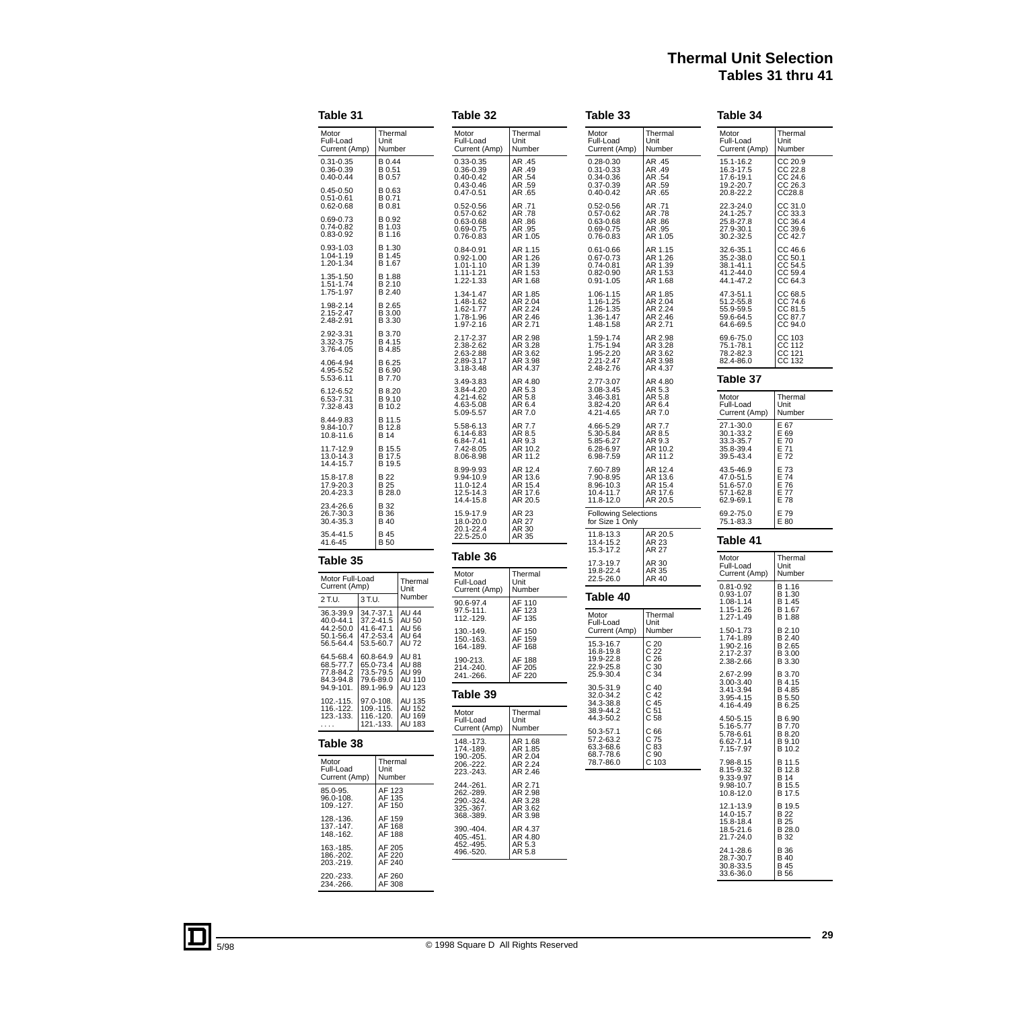# **Thermal Unit Selection Tables 31 thru 41**

| Table 31                                                                      |                                                               |                                                         | Table 32                                                                      |                                                     | Table 33                                                                          |                                                               | Table 34                                                      |                                                             |
|-------------------------------------------------------------------------------|---------------------------------------------------------------|---------------------------------------------------------|-------------------------------------------------------------------------------|-----------------------------------------------------|-----------------------------------------------------------------------------------|---------------------------------------------------------------|---------------------------------------------------------------|-------------------------------------------------------------|
| Motor<br>Full-Load<br>Current (Amp)                                           | Thermal<br>Unit<br>Number                                     |                                                         | Motor<br>Full-Load<br>Current (Amp)                                           | Thermal<br>Unit<br>Number                           | Motor<br>Full-Load<br>Current (Amp)                                               | Thermal<br>Unit<br>Number                                     | Motor<br>Full-Load<br>Current (Amp)                           | Thermal<br>Unit<br>Number                                   |
| $0.31 - 0.35$<br>0.36-0.39<br>$0.40 - 0.44$<br>$0.45 - 0.50$                  | B 0.44<br>B 0.51<br>B 0.57<br>B 0.63                          |                                                         | $0.33 - 0.35$<br>0.36-0.39<br>$0.40 - 0.42$<br>$0.43 - 0.46$<br>$0.47 - 0.51$ | AR .45<br>AR .49<br>AR .54<br>AR .59<br>AR .65      | $0.28 - 0.30$<br>$0.31 - 0.33$<br>$0.34 - 0.36$<br>$0.37 - 0.39$<br>$0.40 - 0.42$ | AR .45<br>AR .49<br>AR .54<br>AR .59<br>AR .65                | 15.1-16.2<br>16.3-17.5<br>17.6-19.1<br>19.2-20.7<br>20.8-22.2 | CC 20.9<br>CC 22.8<br>CC 24.6<br>CC 26.3<br>CC28.8          |
| $0.51 - 0.61$<br>$0.62 - 0.68$<br>$0.69 - 0.73$<br>$0.74 - 0.82$<br>0.83-0.92 | B 0.71<br>B 0.81<br>B 0.92<br>B 1.03<br>B 1.16                |                                                         | $0.52 - 0.56$<br>$0.57 - 0.62$<br>$0.63 - 0.68$<br>0.69-0.75<br>$0.76 - 0.83$ | AR .71<br>AR .78<br>AR .86<br>AR .95<br>AR 1.05     | $0.52 - 0.56$<br>$0.57 - 0.62$<br>$0.63 - 0.68$<br>$0.69 - 0.75$<br>$0.76 - 0.83$ | AR .71<br>AR .78<br>AR .86<br>AR .95<br>AR 1.05               | 22.3-24.0<br>24.1-25.7<br>25.8-27.8<br>27.9-30.1<br>30.2-32.5 | CC 31.0<br>CC 33.3<br>CC 36.4<br>CC 39.6<br>CC 42.7         |
| $0.93 - 1.03$<br>1.04-1.19<br>1.20-1.34<br>1.35-1.50<br>1.51-1.74             | B 1.30<br>B 1.45<br>B 1.67<br>B 1.88<br>B 2.10                |                                                         | $0.84 - 0.91$<br>$0.92 - 1.00$<br>1.01-1.10<br>1.11-1.21<br>1.22-1.33         | AR 1.15<br>AR 1.26<br>AR 1.39<br>AR 1.53<br>AR 1.68 | $0.61 - 0.66$<br>0.67-0.73<br>$0.74 - 0.81$<br>$0.82 - 0.90$<br>$0.91 - 1.05$     | AR 1.15<br>AR 1.26<br>AR 1.39<br>AR 1.53<br>AR 1.68           | 32.6-35.1<br>35.2-38.0<br>38.1-41.1<br>41.2-44.0<br>44.1-47.2 | CC 46.6<br>CC 50.1<br>CC 54.5<br>CC 54.5<br>CC 64.3         |
| 1.75-1.97<br>1.98-2.14<br>2.15-2.47<br>2.48-2.91                              | B 2.40<br>B 2.65<br>B 3.00<br>B 3.30                          |                                                         | 1.34-1.47<br>1.48-1.62<br>1.62-1.77<br>1.78-1.96<br>1.97-2.16                 | AR 1.85<br>AR 2.04<br>AR 2.24<br>AR 2.46<br>AR 2.71 | 1.06-1.15<br>1.16-1.25<br>1.26-1.35<br>1.36-1.47<br>1.48-1.58                     | AR 1.85<br>AR 2.04<br>AR 2.24<br>AR 2.46<br>AR 2.71           | 47.3-51.1<br>51.2-55.8<br>55.9-59.5<br>59.6-64.5<br>64.6-69.5 | CC 68.5<br>CC 74.6<br>CC 81.5<br>CC 87.7<br>CC 94.0         |
| 2.92-3.31<br>3.32-3.75<br>3.76-4.05<br>4.06-4.94<br>4.95-5.52                 | B 3.70<br>B 4.15<br>B 4.85<br>B 6.25<br>B 6.90                |                                                         | 2.17-2.37<br>2.38-2.62<br>2.63-2.88<br>2.89-3.17<br>3.18-3.48                 | AR 2.98<br>AR 3.28<br>AR 3.62<br>AR 3.98<br>AR 4.37 | 1.59-1.74<br>1.75-1.94<br>1.95-2.20<br>2.21-2.47<br>2.48-2.76                     | AR 2.98<br>AR 3.28<br>AR 3.62<br>AR 3.98<br>AR 4.37           | 69.6-75.0<br>75.1-78.1<br>78.2-82.3<br>82.4-86.0              | CC 103<br>CC 112<br>CC 121<br>CC 132                        |
| 5.53-6.11<br>6.12-6.52<br>6.53-7.31<br>7.32-8.43                              | B 7.70<br>B 8.20<br><b>B</b> 9.10<br>B 10.2                   |                                                         | 3.49-3.83<br>3.84-4.20<br>4.21-4.62<br>4.63-5.08<br>5.09-5.57                 | AR 4.80<br>AR 5.3<br>AR 5.8<br>AR 6.4<br>AR 7.0     | 2.77-3.07<br>3.08-3.45<br>3.46-3.81<br>3.82-4.20<br>4.21-4.65                     | AR 4.80<br>AR 5.3<br>AR 5.8<br>AR 6.4<br>AR 7.0               | Table 37<br>Motor<br>Full-Load<br>Current (Amp)               | Thermal<br>Unit<br>Number                                   |
| 8.44-9.83<br>9.84-10.7<br>10.8-11.6<br>11.7-12.9<br>13.0-14.3                 | B 11.5<br>B 12.8<br><b>B</b> 14<br>B 15.5<br>B 17.5           |                                                         | 5.58-6.13<br>6.14-6.83<br>6.84-7.41<br>7.42-8.05<br>8.06-8.98                 | AR 7.7<br>AR 8.5<br>AR 9.3<br>AR 10.2<br>AR 11.2    | 4.66-5.29<br>5.30-5.84<br>5.85-6.27<br>6.28-6.97<br>6.98-7.59                     | AR 7.7<br>AR 8.5<br>AR 9.3<br>AR 10.2<br>AR 11.2              | 27.1-30.0<br>30.1-33.2<br>33.3-35.7<br>35.8-39.4<br>39.5-43.4 | E 67<br>E 69<br>E 70<br>E 71<br>E 72                        |
| 14.4-15.7<br>15.8-17.8<br>17.9-20.3<br>20.4-23.3                              | B 19.5<br><b>B22</b><br>B 25<br>B 28.0                        |                                                         | 8.99-9.93<br>9.94-10.9<br>11.0-12.4<br>12.5-14.3<br>14.4-15.8                 | AR 12.4<br>AR 13.6<br>AR 15.4<br>AR 17.6<br>AR 20.5 | 7.60-7.89<br>7.90-8.95<br>8.96-10.3<br>10.4-11.7<br>11.8-12.0                     | AR 12.4<br>AR 13.6<br>AR 15.4<br>AR 17.6<br>AR 20.5           | 43.5-46.9<br>47.0-51.5<br>51.6-57.0<br>57.1-62.8<br>62.9-69.1 | E 73<br>E 74<br>E 76<br>E 77<br>E 78                        |
| 23.4-26.6<br>26.7-30.3<br>30.4-35.3                                           | B 32<br><b>B</b> 36<br><b>B</b> 40                            |                                                         | 15.9-17.9<br>18.0-20.0                                                        | AR 23<br><b>AR 27</b>                               | <b>Following Selections</b><br>for Size 1 Only                                    |                                                               | 69.2-75.0<br>75.1-83.3                                        | E 79<br>E 80                                                |
| 35.4-41.5<br>41.6-45                                                          | B 45<br><b>B</b> 50                                           |                                                         | 20.1-22.4<br>22.5-25.0                                                        | AR 30<br>AR 35                                      | 11.8-13.3<br>13.4-15.2<br>15.3-17.2                                               | AR 20.5<br>AR 23<br>AR 27                                     | Table 41                                                      |                                                             |
| Table 35                                                                      |                                                               |                                                         | Table 36<br>Motor                                                             | Thermal                                             | 17.3-19.7<br>19.8-22.4                                                            | AR 30<br>AR 35                                                | Motor<br>Full-Load<br>Current (Amp)                           | Thermal<br>Unit<br>Number                                   |
| Motor Full-Load<br>Current (Amp)<br>2 T.U.                                    | 3 T.U.                                                        | Thermal<br>Unit<br>Number                               | Full-Load<br>Current (Amp)<br>90.6-97.4                                       | Unit<br>Number<br>AF 110                            | 22.5-26.0<br>Table 40                                                             | AR 40                                                         | $0.81 - 0.92$<br>$0.93 - 1.07$<br>1.08-1.14                   | B 1.16<br>B 1.30<br>B 1.45                                  |
| 36.3-39.9<br>40.0-44.1<br>44.2-50.0<br>50.1-56.4<br>56.5-64.4                 | 34.7-37.1<br>37.2-41.5<br>41.6-47.1<br>47.2-53.4<br>53.5-60.7 | AU 44<br>AU 50<br><b>AU 56</b><br>AU 64<br><b>AU 72</b> | 97.5-111.<br>112.-129.<br>130.-149.<br>150.-163.                              | AF 123<br>AF 135<br>AF 150<br>AF 159                | Motor<br>Full-Load<br>Current (Amp)<br>15.3-16.7                                  | Thermal<br>Unit<br>Number<br>C <sub>20</sub>                  | 1.15-1.26<br>1.27-1.49<br>1.50-1.73<br>1.74-1.89              | B 1.67<br>B 1.88<br>B 2.10<br>B 2.40                        |
| 64.5-68.4<br>68.5-77.7<br>77.8-84.2<br>84.3-94.8                              | 60.8-64.9<br>65.0-73.4<br>73.5-79.5<br>79.6-89.0              | AU 81<br><b>AU 88</b><br>AU 99<br>AU 110                | 164.-189.<br>190-213.<br>214.-240.<br>241.-266.                               | AF 168<br>AF 188<br>AF 205<br>AF 220                | 16.8-19.8<br>19.9-22.8<br>22.9-25.8<br>25.9-30.4                                  | C <sub>22</sub><br>C <sub>26</sub><br>C <sub>30</sub><br>C 34 | 1.90-2.16<br>2.17-2.37<br>2.38-2.66<br>2.67-2.99<br>3.00-3.40 | B 2.65<br>B 3.00<br>B 3.30<br>B 3.70<br>B 4.15              |
| 94.9-101.<br>102.-115.                                                        | 89.1-96.9<br>97.0-108.                                        | AU 123<br>AU 135<br>AU 152                              | Table 39                                                                      |                                                     | 30.5-31.9<br>32.0-34.2<br>34.3-38.8                                               | C <sub>40</sub><br>C <sub>42</sub><br>C 45                    | 3.41-3.94<br>3.95-4.15<br>4.16-4.49                           | B 4.85<br>B 5.50<br>B 6.25                                  |
| 116.-122.<br>123.-133.<br>$\dots$ .                                           | 109.-115.<br>116.-120.<br>121.-133.                           | AU 169<br>AU 183                                        | Motor<br>Full-Load<br>Current (Amp)                                           | Thermal<br>Unit<br>Number                           | 38.9-44.2<br>44.3-50.2<br>50.3-57.1                                               | C <sub>51</sub><br>C <sub>58</sub><br>C 66                    | 4.50-5.15<br>5.16-5.77<br>5.78-6.61                           | B 6.90<br>B 7.70<br>B 8.20                                  |
| Table 38<br>Motor<br>Full-Load                                                | Thermal<br>Unit                                               |                                                         | 148.-173.<br>174.-189.<br>190.-205.<br>206.-222.                              | AR 1.68<br>AR 1.85<br>AR 2.04<br>AR 2.24            | 57.2-63.2<br>63.3-68.6<br>68.7-78.6<br>78.7-86.0                                  | C 75<br>C 83<br>C 90<br>C 103                                 | 6.62-7.14<br>7.15-7.97<br>7.98-8.15                           | B 9.10<br>B 10.2<br>B 11.5                                  |
| Current (Amp)<br>85.0-95.<br>96.0-108.                                        | Number<br>AF 123<br>AF 135                                    |                                                         | 223.-243.<br>244.-261.<br>262.-289.<br>290.-324.                              | AR 2.46<br>AR 2.71<br>AR 2.98<br>AR 3.28            |                                                                                   |                                                               | 8.15-9.32<br>9.33-9.97<br>9.98-10.7<br>10.8-12.0              | B 12.8<br><b>B</b> 14<br>B 15.5<br>B 17.5                   |
| 109.-127.<br>128.-136.<br>137.-147.<br>148.-162.                              | AF 150<br>AF 159<br>AF 168<br>AF 188                          |                                                         | 325.-367.<br>368.-389.<br>390.-404.<br>405.-451.                              | AR 3.62<br>AR 3.98<br>AR 4.37<br>AR 4.80            |                                                                                   |                                                               | 12.1-13.9<br>14.0-15.7<br>15.8-18.4<br>18.5-21.6<br>21.7-24.0 | B 19.5<br><b>B22</b><br><b>B</b> 25<br>B 28.0<br><b>B32</b> |
| 163.-185.<br>186.-202.<br>203.-219.                                           | AF 205<br>AF 220<br>AF 240<br>AF 260                          |                                                         | 452.-495.<br>496.-520.                                                        | AR 5.3<br>AR 5.8                                    |                                                                                   |                                                               | 24.1-28.6<br>28.7-30.7<br>30.8-33.5<br>33.6-36.0              | <b>B</b> 36<br><b>B</b> 40<br><b>B</b> 45<br><b>B</b> 56    |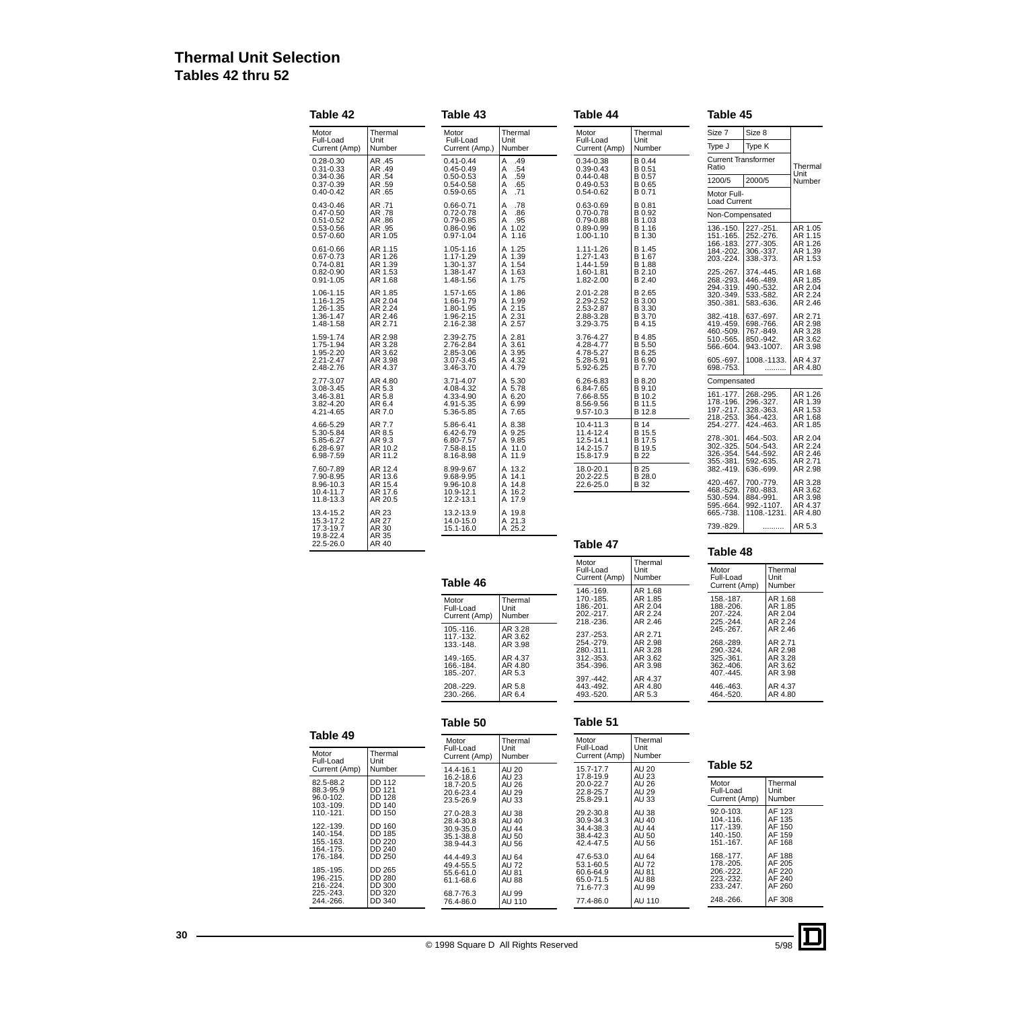# **Thermal Unit Selection Tables 42 thru 52**

| Size 8<br>Thermal<br>Thermal<br>Size 7<br>Motor<br>Motor<br>Thermal<br>Motor<br>Full-Load<br>Full-Load<br>Unit<br>Unit<br>Full-Load<br>Unit<br>Type J<br>Type K<br>Number<br>Current (Amp)<br>Number<br>Current (Amp.)<br>Current (Amp)<br>Number<br><b>Current Transformer</b><br>B 0.44<br>AR .45<br>A<br>.49<br>$0.28 - 0.30$<br>$0.41 - 0.44$<br>$0.34 - 0.38$<br>Ratio<br>.54<br>$0.31 - 0.33$<br>AR .49<br>$0.45 - 0.49$<br>$0.39 - 0.43$<br>B 0.51<br>A<br>AR .54<br>.59<br>B 0.57<br>0.34-0.36<br>$0.50 - 0.53$<br>Α<br>$0.44 - 0.48$<br>1200/5<br>2000/5<br>.65<br>0.37-0.39<br>AR .59<br>$0.54 - 0.58$<br>A<br>$0.49 - 0.53$<br>B 0.65<br>A<br>.71<br>$0.40 - 0.42$<br>AR .65<br>0.59-0.65<br>$0.54 - 0.62$<br>B 0.71<br>Motor Full-<br><b>Load Current</b><br>AR .71<br>A<br>.78<br>B 0.81<br>$0.43 - 0.46$<br>0.66-0.71<br>$0.63 - 0.69$<br>AR .78<br>$0.72 - 0.78$<br>Α<br>.86<br>B 0.92<br>$0.47 - 0.50$<br>$0.70 - 0.78$<br>Non-Compensated<br>A<br>.95<br>B 1.03<br>$0.51 - 0.52$<br>AR .86<br>0.79-0.85<br>$0.79 - 0.88$<br>AR .95<br>227.-251.<br>$0.53 - 0.56$<br>0.86-0.96<br>A 1.02<br>0.89-0.99<br>B 1.16<br>136.-150.<br>AR 1.05<br>A 1.16<br>B 1.30<br>252.-276.<br>$0.57 - 0.60$<br>0.97-1.04<br>1.00-1.10<br>151.-165.<br>277.-305.<br>166.-183.<br>A 1.25<br>B 1.45<br>AR 1.15<br>1.05-1.16<br>1.11-1.26<br>$0.61 - 0.66$<br>184.-202.<br>306.-337.<br>B 1.67<br>1.17-1.29<br>A 1.39<br>AR 1.26<br>$1.27 - 1.43$<br>0.67-0.73<br>203.-224.<br>338.-373.<br>A 1.54<br>B 1.88<br>$0.74 - 0.81$<br>AR 1.39<br>1.30-1.37<br>1.44-1.59<br>A 1.63<br>B 2.10<br>225.-267.<br>374.-445.<br>AR 1.53<br>1.38-1.47<br>1.60-1.81<br>$0.82 - 0.90$<br>268.-293.<br>A 1.75<br>B 2.40<br>AR 1.68<br>1.48-1.56<br>1.82-2.00<br>446.-489.<br>$0.91 - 1.05$<br>294.-319.<br>490.-532.<br>AR 1.85<br>A 1.86<br>B 2.65<br>1.06-1.15<br>1.57-1.65<br>2.01-2.28<br>320.-349.<br>533.-582.<br>AR 2.04<br>A 1.99<br>B 3.00<br>1.16-1.25<br>1.66-1.79<br>2.29-2.52<br>350.-381.<br>583.-636.<br>AR 2.24<br>A 2.15<br>1.26-1.35<br>1.80-1.95<br>2.53-2.87<br>B 3.30<br>AR 2.46<br>A 2.31<br>B 3.70<br>1.36-1.47<br>1.96-2.15<br>2.88-3.28<br>382.-418.<br>637.-697.<br>AR 2.71<br>A 2.57<br>3.29-3.75<br>B 4.15<br>419.-459.<br>698, -766.<br>1.48-1.58<br>2.16-2.38<br>460.-509.<br>767.-849.<br>AR 2.98<br>A 2.81<br>B 4.85<br>1.59-1.74<br>2.39-2.75<br>3.76-4.27<br>510.-565.<br>850.-942.<br>1.75-1.94<br>AR 3.28<br>2.76-2.84<br>A 3.61<br>4.28-4.77<br>B 5.50<br>566.-604.<br>943.-1007.<br>AR 3.62<br>2.85-3.06<br>A 3.95<br>4.78-5.27<br>B 6.25<br>1.95-2.20<br>2.21-2.47<br>AR 3.98<br>A 4.32<br>1008.-1133<br>3.07-3.45<br>5.28-5.91<br>B 6.90<br>605.-697.<br>2.48-2.76<br>AR 4.37<br>3.46-3.70<br>A 4.79<br>5.92-6.25<br>B 7.70<br>698.-753.<br>AR 4.80<br>A 5.30<br>B 8.20<br>2.77-3.07<br>3.71-4.07<br>6.26-6.83<br>Compensated<br>A 5.78<br>AR 5.3<br>4.08-4.32<br>6.84-7.65<br>B 9.10<br>3.08-3.45<br>161.-177.<br>268.-295.<br>AR 5.8<br>A 6.20<br>B 10.2<br>3.46-3.81<br>4.33-4.90<br>7.66-8.55<br>178.-196.<br>296.-327.<br>AR 6.4<br>A 6.99<br>B 11.5<br>3.82-4.20<br>4.91-5.35<br>8.56-9.56<br>197.-217.<br>328, - 363.<br>AR 7.0<br>5.36-5.85<br>A 7.65<br>9.57-10.3<br>B 12.8<br>4.21-4.65<br>218.-253.<br>364.-423.<br><b>B</b> 14<br>AR 7.7<br>A 8.38<br>4.66-5.29<br>5.86-6.41<br>424.-463.<br>10.4-11.3<br>254.-277.<br>A 9.25<br>AR 8.5<br>11.4-12.4<br>B 15.5<br>5.30-5.84<br>6.42-6.79<br>278.-301.<br>464.-503.<br>A 9.85<br>AR 9.3<br>6.80-7.57<br>12.5-14.1<br>B 17.5<br>5.85-6.27<br>302.-325.<br>504.-543.<br>AR 10.2<br>A 11.0<br>7.58-8.15<br>14.2-15.7<br>B 19.5<br>6.28-6.97<br>326.-354.<br>544.-592.<br>6.98-7.59<br>AR 11.2<br>8.16-8.98<br>A 11.9<br>15.8-17.9<br>B 22<br>355.-381.<br>592.-635.<br><b>B25</b><br>AR 12.4<br>A 13.2<br>382.-419.<br>7.60-7.89<br>8.99-9.67<br>18.0-20.1<br>636.-699.<br>A 14.1<br>B 28.0<br>7.90-8.95<br>AR 13.6<br>9.68-9.95<br>20.2-22.5<br>420.-467.<br>700.-779.<br>AR 15.4<br>A 14.8<br>22.6-25.0<br>B 32<br>8.96-10.3<br>9.96-10.8<br>468.-529.<br>780.-883.<br>AR 17.6<br>A 16.2<br>10.4-11.7<br>10.9-12.1<br>530.-594.<br>884.-991.<br>AR 20.5<br>11.8-13.3<br>12.2-13.1<br>A 17.9<br>595.-664.<br>992.-1107.<br>AR 23<br>13.2-13.9<br>A 19.8<br>665.-738.<br>13.4-15.2<br>1108.-1231<br>AR 27<br>A 21.3<br>14.0-15.0<br>15.3-17.2<br>739.-829.<br>A 25.2<br>17.3-19.7<br>AR 30<br>15.1-16.0<br>.<br>19.8-22.4<br>AR 35<br>22.5-26.0<br>AR 40<br>Table 47<br>Table 48 | Table 42 | Table 43 | Table 44 | Table 45 |   |
|------------------------------------------------------------------------------------------------------------------------------------------------------------------------------------------------------------------------------------------------------------------------------------------------------------------------------------------------------------------------------------------------------------------------------------------------------------------------------------------------------------------------------------------------------------------------------------------------------------------------------------------------------------------------------------------------------------------------------------------------------------------------------------------------------------------------------------------------------------------------------------------------------------------------------------------------------------------------------------------------------------------------------------------------------------------------------------------------------------------------------------------------------------------------------------------------------------------------------------------------------------------------------------------------------------------------------------------------------------------------------------------------------------------------------------------------------------------------------------------------------------------------------------------------------------------------------------------------------------------------------------------------------------------------------------------------------------------------------------------------------------------------------------------------------------------------------------------------------------------------------------------------------------------------------------------------------------------------------------------------------------------------------------------------------------------------------------------------------------------------------------------------------------------------------------------------------------------------------------------------------------------------------------------------------------------------------------------------------------------------------------------------------------------------------------------------------------------------------------------------------------------------------------------------------------------------------------------------------------------------------------------------------------------------------------------------------------------------------------------------------------------------------------------------------------------------------------------------------------------------------------------------------------------------------------------------------------------------------------------------------------------------------------------------------------------------------------------------------------------------------------------------------------------------------------------------------------------------------------------------------------------------------------------------------------------------------------------------------------------------------------------------------------------------------------------------------------------------------------------------------------------------------------------------------------------------------------------------------------------------------------------------------------------------------------------------------------------------------------------------------------------------------------------------------------------------------------------------------------------------------------------------------------------------------------------------------------------------------------------------------------------------------------------------------------------------------------------------------------------------------------------------------------------------------------------------------------------------------------------------------------------------------------------------------------------------------------------------------------------------------------------------------------------------------------------------------------|----------|----------|----------|----------|---|
|                                                                                                                                                                                                                                                                                                                                                                                                                                                                                                                                                                                                                                                                                                                                                                                                                                                                                                                                                                                                                                                                                                                                                                                                                                                                                                                                                                                                                                                                                                                                                                                                                                                                                                                                                                                                                                                                                                                                                                                                                                                                                                                                                                                                                                                                                                                                                                                                                                                                                                                                                                                                                                                                                                                                                                                                                                                                                                                                                                                                                                                                                                                                                                                                                                                                                                                                                                                                                                                                                                                                                                                                                                                                                                                                                                                                                                                                                                                                                                                                                                                                                                                                                                                                                                                                                                                                                                                                                                                            |          |          |          |          |   |
|                                                                                                                                                                                                                                                                                                                                                                                                                                                                                                                                                                                                                                                                                                                                                                                                                                                                                                                                                                                                                                                                                                                                                                                                                                                                                                                                                                                                                                                                                                                                                                                                                                                                                                                                                                                                                                                                                                                                                                                                                                                                                                                                                                                                                                                                                                                                                                                                                                                                                                                                                                                                                                                                                                                                                                                                                                                                                                                                                                                                                                                                                                                                                                                                                                                                                                                                                                                                                                                                                                                                                                                                                                                                                                                                                                                                                                                                                                                                                                                                                                                                                                                                                                                                                                                                                                                                                                                                                                                            |          |          |          |          |   |
|                                                                                                                                                                                                                                                                                                                                                                                                                                                                                                                                                                                                                                                                                                                                                                                                                                                                                                                                                                                                                                                                                                                                                                                                                                                                                                                                                                                                                                                                                                                                                                                                                                                                                                                                                                                                                                                                                                                                                                                                                                                                                                                                                                                                                                                                                                                                                                                                                                                                                                                                                                                                                                                                                                                                                                                                                                                                                                                                                                                                                                                                                                                                                                                                                                                                                                                                                                                                                                                                                                                                                                                                                                                                                                                                                                                                                                                                                                                                                                                                                                                                                                                                                                                                                                                                                                                                                                                                                                                            |          |          |          |          |   |
|                                                                                                                                                                                                                                                                                                                                                                                                                                                                                                                                                                                                                                                                                                                                                                                                                                                                                                                                                                                                                                                                                                                                                                                                                                                                                                                                                                                                                                                                                                                                                                                                                                                                                                                                                                                                                                                                                                                                                                                                                                                                                                                                                                                                                                                                                                                                                                                                                                                                                                                                                                                                                                                                                                                                                                                                                                                                                                                                                                                                                                                                                                                                                                                                                                                                                                                                                                                                                                                                                                                                                                                                                                                                                                                                                                                                                                                                                                                                                                                                                                                                                                                                                                                                                                                                                                                                                                                                                                                            |          |          |          |          |   |
|                                                                                                                                                                                                                                                                                                                                                                                                                                                                                                                                                                                                                                                                                                                                                                                                                                                                                                                                                                                                                                                                                                                                                                                                                                                                                                                                                                                                                                                                                                                                                                                                                                                                                                                                                                                                                                                                                                                                                                                                                                                                                                                                                                                                                                                                                                                                                                                                                                                                                                                                                                                                                                                                                                                                                                                                                                                                                                                                                                                                                                                                                                                                                                                                                                                                                                                                                                                                                                                                                                                                                                                                                                                                                                                                                                                                                                                                                                                                                                                                                                                                                                                                                                                                                                                                                                                                                                                                                                                            |          |          |          |          |   |
|                                                                                                                                                                                                                                                                                                                                                                                                                                                                                                                                                                                                                                                                                                                                                                                                                                                                                                                                                                                                                                                                                                                                                                                                                                                                                                                                                                                                                                                                                                                                                                                                                                                                                                                                                                                                                                                                                                                                                                                                                                                                                                                                                                                                                                                                                                                                                                                                                                                                                                                                                                                                                                                                                                                                                                                                                                                                                                                                                                                                                                                                                                                                                                                                                                                                                                                                                                                                                                                                                                                                                                                                                                                                                                                                                                                                                                                                                                                                                                                                                                                                                                                                                                                                                                                                                                                                                                                                                                                            |          |          |          |          |   |
|                                                                                                                                                                                                                                                                                                                                                                                                                                                                                                                                                                                                                                                                                                                                                                                                                                                                                                                                                                                                                                                                                                                                                                                                                                                                                                                                                                                                                                                                                                                                                                                                                                                                                                                                                                                                                                                                                                                                                                                                                                                                                                                                                                                                                                                                                                                                                                                                                                                                                                                                                                                                                                                                                                                                                                                                                                                                                                                                                                                                                                                                                                                                                                                                                                                                                                                                                                                                                                                                                                                                                                                                                                                                                                                                                                                                                                                                                                                                                                                                                                                                                                                                                                                                                                                                                                                                                                                                                                                            |          |          |          |          |   |
|                                                                                                                                                                                                                                                                                                                                                                                                                                                                                                                                                                                                                                                                                                                                                                                                                                                                                                                                                                                                                                                                                                                                                                                                                                                                                                                                                                                                                                                                                                                                                                                                                                                                                                                                                                                                                                                                                                                                                                                                                                                                                                                                                                                                                                                                                                                                                                                                                                                                                                                                                                                                                                                                                                                                                                                                                                                                                                                                                                                                                                                                                                                                                                                                                                                                                                                                                                                                                                                                                                                                                                                                                                                                                                                                                                                                                                                                                                                                                                                                                                                                                                                                                                                                                                                                                                                                                                                                                                                            |          |          |          |          |   |
|                                                                                                                                                                                                                                                                                                                                                                                                                                                                                                                                                                                                                                                                                                                                                                                                                                                                                                                                                                                                                                                                                                                                                                                                                                                                                                                                                                                                                                                                                                                                                                                                                                                                                                                                                                                                                                                                                                                                                                                                                                                                                                                                                                                                                                                                                                                                                                                                                                                                                                                                                                                                                                                                                                                                                                                                                                                                                                                                                                                                                                                                                                                                                                                                                                                                                                                                                                                                                                                                                                                                                                                                                                                                                                                                                                                                                                                                                                                                                                                                                                                                                                                                                                                                                                                                                                                                                                                                                                                            |          |          |          |          |   |
|                                                                                                                                                                                                                                                                                                                                                                                                                                                                                                                                                                                                                                                                                                                                                                                                                                                                                                                                                                                                                                                                                                                                                                                                                                                                                                                                                                                                                                                                                                                                                                                                                                                                                                                                                                                                                                                                                                                                                                                                                                                                                                                                                                                                                                                                                                                                                                                                                                                                                                                                                                                                                                                                                                                                                                                                                                                                                                                                                                                                                                                                                                                                                                                                                                                                                                                                                                                                                                                                                                                                                                                                                                                                                                                                                                                                                                                                                                                                                                                                                                                                                                                                                                                                                                                                                                                                                                                                                                                            |          |          |          |          |   |
|                                                                                                                                                                                                                                                                                                                                                                                                                                                                                                                                                                                                                                                                                                                                                                                                                                                                                                                                                                                                                                                                                                                                                                                                                                                                                                                                                                                                                                                                                                                                                                                                                                                                                                                                                                                                                                                                                                                                                                                                                                                                                                                                                                                                                                                                                                                                                                                                                                                                                                                                                                                                                                                                                                                                                                                                                                                                                                                                                                                                                                                                                                                                                                                                                                                                                                                                                                                                                                                                                                                                                                                                                                                                                                                                                                                                                                                                                                                                                                                                                                                                                                                                                                                                                                                                                                                                                                                                                                                            |          |          |          |          |   |
|                                                                                                                                                                                                                                                                                                                                                                                                                                                                                                                                                                                                                                                                                                                                                                                                                                                                                                                                                                                                                                                                                                                                                                                                                                                                                                                                                                                                                                                                                                                                                                                                                                                                                                                                                                                                                                                                                                                                                                                                                                                                                                                                                                                                                                                                                                                                                                                                                                                                                                                                                                                                                                                                                                                                                                                                                                                                                                                                                                                                                                                                                                                                                                                                                                                                                                                                                                                                                                                                                                                                                                                                                                                                                                                                                                                                                                                                                                                                                                                                                                                                                                                                                                                                                                                                                                                                                                                                                                                            |          |          |          |          |   |
|                                                                                                                                                                                                                                                                                                                                                                                                                                                                                                                                                                                                                                                                                                                                                                                                                                                                                                                                                                                                                                                                                                                                                                                                                                                                                                                                                                                                                                                                                                                                                                                                                                                                                                                                                                                                                                                                                                                                                                                                                                                                                                                                                                                                                                                                                                                                                                                                                                                                                                                                                                                                                                                                                                                                                                                                                                                                                                                                                                                                                                                                                                                                                                                                                                                                                                                                                                                                                                                                                                                                                                                                                                                                                                                                                                                                                                                                                                                                                                                                                                                                                                                                                                                                                                                                                                                                                                                                                                                            |          |          |          |          |   |
|                                                                                                                                                                                                                                                                                                                                                                                                                                                                                                                                                                                                                                                                                                                                                                                                                                                                                                                                                                                                                                                                                                                                                                                                                                                                                                                                                                                                                                                                                                                                                                                                                                                                                                                                                                                                                                                                                                                                                                                                                                                                                                                                                                                                                                                                                                                                                                                                                                                                                                                                                                                                                                                                                                                                                                                                                                                                                                                                                                                                                                                                                                                                                                                                                                                                                                                                                                                                                                                                                                                                                                                                                                                                                                                                                                                                                                                                                                                                                                                                                                                                                                                                                                                                                                                                                                                                                                                                                                                            |          |          |          |          |   |
|                                                                                                                                                                                                                                                                                                                                                                                                                                                                                                                                                                                                                                                                                                                                                                                                                                                                                                                                                                                                                                                                                                                                                                                                                                                                                                                                                                                                                                                                                                                                                                                                                                                                                                                                                                                                                                                                                                                                                                                                                                                                                                                                                                                                                                                                                                                                                                                                                                                                                                                                                                                                                                                                                                                                                                                                                                                                                                                                                                                                                                                                                                                                                                                                                                                                                                                                                                                                                                                                                                                                                                                                                                                                                                                                                                                                                                                                                                                                                                                                                                                                                                                                                                                                                                                                                                                                                                                                                                                            |          |          |          |          |   |
|                                                                                                                                                                                                                                                                                                                                                                                                                                                                                                                                                                                                                                                                                                                                                                                                                                                                                                                                                                                                                                                                                                                                                                                                                                                                                                                                                                                                                                                                                                                                                                                                                                                                                                                                                                                                                                                                                                                                                                                                                                                                                                                                                                                                                                                                                                                                                                                                                                                                                                                                                                                                                                                                                                                                                                                                                                                                                                                                                                                                                                                                                                                                                                                                                                                                                                                                                                                                                                                                                                                                                                                                                                                                                                                                                                                                                                                                                                                                                                                                                                                                                                                                                                                                                                                                                                                                                                                                                                                            |          |          |          |          |   |
|                                                                                                                                                                                                                                                                                                                                                                                                                                                                                                                                                                                                                                                                                                                                                                                                                                                                                                                                                                                                                                                                                                                                                                                                                                                                                                                                                                                                                                                                                                                                                                                                                                                                                                                                                                                                                                                                                                                                                                                                                                                                                                                                                                                                                                                                                                                                                                                                                                                                                                                                                                                                                                                                                                                                                                                                                                                                                                                                                                                                                                                                                                                                                                                                                                                                                                                                                                                                                                                                                                                                                                                                                                                                                                                                                                                                                                                                                                                                                                                                                                                                                                                                                                                                                                                                                                                                                                                                                                                            |          |          |          |          |   |
|                                                                                                                                                                                                                                                                                                                                                                                                                                                                                                                                                                                                                                                                                                                                                                                                                                                                                                                                                                                                                                                                                                                                                                                                                                                                                                                                                                                                                                                                                                                                                                                                                                                                                                                                                                                                                                                                                                                                                                                                                                                                                                                                                                                                                                                                                                                                                                                                                                                                                                                                                                                                                                                                                                                                                                                                                                                                                                                                                                                                                                                                                                                                                                                                                                                                                                                                                                                                                                                                                                                                                                                                                                                                                                                                                                                                                                                                                                                                                                                                                                                                                                                                                                                                                                                                                                                                                                                                                                                            |          |          |          |          |   |
|                                                                                                                                                                                                                                                                                                                                                                                                                                                                                                                                                                                                                                                                                                                                                                                                                                                                                                                                                                                                                                                                                                                                                                                                                                                                                                                                                                                                                                                                                                                                                                                                                                                                                                                                                                                                                                                                                                                                                                                                                                                                                                                                                                                                                                                                                                                                                                                                                                                                                                                                                                                                                                                                                                                                                                                                                                                                                                                                                                                                                                                                                                                                                                                                                                                                                                                                                                                                                                                                                                                                                                                                                                                                                                                                                                                                                                                                                                                                                                                                                                                                                                                                                                                                                                                                                                                                                                                                                                                            |          |          |          |          |   |
|                                                                                                                                                                                                                                                                                                                                                                                                                                                                                                                                                                                                                                                                                                                                                                                                                                                                                                                                                                                                                                                                                                                                                                                                                                                                                                                                                                                                                                                                                                                                                                                                                                                                                                                                                                                                                                                                                                                                                                                                                                                                                                                                                                                                                                                                                                                                                                                                                                                                                                                                                                                                                                                                                                                                                                                                                                                                                                                                                                                                                                                                                                                                                                                                                                                                                                                                                                                                                                                                                                                                                                                                                                                                                                                                                                                                                                                                                                                                                                                                                                                                                                                                                                                                                                                                                                                                                                                                                                                            |          |          |          |          | . |
|                                                                                                                                                                                                                                                                                                                                                                                                                                                                                                                                                                                                                                                                                                                                                                                                                                                                                                                                                                                                                                                                                                                                                                                                                                                                                                                                                                                                                                                                                                                                                                                                                                                                                                                                                                                                                                                                                                                                                                                                                                                                                                                                                                                                                                                                                                                                                                                                                                                                                                                                                                                                                                                                                                                                                                                                                                                                                                                                                                                                                                                                                                                                                                                                                                                                                                                                                                                                                                                                                                                                                                                                                                                                                                                                                                                                                                                                                                                                                                                                                                                                                                                                                                                                                                                                                                                                                                                                                                                            |          |          |          |          |   |
|                                                                                                                                                                                                                                                                                                                                                                                                                                                                                                                                                                                                                                                                                                                                                                                                                                                                                                                                                                                                                                                                                                                                                                                                                                                                                                                                                                                                                                                                                                                                                                                                                                                                                                                                                                                                                                                                                                                                                                                                                                                                                                                                                                                                                                                                                                                                                                                                                                                                                                                                                                                                                                                                                                                                                                                                                                                                                                                                                                                                                                                                                                                                                                                                                                                                                                                                                                                                                                                                                                                                                                                                                                                                                                                                                                                                                                                                                                                                                                                                                                                                                                                                                                                                                                                                                                                                                                                                                                                            |          |          |          |          |   |
|                                                                                                                                                                                                                                                                                                                                                                                                                                                                                                                                                                                                                                                                                                                                                                                                                                                                                                                                                                                                                                                                                                                                                                                                                                                                                                                                                                                                                                                                                                                                                                                                                                                                                                                                                                                                                                                                                                                                                                                                                                                                                                                                                                                                                                                                                                                                                                                                                                                                                                                                                                                                                                                                                                                                                                                                                                                                                                                                                                                                                                                                                                                                                                                                                                                                                                                                                                                                                                                                                                                                                                                                                                                                                                                                                                                                                                                                                                                                                                                                                                                                                                                                                                                                                                                                                                                                                                                                                                                            |          |          |          |          |   |
|                                                                                                                                                                                                                                                                                                                                                                                                                                                                                                                                                                                                                                                                                                                                                                                                                                                                                                                                                                                                                                                                                                                                                                                                                                                                                                                                                                                                                                                                                                                                                                                                                                                                                                                                                                                                                                                                                                                                                                                                                                                                                                                                                                                                                                                                                                                                                                                                                                                                                                                                                                                                                                                                                                                                                                                                                                                                                                                                                                                                                                                                                                                                                                                                                                                                                                                                                                                                                                                                                                                                                                                                                                                                                                                                                                                                                                                                                                                                                                                                                                                                                                                                                                                                                                                                                                                                                                                                                                                            |          |          |          |          |   |
|                                                                                                                                                                                                                                                                                                                                                                                                                                                                                                                                                                                                                                                                                                                                                                                                                                                                                                                                                                                                                                                                                                                                                                                                                                                                                                                                                                                                                                                                                                                                                                                                                                                                                                                                                                                                                                                                                                                                                                                                                                                                                                                                                                                                                                                                                                                                                                                                                                                                                                                                                                                                                                                                                                                                                                                                                                                                                                                                                                                                                                                                                                                                                                                                                                                                                                                                                                                                                                                                                                                                                                                                                                                                                                                                                                                                                                                                                                                                                                                                                                                                                                                                                                                                                                                                                                                                                                                                                                                            |          |          |          |          |   |
|                                                                                                                                                                                                                                                                                                                                                                                                                                                                                                                                                                                                                                                                                                                                                                                                                                                                                                                                                                                                                                                                                                                                                                                                                                                                                                                                                                                                                                                                                                                                                                                                                                                                                                                                                                                                                                                                                                                                                                                                                                                                                                                                                                                                                                                                                                                                                                                                                                                                                                                                                                                                                                                                                                                                                                                                                                                                                                                                                                                                                                                                                                                                                                                                                                                                                                                                                                                                                                                                                                                                                                                                                                                                                                                                                                                                                                                                                                                                                                                                                                                                                                                                                                                                                                                                                                                                                                                                                                                            |          |          |          |          |   |
|                                                                                                                                                                                                                                                                                                                                                                                                                                                                                                                                                                                                                                                                                                                                                                                                                                                                                                                                                                                                                                                                                                                                                                                                                                                                                                                                                                                                                                                                                                                                                                                                                                                                                                                                                                                                                                                                                                                                                                                                                                                                                                                                                                                                                                                                                                                                                                                                                                                                                                                                                                                                                                                                                                                                                                                                                                                                                                                                                                                                                                                                                                                                                                                                                                                                                                                                                                                                                                                                                                                                                                                                                                                                                                                                                                                                                                                                                                                                                                                                                                                                                                                                                                                                                                                                                                                                                                                                                                                            |          |          |          |          |   |
|                                                                                                                                                                                                                                                                                                                                                                                                                                                                                                                                                                                                                                                                                                                                                                                                                                                                                                                                                                                                                                                                                                                                                                                                                                                                                                                                                                                                                                                                                                                                                                                                                                                                                                                                                                                                                                                                                                                                                                                                                                                                                                                                                                                                                                                                                                                                                                                                                                                                                                                                                                                                                                                                                                                                                                                                                                                                                                                                                                                                                                                                                                                                                                                                                                                                                                                                                                                                                                                                                                                                                                                                                                                                                                                                                                                                                                                                                                                                                                                                                                                                                                                                                                                                                                                                                                                                                                                                                                                            |          |          |          |          |   |
|                                                                                                                                                                                                                                                                                                                                                                                                                                                                                                                                                                                                                                                                                                                                                                                                                                                                                                                                                                                                                                                                                                                                                                                                                                                                                                                                                                                                                                                                                                                                                                                                                                                                                                                                                                                                                                                                                                                                                                                                                                                                                                                                                                                                                                                                                                                                                                                                                                                                                                                                                                                                                                                                                                                                                                                                                                                                                                                                                                                                                                                                                                                                                                                                                                                                                                                                                                                                                                                                                                                                                                                                                                                                                                                                                                                                                                                                                                                                                                                                                                                                                                                                                                                                                                                                                                                                                                                                                                                            |          |          |          |          |   |
|                                                                                                                                                                                                                                                                                                                                                                                                                                                                                                                                                                                                                                                                                                                                                                                                                                                                                                                                                                                                                                                                                                                                                                                                                                                                                                                                                                                                                                                                                                                                                                                                                                                                                                                                                                                                                                                                                                                                                                                                                                                                                                                                                                                                                                                                                                                                                                                                                                                                                                                                                                                                                                                                                                                                                                                                                                                                                                                                                                                                                                                                                                                                                                                                                                                                                                                                                                                                                                                                                                                                                                                                                                                                                                                                                                                                                                                                                                                                                                                                                                                                                                                                                                                                                                                                                                                                                                                                                                                            |          |          |          |          |   |
|                                                                                                                                                                                                                                                                                                                                                                                                                                                                                                                                                                                                                                                                                                                                                                                                                                                                                                                                                                                                                                                                                                                                                                                                                                                                                                                                                                                                                                                                                                                                                                                                                                                                                                                                                                                                                                                                                                                                                                                                                                                                                                                                                                                                                                                                                                                                                                                                                                                                                                                                                                                                                                                                                                                                                                                                                                                                                                                                                                                                                                                                                                                                                                                                                                                                                                                                                                                                                                                                                                                                                                                                                                                                                                                                                                                                                                                                                                                                                                                                                                                                                                                                                                                                                                                                                                                                                                                                                                                            |          |          |          |          |   |
|                                                                                                                                                                                                                                                                                                                                                                                                                                                                                                                                                                                                                                                                                                                                                                                                                                                                                                                                                                                                                                                                                                                                                                                                                                                                                                                                                                                                                                                                                                                                                                                                                                                                                                                                                                                                                                                                                                                                                                                                                                                                                                                                                                                                                                                                                                                                                                                                                                                                                                                                                                                                                                                                                                                                                                                                                                                                                                                                                                                                                                                                                                                                                                                                                                                                                                                                                                                                                                                                                                                                                                                                                                                                                                                                                                                                                                                                                                                                                                                                                                                                                                                                                                                                                                                                                                                                                                                                                                                            |          |          |          |          |   |
|                                                                                                                                                                                                                                                                                                                                                                                                                                                                                                                                                                                                                                                                                                                                                                                                                                                                                                                                                                                                                                                                                                                                                                                                                                                                                                                                                                                                                                                                                                                                                                                                                                                                                                                                                                                                                                                                                                                                                                                                                                                                                                                                                                                                                                                                                                                                                                                                                                                                                                                                                                                                                                                                                                                                                                                                                                                                                                                                                                                                                                                                                                                                                                                                                                                                                                                                                                                                                                                                                                                                                                                                                                                                                                                                                                                                                                                                                                                                                                                                                                                                                                                                                                                                                                                                                                                                                                                                                                                            |          |          |          |          |   |
|                                                                                                                                                                                                                                                                                                                                                                                                                                                                                                                                                                                                                                                                                                                                                                                                                                                                                                                                                                                                                                                                                                                                                                                                                                                                                                                                                                                                                                                                                                                                                                                                                                                                                                                                                                                                                                                                                                                                                                                                                                                                                                                                                                                                                                                                                                                                                                                                                                                                                                                                                                                                                                                                                                                                                                                                                                                                                                                                                                                                                                                                                                                                                                                                                                                                                                                                                                                                                                                                                                                                                                                                                                                                                                                                                                                                                                                                                                                                                                                                                                                                                                                                                                                                                                                                                                                                                                                                                                                            |          |          |          |          |   |
|                                                                                                                                                                                                                                                                                                                                                                                                                                                                                                                                                                                                                                                                                                                                                                                                                                                                                                                                                                                                                                                                                                                                                                                                                                                                                                                                                                                                                                                                                                                                                                                                                                                                                                                                                                                                                                                                                                                                                                                                                                                                                                                                                                                                                                                                                                                                                                                                                                                                                                                                                                                                                                                                                                                                                                                                                                                                                                                                                                                                                                                                                                                                                                                                                                                                                                                                                                                                                                                                                                                                                                                                                                                                                                                                                                                                                                                                                                                                                                                                                                                                                                                                                                                                                                                                                                                                                                                                                                                            |          |          |          |          |   |
|                                                                                                                                                                                                                                                                                                                                                                                                                                                                                                                                                                                                                                                                                                                                                                                                                                                                                                                                                                                                                                                                                                                                                                                                                                                                                                                                                                                                                                                                                                                                                                                                                                                                                                                                                                                                                                                                                                                                                                                                                                                                                                                                                                                                                                                                                                                                                                                                                                                                                                                                                                                                                                                                                                                                                                                                                                                                                                                                                                                                                                                                                                                                                                                                                                                                                                                                                                                                                                                                                                                                                                                                                                                                                                                                                                                                                                                                                                                                                                                                                                                                                                                                                                                                                                                                                                                                                                                                                                                            |          |          |          |          |   |
|                                                                                                                                                                                                                                                                                                                                                                                                                                                                                                                                                                                                                                                                                                                                                                                                                                                                                                                                                                                                                                                                                                                                                                                                                                                                                                                                                                                                                                                                                                                                                                                                                                                                                                                                                                                                                                                                                                                                                                                                                                                                                                                                                                                                                                                                                                                                                                                                                                                                                                                                                                                                                                                                                                                                                                                                                                                                                                                                                                                                                                                                                                                                                                                                                                                                                                                                                                                                                                                                                                                                                                                                                                                                                                                                                                                                                                                                                                                                                                                                                                                                                                                                                                                                                                                                                                                                                                                                                                                            |          |          |          |          |   |

| Table 46                            |                           | Current (Amp)                                                 |
|-------------------------------------|---------------------------|---------------------------------------------------------------|
| Motor<br>Full-Load<br>Current (Amp) | Thermal<br>Unit<br>Number | 146.-169.<br>170.-185.<br>186.-201.<br>202.-217.<br>218.-236. |
| $105 - 116$ .                       | AR 3.28                   | 237.-253.                                                     |
| 117.-132.                           | AR 3.62                   | 254.-279.                                                     |
| 133.-148.                           | AR 3.98                   | 280.-311.                                                     |
| 149.-165.                           | AR 4.37                   | 312.-353.                                                     |
| 166.-184.                           | AR 4.80                   | 354.-396.                                                     |
| 185.-207.                           | AR 5.3                    | 397.-442.                                                     |
| 208.-229.                           | AR 5.8                    | 443.-492.                                                     |
| 230.-266.                           | AR 6.4                    | 493.-520.                                                     |

**Thermal** Unit Number

AU 20 AU 23 AU 26 AU 29 AU 33

AU 38 AU 40 AU 44 AU 50 AU 56

AU 64 AU 72 AU 81 AU 88

AU 99 AU 110

 **Table 50** Motor Full-Load Current (Amp)

**Table 49** Motor Full-Load Current (Amp)

82.5-88.2 88.3-95.9 96.0-102. 103.-109. 110.-121.

122.-139. 140.-154. 155.-163. 164.-175. 176.-184.

185.-195. 196.-215. 216.-224. 225.-243. 244.-266.

Thermal Unit Number

DD 112 DD 121 DD 128 DD 140 DD 150

DD 160 DD 185 DD 220 DD 240 DD 250

DD 265 DD 280 DD 300 DD 320 DD 340

14.4-16.1 16.2-18.6 18.7-20.5 20.6-23.4 23.5-26.9

27.0-28.3 28.4-30.8 30.9-35.0 35.1-38.8 38.9-44.3

44.4-49.3 49.4-55.5 55.6-61.0 61.1-68.6

68.7-76.3 76.4-86.0

| Table |
|-------|
|-------|

29.2-30.8 30.9-34.3 34.4-38.3 38.4-42.3 42.4-47.5

47.6-53.0 53.1-60.5 60.6-64.9 65.0-71.5 71.6-77.3

77.4-86.0 AU 110

**Motor** Full-Load

**Thermal** Unit Number

AR 1.68 AR 1.85 AR 2.04 AR 2.24 AR 2.46

AU 38 AU 40 AU 44 AU 50 AU 56

AU 64 AU 72 AU 81 AU 88 AU 99

| 170.-185.<br>186.-201.<br>202.-217.<br>218.-236.                | AR 1.85<br>AR 2.04<br>AR 2.24<br>AR 2.46            | 158.-187.<br>188.-206.<br>207.-224.<br>225.-244.<br>245.-267.     | AR 1.68<br>AR 1.85<br>AR 2.04<br>AR 2.24<br>AR 2.46 |
|-----------------------------------------------------------------|-----------------------------------------------------|-------------------------------------------------------------------|-----------------------------------------------------|
| 237.-253.<br>254.-279.<br>280.-311.<br>$312.-353.$<br>354.-396. | AR 2.71<br>AR 2.98<br>AR 3.28<br>AR 3.62<br>AR 3.98 | 268.-289.<br>290.-324.<br>325.-361.<br>362.-406.<br>$407 - 445$ . | AR 2.71<br>AR 2.98<br>AR 3.28<br>AR 3.62<br>AR 3.98 |
| 397.-442.<br>443.-492.<br>493.-520.                             | AR 4.37<br>AR 4.80<br>AR 5.3                        | 446.-463.<br>464.-520.                                            | AR 4.37<br>AR 4.80                                  |
| Table 51                                                        |                                                     |                                                                   |                                                     |
| Motor<br>Full-Load<br>Current (Amp)                             | Thermal<br>Unit<br>Number                           |                                                                   |                                                     |
| 15.7-17.7<br>17.8-19.9                                          | AU 20<br>AU 23                                      | Table 52                                                          |                                                     |
| 20.0-22.7<br>22.8-25.7<br>25.8-29.1                             | AU 26<br>AU 29<br>AU 33                             | Motor<br>Full-Load<br>Current (Amp)                               | Thermal<br>Unit<br>Number                           |
|                                                                 |                                                     |                                                                   |                                                     |

**Motor** Full-Load Current (Amp) **Thermal** Unit Number

Thermal Unit Number

AR 1.05 AR 1.15 AR 1.26 AR 1.39 AR 1.53

AR 1.68 AR 1.85 AR 2.04 AR 2.24 AR 2.46

AR 2.71 AR 2.98 AR 3.28 AR 3.62 AR 3.98

AR 4.37 AR 4.80

AR 1.26 AR 1.39 AR 1.53 AR 1.68 AR 1.85

AR 2.04 AR 2.24 AR 2.46 AR 2.71 AR 2.98

AR 3.28 AR 3.62 AR 3.98 AR 4.37 AR 4.80

AR 5.3

# hermal Unit n...<br>Iumber 92.0-103. 104.-116. 117.-139. 140.-150. 151.-167. AF 123 AF 135 AF 150 AF 159 AF 168 168.-177. 178.-205. 206.-222. 223.-232. AF 188 AF 205 AF 220 AF 240 AF 260

233.-247.

248.-266. AF 308

**30**

5/98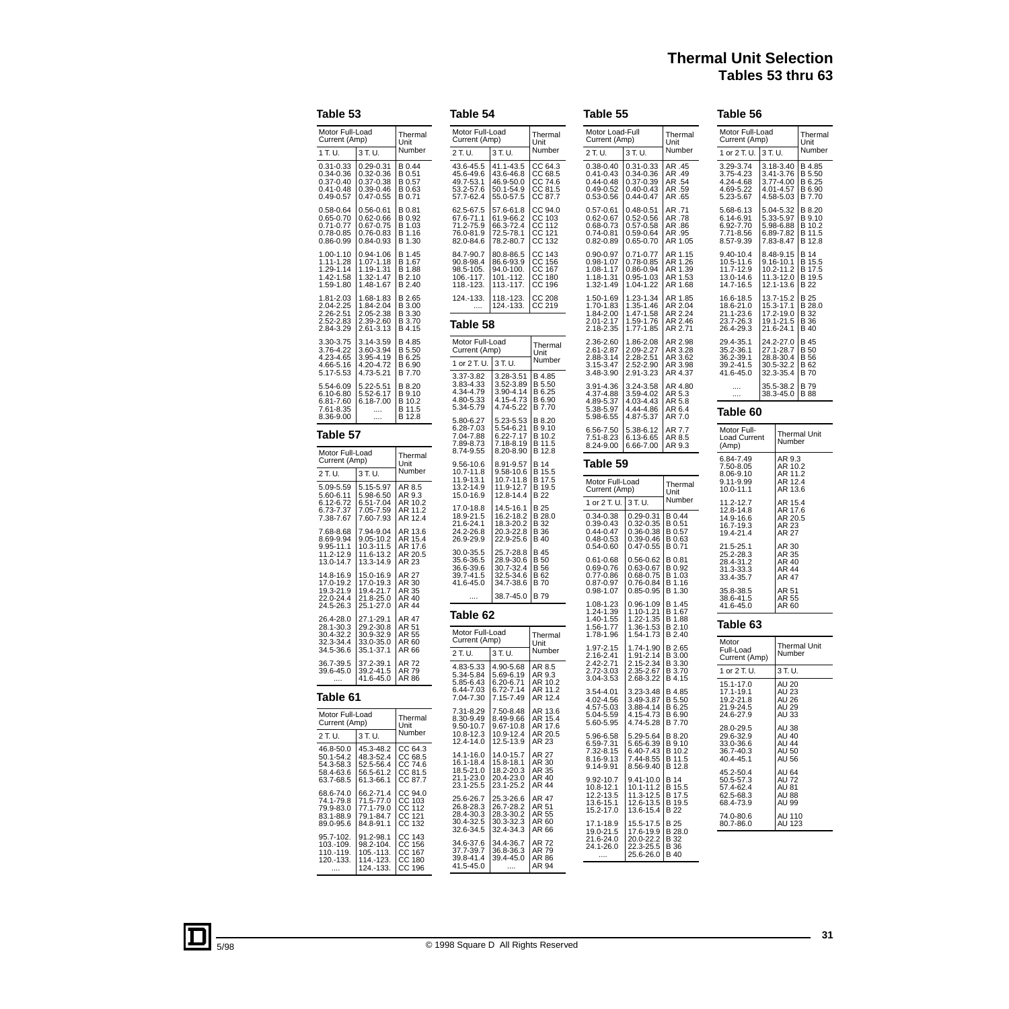# **Thermal Unit Selection Tables 53 thru 63**

# **Table 53**

| Motor Full-Load<br>Current (Amp)                                                                                               | Thermal<br>Unit                                                                                                   |                                                                         |  |  |  |
|--------------------------------------------------------------------------------------------------------------------------------|-------------------------------------------------------------------------------------------------------------------|-------------------------------------------------------------------------|--|--|--|
| 1 T.U.                                                                                                                         | 3 T. U.                                                                                                           | Number                                                                  |  |  |  |
| 0.31-0.33<br>0.34-0.36<br>0.37-0.40<br>$0.41 - 0.48$<br>0.49-0.57                                                              | $0.29 - 0.31$<br>0.32-0.36<br>0.37-0.38<br>$0.39 - 0.46$<br>$0.47 - 0.55$                                         | B 0.44<br>B 0.51<br>B 0.57<br>B 0.63<br>B 0.71                          |  |  |  |
| 0.58-0.64<br>0.65-0.70<br>0.65-0.70<br>0.71-0.77<br>0.86-0.99                                                                  | 0.56-0.61<br>0.62-0.66<br>$0.67 - 0.75$<br>0.76-0.83<br>0.84-0.93                                                 | В<br>0.81<br>B 0.92<br>B<br>1.03<br>$\frac{1.16}{1.30}$<br>B<br>в       |  |  |  |
| $1.00 - 1.10$<br>$1.11 - 1.28$<br>$1.29 - 1.14$<br>$1.42 - 1.58$<br>1.59-1.80                                                  | 0.94-1.06<br>1.07-1.18<br>1.19-1.31<br>1.32-1.47<br>1.48-1.67                                                     | в<br>1.45<br>В<br>1.67<br>B 1.88<br>B 1.88<br>B 2.10<br>B 2.40          |  |  |  |
| 1.81-2.03<br>2.04-2.25<br>2.26-2.51<br>2.52-2.83<br>2.84-3.29                                                                  | $1.68 - 1.83$<br>$1.84 - 2.04$<br>$2.05 - 2.38$<br>2.39-2.60<br>2.61-3.13                                         | B 2.65<br>B 3.00<br>B 3.30<br>B 3.70<br>B 4.15<br>B 4.15                |  |  |  |
| 3.30-3.75<br>3.76-4.22<br>4.23-4.65<br>4.66-5.16<br>5.17-5.53                                                                  | 3.14-3.59<br>3.60-3.94<br>3.95-4.19<br>4.20-4.72<br>4.73-5.21                                                     | B 4.85<br>B 5.50<br>B 6.25<br>B 6.90<br>B 7.70                          |  |  |  |
| 5.54-6.09<br>$6.10 - 6.80$<br>6.81-7.60<br>7.61-8.35<br>8.36-9.00                                                              | 5.22-5.51<br>5.52-6.17<br>6.18-7.00<br>$\cdots$<br>                                                               | в<br>8.20<br>B 9.10<br>в<br>10.2<br>В<br>11.5<br>B 12.8                 |  |  |  |
|                                                                                                                                | Table 57                                                                                                          |                                                                         |  |  |  |
|                                                                                                                                |                                                                                                                   |                                                                         |  |  |  |
| Motor Full-Load<br>Current (Amp)                                                                                               |                                                                                                                   | Thermal<br>Unit                                                         |  |  |  |
| 2 T. U.                                                                                                                        | 3 T. U.                                                                                                           | Number                                                                  |  |  |  |
| 5.09-5.59<br>$5.60 - 6.11$<br>$6.12 - 6.72$<br>6.73-7.37<br>7.38-7.67                                                          | $5.15 - 5.97$<br>5.98-6.50                                                                                        | AR 8.5<br>AR 9.3<br>10.2<br>AR<br>$\frac{11.2}{12.4}$<br>AR<br>AR       |  |  |  |
| 7.68-8.68                                                                                                                      | 7.94-9.04                                                                                                         | AR<br>13.6<br>AR<br>15.4<br>17.6<br>AR<br>AR<br>$\frac{20.5}{23}$<br>AR |  |  |  |
| 8.69-9.94<br>8.69-9.94<br>9.95-11.1<br>11.2-12.9<br>13.0-14.7<br>14.8-16.9<br>17.0-19.2<br>19.3-21.9<br>22.0-24.4<br>24.5-26.3 | 9.05-10.2<br>10.3-11.5<br>11.6-13.2<br>13.3-14.9<br>15.0-16.9<br>17.0-19.3<br>19.4-21.7<br>21.8-25.0<br>25.1-27.0 | AR<br>27<br>AR 30<br>AR 35<br>AR 40<br>AR 44                            |  |  |  |
| 26.4-28.0<br>$\frac{28.1 - 30.3}{28.1 - 30.3}$<br>30.4-32.2<br>32.3-34.4<br>34.5-36.6                                          | 27.1-29.1<br>29.2-30.8<br>30.9-32.9<br>33.0-35.0<br>35.1-37.1                                                     | AR 47<br>AR 51<br>AR 55<br>AR 60<br>AR 66                               |  |  |  |
| 36.7-39.5<br>39.6-45.0<br>                                                                                                     | 37.2-39.1<br>39.2-41.5<br>41.6-45.0                                                                               | AR<br>72<br>79<br>AR<br>AR 86                                           |  |  |  |
| Table 61                                                                                                                       |                                                                                                                   |                                                                         |  |  |  |

| Motor Full-Load | Thermal       |                    |
|-----------------|---------------|--------------------|
| Current (Amp)   | Unit          |                    |
| 2 T. U.         | 3 T.U.        | Number             |
| 46.8-50.0       | 45.3-48.2     | CC 64.3            |
| 50.1-54.2       | 48.3-52.4     | CC 68.5            |
| 54.3-58.3       | 52.5-56.4     | CC 74.6            |
| 58.4-63.6       | 56.5-61.2     | CC 81.5            |
| 63.7-68.5       | 61.3-66.1     | CC 87.7            |
| 68.6-74.0       | 66.2-71.4     | CC <sub>94.0</sub> |
| 74.1-79.8       | 71.5-77.0     | CC 103             |
| 79.9-83.0       | 77.1-79.0     | CC 112             |
| 83.1-88.9       | 79.1-84.7     | CC 121             |
| 89.0-95.6       | 84.8-91.1     | CC 132             |
| 95.7-102.       | 91.2-98.1     | CC 143             |
| 103.-109.       | 98.2-104.     | CC 156             |
| 110.-119.       | $105 - 113$ . | CC 167             |
| 120.-133.       | 114.-123.     | CC 180             |
|                 | 124.-133.     | CC 196             |

| Table 54                                                          |                                                                        |                                                                                    |
|-------------------------------------------------------------------|------------------------------------------------------------------------|------------------------------------------------------------------------------------|
| Motor Full-Load<br>Current (Amp)                                  |                                                                        | Thermal<br>Unit                                                                    |
| 2 T. U.                                                           | 3 T. U.                                                                | Number                                                                             |
| 43.6-45.5<br>45.6-49.6<br>49.7-53.1<br>53.2-57.6<br>57.7-62.4     | 41.1-43.5<br>43.6-46.8<br>46.9-50.0<br>50.1-54.9<br>55.0-57.5          | CC 64.3<br>CC<br>CC<br>CC<br>CC<br>68.5<br>74.6<br>81.5<br>CC 87.7                 |
| 62.5-67.5<br>67.6-71.1<br>71.2-75.9<br>76.0-81.9<br>82.0-84.6     | 57.6-61.8<br>61.9-66.2<br>66.3-72.4<br>72.5-78.1<br>78.2-80.7          | $\frac{cc}{2c}$<br>94.0<br>CC<br>CC<br>CC<br>CC<br>$\frac{103}{112}$<br>121<br>132 |
| 84.7-90.7<br>90.8-98.4<br>98.5-105.<br>106.-117.<br>118.-123.     | 80.8-86.5<br>86.6-93.9<br>94.0-100.<br>101.-112.<br>113.-117.          | CC<br>CC<br>CC<br>CC<br>143<br>156<br>167<br>180<br>čč<br>196                      |
| 124.-133.<br>$\cdots$                                             | 118.-123.<br>124.-133.                                                 | cc<br>cc<br>208<br>219                                                             |
| Table 58                                                          |                                                                        |                                                                                    |
| Motor Full-Load<br>Current (Amp)<br>1 or 2 T. U.                  | 3 T. U.                                                                | Thermal<br>Unit<br>Number                                                          |
| 3.37-3.82                                                         | 3.28-3.51                                                              | B 4.85                                                                             |
| 3.83-4.33<br>4.34-4.79<br>4.80-5.33<br>5.34-5.79                  | 3.52-3.89<br>3.90-4.14<br>4.15-4.73<br>4.74-5.22                       | B 5.50<br>B 6.25<br>B 6.90<br>B 7.70                                               |
| 5.80-6.27<br>6.28-7.03<br>7.04-7.88<br>7.89-8.73<br>8.74-9.55     | 5.23-5.53<br>5.54-6.21<br>6.22-7.17<br>7.18-8.19<br>8.20-8.90          | B 8.20<br>B 9.10<br>B 10.2<br>B 11.5<br>B 12.8                                     |
| 9.56-10.6<br>10.7-11.8<br>11.9-13.1<br>13.2-14.9<br>15.0-16.9     | 8.91-9.57<br>9.58-10.6<br>10.7-11.8<br>11.9-12.7<br>12.8-14.4          | B 14<br>B 15.5<br>B 17.5<br>B 19.5<br>B 22                                         |
| 17.0-18.8<br>18.9-21.5<br>21.6-24.1<br>24.2-26.8<br>26.9-29.9     | 14.5-16.1<br>16.2-18.2<br>18.3-20.2<br>20.3-22.8<br>22.9-25.6          | B 25<br>B 28.0<br>B 32<br>B 36<br>B 40<br>B 40                                     |
| $30.0 - 35.5$<br>35.6-36.5<br>36.6-39.6<br>39.7-41.5<br>41.6-45.0 | 25.7-28.8<br>$28.9 - 30.6$<br>=<br>30.7-32.4<br>32.5-34.6<br>34.7-38.6 | B 45<br><b>B</b> 50<br>B 56<br>B 62<br>B 70                                        |
|                                                                   | 38.7-45.0                                                              | B 79                                                                               |
| Table 62                                                          |                                                                        |                                                                                    |
| Motor Full-Load<br>Current (Amp)                                  |                                                                        | Thermal<br>Unit                                                                    |
| 2 T. U.                                                           | 3 T. U.                                                                | Number                                                                             |
| 4.83-5.33<br>5.34-5.84<br>5.85-6.43<br>6.44-7.03<br>7.04-7.30     | 4.90-5.68<br>5.69-6.19<br>6.20-6.71<br>6.72-7.14<br>$7.15 - 7.49$      | AR 8.5<br>AR 9.3<br>AR 10.2<br>AR 11.2<br>AR 12.4                                  |
| 7.31-8.29<br>8.30-9.49<br>9.50-10.7<br>10.8-12.3<br>12.4-14.0     | 7.50-8.48<br>8.49-9.66<br>9.67-10.8<br>10.9-12.4<br>12.5-13.9          | 13.6<br>AR<br>AR<br>15.4<br>17.6<br>AR<br>AR 20.5<br>AR 23                         |
| 14.1-16.0<br>16.1-18.4<br>18.5-21.0<br>21.1-23.0<br>23.1-25.5     | 14.0-15.7<br>15.8-18.1<br>18.2-20.3<br>20.4-23.0<br>23.1-25.2          | AR 27<br>AR 30<br>AR 35<br>AR 40<br>AR 44                                          |

| Table 55                                                              |                                                                           |                                                         | Table 56                                                          |
|-----------------------------------------------------------------------|---------------------------------------------------------------------------|---------------------------------------------------------|-------------------------------------------------------------------|
| Motor Load-Full<br>Current (Amp)                                      |                                                                           | Thermal<br>Unit                                         | Motor Full-Lo<br>Current (Amp                                     |
| 2 T. U.                                                               | 3 T. U.                                                                   | Number                                                  | 1 or 2 T. U.                                                      |
| $0.38 - 0.40$<br>0.41-0.43<br>0.44-0.48<br>$0.49 - 0.52$<br>0.53-0.56 | $0.31 - 0.33$<br>$0.34 - 0.36$<br>0.37-0.39<br>0.40-0.43<br>$0.44 - 0.47$ | AR .45<br>AR .49<br>AR .54<br>AR .59<br>65. AR          | 3.29-3.74<br>3.75-4.23<br>4.24-4.68<br>4.69-5.22<br>5.23-5.67     |
| $0.57 - 0.61$<br>0.62-0.67<br>0.68-0.73<br>0.74-0.81<br>$0.82 - 0.89$ | $0.48 - 0.51$<br>$0.52 - 0.56$<br>0.57-0.58<br>0.59-0.64<br>0.65-0.70     | AR .71<br>AR .78<br>AR .86<br>AR .95<br>AR 1.05         | 5.68-6.13<br>6.14-6.91<br>6.92-7.70<br>7.71-8.56<br>8.57-9.39     |
| 0.90-0.97<br>0.98-1.07<br>$1.08 - 1.17$<br>1.18-1.31<br>1.32-1.49     | $0.71 - 0.77$<br>0.78-0.85<br>0.86-0.94<br>0.95-1.03<br>1.04-1.22         | AR 1.15<br>AR 1.26<br>AR 1.39<br>AR 1.53<br>AR 1.68     | 9.40-10.4<br>10.5-11.6<br>11.7-12.9<br>13.0-14.6<br>14.7-16.5     |
| 1.50-1.69<br>1.70-1.83<br>1.84-2.00<br>2.01-2.17<br>2.18-2.35         | 1.23-1.34<br>1.35-1.46<br>1.47-1.58<br>1.59-1.76<br>1.77-1.85             | AR 1.85<br>AR 2.04<br>AR 2.24<br>AR 2.46<br>AR 2.71     | 16.6-18.5<br>18.6-21.0<br>21.1-23.6<br>23.7-26.3<br>26.4-29.3     |
| 2.36-2.60<br>2.61-2.87<br>2.88-3.14<br>3.15-3.47<br>3.48-3.90         | 1.86-2.08<br>2.09-2.27<br>2.28-2.51<br>2.52-2.90<br>2.91-3.23             | AR 2.98<br>AR 3.28<br>AR 3.62<br>AR 3.98<br>AR 4.37     | 29.4-35.1<br>$35.2 - 36.1$<br>36.2-39.1<br>39.2-41.5<br>41.6-45.0 |
| 3.91-4.36<br>4.37-4.88<br>4.89-5.37<br>5.38-5.97<br>5.98-6.55         | 3.24-3.58<br>3.59-4.02<br>4.03-4.43<br>4.44-4.86<br>4.87-5.37             | AR 4.80<br>AR 5.3<br>AR 5.8<br>AR 6.4<br>AR 7.0         | <br><br>Table 60                                                  |
| 6.56-7.50<br>7.51-8.23<br>8.24-9.00                                   | 5.38-6.12<br>6.13-6.65<br>6.66-7.00                                       | AR 7.7<br>AR 8.5<br>AR 9.3                              | Motor Full-<br>Load Current<br>(Amp)                              |
| Table 59                                                              |                                                                           |                                                         | 6.84-7.49                                                         |
| Motor Full-Load<br>Current (Amp)                                      |                                                                           | Thermal<br>Unit                                         | 7.50-8.05<br>8.06-9.10<br>9.11-9.99<br>10.0-11.1                  |
| 1 or 2 T. U.                                                          | 3 T.U.                                                                    | Number                                                  | 11.2-12.7                                                         |
| 0.34-0.38<br>0.39-0.43<br>0.44-0.47<br>$0.48 - 0.53$<br>$0.54 - 0.60$ | 0.29-0.31<br>0.32-0.35<br>0.36-0.38<br>0.39-0.46<br>$0.47 - 0.55$         | B 0.44<br>B 0.51<br>B 0.57<br>B 0.63<br>B 0.71          | 12.8-14.8<br>14.9-16.6<br>16.7-19.3<br>19.4-21.4<br>21.5-25.1     |
| 0.61-0.68<br>0.69-0.76<br>0.77-0.86<br>0.87-0.97<br>0.98-1.07         | 0.56-0.62<br>0.63-0.67<br>0.68-0.75<br>0.76-0.84<br>$0.85 - 0.95$         | B 0.81<br>B 0.92<br>B 1.03<br>B 1.16<br>B 1.30          | 25.2-28.3<br>28.4-31.2<br>31.3-33.3<br>33.4-35.7<br>35.8-38.5     |
| 1.08-1.23<br>1.24-1.39<br>1.40-1.55                                   | 0.96-1.09<br>1.10-1.21                                                    | B 1.45<br>B 1.67                                        | 38.6-41.5<br>41.6-45.0                                            |
| 1.56-1.77<br>1.78-1.96                                                | 1.22-1.35<br>1.36-1.53<br>1.54-1.73                                       | B 1.88<br>B 2.10<br>B 2.40                              | Table 63                                                          |
| 1.97-2.15<br>2.16-2.41<br>2.42-2.71<br>2.72-3.03<br>3.04-3.53         | 1.74-1.90<br>$1.91 - 2.14$<br>2.15-2.34<br>2.35-2.67<br>2.68-3.22         | B 2.65<br>B 3.00<br>B 3.30<br>B 3.70<br>B 4.15          | Motor<br>Full-Load<br>Current (Amp<br>1 or 2 T. U.                |
| 3.54-4.01<br>4.02-4.56<br>4.57-5.03<br>5.04-5.59<br>5.60-5.95         | 3.23-3.48<br>3.49-3.87<br>3.88-4.14<br>4.15-4.73<br>4.74-5.28             | B 4.85<br>B 5.50<br>B 6.25<br>B 6.90<br>B 7.70          | 15.1-17.0<br>17.1-19.1<br>19.2-21.8<br>21.9-24.5<br>24.6-27.9     |
| 5.96-6.58<br>6.59-7.31<br>7.32-8.15<br>8.16-9.13<br>9.14-9.91         | 5.29-5.64<br>5.65-6.39<br>6.40-7.43<br>7.44-8.55<br>8.56-9.40             | B 8.20<br>B 9.10<br>B 10.2<br>B 11.5<br>B 12.8          | 28.0-29.5<br>29.6-32.9<br>33.0-36.6<br>36.7-40.3<br>40.4-45.1     |
| 9.92-10.7<br>10.8-12.1<br>12.2-13.5<br>13.6-15.1<br>15.2-17.0         | 9.41-10.0<br>10.1-11.2<br>11.3-12.5<br>12.6-13.5<br>13.6-15.4             | <b>B</b> 14<br>B 15.5<br>B 17.5<br>B 19.5<br><b>B22</b> | 45.2-50.4<br>50.5-57.3<br>57.4-62.4<br>62.5-68.3<br>68.4-73.9     |
| 17.1-18.9<br>19.0-21.5<br>21.6-24.0<br>24.1-26.0<br>                  | 15.5-17.5<br>17.6-19.9<br>20.0-22.2<br>22.3-25.5<br>25.6-26.0             | B 25<br>B 28.0<br>B 32<br>B 36<br>B 40                  | 74.0-80.6<br>80.7-86.0                                            |

| Motor Full-Load<br>Current (Amp)                                      |         |                                                                   | Thermal<br>Unit                                |  |  |
|-----------------------------------------------------------------------|---------|-------------------------------------------------------------------|------------------------------------------------|--|--|
| 1 or 2 T. U.                                                          | 3 T. U. |                                                                   | Number                                         |  |  |
| 3.29-3.74<br>3.75-4.23<br>4.24-4.68<br>4.69-5.22<br>5.23-5.67         |         | 3.18-3.40<br>3.41-3.76<br>3.77-4.00<br>4.01-4.57<br>4.58-5.03     | B 4.85<br>B 5.50<br>B 6.25<br>B 6.90<br>B 7.70 |  |  |
| 5.68-6.13<br>6.14-6.91<br>6.92-7.70<br>7.71-8.56<br>8.57-9.39         |         | 5.04-5.32<br>5.33-5.97<br>5.98-6.88<br>6.89-7.82<br>$.83-8.47$    | B 8.20<br>B 9.10<br>B 10.2<br>B 11.5<br>B 12.8 |  |  |
| 9.40-10.4<br>10.5-11.6<br>11.7-12.9<br>13.0-14.6<br>14.7-16.5         |         | 8.48-9.15<br>9.16-10.1<br>10.2-11.2<br>11.3-12.0<br>12.1-13.6     | B 14<br>B 15.5<br>B 17.5<br>B 19.5<br>B 22     |  |  |
| 16.6-18.5<br>18.6-21.0<br>$21.1 - 23.6$<br>$23.7 - 26.3$<br>26.4-29.3 |         | 13.7-15.2<br>15.3-17.1<br>17.2-19.0<br>19.1-21.5<br>21.6-24.1     | B 25<br>B 28.0<br>B 32<br>B 36<br>B 40         |  |  |
| 29.4-35.1<br>35.2-36.1<br>36.2-39.1<br>39.2-41.5<br>41.6-45.0         |         | 24.2-27.0<br>$27.1 - 28.7$<br>28.8-30.4<br>30.5-32.2<br>32.3-35.4 | B 45<br>B 50<br>B 56<br>B 62<br>B 70           |  |  |
| <br>                                                                  |         | 35.5-38.2<br>38.3-45.0                                            | B 79<br><b>B</b> 88                            |  |  |
| Table 60                                                              |         |                                                                   |                                                |  |  |
| Motor Full-<br>Load Current<br>(Amp)                                  |         | Number                                                            | Thermal Unit                                   |  |  |
| 6.84-7.49<br>7.50-8.05<br>8.06-9.10<br>9.11-9.99<br>10.0-11.1         |         | AR 9.3<br>10.2<br>AR<br>11.2<br>ΑR<br>12.4<br>AR<br>13.6<br>AR    |                                                |  |  |
| 11.2-12.7<br>12.8-14.8<br>14.9-16.6<br>16.7-19.3<br>19.4-21.4         |         | AR<br>15.4<br>17.6<br>AR<br>AR 20.5<br>AR 23<br>AR 27             |                                                |  |  |
| 21.5-25.1<br>25.2-28.3<br>28.4-31.2<br>31.3-33.3<br>33.4-35.7         |         | AR 30<br>AR 35<br>AR 40<br>AR 44<br>AR 47                         |                                                |  |  |
| 35.8-38.5<br>38.6-41.5<br>41.6-45.0                                   |         | AR 51<br>AR 55<br>AR 60                                           |                                                |  |  |
| Table 63                                                              |         |                                                                   |                                                |  |  |
| Motor<br>Full-Load<br>Current (Amp)                                   |         | Number                                                            | <b>Thermal Unit</b>                            |  |  |
| 1 or 2 T. U.                                                          |         | 3 T. U.                                                           |                                                |  |  |
| 15.1-17.0<br>17.1-19.1<br>19.2-21.8<br>21.9-24.5<br>24.6-27.9         |         | AU 20<br>AU 23<br>AU 23<br>AU 26<br>AU 29<br>AU 33                |                                                |  |  |
| 28.0-29.5<br>29.6-32.9<br>33.0-36.6<br>36.7-40.3<br>40.4-45.1         |         | AU 38<br>AU 40<br>AU 44<br>AU 50<br>AU 56                         |                                                |  |  |
| 45.2-50.4<br>50.5-57.3<br>57.4-62.4<br>62.5-68.3<br>68.4-73.9         |         | AU 64<br>AU<br>72<br>AU 81<br><b>AU 88</b><br>AU 99               |                                                |  |  |
| 74.0-80.6<br>80.7-86.0                                                |         | AU 110<br>AU 123                                                  |                                                |  |  |

25.3-26.6 26.7-28.2 28.3-30.2 30.3-32.3 32.4-34.3

34.4-36.7 36.8-36.3 39.4-45.0 ....

AR 47 AR 51 AR 55 AR 60 AR 66

AR 72 AR 79 AR 86 AR 94

25.6-26.7 26.8-28.3 28.4-30.3 30.4-32.5 32.6-34.5

34.6-37.6 37.7-39.7 39.8-41.4 41.5-45.0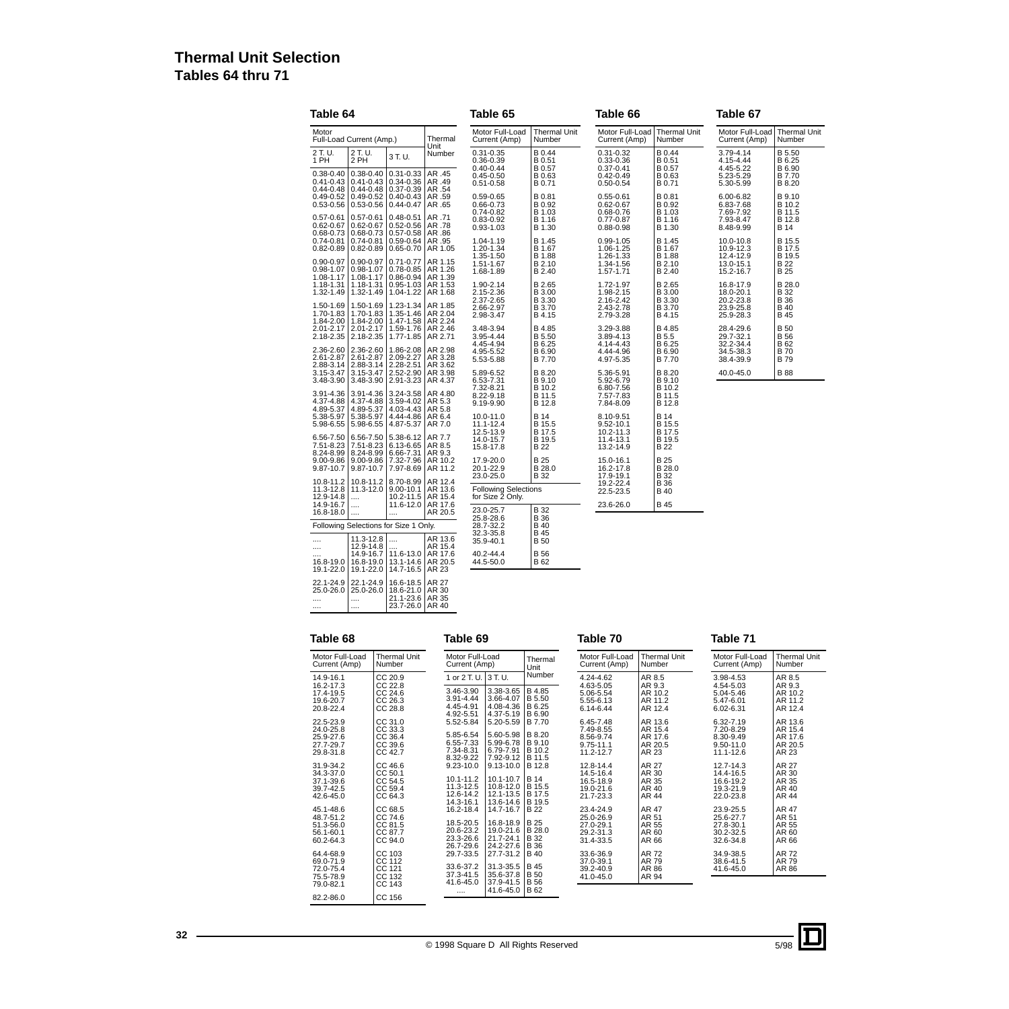# **Thermal Unit Selection Tables 64 thru 71**

| Table 64                                                 |                                                               |                                                        |                                          | Table 65                                        |                                    | Table 66                                |                                | Table 67                            |                               |
|----------------------------------------------------------|---------------------------------------------------------------|--------------------------------------------------------|------------------------------------------|-------------------------------------------------|------------------------------------|-----------------------------------------|--------------------------------|-------------------------------------|-------------------------------|
| Motor                                                    | Full-Load Current (Amp.)                                      |                                                        | Thermal                                  | Motor Full-Load<br>Current (Amp)                | <b>Thermal Unit</b><br>Number      | Motor Full-Load<br>Current (Amp)        | <b>Thermal Unit</b><br>Number  | Motor Full-Load<br>Current (Amp)    | <b>Thermal Unit</b><br>Number |
| 2 T. U.<br>1 PH                                          | 2 T. U.<br>2 PH                                               | 3 T.U.                                                 | Unit<br>Number                           | $0.31 - 0.35$<br>0.36-0.39<br>$0.40 - 0.44$     | B 0.44<br>B 0.51<br>B 0.57         | $0.31 - 0.32$<br>0.33-0.36<br>0.37-0.41 | B 0.44<br>B 0.51<br>B 0.57     | 3.79-4.14<br>4.15-4.44<br>4.45-5.22 | B 5.50<br>B 6.25<br>B 6.90    |
| $0.38 - 0.40$<br>$0.41 - 0.43$<br>$0.44 - 0.48$          | $0.38 - 0.40$<br>$0.41 - 0.43$<br>$0.44 - 0.48$               | $0.31 - 0.33$<br>$0.34 - 0.36$<br>0.37-0.39            | AR .45<br>AR .49<br>AR .54               | $0.45 - 0.50$<br>$0.51 - 0.58$                  | B 0.63<br>B 0.71                   | $0.42 - 0.49$<br>$0.50 - 0.54$          | B 0.63<br>B 0.71               | 5.23-5.29<br>5.30-5.99              | B 7.70<br>B 8.20              |
| $0.49 - 0.52$<br>$0.53 - 0.56$                           | $0.49 - 0.52$<br>$0.53 - 0.56$                                | $0.40 - 0.43$<br>$0.44 - 0.47$                         | AR .59<br>AR .65                         | 0.59-0.65<br>0.66-0.73<br>0.74-0.82             | B 0.81<br>B 0.92<br>B 1.03         | $0.55 - 0.61$<br>0.62-0.67<br>0.68-0.76 | B 0.81<br>B 0.92<br>B 1.03     | 6.00-6.82<br>6.83-7.68<br>7.69-7.92 | B 9.10<br>B 10.2<br>B 11.5    |
| $0.57 - 0.61$<br>$0.62 - 0.67$<br>$0.68 - 0.73$          | $0.57 - 0.61$<br>$0.62 - 0.67$<br>$0.68 - 0.73$               | $0.48 - 0.51$<br>$0.52 - 0.56$<br>$0.57 - 0.58$        | AR .71<br>AR .78<br>AR .86               | 0.83-0.92<br>0.93-1.03                          | B 1.16<br>B 1.30                   | 0.77-0.87<br>$0.88 - 0.98$              | B 1.16<br>B 1.30               | 7.93-8.47<br>8.48-9.99              | B 12.8<br><b>B</b> 14         |
| $0.74 - 0.81$<br>$0.82 - 0.89$                           | $0.74 - 0.81$<br>$0.82 - 0.89$<br>$0.90 - 0.97$               | $0.59 - 0.64$<br>$0.65 - 0.70$<br>$0.71 - 0.77$        | AR .95<br>  AR 1.05                      | 1.04-1.19<br>1.20-1.34<br>1.35-1.50             | B 1.45<br>B 1.67<br>B 1.88         | 0.99-1.05<br>1.06-1.25<br>1.26-1.33     | B 1.45<br>B 1.67<br>B 1.88     | 10.0-10.8<br>10.9-12.3<br>12.4-12.9 | B 15.5<br>B 17.5<br>B 19.5    |
| $0.90 - 0.97$<br>$0.98 - 1.07$<br>1.08-1.17<br>1.18-1.31 | $0.98 - 1.07$<br>1.08-1.17<br>1.18-1.31                       | $0.78 - 0.85$<br>$0.86 - 0.94$<br>$0.95 - 1.03$        | AR 1.15<br>AR 1.26<br>AR 1.39<br>AR 1.53 | 1.51-1.67<br>1.68-1.89<br>1.90-2.14             | B 2.10<br>B 2.40<br>B 2.65         | 1.34-1.56<br>1.57-1.71<br>1.72-1.97     | B 2.10<br>B 2.40<br>B 2.65     | 13.0-15.1<br>15.2-16.7<br>16.8-17.9 | B 22<br><b>B25</b><br>B 28.0  |
| 1.32-1.49<br>1.50-1.69                                   | 1.32-1.49<br>1.50-1.69                                        | 1.04-1.22<br>1.23-1.34                                 | AR 1.68<br>AR 1.85                       | 2.15-2.36<br>2.37-2.65<br>2.66-2.97             | B 3.00<br>B 3.30<br>B 3.70         | 1.98-2.15<br>2.16-2.42<br>2.43-2.78     | B 3.00<br>B 3.30<br>B 3.70     | 18.0-20.1<br>20.2-23.8<br>23.9-25.8 | B 32<br><b>B36</b><br>B 40    |
| 1.70-1.83<br>1.84-2.00<br>2.01-2.17                      | 1.70-1.83<br>1.84-2.00<br>2.01-2.17                           | 1.35-1.46<br>1.47-1.58<br>1.59-1.76                    | AR 2.04<br>AR 2.24<br>AR 2.46            | 2.98-3.47<br>3.48-3.94                          | B 4.15<br>B 4.85                   | 2.79-3.28<br>3.29-3.88                  | B 4.15<br>B 4.85               | 25.9-28.3<br>28.4-29.6              | <b>B45</b><br>B 50            |
| 2.36-2.60                                                | 2.18-2.35 2.18-2.35<br>2.36-2.60                              | 1.77-1.85<br>1.86-2.08                                 | AR 2.71<br>AR 2.98                       | 3.95-4.44<br>4.45-4.94<br>4.95-5.52             | B 5.50<br>B 6.25<br>B 6.90         | 3.89-4.13<br>4.14-4.43<br>4.44-4.96     | B 5.5<br>B 6.25<br>B 6.90      | 29.7-32.1<br>32.2-34.4<br>34.5-38.3 | B 56<br>B 62<br><b>B70</b>    |
| 2.61-2.87<br>2.88-3.14<br>3.15-3.47<br>$3.48 - 3.90$     | 2.61-2.87<br>2.88-3.14<br>3.15-3.47<br>$3.48 - 3.90$          | 2.09-2.27<br>2.52-2.90<br>2.91-3.23                    | AR 3.28<br>AR 3.62<br>AR 3.98<br>AR 4.37 | 5.53-5.88<br>5.89-6.52<br>6.53-7.31             | B 7.70<br>B 8.20<br>B 9.10         | 4.97-5.35<br>5.36-5.91<br>5.92-6.79     | B 7.70<br>B 8.20<br>B 9.10     | 38.4-39.9<br>40.0-45.0              | B 79<br><b>B</b> 88           |
| 3.91-4.36<br>4.37-4.88                                   | 3.91-4.36<br>4.37-4.88                                        | 3.24-3.58<br>3.59-4.02                                 | AR 4.80<br>AR 5.3                        | 7.32-8.21<br>8.22-9.18<br>9.19-9.90             | B 10.2<br>B 11.5<br>B 12.8         | 6.80-7.56<br>7.57-7.83<br>7.84-8.09     | B 10.2<br>B 11.5<br>B 12.8     |                                     |                               |
| 4.89-5.37<br>5.38-5.97                                   | 4.89-5.37<br>5.38-5.97<br>5.98-6.55 5.98-6.55                 | 4.03-4.43<br>4.44-4.86<br>4.87-5.37                    | AR 5.8<br>AR 6.4<br>AR 7.0               | 10.0-11.0<br>11.1-12.4                          | <b>B</b> 14<br>B 15.5              | 8.10-9.51<br>9.52-10.1                  | <b>B</b> 14<br>B 15.5          |                                     |                               |
| 6.56-7.50<br>7.51-8.23<br>8.24-8.99                      | 6.56-7.50<br>7.51-8.23<br>8.24-8.99                           | 5.38-6.12<br>6.13-6.65<br>6.66-7.31                    | AR 7.7<br>AR 8.5<br>AR 9.3               | 12.5-13.9<br>14.0-15.7<br>15.8-17.8             | B 17.5<br>B 19.5<br>B 22           | 10.2-11.3<br>11.4-13.1<br>13.2-14.9     | B 17.5<br>B 19.5<br><b>B22</b> |                                     |                               |
| $9.00 - 9.86$<br>9.87-10.7                               | 9.00-9.86<br>$9.87 - 10.7$                                    | 7.32-7.96<br>7.97-8.69                                 | AR 10.2<br>AR 11.2                       | 17.9-20.0<br>20.1-22.9<br>23.0-25.0             | <b>B25</b><br>B 28.0<br><b>B32</b> | 15.0-16.1<br>16.2-17.8<br>17.9-19.1     | B 25<br>B 28.0<br>B 32         |                                     |                               |
| 10.8-11.2<br>11.3-12.8<br>12.9-14.8                      | 10.8-11.2<br>11.3-12.0<br>$\cdots$                            | 8.70-8.99<br>$9.00 - 10.1$<br>10.2-11.5                | AR 12.4<br>AR 13.6<br>AR 15.4            | <b>Following Selections</b><br>for Size 2 Only. |                                    | 19.2-22.4<br>22.5-23.5                  | <b>B</b> 36<br><b>B</b> 40     |                                     |                               |
| 14.9-16.7<br>16.8-18.0                                   | $\cdots$<br>$\cdots$<br>Following Selections for Size 1 Only. | 11.6-12.0<br>                                          | AR 17.6<br>AR 20.5                       | 23.0-25.7<br>25.8-28.6<br>28.7-32.2             | B 32<br><b>B</b> 36<br><b>B</b> 40 | 23.6-26.0                               | B 45                           |                                     |                               |
|                                                          | 11.3-12.8                                                     |                                                        | AR 13.6                                  | 32.3-35.8                                       | <b>B</b> 45                        |                                         |                                |                                     |                               |
| $\cdots$<br>16.8-19.0                                    | 12.9-14.8<br>14.9-16.7<br>16.8-19.0                           | <br>11.6-13.0<br>13.1-14.6                             | AR 15.4<br>AR 17.6<br>AR 20.5            | 35.9-40.1<br>40.2-44.4<br>44.5-50.0             | <b>B</b> 50<br>B 56<br>B 62        |                                         |                                |                                     |                               |
| 19.1-22.0                                                | 19.1-22.0                                                     | 14.7-16.5                                              | AR 23                                    |                                                 |                                    |                                         |                                |                                     |                               |
| 22.1-24.9<br>25.0-26.0<br><br>$\cdots$                   | 22.1-24.9<br>25.0-26.0<br><br>$\cdots$                        | 16.6-18.5<br>18.6-21.0<br>21.1-23.6<br>23.7-26.0 AR 40 | AR 27<br>AR 30<br>AR 35                  |                                                 |                                    |                                         |                                |                                     |                               |

#### **Table 68**

**Table 69** Motor Full-Load Motor Full-Load<br>
Current (Amp)<br>
Thermal Mumber<br>
Thermal Number Unit  $1$  or 2 T. U. 3 T. U.  $3.46 - 3.90$ 3.91-4.44 4.45-4.91 4.92-5.51 5.52-5.84 3.38-3.65 3.66-4.07 4.08-4.36 4.37-5.19 5.20-5.59 **B** 4.85 B 5.50 B 6.25 B 6.90 B 7.70 5.85-6.54 6.55-7.33 7.34-8.31 8.32-9.22 9.23-10.0 5.60-5.98 5.99-6.78 6.79-7.91 7.92-9.12 9.13-10.0 B 8.20 B 9.10 B 10.2 B 11.5 B 12.8 10.1-11.2 11.3-12.5 12.6-14.2 14.3-16.1 16.2-18.4 10.1-10.7 10.8-12.0 12.1-13.5 13.6-14.6 14.7-16.7 B 14 B 15.5 B 17.5 B 19.5 B 22 18.5-20.5 20.6-23.2 23.3-26.6 26.7-29.6 29.7-33.5 16.8-18.9 19.0-21.6 21.7-24.1 24.2-27.6 27.7-31.2 B 25 B 28.0 B 32 B 36 B 40 33.6-37.2 37.3-41.5 41.6-45.0 .... 31.3-35.5 35.6-37.8 37.9-41.5 41.6-45.0 B 45 B 50 B 56 B 62 **Table 71** Motor Full-Load Current (Amp) Thermal Unit Number 3.98-4.53 4.54-5.03 5.04-5.46 5.47-6.01 6.02-6.31 AR 8.5 AR 9.3 AR 10.2 AR 11.2 AR 12.4 6.32-7.19 7.20-8.29 8.30-9.49 9.50-11.0 11.1-12.6 AR 13.6 AR 15.4 AR 17.6 AR 20.5 AR 23 12.7-14.3 14.4-16.5 16.6-19.2 19.3-21.9 22.0-23.8 AR 27 AR 30 AR 35 AR 40 AR 44 23.9-25.5 25.6-27.7 27.8-30.1 30.2-32.5 32.6-34.8 AR 47 AR 51 AR 55 AR 60 AR 66 34.9-38.5 38.6-41.5 41.6-45.0 AR 72 AR 79 AR 86 **Table 70** Motor Full-Load Current (Amp) Thermal Unit Number 4.24-4.62 4.63-5.05 5.06-5.54 5.55-6.13 6.14-6.44 AR 8.5 AR 9.3 AR 10.2 AR 11.2 AR 12.4 6.45-7.48 7.49-8.55 8.56-9.74 9.75-11.1 11.2-12.7 AR 13.6 AR 15.4 AR 17.6 AR 20.5 AR 23 12.8-14.4 14.5-16.4 16.5-18.9 19.0-21.6 21.7-23.3 AR 27 AR 30 AR 35 AR 40 AR 44 23.4-24.9 25.0-26.9 27.0-29.1 29.2-31.3 31.4-33.5 AR 47 AR 51 AR 55 AR 60 AR 66 33.6-36.9 37.0-39.1 39.2-40.9 41.0-45.0 AR 72 AR 79 AR 86 AR 94 Motor Full-Load Current (Amp) Thermal Unit Number 14.9-16.1 16.2-17.3 17.4-19.5 19.6-20.7 20.8-22.4 CC 20.9 CC 22.8 CC 24.6 CC 26.3 CC 28.8 22.5-23.9 24.0-25.8 25.9-27.6 27.7-29.7 29.8-31.8 CC 31.0 CC 33.3 CC 36.4 CC 39.6 CC 42.7 31.9-34.2 34.3-37.0 37.1-39.6 39.7-42.5  $42.6 - 45.0$ CC 46.6 CC 50.1 CC 54.5 CC 59.4 CC 64.3 45.1-48.6 48.7-51.2 51.3-56.0 56.1-60.1 60.2-64.3 CC 68.5 CC 74.6 CC 81.5 CC 87.7 CC 94.0 64.4-68.9 69.0-71.9 72.0-75.4 75.5-78.9 79.0-82.1 CC 103<br>CC 112<br>CC 121<br>CC 132<br>CC 143 82.2-86.0 CC 156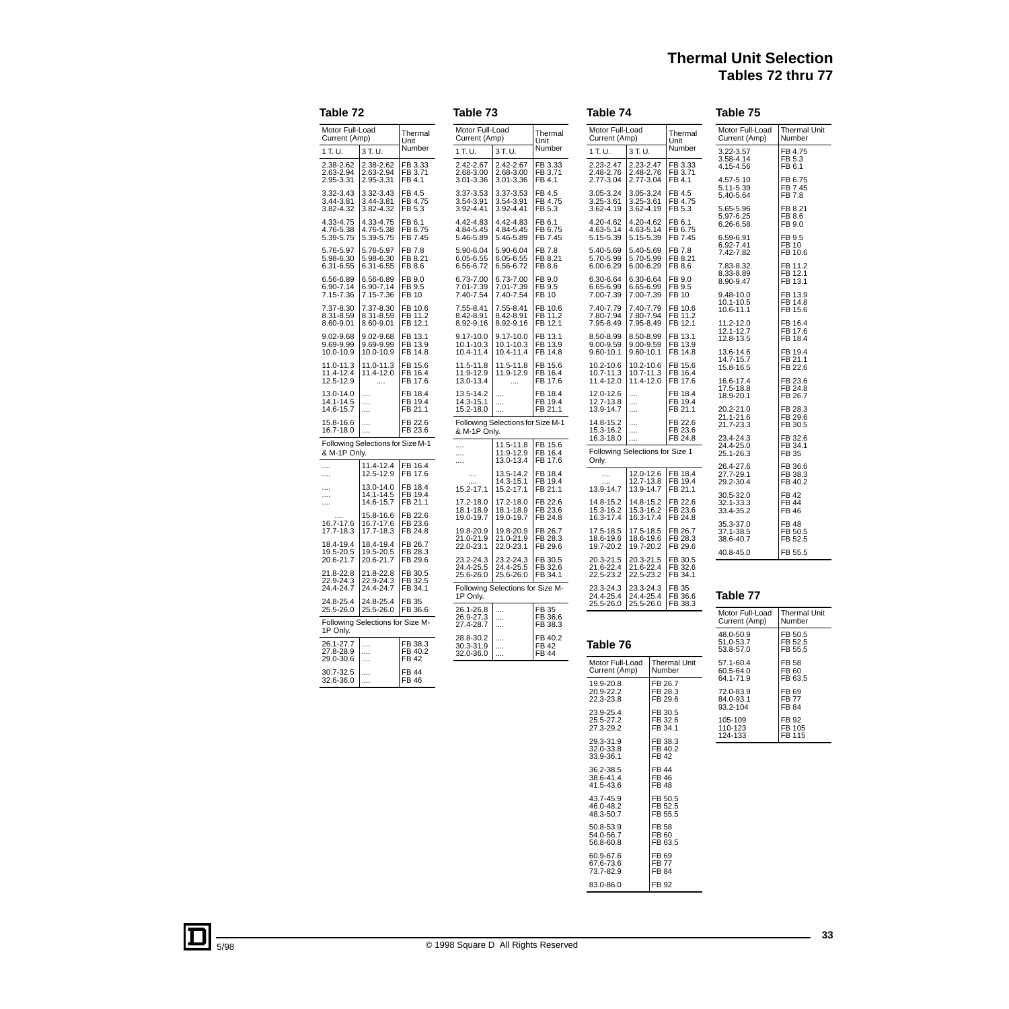# **Thermal Unit Selection Tables 72 thru 77**

| Table 73<br>Table 72                |                                         |                                |                                             | Table 74                                      |                                  |                                                                                                          |                                         | Table 75                      |                               |                                     |                               |
|-------------------------------------|-----------------------------------------|--------------------------------|---------------------------------------------|-----------------------------------------------|----------------------------------|----------------------------------------------------------------------------------------------------------|-----------------------------------------|-------------------------------|-------------------------------|-------------------------------------|-------------------------------|
| Motor Full-Load<br>Current (Amp)    |                                         | Thermal<br>Unit                | Motor Full-Load<br>Current (Amp)            |                                               | Thermal<br>Unit                  | Motor Full-Load<br>Current (Amp)                                                                         |                                         |                               | Thermal<br>Unit               | Motor Full-Load<br>Current (Amp)    | <b>Thermal Unit</b><br>Number |
| 1 T.U.                              | 3 T.U.                                  | Number                         | 1 T.U.                                      | 3 T.U.                                        | Number                           | 1 T.U.                                                                                                   | 3 T.U.                                  |                               | Number                        | 3.22-3.57                           | FB 4.75                       |
| 2.38-2.62<br>2.63-2.94<br>2.95-3.31 | 2.38-2.62<br>2.63-2.94<br>2.95-3.31     | FB 3.33<br>FB 3.71<br>FB 4.1   | 2.42-2.67<br>2.68-3.00<br>3.01-3.36         | 2.42-2.67<br>2.68-3.00<br>3.01-3.36           | FB 3.33<br>FB 3.71<br>FB 4.1     | 2.23-2.47<br>2.48-2.76<br>2.77-3.04                                                                      | 2.23-2.47<br>2.48-2.76<br>2.77-3.04     |                               | FB 3.33<br>FB 3.71<br>FB 4.1  | 3.58-4.14<br>4.15-4.56<br>4.57-5.10 | FB 5.3<br>FB 6.1<br>FB 6.75   |
| 3.32-3.43<br>3.44-3.81              | 3.32-3.43<br>3.44-3.81                  | FB 4.5<br>FB 4.75              | 3.37-3.53<br>3.54-3.91                      | 3.37-3.53<br>3.54-3.91                        | FB 4.5<br>FB 4.75                | 3.05-3.24<br>3.25-3.61                                                                                   | 3.05-3.24<br>3.25-3.61                  |                               | FB 4.5<br>FB 4.75             | 5.11-5.39<br>5.40-5.64              | FB 7.45<br>FB 7.8             |
| 3.82-4.32<br>4.33-4.75              | 3.82-4.32<br>4.33-4.75                  | FB 5.3<br>FB 6.1               | 3.92-4.41<br>4.42-4.83                      | 3.92-4.41<br>4.42-4.83                        | FB 5.3<br>FB 6.1                 | 3.62-4.19<br>4.20-4.62                                                                                   | 3.62-4.19<br>4.20-4.62                  |                               | FB 5.3<br>FB 6.1              | 5.65-5.96<br>5.97-6.25<br>6.26-6.58 | FB 8.21<br>FB 8.6<br>FB 9.0   |
| 4.76-5.38<br>5.39-5.75              | 4.76-5.38<br>5.39-5.75                  | FB 6.75<br>FB 7.45             | 4.84-5.45<br>5.46-5.89                      | 4.84-5.45<br>5.46-5.89                        | FB 6.75<br>FB 7.45               | 4.63-5.14<br>5.15-5.39                                                                                   | 4.63-5.14<br>5.15-5.39                  |                               | FB 6.75<br>FB 7.45            | 6.59-6.91<br>6.92-7.41              | FB 9.5<br>FB 10               |
| 5.76-5.97<br>5.98-6.30<br>6.31-6.55 | 5.76-5.97<br>5.98-6.30<br>6.31-6.55     | FB 7.8<br>FB 8.21<br>FB 8.6    | 5.90-6.04<br>6.05-6.55<br>6.56-6.72         | 5.90-6.04<br>6.05-6.55<br>6.56-6.72           | FB 7.8<br>FB 8.21<br>FB 8.6      | 5.40-5.69<br>5.70-5.99<br>$6.00 - 6.29$                                                                  | 5.40-5.69<br>5.70-5.99<br>6.00-6.29     |                               | FB 7.8<br>FB 8.21<br>FB 8.6   | 7.42-7.82<br>7.83-8.32              | FB 10.6<br>FB 11.2            |
| 6.56-6.89<br>6.90-7.14<br>7.15-7.36 | 6.56-6.89<br>6.90-7.14<br>7.15-7.36     | FB 9.0<br>FB 9.5<br>FB 10      | 6.73-7.00<br>7.01-7.39<br>7.40-7.54         | 6.73-7.00<br>7.01-7.39<br>7.40-7.54           | FB 9.0<br>FB 9.5<br>FB 10        | 6.30-6.64<br>6.65-6.99<br>7.00-7.39                                                                      | 6.30-6.64<br>6.65-6.99<br>7.00-7.39     |                               | FB 9.0<br>FB 9.5<br>FB 10     | 8.33-8.89<br>8.90-9.47<br>9.48-10.0 | FB 12.1<br>FB 13.1<br>FB 13.9 |
| 7.37-8.30                           | 7.37-8.30                               | FB 10.6                        | 7.55-8.41                                   | 7.55-8.41                                     | FB 10.6                          | 7.40-7.79                                                                                                | 7.40-7.79                               |                               | FB 10.6                       | 10.1-10.5<br>10.6-11.1              | FB 14.8<br>FB 15.6            |
| 8.31-8.59<br>8.60-9.01              | 8.31-8.59<br>8.60-9.01                  | FB 11.2<br>FB 12.1             | 8.42-8.91<br>8.92-9.16                      | 8.42-8.91<br>8.92-9.16                        | FB 11.2<br>FB 12.1               | 7.80-7.94<br>7.95-8.49                                                                                   | 7.80-7.94<br>7.95-8.49                  |                               | FB 11.2<br>FB 12.1            | 11.2-12.0<br>12.1-12.7              | FB 16.4<br>FB 17.6            |
| 9.02-9.68<br>9.69-9.99<br>10.0-10.9 | $9.02 - 9.68$<br>9.69-9.99<br>10.0-10.9 | FB 13.1<br>FB 13.9<br>FB 14.8  | $9.17 - 10.0$<br>$10.1 - 10.3$<br>10.4-11.4 | $9.17 - 10.0$<br>10.1-10.3<br>10.4-11.4       | FB 13.1<br>FB 13.9<br>FB 14.8    | 8.50-8.99<br>9.00-9.59<br>$9.60 - 10.1$                                                                  | 8.50-8.99<br>$9.00 - 9.59$<br>9.60-10.1 |                               | FB 13.1<br>FB 13.9<br>FB 14.8 | 12.8-13.5<br>13.6-14.6              | FB 18.4<br>FB 19.4            |
| 11.0-11.3<br>11.4-12.4<br>12.5-12.9 | 11.0-11.3<br>11.4-12.0<br>$\cdots$      | FB 15.6<br>FB 16.4<br>FB 17.6  | 11.5-11.8<br>11.9-12.9<br>13.0-13.4         | 11.5-11.8<br>11.9-12.9                        | FB 15.6<br>FB 16.4<br>FB 17.6    | 10.2-10.6<br>$10.7 - 11.3$<br>11.4-12.0                                                                  | 10.2-10.6<br>$10.7 - 11.3$<br>11.4-12.0 |                               | FB 15.6<br>FB 16.4<br>FB 17.6 | 14.7-15.7<br>15.8-16.5<br>16.6-17.4 | FB 21.1<br>FB 22.6<br>FB 23.6 |
| 13.0-14.0<br>14.1-14.5<br>14.6-15.7 | <br><br>                                | FB 18.4<br>FB 19.4<br>FB 21.1  | 13.5-14.2<br>14.3-15.1<br>15.2-18.0         | <br><br>$\cdots$                              | FB 18.4<br>FB 19.4<br>FB 21.1    | 12.0-12.6<br>12.7-13.8<br>13.9-14.7                                                                      | <br><br>                                |                               | FB 18.4<br>FB 19.4<br>FB 21.1 | 17.5-18.8<br>18.9-20.1<br>20.2-21.0 | FB 24.8<br>FB 26.7<br>FB 28.3 |
| 15.8-16.6<br>16.7-18.0              | <br>                                    | FB 22.6<br>FB 23.6             | & M-1P Only.                                | Following Selections for Size M-1             |                                  | 14.8-15.2<br>15.3-16.2                                                                                   | <br>                                    |                               | FB 22.6<br>FB 23.6            | 21.1-21.6<br>21.7-23.3              | FB 29.6<br>FB 30.5            |
| & M-1P Only.                        | Following Selections for Size M-1       |                                | $\cdots$<br>                                | 11.5-11.8<br>11.9-12.9                        | FB 15.6<br>FB 16.4               | 16.3-18.0<br>Following Selections for Size 1                                                             |                                         |                               | FB 24.8                       | 23.4-24.3<br>24.4-25.0<br>25.1-26.3 | FB 32.6<br>FB 34.1<br>FB 35   |
| .                                   | 11.4-12.4                               | FB 16.4                        |                                             | 13.0-13.4                                     | FB 17.6                          | Only.                                                                                                    |                                         |                               |                               | 26.4-27.6                           | FB 36.6                       |
| <br>                                | 12.5-12.9<br>13.0-14.0                  | FB 17.6<br>FB 18.4             |                                             | 13.5-14.2<br>14.3-15.1                        | FB 18.4<br>FB 19.4               |                                                                                                          | 12.0-12.6<br>12.7-13.8                  |                               | FB 18.4<br>FB 19.4            | 27.7-29.1<br>29.2-30.4              | FB 38.3<br>FB 40.2            |
| <br>.                               | 14.1-14.5<br>14.6-15.7                  | FB 19.4<br>FB 21.1             | 15.2-17.1<br>17.2-18.0                      | 15.2-17.1<br>17.2-18.0                        | FB 21.1<br>FB 22.6               | 13.9-14.7<br>14.8-15.2                                                                                   | 13.9-14.7<br>14.8-15.2                  |                               | FB 21.1<br>FB 22.6            | 30.5-32.0<br>32.1-33.3              | <b>FB42</b><br>FB 44          |
| 16.7-17.6                           | 15.8-16.6<br>16.7-17.6                  | FB 22.6<br>FB 23.6             | 18.1-18.9<br>19.0-19.7                      | 18.1-18.9<br>19.0-19.7                        | FB 23.6<br>FB 24.8               | 15.3-16.2<br>16.3-17.4                                                                                   | 15.3-16.2<br>16.3-17.4                  |                               | FB 23.6<br>FB 24.8            | 33.4-35.2<br>35.3-37.0              | FB 46<br><b>FB48</b>          |
| 17.7-18.3<br>18.4-19.4<br>19.5-20.5 | 17.7-18.3<br>18.4-19.4<br>19.5-20.5     | FB 24.8<br>FB 26.7<br>FB 28.3  | 19.8-20.9<br>21.0-21.9<br>22.0-23.1         | 19.8-20.9<br>21.0-21.9<br>22.0-23.1           | FB 26.7<br>FB 28.3<br>FB 29.6    | 17.5-18.5<br>18.6-19.6<br>19.7-20.2                                                                      | 17.5-18.5<br>18.6-19.6<br>19.7-20.2     |                               | FB 26.7<br>FB 28.3<br>FB 29.6 | 37.1-38.5<br>38.6-40.7              | FB 50.5<br>FB 52.5            |
| 20.6-21.7<br>21.8-22.8              | 20.6-21.7<br>21.8-22.8                  | FB 29.6<br>FB 30.5             | 23.2-24.3<br>24.4-25.5                      | 23.2-24.3<br>24.4-25.5                        | FB 30.5<br>FB 32.6               | 20.3-21.5<br>21.6-22.4                                                                                   | 20.3-21.5<br>21.6-22.4                  |                               | FB 30.5<br>FB 32.6            | 40.8-45.0                           | FB 55.5                       |
| 22.9-24.3<br>24.4-24.7              | 22.9-24.3<br>24.4-24.7                  | FB 32.5<br>FB 34.1             | 25.6-26.0                                   | 25.6-26.0<br>Following Selections for Size M- | FB 34.1                          | 22.5-23.2<br>23.3-24.3                                                                                   | 22.5-23.2<br>23.3-24.3                  |                               | FB 34.1<br>FB 35              |                                     |                               |
| 24.8-25.4<br>25.5-26.0              | 24.8-25.4<br>25.5-26.0                  | FB 35<br>FB 36.6               | 1P Only.<br>26.1-26.8                       |                                               | FB 35                            | 24.4-25.4<br>25.5-26.0                                                                                   | 24.4-25.4<br>25.5-26.0                  |                               | FB 36.6<br>FB 38.3            | Table 77<br>Motor Full-Load         | <b>Thermal Unit</b>           |
| 1P Only.                            | Following Selections for Size M-        |                                | 26.9-27.3<br>27.4-28.7                      | <br>                                          | FB 36.6<br>FB 38.3               |                                                                                                          |                                         |                               |                               | Current (Amp)<br>48.0-50.9          | Number<br>FB 50.5             |
| 26.1-27.7<br>27.8-28.9              | .<br>                                   | FB 38.3<br>FB 40.2             | 28.8-30.2<br>30.3-31.9<br>32.0-36.0         | .<br><br>$\cdots$                             | FB 40.2<br>FB 42<br><b>FB 44</b> | Table 76                                                                                                 |                                         |                               |                               | 51.0-53.7<br>53.8-57.0              | FB 52.5<br>FB 55.5            |
| 29.0-30.6<br>30.7-32.5<br>32.6-36.0 | <br>                                    | FB 42<br>FB 44<br><b>FB 46</b> |                                             |                                               |                                  | Motor Full-Load<br><b>Thermal Unit</b><br>57.1-60.4<br>Number<br>Current (Amp)<br>60.5-64.0<br>64.1-71.9 |                                         |                               | FB 58<br>FB 60<br>FB 63.5     |                                     |                               |
|                                     | .                                       |                                |                                             |                                               |                                  | 19.9-20.8<br>20.9-22.2<br>22.3-23.8                                                                      |                                         | FB 26.7<br>FB 28.3<br>FB 29.6 |                               | 72.0-83.9<br>84.0-93.1              | FB 69<br>FB 77                |

23.9-25.4 25.5-27.2 27.3-29.2

29.3-31.9 32.0-33.8 33.9-36.1

36.2-38.5 38.6-41.4 41.5-43.6

43.7-45.9 46.0-48.2 48.3-50.7

50.8-53.9 54.0-56.7 56.8-60.8

60.9-67.6 67.6-73.6 73.7-82.9

83.0-86.0 **FB** 92

FB 30.5 FB 32.6 FB 34.1

FB 38.3 FB 40.2 FB 42

FB 44 FB 46 FB 48

FB 50.5 FB 52.5 FB 55.5

FB 58 FB 60 FB 63.5

FB 69 FB 77 FB 84

| MOτοr ⊨ull-∟oad<br>Current (Amp)    | i nermai Unit<br>Number              |
|-------------------------------------|--------------------------------------|
| 48.0-50.9<br>51.0-53.7<br>53.8-57.0 | FB 50.5<br>FB 52.5<br>FB 55.5        |
| 57.1-60.4<br>60.5-64.0<br>64.1-71.9 | FB 58<br>FB 60<br>FB 63.5            |
| 72.0-83.9<br>84.0-93.1<br>93.2-104  | FB 69<br><b>FB77</b><br><b>FB 84</b> |
| 105-109<br>110-123<br>124-133       | FB 92<br>FB 105<br>FB 115            |
|                                     |                                      |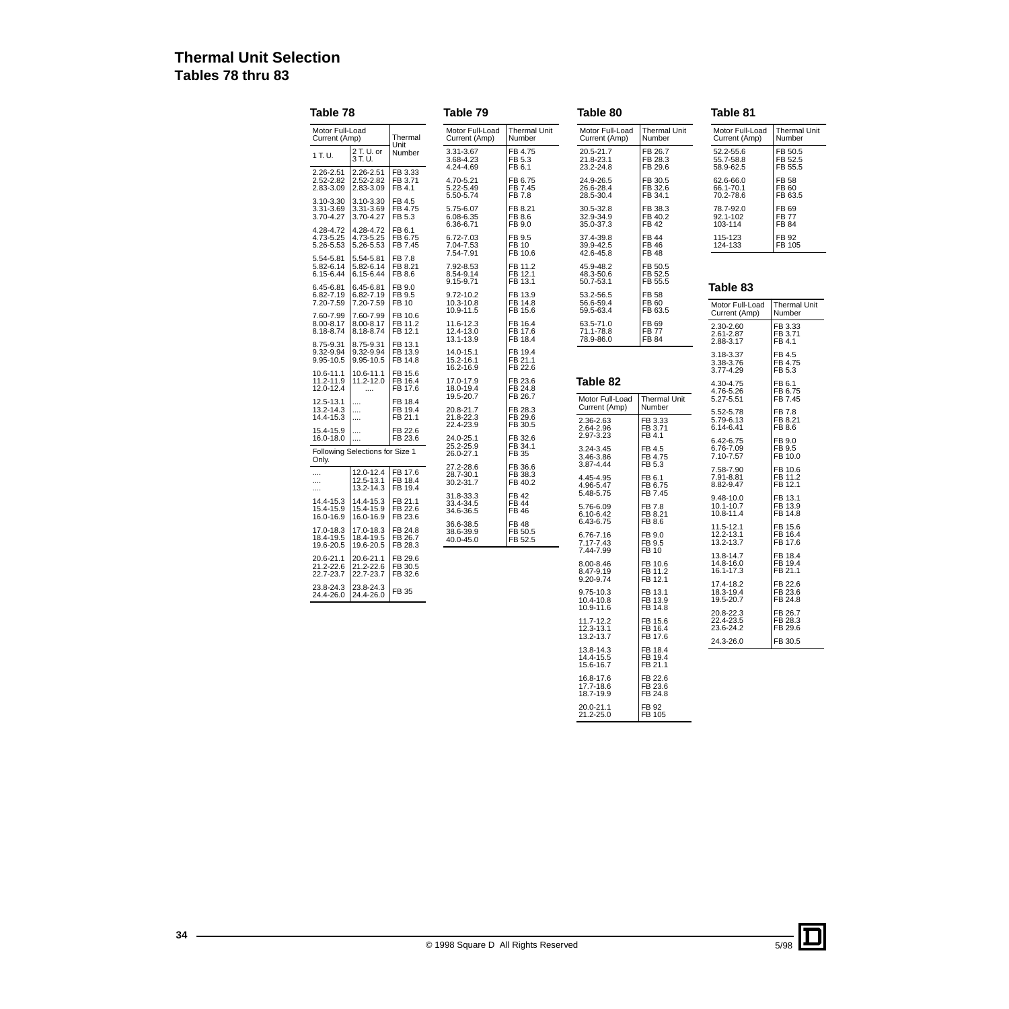# **Thermal Unit Selection Tables 78 thru 83**

| Table 78                            |                                      | Table 79                      |                                     |                                    |                                                  | Table 81                               |                                     |                                |
|-------------------------------------|--------------------------------------|-------------------------------|-------------------------------------|------------------------------------|--------------------------------------------------|----------------------------------------|-------------------------------------|--------------------------------|
| Motor Full-Load<br>Current (Amp)    |                                      | Thermal<br>Unit               | Motor Full-Load<br>Current (Amp)    | <b>Thermal Unit</b><br>Number      | Motor Full-Load<br>Current (Amp)                 | <b>Thermal Unit</b><br>Number          | Motor Full-Load<br>Current (Amp)    | Thermal Unit<br>Number         |
| 1 T.U.                              | 2 T. U. or<br>3 T.U.                 | Number                        | 3.31-3.67<br>3.68-4.23<br>4.24-4.69 | FB 4.75<br>FB 5.3<br>FB 6.1        | 20.5-21.7<br>21.8-23.1<br>23.2-24.8              | FB 26.7<br>FB 28.3<br>FB 29.6          | 52.2-55.6<br>55.7-58.8<br>58.9-62.5 | FB 50.5<br>FB 52.5<br>FB 55.5  |
| 2.26-2.51<br>2.52-2.82<br>2.83-3.09 | 2.26-2.51<br>2.52-2.82<br>2.83-3.09  | FB 3.33<br>FB 3.71<br>FB 4.1  | 4.70-5.21<br>5.22-5.49<br>5.50-5.74 | FB 6.75<br>FB 7.45<br>FB 7.8       | 24.9-26.5<br>26.6-28.4<br>28.5-30.4              | FB 30.5<br>FB 32.6<br>FB 34.1          | 62.6-66.0<br>66.1-70.1<br>70.2-78.6 | FB 58<br>FB 60<br>FB 63.5      |
| 3.10-3.30<br>3.31-3.69<br>3.70-4.27 | 3.10-3.30<br>3.31-3.69<br>3.70-4.27  | FB 4.5<br>FB 4.75<br>FB 5.3   | 5.75-6.07<br>6.08-6.35<br>6.36-6.71 | FB 8.21<br>FB 8.6<br>FB 9.0        | 30.5-32.8<br>32.9-34.9<br>35.0-37.3              | FB 38.3<br>FB 40.2<br>FB 42            | 78.7-92.0<br>92.1-102<br>103-114    | FB 69<br><b>FB 77</b><br>FB 84 |
| 4.28-4.72<br>4.73-5.25<br>5.26-5.53 | 4.28-4.72<br>4.73-5.25<br>5.26-5.53  | FB 6.1<br>FB 6.75<br>FB 7.45  | 6.72-7.03<br>7.04-7.53<br>7.54-7.91 | FB 9.5<br>FB 10<br>FB 10.6         | 37.4-39.8<br>39.9-42.5<br>42.6-45.8              | <b>FB 44</b><br>FB 46<br>FB 48         | 115-123<br>124-133                  | FB 92<br>FB 105                |
| 5.54-5.81<br>5.82-6.14<br>6.15-6.44 | 5.54-5.81<br>5.82-6.14<br>6.15-6.44  | FB 7.8<br>FB 8.21<br>FB 8.6   | 7.92-8.53<br>8.54-9.14<br>9.15-9.71 | FB 11.2<br>FB 12.1<br>FB 13.1      | 45.9-48.2<br>48.3-50.6<br>50.7-53.1              | FB 50.5<br>FB 52.5<br>FB 55.5          |                                     |                                |
| 6.45-6.81<br>6.82-7.19<br>7.20-7.59 | 6.45-6.81<br>6.82-7.19<br>7.20-7.59  | FB 9.0<br>FB 9.5<br>FB 10     | 9.72-10.2<br>10.3-10.8              | FB 13.9<br>FB 14.8                 | 53.2-56.5<br>56.6-59.4                           | FB 58<br>FB 60                         | Table 83                            |                                |
| 7.60-7.99                           | 7.60-7.99                            | FB 10.6                       | 10.9-11.5                           | FB 15.6                            | 59.5-63.4                                        | FB 63.5                                | Motor Full-Load<br>Current (Amp)    | Thermal Unit<br>Number         |
| 8.00-8.17<br>8.18-8.74<br>8.75-9.31 | 8.00-8.17<br>8.18-8.74<br>8.75-9.31  | FB 11.2<br>FB 12.1<br>FB 13.1 | 11.6-12.3<br>12.4-13.0<br>13.1-13.9 | FB 16.4<br>FB 17.6<br>FB 18.4      | 63.5-71.0<br>71.1-78.8<br>78.9-86.0              | FB 69<br><b>FB 77</b><br>FB 84         | 2.30-2.60<br>2.61-2.87<br>2.88-3.17 | FB 3.33<br>FB 3.71<br>FB 4.1   |
| 9.32-9.94<br>9.95-10.5              | 9.32-9.94<br>9.95-10.5               | FB 13.9<br>FB 14.8            | 14.0-15.1<br>15.2-16.1<br>16.2-16.9 | FB 19.4<br>FB 21.1<br>FB 22.6      |                                                  |                                        | 3.18-3.37<br>3.38-3.76<br>3.77-4.29 | FB 4.5<br>FB 4.75<br>FB 5.3    |
| 10.6-11.1<br>11.2-11.9<br>12.0-12.4 | 10.6-11.1<br>11.2-12.0               | FB 15.6<br>FB 16.4<br>FB 17.6 | 17.0-17.9<br>18.0-19.4              | FB 23.6<br>FB 24.8                 | Table 82                                         |                                        | 4.30-4.75<br>4.76-5.26              | FB 6.1<br>FB 6.75              |
| 12.5-13.1<br>13.2-14.3              | .<br>.                               | FB 18.4<br>FB 19.4            | 19.5-20.7<br>20.8-21.7              | FB 26.7<br>FB 28.3                 | Motor Full-Load<br>Current (Amp)                 | <b>Thermal Unit</b><br>Number          | 5.27-5.51<br>5.52-5.78              | FB 7.45<br>FB 7.8              |
| 14.4-15.3<br>15.4-15.9              | $\cdots$<br>.                        | FB 21.1<br>FB 22.6            | 21.8-22.3<br>22.4-23.9              | FB 29.6<br>FB 30.5                 | 2.36-2.63<br>2.64-2.96<br>2.97-3.23              | FB 3.33<br>FB 3.71<br>FB 4.1           | 5.79-6.13<br>6.14-6.41              | FB 8.21<br>FB 8.6              |
| 16.0-18.0<br>Only.                  | .<br>Following Selections for Size 1 | FB 23.6                       | 24.0-25.1<br>25.2-25.9<br>26.0-27.1 | FB 32.6<br>FB 34.1<br>FB 35        | 3.24-3.45<br>3.46-3.86                           | FB 4.5<br>FB 4.75                      | 6.42-6.75<br>6.76-7.09<br>7.10-7.57 | FB 9.0<br>FB 9.5<br>FB 10.0    |
| <br>$\cdots$<br>                    | 12.0-12.4<br>12.5-13.1<br>13.2-14.3  | FB 17.6<br>FB 18.4<br>FB 19.4 | 27.2-28.6<br>28.7-30.1<br>30.2-31.7 | FB 36.6<br>FB 38.3<br>FB 40.2      | 3.87-4.44<br>4.45-4.95<br>4.96-5.47<br>5.48-5.75 | FB 5.3<br>FB 6.1<br>FB 6.75<br>FB 7.45 | 7.58-7.90<br>7.91-8.81<br>8.82-9.47 | FB 10.6<br>FB 11.2<br>FB 12.1  |
| 14.4-15.3<br>15.4-15.9<br>16.0-16.9 | 14.4-15.3<br>15.4-15.9<br>16.0-16.9  | FB 21.1<br>FB 22.6<br>FB 23.6 | 31.8-33.3<br>33.4-34.5<br>34.6-36.5 | <b>FB42</b><br>FB 44<br>FB 46      | 5.76-6.09<br>6.10-6.42<br>6.43-6.75              | FB 7.8<br>FB 8.21<br>FB 8.6            | 9.48-10.0<br>10.1-10.7<br>10.8-11.4 | FB 13.1<br>FB 13.9<br>FB 14.8  |
| 17.0-18.3<br>18.4-19.5<br>19.6-20.5 | 17.0-18.3<br>18.4-19.5<br>19.6-20.5  | FB 24.8<br>FB 26.7<br>FB 28.3 | 36.6-38.5<br>38.6-39.9<br>40.0-45.0 | <b>FB 48</b><br>FB 50.5<br>FB 52.5 | 6.76-7.16<br>7.17-7.43<br>7.44-7.99              | FB 9.0<br>FB 9.5<br>FB 10              | 11.5-12.1<br>12.2-13.1<br>13.2-13.7 | FB 15.6<br>FB 16.4<br>FB 17.6  |
| 20.6-21.1<br>21.2-22.6<br>22.7-23.7 | 20.6-21.1<br>21.2-22.6<br>22.7-23.7  | FB 29.6<br>FB 30.5<br>FB 32.6 |                                     |                                    | 8.00-8.46<br>8.47-9.19<br>9.20-9.74              | FB 10.6<br>FB 11.2<br>FB 12.1          | 13.8-14.7<br>14.8-16.0<br>16.1-17.3 | FB 18.4<br>FB 19.4<br>FB 21.1  |
| 23.8-24.3<br>24.4-26.0              | 23.8-24.3<br>24.4-26.0               | FB 35                         |                                     |                                    | 9.75-10.3<br>10.4-10.8<br>10.9-11.6              | FB 13.1<br>FB 13.9<br>FB 14.8          | 17.4-18.2<br>18.3-19.4<br>19.5-20.7 | FB 22.6<br>FB 23.6<br>FB 24.8  |
|                                     |                                      |                               |                                     |                                    | 11.7-12.2<br>12.3-13.1<br>13.2-13.7              | FB 15.6<br>FB 16.4<br>FB 17.6          | 20.8-22.3<br>22.4-23.5<br>23.6-24.2 | FB 26.7<br>FB 28.3<br>FB 29.6  |
|                                     |                                      |                               |                                     |                                    | 13.8-14.3<br>14.4-15.5                           | FB 18.4<br>FB 19.4                     | 24.3-26.0                           | FB 30.5                        |
|                                     |                                      |                               |                                     |                                    | 15.6-16.7                                        | FB 21.1                                |                                     |                                |
|                                     |                                      |                               |                                     |                                    | 16.8-17.6<br>17.7-18.6<br>18.7-19.9              | FB 22.6<br>FB 23.6<br>FB 24.8          |                                     |                                |
|                                     |                                      |                               |                                     |                                    | 20.0-21.1<br>21.2-25.0                           | FB 92<br><b>FB 105</b>                 |                                     |                                |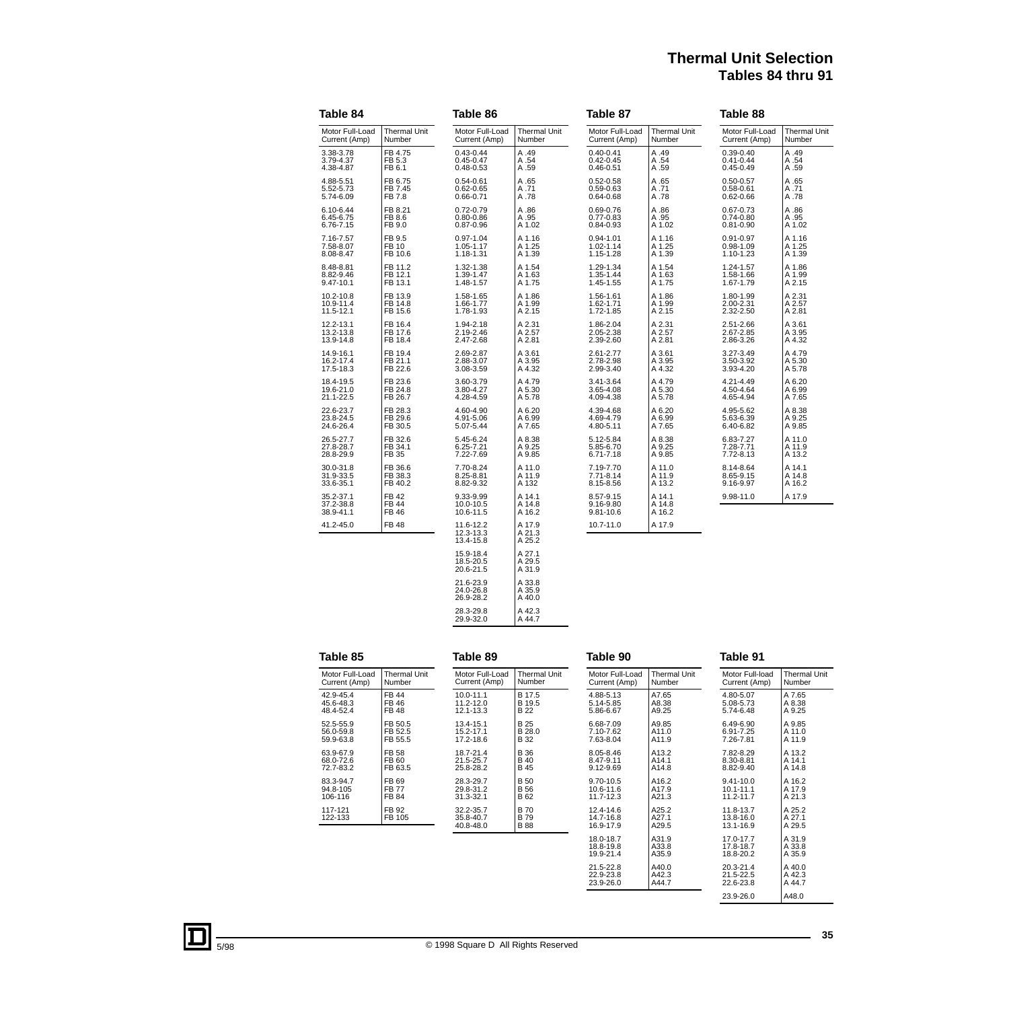# **Thermal Unit Selection Tables 84 thru 91**

| Table 84                            |                               | Table 86                            |                            | Table 87                            |                            | Table 88        |                     |  |  |
|-------------------------------------|-------------------------------|-------------------------------------|----------------------------|-------------------------------------|----------------------------|-----------------|---------------------|--|--|
| Motor Full-Load                     | <b>Thermal Unit</b>           | Motor Full-Load                     | <b>Thermal Unit</b>        | Motor Full-Load                     | <b>Thermal Unit</b>        | Motor Full-Load | <b>Thermal Unit</b> |  |  |
| Current (Amp)                       | Number                        | Current (Amp)                       | Number                     | Current (Amp)                       | Number                     | Current (Amp)   | Number              |  |  |
| 3.38-3.78                           | FB 4.75                       | $0.43 - 0.44$                       | A.49                       | $0.40 - 0.41$                       | A.49                       | $0.39 - 0.40$   | A.49                |  |  |
| 3.79-4.37                           | FB 5.3                        | $0.45 - 0.47$                       | A.54                       | $0.42 - 0.45$                       | A.54                       | $0.41 - 0.44$   | A.54                |  |  |
| 4.38-4.87                           | FB 6.1                        | $0.48 - 0.53$                       | A.59                       | $0.46 - 0.51$                       | A.59                       | $0.45 - 0.49$   | A.59                |  |  |
| 4.88-5.51                           | FB 6.75                       | $0.54 - 0.61$                       | A .65                      | $0.52 - 0.58$                       | A.65                       | $0.50 - 0.57$   | A.65                |  |  |
| 5.52-5.73                           | FB 7.45                       | $0.62 - 0.65$                       | A.71                       | $0.59 - 0.63$                       | A.71                       | $0.58 - 0.61$   | A.71                |  |  |
| 5.74-6.09                           | FB 7.8                        | $0.66 - 0.71$                       | A.78                       | 0.64-0.68                           | A.78                       | $0.62 - 0.66$   | A.78                |  |  |
| 6.10-6.44                           | FB 8.21                       | $0.72 - 0.79$                       | A.86                       | 0.69-0.76                           | A.86                       | $0.67 - 0.73$   | A.86                |  |  |
| 6.45-6.75                           | FB 8.6                        | $0.80 - 0.86$                       | A.95                       | $0.77 - 0.83$                       | A.95                       | 0.74-0.80       | A.95                |  |  |
| 6.76-7.15                           | FB 9.0                        | 0.87-0.96                           | A 1.02                     | 0.84-0.93                           | A 1.02                     | $0.81 - 0.90$   | A 1.02              |  |  |
| 7.16-7.57                           | FB 9.5                        | $0.97 - 1.04$                       | A 1.16                     | $0.94 - 1.01$                       | A 1.16                     | $0.91 - 0.97$   | A 1.16              |  |  |
| 7.58-8.07                           | FB 10                         | 1.05-1.17                           | A 1.25                     | 1.02-1.14                           | A 1.25                     | 0.98-1.09       | A 1.25              |  |  |
| 8.08-8.47                           | FB 10.6                       | 1.18-1.31                           | A 1.39                     | 1.15-1.28                           | A 1.39                     | 1.10-1.23       | A 1.39              |  |  |
| 8.48-8.81                           | FB 11.2                       | 1.32-1.38                           | A 1.54                     | 1.29-1.34                           | A 1.54                     | 1.24-1.57       | A 1.86              |  |  |
| 8.82-9.46                           | FB 12.1                       | 1.39-1.47                           | A 1.63                     | 1.35-1.44                           | A 1.63                     | 1.58-1.66       | A 1.99              |  |  |
| 9.47-10.1                           | FB 13.1                       | 1.48-1.57                           | A 1.75                     | 1.45-1.55                           | A 1.75                     | 1.67-1.79       | A 2.15              |  |  |
| 10.2-10.8                           | FB 13.9                       | 1.58-1.65                           | A 1.86                     | 1.56-1.61                           | A 1.86                     | 1.80-1.99       | A 2.31              |  |  |
| 10.9-11.4                           | FB 14.8                       | 1.66-1.77                           | A 1.99                     | 1.62-1.71                           | A 1.99                     | 2.00-2.31       | A 2.57              |  |  |
| 11.5-12.1                           | FB 15.6                       | 1.78-1.93                           | A 2.15                     | 1.72-1.85                           | A 2.15                     | 2.32-2.50       | A 2.81              |  |  |
| 12.2-13.1                           | FB 16.4                       | 1.94-2.18                           | A 2.31                     | 1.86-2.04                           | A 2.31                     | 2.51-2.66       | A 3.61              |  |  |
| 13.2-13.8                           | FB 17.6                       | 2.19-2.46                           | A 2.57                     | 2.05-2.38                           | A 2.57                     | 2.67-2.85       | A 3.95              |  |  |
| 13.9-14.8                           | FB 18.4                       | 2.47-2.68                           | A 2.81                     | 2.39-2.60                           | A 2.81                     | 2.86-3.26       | A 4.32              |  |  |
| 14.9-16.1                           | FB 19.4                       | 2.69-2.87                           | A 3.61                     | 2.61-2.77                           | A 3.61                     | 3.27-3.49       | A 4.79              |  |  |
| 16.2-17.4                           | FB 21.1                       | 2.88-3.07                           | A 3.95                     | 2.78-2.98                           | A 3.95                     | 3.50-3.92       | A 5.30              |  |  |
| 17.5-18.3                           | FB 22.6                       | 3.08-3.59                           | A 4.32                     | 2.99-3.40                           | A 4.32                     | 3.93-4.20       | A 5.78              |  |  |
| 18.4-19.5                           | FB 23.6                       | 3.60-3.79                           | A 4.79                     | 3.41-3.64                           | A 4.79                     | 4.21-4.49       | A 6.20              |  |  |
| 19.6-21.0                           | FB 24.8                       | 3.80-4.27                           | A 5.30                     | 3.65-4.08                           | A 5.30                     | 4.50-4.64       | A 6.99              |  |  |
| 21.1-22.5                           | FB 26.7                       | 4.28-4.59                           | A 5.78                     | 4.09-4.38                           | A 5.78                     | 4.65-4.94       | A 7.65              |  |  |
| 22.6-23.7                           | FB 28.3                       | 4.60-4.90                           | A 6.20                     | 4.39-4.68                           | A 6.20                     | 4.95-5.62       | A 8.38              |  |  |
| 23.8-24.5                           | FB 29.6                       | 4.91-5.06                           | A 6.99                     | 4.69-4.79                           | A 6.99                     | 5.63-6.39       | A 9.25              |  |  |
| 24.6-26.4                           | FB 30.5                       | 5.07-5.44                           | A 7.65                     | 4.80-5.11                           | A 7.65                     | 6.40-6.82       | A 9.85              |  |  |
| 26.5-27.7                           | FB 32.6                       | 5.45-6.24                           | A 8.38                     | 5.12-5.84                           | A 8.38                     | 6.83-7.27       | A 11.0              |  |  |
| 27.8-28.7                           | FB 34.1                       | 6.25-7.21                           | A 9.25                     | 5.85-6.70                           | A 9.25                     | 7.28-7.71       | A 11.9              |  |  |
| 28.8-29.9                           | FB 35                         | 7.22-7.69                           | A 9.85                     | 6.71-7.18                           | A 9.85                     | 7.72-8.13       | A 13.2              |  |  |
| 30.0-31.8                           | FB 36.6                       | 7.70-8.24                           | A 11.0                     | 7.19-7.70                           | A 11.0                     | 8.14-8.64       | A 14.1              |  |  |
| 31.9-33.5                           | FB 38.3                       | 8.25-8.81                           | A 11.9                     | $7.71 - 8.14$                       | A 11.9                     | 8.65-9.15       | A 14.8              |  |  |
| 33.6-35.1                           | FB 40.2                       | 8.82-9.32                           | A 132                      | 8.15-8.56                           | A 13.2                     | 9.16-9.97       | A 16.2              |  |  |
| 35.2-37.1<br>37.2-38.8<br>38.9-41.1 | FB 42<br><b>FB44</b><br>FB 46 | 9.33-9.99<br>10.0-10.5<br>10.6-11.5 | A 14.1<br>A 14.8<br>A 16.2 | 8.57-9.15<br>9.16-9.80<br>9.81-10.6 | A 14.1<br>A 14.8<br>A 16.2 | 9.98-11.0       | A 17.9              |  |  |
| 41.2-45.0                           | <b>FB48</b>                   | 11.6-12.2<br>12.3-13.3<br>13.4-15.8 | A 17.9<br>A 21.3<br>A 25.2 | 10.7-11.0                           | A 17.9                     |                 |                     |  |  |
|                                     |                               | 15.9-18.4<br>18.5-20.5<br>20.6-21.5 | A 27.1<br>A 29.5<br>A 31.9 |                                     |                            |                 |                     |  |  |
|                                     |                               | 21.6-23.9<br>24.0-26.8<br>26.9-28.2 | A 33.8<br>A 35.9<br>A 40.0 |                                     |                            |                 |                     |  |  |
|                                     |                               | 28.3-29.8<br>29.9-32.0              | A 42.3<br>A 44.7           |                                     |                            |                 |                     |  |  |

| Table 85           |                     | Table 89                            |                                         | Table 90                            |                         | Table 91                            |                            |  |
|--------------------|---------------------|-------------------------------------|-----------------------------------------|-------------------------------------|-------------------------|-------------------------------------|----------------------------|--|
| Motor Full-Load    | <b>Thermal Unit</b> | Motor Full-Load                     | <b>Thermal Unit</b>                     | Motor Full-Load                     | <b>Thermal Unit</b>     | Motor Full-load                     | <b>Thermal Unit</b>        |  |
| Current (Amp)      | Number              | Current (Amp)                       | Number                                  | Current (Amp)                       | Number                  | Current (Amp)                       | Number                     |  |
| 42.9-45.4          | FB 44               | 10.0-11.1                           | B 17.5                                  | 4.88-5.13                           | A7.65                   | 4.80-5.07                           | A 7.65                     |  |
| 45.6-48.3          | FB 46               | 11.2-12.0                           | B 19.5                                  | 5.14-5.85                           | A8.38                   | 5.08-5.73                           | A 8.38                     |  |
| 48.4-52.4          | FB 48               | 12.1-13.3                           | <b>B22</b>                              | 5.86-6.67                           | A9.25                   | 5.74-6.48                           | A 9.25                     |  |
| 52.5-55.9          | FB 50.5             | 13.4-15.1                           | <b>B25</b>                              | 6.68-7.09                           | A9.85                   | 6.49-6.90                           | A 9.85                     |  |
| 56.0-59.8          | FB 52.5             | 15.2-17.1                           | B 28.0                                  | 7.10-7.62                           | A11.0                   | 6.91-7.25                           | A 11.0                     |  |
| 59.9-63.8          | FB 55.5             | 17.2-18.6                           | <b>B</b> 32                             | 7.63-8.04                           | A11.9                   | 7.26-7.81                           | A 11.9                     |  |
| 63.9-67.9          | FB 58               | 18.7-21.4                           | <b>B</b> 36                             | 8.05-8.46                           | A <sub>13.2</sub>       | 7.82-8.29                           | A 13.2                     |  |
| 68.0-72.6          | FB 60               | 21.5-25.7                           | <b>B</b> 40                             | 8.47-9.11                           | A <sub>14.1</sub>       | 8.30-8.81                           | A 14.1                     |  |
| 72.7-83.2          | FB 63.5             | 25.8-28.2                           | <b>B</b> 45                             | 9.12-9.69                           | A14.8                   | 8.82-9.40                           | A 14.8                     |  |
| 83.3-94.7          | FB 69               | 28.3-29.7                           | <b>B</b> 50                             | 9.70-10.5                           | A16.2                   | $9.41 - 10.0$                       | A 16.2                     |  |
| 94.8-105           | <b>FB 77</b>        | 29.8-31.2                           | <b>B</b> 56                             | 10.6-11.6                           | A17.9                   | $10.1 - 11.1$                       | A 17.9                     |  |
| 106-116            | FB 84               | 31.3-32.1                           | B 62                                    | $11.7 - 12.3$                       | A21.3                   | $11.2 - 11.7$                       | A 21.3                     |  |
| 117-121<br>122-133 | FB 92<br>FB 105     | 32.2-35.7<br>35.8-40.7<br>40.8-48.0 | <b>B70</b><br><b>B79</b><br><b>B</b> 88 | 12.4-14.6<br>14.7-16.8<br>16.9-17.9 | A25.2<br>A27.1<br>A29.5 | 11.8-13.7<br>13.8-16.0<br>13.1-16.9 | A 25.2<br>A 27.1<br>A 29.5 |  |
|                    |                     |                                     |                                         | 18.0-18.7<br>18.8-19.8<br>19.9-21.4 | A31.9<br>A33.8<br>A35.9 | 17.0-17.7<br>17.8-18.7<br>18.8-20.2 | A 31.9<br>A 33.8<br>A 35.9 |  |

21.5-22.8 22.9-23.8 23.9-26.0

A40.0 A42.3 A44.7

A 40.0 A 42.3 A 44.7

20.3-21.4 21.5-22.5 22.6-23.8

23.9-26.0 A48.0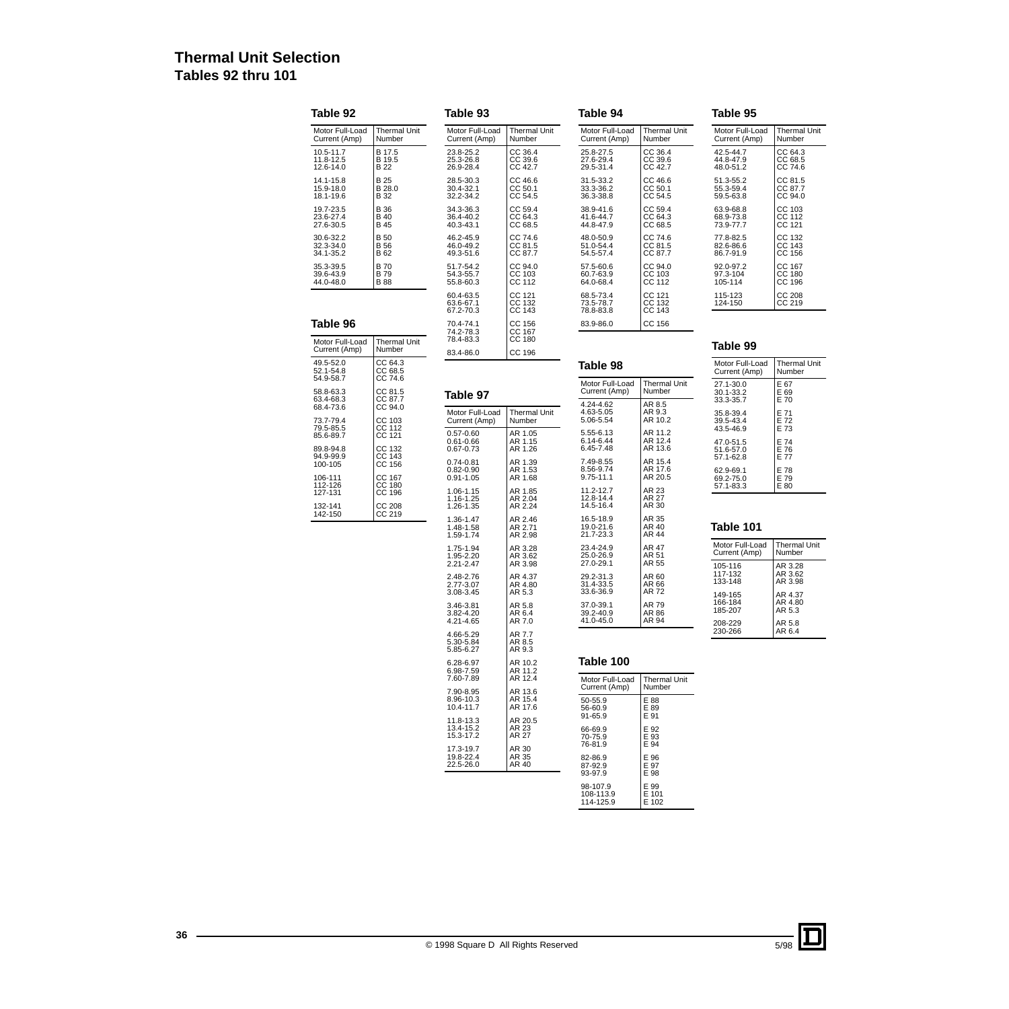# **Thermal Unit Selection Tables 92 thru 101**

| Table 92                            |                                           | Table 93                                        |                               |                                          |                               | Table 95                            |                               |  |
|-------------------------------------|-------------------------------------------|-------------------------------------------------|-------------------------------|------------------------------------------|-------------------------------|-------------------------------------|-------------------------------|--|
| Motor Full-Load<br>Current (Amp)    | Thermal Unit<br>Number                    | Motor Full-Load<br>Current (Amp)                | Thermal Unit<br>Number        | Motor Full-Load<br>Current (Amp)         | <b>Thermal Unit</b><br>Number | Motor Full-Load<br>Current (Amp)    | Thermal Unit<br>Number        |  |
| 10.5-11.7<br>11.8-12.5<br>12.6-14.0 | B 17.5<br>B 19.5<br><b>B22</b>            | 23.8-25.2<br>25.3-26.8<br>26.9-28.4             | CC 36.4<br>CC 39.6<br>CC 42.7 | 25.8-27.5<br>27.6-29.4<br>29.5-31.4      | CC 36.4<br>CC 39.6<br>CC 42.7 | 42.5-44.7<br>44.8-47.9<br>48.0-51.2 | CC 64.3<br>CC 68.5<br>CC 74.6 |  |
| 14.1-15.8<br>15.9-18.0<br>18.1-19.6 | B 25<br>B 28.0<br>B 32                    | 28.5-30.3<br>30.4-32.1<br>32.2-34.2             | CC 46.6<br>CC 50.1<br>CC 54.5 | 31.5-33.2<br>33.3-36.2<br>36.3-38.8      | CC 46.6<br>CC 50.1<br>CC 54.5 | 51.3-55.2<br>55.3-59.4<br>59.5-63.8 | CC 81.5<br>CC 87.7<br>CC 94.0 |  |
| 19.7-23.5<br>23.6-27.4<br>27.6-30.5 | <b>B</b> 36<br><b>B</b> 40<br><b>B</b> 45 | 34.3-36.3<br>36.4-40.2<br>40.3-43.1             | CC 59.4<br>CC 64.3<br>CC 68.5 | 38.9-41.6<br>41.6-44.7<br>44.8-47.9      | CC 59.4<br>CC 64.3<br>CC 68.5 | 63.9-68.8<br>68.9-73.8<br>73.9-77.7 | CC 103<br>CC 112<br>CC 121    |  |
| 30.6-32.2<br>32.3-34.0<br>34.1-35.2 | <b>B</b> 50<br><b>B</b> 56<br>B 62        | 46.2-45.9<br>46.0-49.2<br>49.3-51.6             | CC 74.6<br>CC 81.5<br>CC 87.7 | 48.0-50.9<br>51.0-54.4<br>54.5-57.4      | CC 74.6<br>CC 81.5<br>CC 87.7 | 77.8-82.5<br>82.6-86.6<br>86.7-91.9 | CC 132<br>CC 143<br>CC 156    |  |
| 35.3-39.5<br>39.6-43.9<br>44.0-48.0 | <b>B70</b><br><b>B79</b><br><b>B88</b>    | 51.7-54.2<br>54.3-55.7<br>55.8-60.3             | CC 94.0<br>CC 103<br>CC 112   | 57.5-60.6<br>60.7-63.9<br>64.0-68.4      | CC 94.0<br>CC 103<br>CC 112   | 92.0-97.2<br>97.3-104<br>105-114    | CC 167<br>CC 180<br>CC 196    |  |
|                                     |                                           | 60.4-63.5<br>63.6-67.1<br>67.2-70.3             | CC 121<br>CC 132<br>CC 143    | 68.5-73.4<br>73.5-78.7<br>78.8-83.8      | CC 121<br>CC 132<br>CC 143    | 115-123<br>124-150                  | CC 208<br>CC 219              |  |
| Table 96                            |                                           | 70.4-74.1<br>74.2-78.3                          | CC 156<br>CC 167              | 83.9-86.0                                | CC 156                        |                                     |                               |  |
| Motor Full-Load<br>Current (Amp)    | <b>Thermal Unit</b><br>Number             | 78.4-83.3<br>83.4-86.0                          | CC 180<br>CC 196              |                                          |                               | Table 99                            |                               |  |
| 49.5-52.0<br>52.1-54.8              | CC 64.3<br>CC 68.5                        |                                                 |                               | Table 98                                 |                               | Motor Full-Load<br>Current (Amp)    | <b>Thermal Unit</b><br>Number |  |
| 54.9-58.7<br>58.8-63.3              | CC 74.6<br>CC 81.5                        | Table 97                                        |                               | Motor Full-Load<br>Current (Amp)         | <b>Thermal Unit</b><br>Number | 27.1-30.0<br>30.1-33.2              | E 67<br>E 69                  |  |
| 63.4-68.3<br>68.4-73.6<br>73.7-79.4 | CC 87.7<br>CC 94.0<br>CC 103              | Motor Full-Load<br>Current (Amp)                | <b>Thermal Unit</b><br>Number | 4.24-4.62<br>4.63-5.05<br>5.06-5.54      | AR 8.5<br>AR 9.3<br>AR 10.2   | 33.3-35.7<br>35.8-39.4<br>39.5-43.4 | E 70<br>E 71<br>E 72          |  |
| 79.5-85.5<br>85.6-89.7<br>89.8-94.8 | CC 112<br>CC 121<br>CC 132                | $0.57 - 0.60$<br>0.61-0.66<br>0.67-0.73         | AR 1.05<br>AR 1.15<br>AR 1.26 | 5.55-6.13<br>6.14-6.44<br>6.45-7.48      | AR 11.2<br>AR 12.4<br>AR 13.6 | 43.5-46.9<br>47.0-51.5<br>51.6-57.0 | E 73<br>E 74<br>E 76          |  |
| 94.9-99.9<br>100-105<br>106-111     | CC 143<br>CC 156<br>CC 167                | $0.74 - 0.81$<br>$0.82 - 0.90$<br>$0.91 - 1.05$ | AR 1.39<br>AR 1.53<br>AR 1.68 | 7.49-8.55<br>8.56-9.74<br>9.75-11.1      | AR 15.4<br>AR 17.6<br>AR 20.5 | 57.1-62.8<br>62.9-69.1<br>69.2-75.0 | E 77<br>E 78<br>E 79          |  |
| 112-126<br>127-131<br>132-141       | CC 180<br>CC 196<br>CC 208                | 1.06-1.15<br>1.16-1.25<br>1.26-1.35             | AR 1.85<br>AR 2.04<br>AR 2.24 | 11.2-12.7<br>12.8-14.4<br>14.5-16.4      | AR 23<br>AR 27<br>AR 30       | 57.1-83.3                           | E 80                          |  |
| 142-150                             | CC 219                                    | 1.36-1.47<br>1.48-1.58<br>1.59-1.74             | AR 2.46<br>AR 2.71<br>AR 2.98 | 16.5-18.9<br>19.0-21.6<br>21.7-23.3      | AR 35<br>AR 40<br>AR 44       | Table 101                           |                               |  |
|                                     |                                           | 1.75-1.94<br>1.95-2.20<br>2.21-2.47             | AR 3.28<br>AR 3.62<br>AR 3.98 | 23.4-24.9<br>25.0-26.9<br>27.0-29.1      | AR 47<br>AR 51<br>AR 55       | Motor Full-Load<br>Current (Amp)    | <b>Thermal Unit</b><br>Number |  |
|                                     |                                           | 2.48-2.76<br>2.77-3.07<br>3.08-3.45             | AR 4.37<br>AR 4.80<br>AR 5.3  | 29.2-31.3<br>31.4-33.5<br>33.6-36.9      | AR 60<br>AR 66<br>AR 72       | 105-116<br>117-132<br>133-148       | AR 3.28<br>AR 3.62<br>AR 3.98 |  |
|                                     |                                           | 3.46-3.81<br>3.82-4.20<br>4.21-4.65             | AR 5.8<br>AR 6.4<br>AR 7.0    | 37.0-39.1<br>39.2-40.9<br>41.0-45.0      | AR 79<br>AR 86<br>AR 94       | 149-165<br>166-184<br>185-207       | AR 4.37<br>AR 4.80<br>AR 5.3  |  |
|                                     |                                           | 4.66-5.29<br>5.30-5.84<br>5.85-6.27             | AR 7.7<br>AR 8.5<br>AR 9.3    |                                          |                               | 208-229<br>230-266                  | AR 5.8<br>AR 6.4              |  |
|                                     |                                           | 6.28-6.97                                       | AR 10.2<br>AR 11.2            | Table 100                                |                               |                                     |                               |  |
|                                     |                                           | 6.98-7.59<br>7.60-7.89                          | AR 12.4                       | Motor Full-Load<br>Current (Amp)         | <b>Thermal Unit</b><br>Number |                                     |                               |  |
|                                     |                                           | 7.90-8.95<br>8.96-10.3<br>10.4-11.7             | AR 13.6<br>AR 15.4<br>AR 17.6 | 50-55.9<br>56-60.9                       | E 88<br>E 89                  |                                     |                               |  |
|                                     |                                           | 11.8-13.3<br>13.4-15.2<br>15.3-17.2             | AR 20.5<br>AR 23<br>AR 27     | 91-65.9<br>66-69.9<br>70-75.9            | E 91<br>E 92<br>E 93          |                                     |                               |  |
|                                     |                                           | 17.3-19.7<br>19.8-22.4<br>22.5-26.0             | AR 30<br>AR 35<br>AR 40       | 76-81.9<br>82-86.9<br>87-92.9<br>93-97.9 | E 94<br>E 96<br>E 97<br>E 98  |                                     |                               |  |

98-107.9 108-113.9 114-125.9

E 99 E 101 E 102

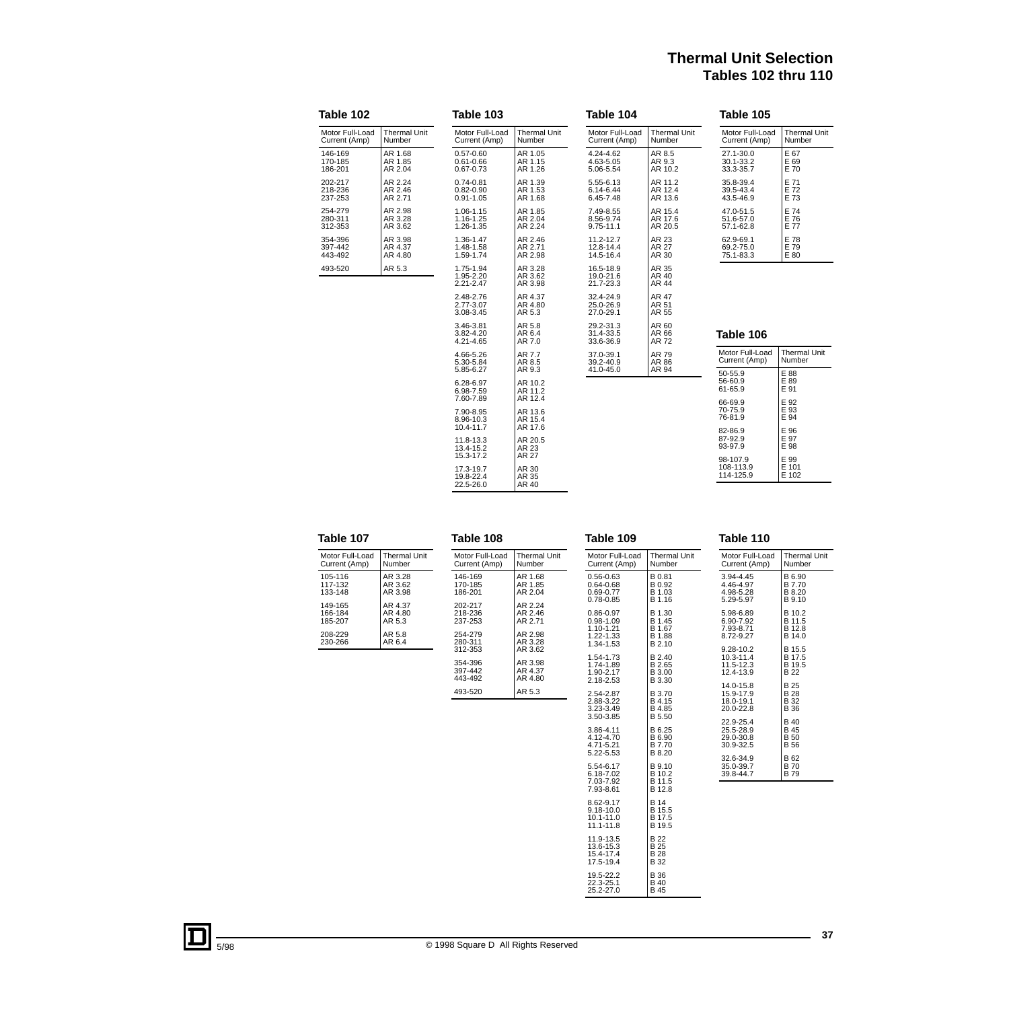# **Thermal Unit Selection Tables 102 thru 110**

| Table 102                        |                               | Table 103                                        |                                         | Table 104                               |                               | Table 105                                |                               |  |
|----------------------------------|-------------------------------|--------------------------------------------------|-----------------------------------------|-----------------------------------------|-------------------------------|------------------------------------------|-------------------------------|--|
| Motor Full-Load<br>Current (Amp) | <b>Thermal Unit</b><br>Number | Motor Full-Load<br>Current (Amp)                 | <b>Thermal Unit</b><br>Number           | Motor Full-Load<br>Current (Amp)        | <b>Thermal Unit</b><br>Number | Motor Full-Load<br>Current (Amp)         | <b>Thermal Unit</b><br>Number |  |
| 146-169<br>170-185<br>186-201    | AR 1.68<br>AR 1.85<br>AR 2.04 | $0.57 - 0.60$<br>$0.61 - 0.66$<br>$0.67 - 0.73$  | AR 1.05<br>AR 1.15<br>AR 1.26           | 4.24-4.62<br>4.63-5.05<br>5.06-5.54     | AR 8.5<br>AR 9.3<br>AR 10.2   | 27.1-30.0<br>30.1-33.2<br>33.3-35.7      | E 67<br>E 69<br>E 70          |  |
| 202-217<br>218-236<br>237-253    | AR 2.24<br>AR 2.46<br>AR 2.71 | $0.74 - 0.81$<br>$0.82 - 0.90$<br>$0.91 - 1.05$  | AR 1.39<br>AR 1.53<br>AR 1.68           | 5.55-6.13<br>6.14-6.44<br>6.45-7.48     | AR 11.2<br>AR 12.4<br>AR 13.6 | 35.8-39.4<br>39.5-43.4<br>43.5-46.9      | E 71<br>E 72<br>E 73          |  |
| 254-279<br>280-311<br>312-353    | AR 2.98<br>AR 3.28<br>AR 3.62 | 1.06-1.15<br>1.16-1.25<br>1.26-1.35              | AR 1.85<br>AR 2.04<br>AR 2.24           | 7.49-8.55<br>8.56-9.74<br>$9.75 - 11.1$ | AR 15.4<br>AR 17.6<br>AR 20.5 | 47.0-51.5<br>51.6-57.0<br>57.1-62.8      | E 74<br>E 76<br>E 77          |  |
| 354-396<br>397-442<br>443-492    | AR 3.98<br>AR 4.37<br>AR 4.80 | 1.36-1.47<br>1.48-1.58<br>1.59-1.74              | AR 2.46<br>AR 2.71<br>AR 2.98           | 11.2-12.7<br>12.8-14.4<br>14.5-16.4     | AR 23<br>AR 27<br>AR 30       | 62.9-69.1<br>69.2-75.0<br>75.1-83.3      | E 78<br>E 79<br>E 80          |  |
| 493-520                          | AR 5.3                        | 1.75-1.94<br>1.95-2.20<br>2.21-2.47              | AR 3.28<br>AR 3.62<br>AR 3.98           | 16.5-18.9<br>19.0-21.6<br>21.7-23.3     | AR 35<br>AR 40<br>AR 44       |                                          |                               |  |
|                                  |                               | 2.48-2.76<br>2.77-3.07<br>3.08-3.45              | AR 4.37<br>AR 4.80<br>AR 5.3            | 32.4-24.9<br>25.0-26.9<br>27.0-29.1     | AR 47<br>AR 51<br>AR 55       |                                          |                               |  |
|                                  |                               | 3.46-3.81<br>3.82-4.20<br>4.21-4.65              | AR 5.8<br>AR 6.4<br>AR 7.0              | 29.2-31.3<br>31.4-33.5<br>33.6-36.9     | AR 60<br>AR 66<br>AR 72       | Table 106                                |                               |  |
|                                  |                               | 4.66-5.26<br>5.30-5.84                           | AR 7.7<br>AR 8.5                        | 37.0-39.1<br>39.2-40.9                  | AR 79<br>AR 86                | Motor Full-Load<br>Current (Amp)         | <b>Thermal Unit</b><br>Number |  |
|                                  |                               | 5.85-6.27<br>6.28-6.97<br>6.98-7.59<br>7.60-7.89 | AR 9.3<br>AR 10.2<br>AR 11.2<br>AR 12.4 | 41.0-45.0                               | AR 94                         | 50-55.9<br>56-60.9<br>61-65.9<br>66-69.9 | E 88<br>E 89<br>E 91<br>E 92  |  |
|                                  |                               | 7.90-8.95<br>8.96-10.3<br>10.4-11.7              | AR 13.6<br>AR 15.4<br>AR 17.6           |                                         |                               | 70-75.9<br>76-81.9                       | E 93<br>E 94                  |  |
|                                  |                               | 11.8-13.3<br>13.4-15.2<br>15.3-17.2              | AR 20.5<br>AR 23<br>AR 27               |                                         |                               | 82-86.9<br>87-92.9<br>93-97.9            | E 96<br>E 97<br>E 98          |  |
|                                  |                               | 17.3-19.7<br>19.8-22.4<br>22.5-26.0              | AR 30<br>AR 35<br>AR 40                 |                                         |                               | 98-107.9<br>108-113.9<br>114-125.9       | E 99<br>E 101<br>E 102        |  |

| Table 107                                |                                        | Table 108                                |                                          | Table 109                                                    |                                                 | Table 110                                        |                                           |
|------------------------------------------|----------------------------------------|------------------------------------------|------------------------------------------|--------------------------------------------------------------|-------------------------------------------------|--------------------------------------------------|-------------------------------------------|
| Motor Full-Load<br>Current (Amp)         | <b>Thermal Unit</b><br>Number          | Motor Full-Load<br>Current (Amp)         | <b>Thermal Unit</b><br>Number            | Motor Full-Load<br>Current (Amp)                             | <b>Thermal Unit</b><br>Number                   | Motor Full-Load<br>Current (Amp)                 | <b>Thermal Unit</b><br>Number             |
| 105-116<br>117-132<br>133-148            | AR 3.28<br>AR 3.62<br>AR 3.98          | 146-169<br>170-185<br>186-201            | AR 1.68<br>AR 1.85<br>AR 2.04            | $0.56 - 0.63$<br>$0.64 - 0.68$<br>0.69-0.77<br>$0.78 - 0.85$ | B 0.81<br>B 0.92<br>B 1.03<br>B 1.16            | 3.94-4.45<br>4.46-4.97<br>4.98-5.28<br>5.29-5.97 | B 6.90<br>B 7.70<br>B 8.20<br>B 9.10      |
| 149-165<br>166-184<br>185-207<br>208-229 | AR 4.37<br>AR 4.80<br>AR 5.3<br>AR 5.8 | 202-217<br>218-236<br>237-253<br>254-279 | AR 2.24<br>AR 2.46<br>AR 2.71<br>AR 2.98 | 0.86-0.97<br>$0.98 - 1.09$<br>1.10-1.21<br>1.22-1.33         | B 1.30<br>B 1.45<br>B 1.67<br>B 1.88            | 5.98-6.89<br>6.90-7.92<br>7.93-8.71<br>8.72-9.27 | B 10.2<br>B 11.5<br>B 12.8<br>B 14.0      |
| 230-266                                  | AR 6.4                                 | 280-311<br>312-353<br>354-396            | AR 3.28<br>AR 3.62<br>AR 3.98<br>AR 4.37 | 1.34-1.53<br>1.54-1.73<br>1.74-1.89                          | B 2.10<br>B 2.40<br>B 2.65                      | 9.28-10.2<br>10.3-11.4<br>11.5-12.3              | B 15.5<br>B 17.5<br>B 19.5                |
|                                          |                                        | 397-442<br>443-492<br>493-520            | AR 4.80<br>AR 5.3                        | 1.90-2.17<br>2.18-2.53<br>2.54-2.87                          | B 3.00<br>B 3.30<br>B 3.70                      | 12.4-13.9<br>14.0-15.8<br>15.9-17.9              | <b>B22</b><br><b>B25</b><br><b>B28</b>    |
|                                          |                                        |                                          |                                          | 2.88-3.22<br>3.23-3.49<br>3.50-3.85                          | B 4.15<br>B 4.85<br><b>B</b> 5.50               | 18.0-19.1<br>20.0-22.8<br>22.9-25.4              | <b>B</b> 32<br><b>B</b> 36<br><b>B</b> 40 |
|                                          |                                        |                                          |                                          | 3.86-4.11<br>4.12-4.70<br>4.71-5.21<br>5.22-5.53             | B 6.25<br>B 6.90<br>B 7.70<br>B 8.20            | 25.5-28.9<br>29.0-30.8<br>30.9-32.5              | <b>B</b> 45<br><b>B</b> 50<br><b>B</b> 56 |
|                                          |                                        |                                          |                                          | 5.54-6.17<br>6.18-7.02<br>7.03-7.92<br>7.93-8.61             | B 9.10<br>B 10.2<br>B 11.5<br>B 12.8            | 32.6-34.9<br>35.0-39.7<br>39.8-44.7              | B 62<br><b>B70</b><br><b>B79</b>          |
|                                          |                                        |                                          |                                          | 8.62-9.17<br>$9.18 - 10.0$<br>10.1-11.0<br>11.1-11.8         | <b>B</b> 14<br>B 15.5<br>B 17.5<br>B 19.5       |                                                  |                                           |
|                                          |                                        |                                          |                                          | 11.9-13.5<br>13.6-15.3<br>15.4-17.4<br>17.5-19.4             | <b>B22</b><br><b>B</b> 25<br><b>B28</b><br>B 32 |                                                  |                                           |

19.5-22.2 22.3-25.1 25.2-27.0

B 36 B 40 B 45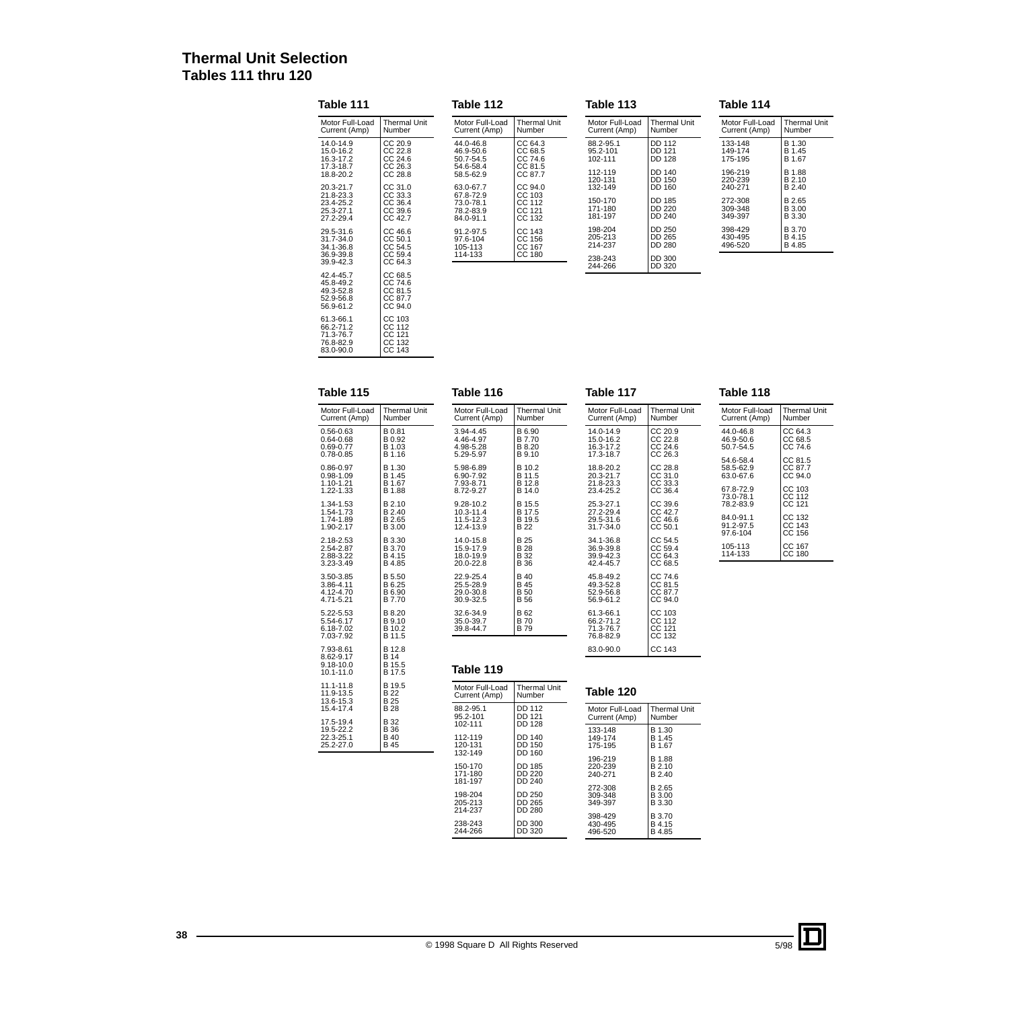# **Thermal Unit Selection Tables 111 thru 120**

| Table 111                                                     |                                                     | Table 112                                                     |                                                 | Table 113                                |                                             | Table 114                                |                                             |  |
|---------------------------------------------------------------|-----------------------------------------------------|---------------------------------------------------------------|-------------------------------------------------|------------------------------------------|---------------------------------------------|------------------------------------------|---------------------------------------------|--|
| Motor Full-Load                                               | <b>Thermal Unit</b>                                 | Motor Full-Load                                               | <b>Thermal Unit</b>                             | Motor Full-Load                          | <b>Thermal Unit</b>                         | Motor Full-Load                          | <b>Thermal Unit</b>                         |  |
| Current (Amp)                                                 | Number                                              | Current (Amp)                                                 | Number                                          | Current (Amp)                            | Number                                      | Current (Amp)                            | Number                                      |  |
| 14.0-14.9                                                     | CC 20.9                                             | 44.0-46.8                                                     | CC 64.3                                         | 88.2-95.1                                | <b>DD 112</b>                               | 133-148                                  | B 1.30                                      |  |
| 15.0-16.2                                                     | CC 22.8                                             | 46.9-50.6                                                     | CC 68.5                                         | 95.2-101                                 | DD 121                                      | 149-174                                  | B 1.45                                      |  |
| 16.3-17.2                                                     | CC 24.6                                             | 50.7-54.5                                                     | CC 74.6                                         | 102-111                                  | <b>DD 128</b>                               | 175-195                                  | B 1.67                                      |  |
| 17.3-18.7                                                     | CC 26.3                                             | 54.6-58.4                                                     | CC 81.5                                         | 112-119                                  | <b>DD 140</b>                               | 196-219                                  | B 1.88                                      |  |
| 18.8-20.2                                                     | CC 28.8                                             | 58.5-62.9                                                     | CC 87.7                                         | 120-131                                  | <b>DD 150</b>                               | 220-239                                  | B 2.10                                      |  |
| 20.3-21.7<br>21.8-23.3<br>23.4-25.2<br>25.3-27.1<br>27.2-29.4 | CC 31.0<br>CC 33.3<br>CC 36.4<br>CC 39.6<br>CC 42.7 | 63.0-67.7<br>67.8-72.9<br>73.0-78.1<br>78.2-83.9<br>84.0-91.1 | CC 94.0<br>CC 103<br>CC 112<br>CC 121<br>CC 132 | 132-149<br>150-170<br>171-180<br>181-197 | DD 160<br>DD 185<br><b>DD 220</b><br>DD 240 | 240-271<br>272-308<br>309-348<br>349-397 | B 2.40<br>B 2.65<br><b>B</b> 3.00<br>B 3.30 |  |
| 29.5-31.6                                                     | CC 46.6                                             | 91.2-97.5                                                     | CC 143                                          | 198-204                                  | DD 250                                      | 398-429                                  | <b>B</b> 3.70                               |  |
| 31.7-34.0                                                     | CC 50.1                                             | 97.6-104                                                      | CC 156                                          | 205-213                                  | DD 265                                      | 430-495                                  | B 4.15                                      |  |
| 34.1-36.8                                                     | CC 54.5                                             | 105-113                                                       | CC 167                                          | 214-237                                  | DD 280                                      | 496-520                                  | B 4.85                                      |  |
| 36.9-39.8<br>39.9-42.3                                        | CC 59.4<br>CC 64.3                                  | 114-133                                                       | CC 180                                          | 238-243<br>244-266                       | DD 300<br>DD 320                            |                                          |                                             |  |
| 42.4-45.7<br>45.8-49.2<br>49.3-52.8<br>52.9-56.8<br>56.9-61.2 | CC 68.5<br>CC 74.6<br>CC 81.5<br>CC 87.7<br>CC 94.0 |                                                               |                                                 |                                          |                                             |                                          |                                             |  |

| Table 115       |                     |  |  |  |  |  |  |  |
|-----------------|---------------------|--|--|--|--|--|--|--|
| Motor Full-Load | <b>Thermal Unit</b> |  |  |  |  |  |  |  |
| Current (Amp)   | Number              |  |  |  |  |  |  |  |
| 0.56-0.63       | B 0.81              |  |  |  |  |  |  |  |
| 0.64-0.68       | B 0.92              |  |  |  |  |  |  |  |
| 0.69-0.77       | B 1.03              |  |  |  |  |  |  |  |
| 0.78-0.85       | B 1.16              |  |  |  |  |  |  |  |
| 0.86-0.97       | B 1.30              |  |  |  |  |  |  |  |
| 0.98-1.09       | B 1.45              |  |  |  |  |  |  |  |
| 1.10-1.21       | B 1.67              |  |  |  |  |  |  |  |
| 1.22-1.33       | B 1.88              |  |  |  |  |  |  |  |
| 1.34-1.53       | B 2.10              |  |  |  |  |  |  |  |
| 1.54-1.73       | B 2.40              |  |  |  |  |  |  |  |
| 1.74-1.89       | B 2.65              |  |  |  |  |  |  |  |
| 1.90-2.17       | B 3.00              |  |  |  |  |  |  |  |
| 2.18-2.53       | B 3.30              |  |  |  |  |  |  |  |
| 2.54-2.87       | B 3.70              |  |  |  |  |  |  |  |
| 2.88-3.22       | B 4.15              |  |  |  |  |  |  |  |
| 3.23-3.49       | B 4.85              |  |  |  |  |  |  |  |

B 5.50 B 6.25 B 6.90 B 7.70

B 8.20 B 9.10 B 10.2 B 11.5

B 12.8<br>B 14<br>B 15.5<br>B 17.5

B 19.5 B 22 B 25 B 28

B 32 B 36 B 40 B 45

CC 103<br>CC 112<br>CC 121<br>CC 132<br>CC 143

61.3-66.1 66.2-71.2 71.3-76.7 76.8-82.9 83.0-90.0

3.50-3.85 3.86-4.11 4.12-4.70 4.71-5.21

5.22-5.53 5.54-6.17 6.18-7.02 7.03-7.92

7.93-8.61 8.62-9.17 9.18-10.0 10.1-11.0

11.1-11.8 11.9-13.5 13.6-15.3 15.4-17.4

17.5-19.4 19.5-22.2 22.3-25.1 25.2-27.0

| Table 116       |                     |
|-----------------|---------------------|
| Motor Full-Load | <b>Thermal Unit</b> |
| Current (Amp)   | Number              |
| 3.94-4.45       | B 6.90              |
| 4.46-4.97       | B 7.70              |
| 4.98-5.28       | B 8.20              |
| 5.29-5.97       | B 9.10              |
| 5.98-6.89       | B 10.2              |
| 6.90-7.92       | B 11.5              |
| 7.93-8.71       | B 12.8              |
| 872-927         | B 14.0              |
| 9.28-10.2       | B 15.5              |
| $10.3 - 11.4$   | B 17.5              |
| 11.5-12.3       | B 19.5              |
| 12.4-13.9       | B <sub>22</sub>     |
| 14.0-15.8       | B 25                |
| 15.9-17.9       | B 28                |
| 18.0-19.9       | B 32                |
| 20.0-22.8       | B 36                |
| 22.9-25.4       | B 40                |
| 25.5-28.9       | B 45                |
| 29.0-30.8       | B 50                |
| 30.9-32.5       | B 56                |
| 32.6-34.9       | B 62                |
| 35.0-39.7       | B 70                |
| 39.8-44.7       | B 79                |

| Motor Full-Load | <b>Thermal Unit</b> |
|-----------------|---------------------|
| Current (Amp)   | Number              |
| $14.0 - 14.9$   | CC 20.9             |
| 15.0-16.2       | CC 22.8             |
| 16.3-17.2       | CC 24.6             |
| 17.3-18.7       | CC 26.3             |
| 18.8-20.2       | CC 28.8             |
| $20.3 - 21.7$   | CC 31.0             |
| 21.8-23.3       | CC 33.3             |
| 23.4-25.2       | CC 36.4             |
| 25.3-27.1       | CC 39.6             |
| 27.2-29.4       | CC 42.7             |
| 29.5-31.6       | CC 46.6             |
| $31.7 - 34.0$   | CC 50.1             |
| 34.1-36.8       | CC 54.5             |
| 36.9-39.8       | CC 59.4             |
| 39.9-42.3       | CC 64.3             |
| 42 4-45 7       | CC 68.5             |
| 45.8-49.2       | CC 74.6             |
| 49.3-52.8       | CC 81.5             |
| 52.9-56.8       | CC 87.7             |
| 56.9-61.2       | CC 94.0             |
| 61.3-66.1       | CC 103              |
| 66.2-71.2       | CC 112              |
| 71.3-76.7       | CC 121              |
| 76.8-82.9       | CC 132              |
| 83.0-90.0       | CC 143              |

**Table 117**

| Table 118 |  |  |  |
|-----------|--|--|--|
|-----------|--|--|--|

| Motor Full-load | <b>Thermal Unit</b> |
|-----------------|---------------------|
| Current (Amp)   | Number              |
| 44.0-46.8       | CC 64.3             |
| 46.9-50.6       | CC 68.5             |
| 50.7-54.5       | CC 74.6             |
| 54.6-58.4       | CC 81.5             |
| 58.5-62.9       | CC 87.7             |
| 63.0-67.6       | CC 94.0             |
| 67.8-72.9       | CC 103              |
| 73.0-78.1       | CC 112              |
| 78.2-83.9       | CC 121              |
| 84.0-91.1       | CC 132              |
| 91.2-97.5       | CC 143              |
| 97.6-104        | CC 156              |
| 105-113         | CC 167              |
| 114-133         | CC 180              |

| Table 119 |  |  |
|-----------|--|--|
|           |  |  |

| Motor Full-Load<br>Current (Amp) | <b>Thermal Unit</b><br>Number     | Table 120                        |                               |
|----------------------------------|-----------------------------------|----------------------------------|-------------------------------|
| 88.2-95.1<br>95.2-101<br>102-111 | DD 112<br>DD 121<br><b>DD 128</b> | Motor Full-Load<br>Current (Amp) | <b>Thermal Unit</b><br>Number |
| 112-119<br>120-131<br>132-149    | DD 140<br><b>DD 150</b><br>DD 160 | 133-148<br>149-174<br>175-195    | B 1.30<br>B 1.45<br>B 1.67    |
| 150-170<br>171-180<br>181-197    | DD 185<br><b>DD 220</b><br>DD 240 | 196-219<br>220-239<br>240-271    | B 1.88<br>B 2.10<br>B 2.40    |
| 198-204<br>205-213<br>214-237    | DD 250<br>DD 265<br>DD 280        | 272-308<br>309-348<br>349-397    | B 2.65<br>B 3.00<br>B 3.30    |
| 238-243<br>244-266               | DD 300<br>DD 320                  | 398-429<br>430-495<br>496-520    | B 3.70<br>B 4.15<br>B 4.85    |

| B 2.65<br>B 3.00<br>B 3.30 |
|----------------------------|
| B 3.70<br>4.15<br>в        |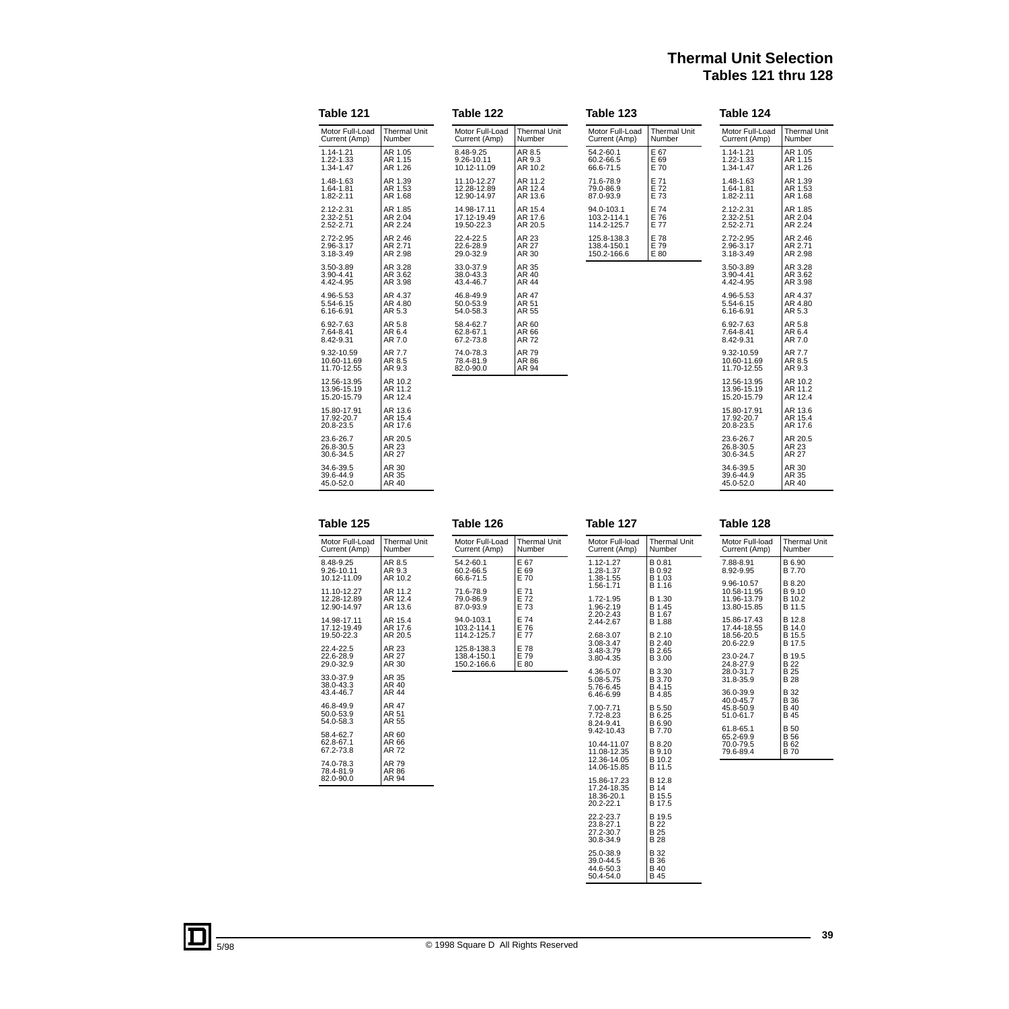# **Thermal Unit Selection Tables 121 thru 128**

| Table 121                                 |                               | Table 122                                 |                               | Table 123                                 |                               | Table 124                                 |                               |
|-------------------------------------------|-------------------------------|-------------------------------------------|-------------------------------|-------------------------------------------|-------------------------------|-------------------------------------------|-------------------------------|
| Motor Full-Load<br>Current (Amp)          | <b>Thermal Unit</b><br>Number | Motor Full-Load<br>Current (Amp)          | <b>Thermal Unit</b><br>Number | Motor Full-Load<br>Current (Amp)          | <b>Thermal Unit</b><br>Number | Motor Full-Load<br>Current (Amp)          | <b>Thermal Unit</b><br>Number |
| 1.14-1.21<br>1.22-1.33<br>1.34-1.47       | AR 1.05<br>AR 1.15<br>AR 1.26 | 8.48-9.25<br>9.26-10.11<br>10.12-11.09    | AR 8.5<br>AR 9.3<br>AR 10.2   | 54.2-60.1<br>60.2-66.5<br>66.6-71.5       | E 67<br>E 69<br>E 70          | 1.14-1.21<br>1.22-1.33<br>1.34-1.47       | AR 1.05<br>AR 1.15<br>AR 1.26 |
| 1.48-1.63<br>1.64-1.81<br>1.82-2.11       | AR 1.39<br>AR 1.53<br>AR 1.68 | 11.10-12.27<br>12.28-12.89<br>12.90-14.97 | AR 11.2<br>AR 12.4<br>AR 13.6 | 71.6-78.9<br>79.0-86.9<br>87.0-93.9       | E 71<br>E 72<br>E 73          | 1.48-1.63<br>1.64-1.81<br>1.82-2.11       | AR 1.39<br>AR 1.53<br>AR 1.68 |
| 2.12-2.31<br>2.32-2.51<br>2.52-2.71       | AR 1.85<br>AR 2.04<br>AR 2.24 | 14.98-17.11<br>17.12-19.49<br>19.50-22.3  | AR 15.4<br>AR 17.6<br>AR 20.5 | 94.0-103.1<br>103.2-114.1<br>114.2-125.7  | E 74<br>E 76<br>E 77          | 2.12-2.31<br>2.32-2.51<br>2.52-2.71       | AR 1.85<br>AR 2.04<br>AR 2.24 |
| 2.72-2.95<br>2.96-3.17<br>3.18-3.49       | AR 2.46<br>AR 2.71<br>AR 2.98 | 22.4-22.5<br>22.6-28.9<br>29.0-32.9       | AR 23<br>AR 27<br>AR 30       | 125.8-138.3<br>138.4-150.1<br>150.2-166.6 | E 78<br>E 79<br>E 80          | 2.72-2.95<br>2.96-3.17<br>3.18-3.49       | AR 2.46<br>AR 2.71<br>AR 2.98 |
| 3.50-3.89<br>3.90-4.41<br>4.42-4.95       | AR 3.28<br>AR 3.62<br>AR 3.98 | 33.0-37.9<br>38.0-43.3<br>43.4-46.7       | AR 35<br>AR 40<br>AR 44       |                                           |                               | 3.50-3.89<br>3.90-4.41<br>4.42-4.95       | AR 3.28<br>AR 3.62<br>AR 3.98 |
| 4.96-5.53<br>5.54-6.15<br>6.16-6.91       | AR 4.37<br>AR 4.80<br>AR 5.3  | 46.8-49.9<br>50.0-53.9<br>54.0-58.3       | AR 47<br>AR 51<br>AR 55       |                                           |                               | 4.96-5.53<br>5.54-6.15<br>6.16-6.91       | AR 4.37<br>AR 4.80<br>AR 5.3  |
| 6.92-7.63<br>7.64-8.41<br>8.42-9.31       | AR 5.8<br>AR 6.4<br>AR 7.0    | 58.4-62.7<br>62.8-67.1<br>67.2-73.8       | AR 60<br>AR 66<br>AR 72       |                                           |                               | 6.92-7.63<br>7.64-8.41<br>8.42-9.31       | AR 5.8<br>AR 6.4<br>AR 7.0    |
| 9.32-10.59<br>10.60-11.69<br>11.70-12.55  | AR 7.7<br>AR 8.5<br>AR 9.3    | 74.0-78.3<br>78.4-81.9<br>82.0-90.0       | AR 79<br>AR 86<br>AR 94       |                                           |                               | 9.32-10.59<br>10.60-11.69<br>11.70-12.55  | AR 7.7<br>AR 8.5<br>AR 9.3    |
| 12.56-13.95<br>13.96-15.19<br>15.20-15.79 | AR 10.2<br>AR 11.2<br>AR 12.4 |                                           |                               |                                           |                               | 12.56-13.95<br>13.96-15.19<br>15.20-15.79 | AR 10.2<br>AR 11.2<br>AR 12.4 |
| 15.80-17.91<br>17.92-20.7<br>20.8-23.5    | AR 13.6<br>AR 15.4<br>AR 17.6 |                                           |                               |                                           |                               | 15.80-17.91<br>17.92-20.7<br>20.8-23.5    | AR 13.6<br>AR 15.4<br>AR 17.6 |
| 23.6-26.7<br>26.8-30.5<br>30.6-34.5       | AR 20.5<br>AR 23<br>AR 27     |                                           |                               |                                           |                               | 23.6-26.7<br>26.8-30.5<br>30.6-34.5       | AR 20.5<br>AR 23<br>AR 27     |
| 34.6-39.5<br>39.6-44.9<br>45.0-52.0       | AR 30<br>AR 35<br>AR 40       |                                           |                               |                                           |                               | 34.6-39.5<br>39.6-44.9<br>45.0-52.0       | AR 30<br>AR 35<br>AR 40       |

| Table 125                                 |                               | Table 126                                 |                               | Table 127                                         |                                      |
|-------------------------------------------|-------------------------------|-------------------------------------------|-------------------------------|---------------------------------------------------|--------------------------------------|
| Motor Full-Load<br>Current (Amp)          | <b>Thermal Unit</b><br>Number | Motor Full-Load<br>Current (Amp)          | <b>Thermal Unit</b><br>Number | Motor Full-load<br>Current (Amp)                  | Therm<br>Numb                        |
| 8.48-9.25<br>9.26-10.11<br>10.12-11.09    | AR 8.5<br>AR 9.3<br>AR 10.2   | 54.2-60.1<br>60.2-66.5<br>66.6-71.5       | E 67<br>E 69<br>E 70          | 1.12-1.27<br>1.28-1.37<br>1.38-1.55<br>1.56-1.71  | B 0.81<br>B 0.92<br>B 1.03<br>B 1.16 |
| 11.10-12.27<br>12.28-12.89<br>12.90-14.97 | AR 11.2<br>AR 12.4<br>AR 13.6 | 71.6-78.9<br>79.0-86.9<br>87.0-93.9       | E 71<br>E 72<br>E 73          | 1.72-1.95<br>1.96-2.19<br>2.20-2.43               | B 1.30<br>B 1.45<br>B 1.67           |
| 14.98-17.11<br>17.12-19.49<br>19.50-22.3  | AR 15.4<br>AR 17.6<br>AR 20.5 | 94.0-103.1<br>103.2-114.1<br>114.2-125.7  | E 74<br>E 76<br>E 77          | 2.44-2.67<br>2.68-3.07<br>3.08-3.47               | B 1.88<br>B 2.10<br>B 2.40           |
| 22.4-22.5<br>22.6-28.9<br>29.0-32.9       | AR 23<br>AR 27<br>AR 30       | 125.8-138.3<br>138.4-150.1<br>150.2-166.6 | E 78<br>E 79<br>E 80          | 3.48-3.79<br>3.80-4.35                            | B 2.65<br>B 3.00                     |
| 33.0-37.9<br>38.0-43.3<br>43.4-46.7       | AR 35<br>AR 40<br>AR 44       |                                           |                               | 4.36-5.07<br>5.08-5.75<br>5.76-6.45<br>6.46-6.99  | B 3.30<br>B 3.70<br>B 4.15<br>B 4.85 |
| 46.8-49.9<br>50.0-53.9<br>54.0-58.3       | AR 47<br>AR 51<br>AR 55       |                                           |                               | 7.00-7.71<br>7.72-8.23<br>8.24-9.41<br>9.42-10.43 | B 5.50<br>B 6.25<br>B 6.90<br>B 7.70 |
| 58.4-62.7<br>62.8-67.1<br>67.2-73.8       | AR 60<br>AR 66<br>AR 72       |                                           |                               | 10.44-11.07<br>11.08-12.35<br>12.36-14.05         | B 8.20<br><b>B</b> 9.10<br>B 10.2    |
| 74.0-78.3<br>78.4-81.9<br>82.0-90.0       | AR 79<br>AR 86<br>AR 94       |                                           |                               | 14.06-15.85<br>15.86-17.23                        | B 11.5<br>B 12.8                     |
|                                           |                               |                                           |                               | 17.24-18.35<br>18.36-20.1<br>20.2-22.1            | B 14<br>B 15.5<br>B 17.5             |

|                  | Table 128       |                     |
|------------------|-----------------|---------------------|
| Thermal Unit     | Motor Full-load | <b>Thermal Unit</b> |
| Number           | Current (Amp)   | Number              |
| B 0.81           | 7.88-8.91       | B 6.90              |
| B 0.92           | 8.92-9.95       | B 7.70              |
| B 1.03           | 9.96-10.57      | B 8.20              |
| B 1.16           | 10.58-11.95     | B 9.10              |
| B 1.30           | 11.96-13.79     | B 10.2              |
| B 1.45           | 13.80-15.85     | B 11.5              |
| B 1.67           | 15.86-17.43     | B 12.8              |
| B 1.88           | 17.44-18.55     | B 14.0              |
| B 2.10           | 18.56-20.5      | B 15.5              |
| B 2.40           | 20.6-22.9       | B 17.5              |
| B 2.65           | 23.0-24.7       | B 19.5              |
| B 3.00           | 24.8-27.9       | B <sub>22</sub>     |
| B 3.30           | 28.0-31.7       | B 25                |
| B 3.70           | 31.8-35.9       | B 28                |
| B 4.15           | 36.0-39.9       | B 32                |
| B 4.85           | 40.0-45.7       | B 36                |
| B 5.50           | 45.8-50.9       | B 40                |
| B 6.25           | 51.0-61.7       | B 45                |
| B 6.90           | 61.8-65.1       | <b>B</b> 50         |
| B 7.70           | 65.2-69.9       | <b>B56</b>          |
| B 8.20           | 70.0-79.5       | B 62                |
| B 9.10           | 79.6-89.4       | <b>B70</b>          |
| B 10.2<br>B 11.5 |                 |                     |
| B 12.8           |                 |                     |

22.2-23.7 23.8-27.1 27.2-30.7 30.8-34.9

25.0-38.9 39.0-44.5 44.6-50.3 50.4-54.0

B 19.5 B 22 B 25 B 28

B 32 B 36 B 40 B 45

L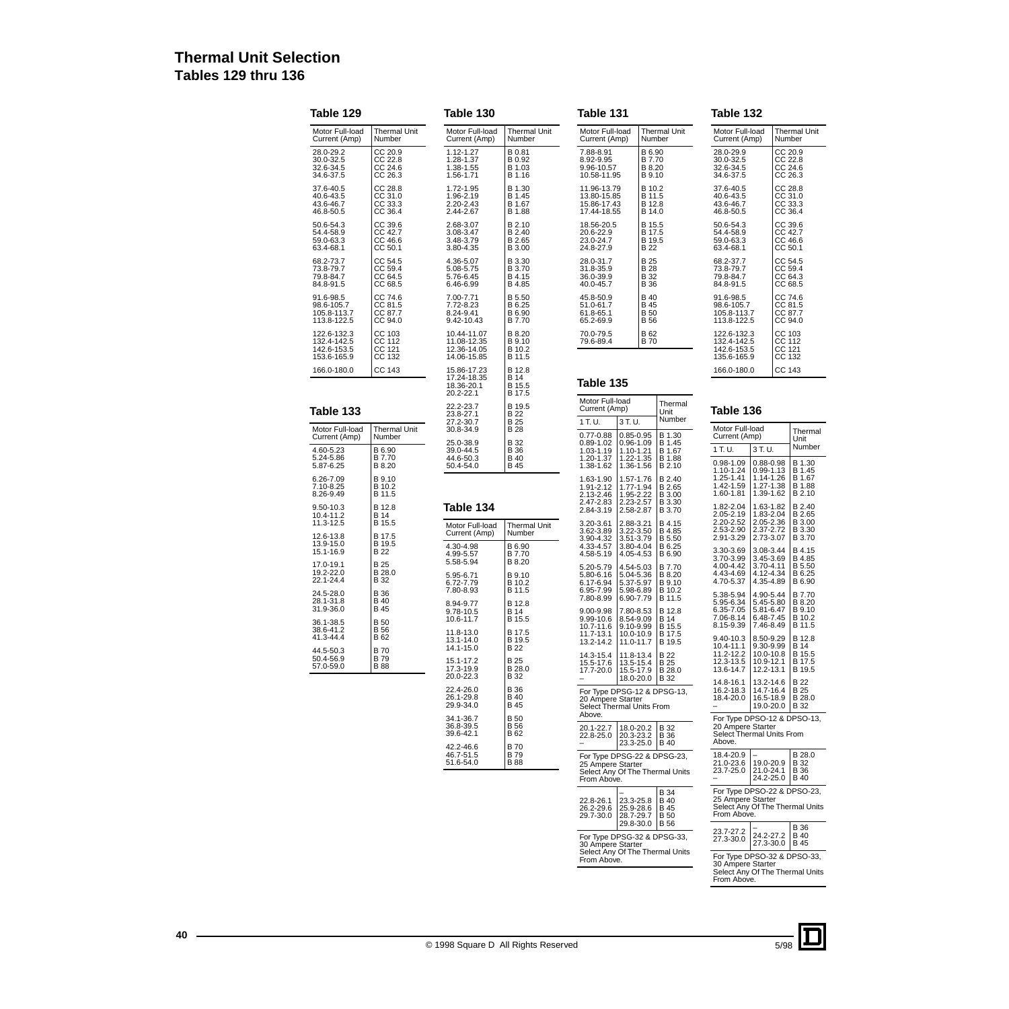# **Thermal Unit Selection Tables 129 thru 136**

**Table 129**

**Table 133**

| Table 129                                                |                                          | Table 130                                                |                                                  | Table 131                                                                     |                                                  |                                             | Table 132                                                                               |                                                      |                                              |
|----------------------------------------------------------|------------------------------------------|----------------------------------------------------------|--------------------------------------------------|-------------------------------------------------------------------------------|--------------------------------------------------|---------------------------------------------|-----------------------------------------------------------------------------------------|------------------------------------------------------|----------------------------------------------|
| Motor Full-load<br>Current (Amp)                         | <b>Thermal Unit</b><br>Number            | Motor Full-load<br>Current (Amp)                         | <b>Thermal Unit</b><br>Number                    | Motor Full-load<br>Current (Amp)                                              |                                                  | Thermal Unit<br>Number                      | Motor Full-load<br>Current (Amp)                                                        |                                                      | Thermal Unit<br>Number                       |
| 28.0-29.2<br>30.0-32.5<br>32.6-34.5<br>34.6-37.5         | CC 20.9<br>CC 22.8<br>CC 24.6<br>CC 26.3 | 1.12-1.27<br>1.28-1.37<br>1.38-1.55<br>1.56-1.71         | B 0.81<br>B 0.92<br>B 1.03<br>B 1.16             | 7.88-8.91<br>8.92-9.95<br>9.96-10.57<br>10.58-11.95                           | B 6.90<br>B 7.70<br>B 8.20<br>B 9.10             |                                             | 28.0-29.9<br>30.0-32.5<br>32.6-34.5<br>34.6-37.5                                        |                                                      | CC 20.9<br>CC 22.8<br>CC 24.6<br>CC 26.3     |
| 37.6-40.5<br>40.6-43.5<br>43.6-46.7<br>46.8-50.5         | CC 28.8<br>CC 31.0<br>CC 33.3<br>CC 36.4 | 1.72-1.95<br>1.96-2.19<br>2.20-2.43<br>2.44-2.67         | B 1.30<br>B 1.45<br>B 1.67<br>B 1.88             | 11.96-13.79<br>13.80-15.85<br>15.86-17.43<br>17.44-18.55                      | B 10.2<br>B 11.5<br>B 12.8<br>B 14.0             |                                             | 37.6-40.5<br>40.6-43.5<br>43.6-46.7<br>46.8-50.5                                        |                                                      | CC 28.8<br>CC 31.0<br>CC 33.3<br>CC 36.4     |
| 50.6-54.3<br>54.4-58.9<br>59.0-63.3<br>63.4-68.1         | CC 39.6<br>CC 42.7<br>CC 46.6<br>CC 50.1 | 2.68-3.07<br>3.08-3.47<br>3.48-3.79<br>3.80-4.35         | B 2.10<br>B 2.40<br>B 2.65<br>B 3.00             | 18.56-20.5<br>20.6-22.9<br>23.0-24.7<br>24.8-27.9                             | B 15.5<br>B 17.5<br>B 19.5<br>B 22               |                                             | 50.6-54.3<br>54.4-58.9<br>59.0-63.3<br>63.4-68.1                                        |                                                      | CC 39.6<br>CC 42.7<br>CC 46.6<br>CC 50.1     |
| 68.2-73.7<br>73.8-79.7<br>79.8-84.7<br>84.8-91.5         | CC 54.5<br>CC 59.4<br>CC 64.5<br>CC 68.5 | 4.36-5.07<br>5.08-5.75<br>5.76-6.45<br>6.46-6.99         | B 3.30<br>B 3.70<br>B 4.15<br>B 4.85             | 28.0-31.7<br>31.8-35.9<br>36.0-39.9<br>40.0-45.7                              | B 25<br><b>B28</b><br><b>B</b> 32<br><b>B</b> 36 |                                             | 68.2-37.7<br>73.8-79.7<br>79.8-84.7<br>84.8-91.5                                        |                                                      | CC 54.5<br>CC 59.4<br>CC 64.3<br>CC 68.5     |
| 91.6-98.5<br>98.6-105.7<br>105.8-113.7<br>113.8-122.5    | CC 74.6<br>CC 81.5<br>CC 87.7<br>CC 94.0 | 7.00-7.71<br>7.72-8.23<br>8.24-9.41<br>9.42-10.43        | B 5.50<br>B 6.25<br>B 6.90<br>B 7.70             | 45.8-50.9<br>51.0-61.7<br>61.8-65.1<br>65.2-69.9                              | B 40<br>B 45<br>B 50<br><b>B</b> 56              |                                             | 91.6-98.5<br>98.6-105.7<br>105.8-113.7<br>113.8-122.5                                   |                                                      | CC 74.6<br>CC 81.5<br>CC 87.7<br>CC 94.0     |
| 122.6-132.3<br>132.4-142.5<br>142.6-153.5<br>153.6-165.9 | CC 103<br>CC 112<br>CC 121<br>CC 132     | 10.44-11.07<br>11.08-12.35<br>12.36-14.05<br>14.06-15.85 | B 8.20<br>B 9.10<br>B 10.2<br>B 11.5             | 70.0-79.5<br>79.6-89.4                                                        | B 62<br><b>B70</b>                               |                                             | 122.6-132.3<br>132.4-142.5<br>142.6-153.5<br>135.6-165.9                                |                                                      | CC 103<br>CC 112<br>CC 121<br>CC 132         |
| 166.0-180.0                                              | CC 143                                   | 15.86-17.23<br>17.24-18.35                               | B 12.8<br>B 14                                   | Table 135                                                                     |                                                  |                                             | 166.0-180.0                                                                             |                                                      | CC 143                                       |
|                                                          |                                          | 18.36-20.1<br>20.2-22.1                                  | B 15.5<br>B 17.5                                 | Motor Full-load                                                               |                                                  | Thermal                                     |                                                                                         |                                                      |                                              |
| Table 133                                                |                                          | 22.2-23.7<br>23.8-27.1<br>27.2-30.7                      | B 19.5<br>B 22<br>B 25                           | Current (Amp)<br>1 T.U.                                                       | 3 T.U.                                           | Unit<br>Number                              | Table 136                                                                               |                                                      |                                              |
| Motor Full-load<br>Current (Amp)                         | Thermal Unit<br>Number                   | 30.8-34.9<br>25.0-38.9                                   | B 28<br>B 32                                     | $0.77 - 0.88$<br>$0.89 - 1.02$                                                | $0.85 - 0.95$<br>$0.96 - 1.09$                   | B 1.30<br>B 1.45                            | Motor Full-load<br>Current (Amp)                                                        |                                                      | Thermal<br>Unit                              |
| 4.60-5.23<br>5.24-5.86                                   | B 6.90<br>B 7.70                         | 39.0-44.5<br>44.6-50.3                                   | B 36<br>B 40                                     | 1.03-1.19<br>1.20-1.37<br>1.38-1.62                                           | 1.10-1.21<br>1.22-1.35                           | B 1.67<br>B 1.88                            | 1 T.U.<br>0.98-1.09                                                                     | 3 T.U.<br>0.88-0.98                                  | Number<br>B 1.30                             |
| 5.87-6.25<br>6.26-7.09<br>7.10-8.25<br>8.26-9.49         | B 8.20<br>B 9.10<br>B 10.2<br>B 11.5     | 50.4-54.0                                                | B 45                                             | 1.63-1.90<br>1.91-2.12<br>2.13-2.46                                           | 1.36-1.56<br>1.57-1.76<br>1.77-1.94<br>1.95-2.22 | B 2.10<br>B 2.40<br>B 2.65<br><b>B</b> 3.00 | 1.10-1.24<br>1.25-1.41<br>1.42-1.59<br>1.60-1.81                                        | $0.99 - 1.13$<br>1.14-1.26<br>1.27-1.38<br>1.39-1.62 | B 1.45<br>B 1.67<br>B 1.88<br>B 2.10         |
| 9.50-10.3<br>10.4-11.2                                   | B 12.8<br><b>B</b> 14                    | Table 134                                                |                                                  | 2.47-2.83<br>2.84-3.19                                                        | 2.23-2.57<br>2.58-2.87                           | B 3.30<br>B 3.70                            | 1.82-2.04<br>2.05-2.19                                                                  | 1.63-1.82<br>1.83-2.04                               | B 2.40<br>B 2.65                             |
| 11.3-12.5<br>12.6-13.8                                   | B 15.5<br>B 17.5                         | Motor Full-load<br>Current (Amp)                         | <b>Thermal Unit</b><br>Number                    | 3.20-3.61<br>3.62-3.89<br>3.90-4.32                                           | 2.88-3.21<br>3.22-3.50<br>3.51-3.79              | B 4.15<br>B 4.85<br>B 5.50                  | 2.20-2.52<br>2.53-2.90<br>2.91-3.29                                                     | 2.05-2.36<br>2.37-2.72<br>2.73-3.07                  | B 3.00<br>B 3.30<br>B 3.70                   |
| 13.9-15.0<br>15.1-16.9                                   | B 19.5<br><b>B22</b>                     | 4.30-4.98<br>4.99-5.57                                   | B 6.90<br>B 7.70                                 | 4.33-4.57<br>4.58-5.19                                                        | 3.80-4.04<br>4.05-4.53                           | B 6.25<br>B 6.90                            | 3.30-3.69<br>3.70-3.99                                                                  | 3.08-3.44<br>3.45-3.69                               | B 4.15<br>B 4.85                             |
| 17.0-19.1<br>19.2-22.0<br>22.1-24.4                      | B 25<br>B 28.0<br><b>B</b> 32            | 5.58-5.94<br>5.95-6.71<br>6.72-7.79                      | B 8.20<br>B 9.10<br>B 10.2                       | 5.20-5.79<br>5.80-6.16<br>6.17-6.94                                           | 4.54-5.03<br>5.04-5.36<br>5.37-5.97              | B 7.70<br>B 8.20<br><b>B</b> 9.10           | 4.00-4.42<br>4.43-4.69<br>4.70-5.37                                                     | 3.70-4.11<br>4.12-4.34<br>4.35-4.89                  | B 5.50<br>B 6.25<br>B 6.90                   |
| 24.5-28.0<br>28.1-31.8                                   | <b>B</b> 36<br><b>B</b> 40               | 7.80-8.93<br>8.94-9.77                                   | B 11.5                                           | 6.95-7.99<br>7.80-8.99                                                        | 5.98-6.89<br>6.90-7.79                           | B 10.2<br>B 11.5                            | 5.38-5.94<br>5.95-6.34                                                                  | 4.90-5.44<br>5.45-5.80                               | B 7.70<br>B 8.20                             |
| 31.9-36.0<br>36.1-38.5                                   | B 45<br><b>B</b> 50                      | 9.78-10.5<br>10.6-11.7                                   | B 12.8<br><b>B</b> 14<br>B 15.5                  | 9.00-9.98<br>9.99-10.6                                                        | 7.80-8.53<br>8.54-9.09                           | B 12.8<br>B 14                              | 6.35-7.05<br>7.06-8.14                                                                  | 5.81-6.47<br>6.48-7.45                               | B 9.10<br>B 10.2                             |
| 38.6-41.2<br>41.3-44.4                                   | <b>B</b> 56<br>B 62                      | 11.8-13.0<br>13.1-14.0                                   | B 17.5<br>B 19.5                                 | 10.7-11.6<br>11.7-13.1<br>13.2-14.2                                           | 9.10-9.99<br>10.0-10.9<br>11.0-11.7              | B 15.5<br>B 17.5<br>B 19.5                  | 8.15-9.39<br>9.40-10.3                                                                  | 7.46-8.49<br>8.50-9.29                               | B 11.5<br>B 12.8                             |
| 44.5-50.3<br>50.4-56.9<br>57.0-59.0                      | <b>B</b> 70<br>B 79<br><b>B</b> 88       | 14.1-15.0<br>15.1-17.2<br>17.3-19.9<br>20.0-22.3         | <b>B22</b><br><b>B</b> 25<br>B 28.0<br>B 32      | 14.3-15.4<br>15.5-17.6<br>17.7-20.0   15.5-17.9                               | 11.8-13.4<br>13.5-15.4<br>18.0-20.0 B 32         | <b>B22</b><br>B 25<br>B 28.0                | 10.4-11.1<br>11.2-12.2<br>12.3-13.5<br>13.6-14.7                                        | 9.30-9.99<br>10.0-10.8<br>10.9-12.1<br>12.2-13.1     | <b>B</b> 14<br>B 15.5<br>B 17.5<br>B 19.5    |
|                                                          |                                          | 22.4-26.0<br>26.1-29.8<br>29.9-34.0                      | <b>B</b> 36<br><b>B</b> 40<br><b>B</b> 45        | For Type DPSG-12 & DPSG-13,<br>20 Ampere Starter<br>Select Thermal Units From |                                                  |                                             | 14.8-16.1<br>16.2-18.3<br>18.4-20.0                                                     | 13.2-14.6<br>14.7-16.4<br>16.5-18.9<br>19.0-20.0     | <b>B22</b><br>B 25<br>B 28.0<br><b>B</b> 32  |
|                                                          |                                          | 34.1-36.7<br>36.8-39.5<br>39.6-42.1<br>42.2-46.6         | <b>B</b> 50<br><b>B</b> 56<br>B 62<br><b>B70</b> | Above.<br>20.1-22.7<br>22.8-25.0                                              | 18.0-20.2<br>20.3-23.2<br>23.3-25.0              | <b>B</b> 32<br><b>B</b> 36<br><b>B</b> 40   | For Type DPSO-12 & DPSO-13,<br>20 Ampere Starter<br>Select Thermal Units From<br>Above. |                                                      |                                              |
|                                                          |                                          | 46.7-51.5<br>51.6-54.0                                   | <b>B79</b><br><b>B</b> 88                        | For Type DPSG-22 & DPSG-23,<br>25 Ampere Starter<br>From Above.               |                                                  | Select Any Of The Thermal Units             | 18.4-20.9<br>21.0-23.6<br>23.7-25.0                                                     | 19.0-20.9<br>21.0-24.1<br>24.2-25.0                  | B 28.0<br><b>B</b> 32<br><b>B</b> 36<br>B 40 |
|                                                          |                                          |                                                          |                                                  | 22.8-26.1<br>26.2-29.6<br>29.7-30.0 28.7-29.7 B 50                            | 23.3-25.8<br>25.9-28.6                           | <b>B</b> 34<br><b>B</b> 40<br><b>B</b> 45   | For Type DPSO-22 & DPSO-23,<br>25 Ampere Starter<br>From Above.                         |                                                      | Select Any Of The Thermal Units              |

| 30 Ampere Starter<br>From Above. | For Type DPSG-32 & DPSG-33,<br>Select Any Of The Thermal Units |  |
|----------------------------------|----------------------------------------------------------------|--|

5/98

– 24.2-27.2 27.3-30.0

For Type DPSO-32 & DPSO-33, 30 Ampere Starter Select Any Of The Thermal Units From Above.

B 36 B 40 B 45

23.7-27.2 27.3-30.0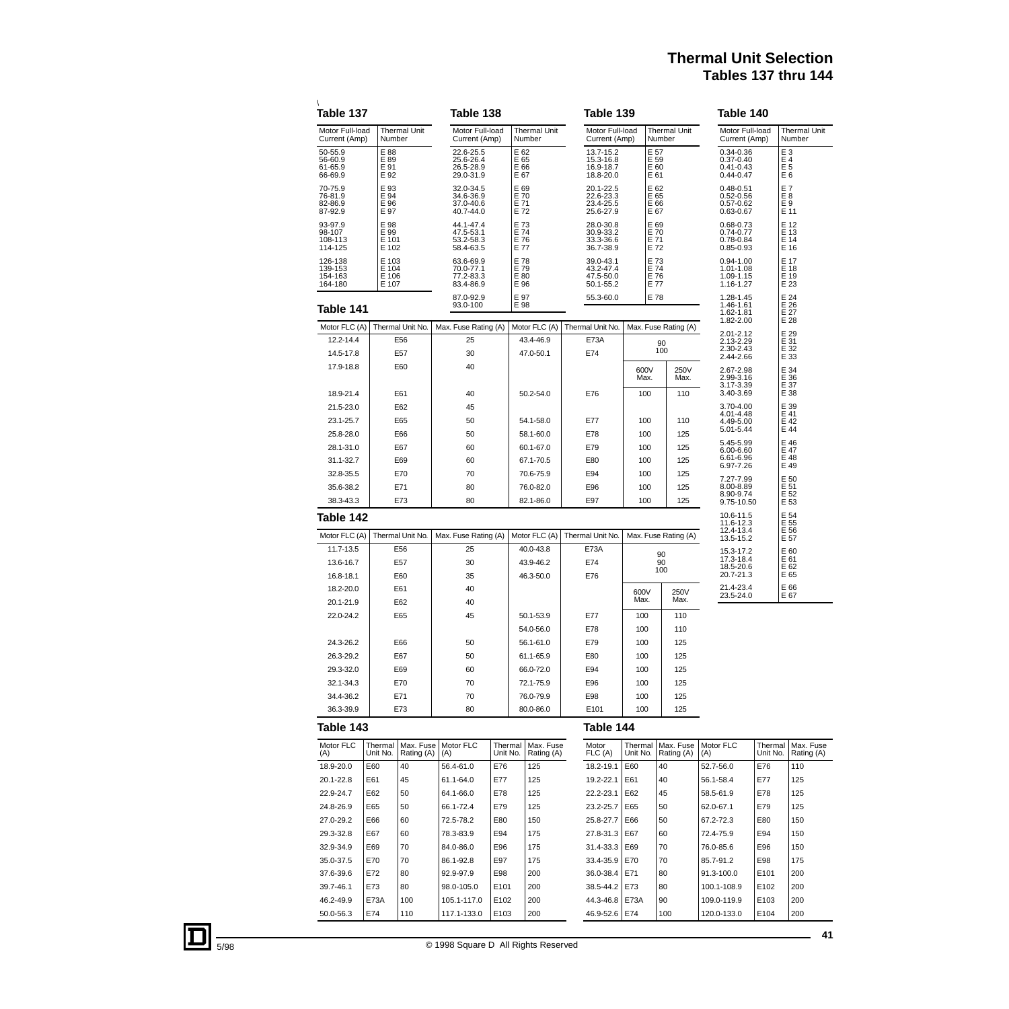# **Thermal Unit Selection Tables 137 thru 144**

| Motor Full-load<br>Motor Full-load<br><b>Thermal Unit</b><br>Motor Full-load<br><b>Thermal Unit</b><br><b>Thermal Unit</b><br>Motor Full-load<br>Current (Amp)<br>Number<br>Current (Amp)<br>Number<br>Current (Amp)<br>Number<br>Current (Amp)<br>E <sub>3</sub><br>E 88<br>E 62<br>E 57<br>50-55.9<br>13.7-15.2<br>0.34-0.36<br>22.6-25.5<br>E 89<br>E 65<br>E 66<br>E 59<br>56-60.9<br>25.6-26.4<br>15.3-16.8<br>$0.37 - 0.40$<br>E 4<br>E 91<br>E 60<br>E 5<br>61-65.9<br>26.5-28.9<br>16.9-18.7<br>$0.41 - 0.43$<br>E 67<br>E 61<br>66-69.9<br>E 92<br>29.0-31.9<br>18.8-20.0<br>$0.44 - 0.47$<br>E <sub>6</sub><br>E 93<br>E 69<br>E 70<br>E 71<br>E 62<br>E 7<br>70-75.9<br>32.0-34.5<br>20.1-22.5<br>$0.48 - 0.51$<br>E 65<br>E <sub>8</sub><br>76-81.9<br>E 94<br>34.6-36.9<br>22.6-23.3<br>$0.52 - 0.56$<br>E 96<br>E 66<br>82-86.9<br>37.0-40.6<br>23.4-25.5<br>$0.57 - 0.62$<br>E 9<br>E 72<br>E 67<br>87-92.9<br>E 97<br>40.7-44.0<br>25.6-27.9<br>E 11<br>0.63-0.67<br>E 98<br>E 73<br>E 74<br>E 69<br>E 12<br>93-97.9<br>44.1-47.4<br>28.0-30.8<br>0.68-0.73<br>E 70<br>98-107<br>E 99<br>47.5-53.1<br>30.9-33.2<br>$0.74 - 0.77$<br>E 13<br>E 76<br>E 101<br>53.2-58.3<br>33.3-36.6<br>E 71<br>0.78-0.84<br>E 14<br>108-113<br>E 77<br>E 102<br>58.4-63.5<br>36.7-38.9<br>E 72<br>$0.85 - 0.93$<br>E 16<br>114-125<br>E 73<br>E 17<br>E 103<br>E 78<br>126-138<br>63.6-69.9<br>39.0-43.1<br>$0.94 - 1.00$<br>E 79<br>E 80<br>139-153<br>E 104<br>70.0-77.1<br>43.2-47.4<br>E 74<br>E 76<br>1.01-1.08<br>E 18<br>154-163<br>E 106<br>77.2-83.3<br>47.5-50.0<br>1.09-1.15<br>E 19<br>E 107<br>83.4-86.9<br>E 96<br>50.1-55.2<br>E 77<br>E 23<br>164-180<br>1.16-1.27<br>E 78<br>E 97<br>E 98<br>55.3-60.0<br>1.28-1.45<br>E 24<br>87.0-92.9<br>93.0-100<br>1.46-1.61<br>E 26<br>Table 141<br>1.62-1.81<br>E 27<br>1.82-2.00<br>E 28<br>Motor FLC (A)<br>Thermal Unit No.<br>Thermal Unit No.<br>Max. Fuse Rating (A)<br>Motor FLC (A)<br>Max. Fuse Rating (A)<br>E 29<br>2.01-2.12<br>12.2-14.4<br>E56<br>25<br>43.4-46.9<br>E73A<br>E 31<br>2.13-2.29<br>90<br>E 32<br>2.30-2.43<br>100<br>30<br>14.5-17.8<br>E57<br>E74<br>47.0-50.1<br>2.44-2.66<br>E 33<br>40<br>17.9-18.8<br>E60<br>E 34<br>600V<br>250V<br>2.67-2.98<br>Max.<br>Max.<br>2.99-3.16<br>E 36<br>3.17-3.39<br>E 37<br>3.40-3.69<br>E 38<br>18.9-21.4<br>E61<br>40<br>50.2-54.0<br>E76<br>100<br>110<br>E 39<br>3.70-4.00<br>21.5-23.0<br>E62<br>45<br>4.01-4.48<br>E 41<br>23.1-25.7<br>E65<br>50<br>110<br>54.1-58.0<br>E77<br>100<br>4.49-5.00<br>E 42<br>5.01-5.44<br>E 44<br>25.8-28.0<br>E66<br>E78<br>125<br>50<br>58.1-60.0<br>100<br>E 46<br>5.45-5.99<br>28.1-31.0<br>E67<br>60<br>E79<br>100<br>125<br>60.1-67.0<br>6.00-6.60<br>E 47<br>6.61-6.96<br>E 48<br>31.1-32.7<br>E69<br>60<br>67.1-70.5<br>E80<br>100<br>125<br>E 49<br>6.97-7.26<br>32.8-35.5<br>70<br>E94<br>100<br>125<br>E70<br>70.6-75.9<br>E 50<br>7.27-7.99<br>E 51<br>125<br>8.00-8.89<br>35.6-38.2<br>E71<br>80<br>76.0-82.0<br>E96<br>100<br>E 52<br>8.90-9.74<br>E97<br>125<br>38.3-43.3<br>E73<br>80<br>82.1-86.0<br>100<br>9.75-10.50<br>E 53<br>E 54<br>10.6-11.5<br>Table 142<br>E 55<br>11.6-12.3<br>12.4-13.4<br>E 56<br>Motor FLC (A)<br>Thermal Unit No.<br>Max. Fuse Rating (A)<br>Motor FLC (A)<br>Thermal Unit No.<br>Max. Fuse Rating (A)<br>13.5-15.2<br>E 57<br>11.7-13.5<br>25<br>E73A<br>E56<br>40.0-43.8<br>E 60<br>15.3-17.2<br>90<br>17.3-18.4<br>E 61<br>30<br>90<br>13.6-16.7<br>E57<br>E74<br>43.9-46.2<br>18.5-20.6<br>E 62<br>100<br>20.7-21.3<br>E 65<br>E60<br>35<br>46.3-50.0<br>E76<br>16.8-18.1<br>21.4-23.4<br>E 66<br>E61<br>40<br>18.2-20.0<br>600V<br>250V<br>E 67<br>23.5-24.0<br>Max.<br>Max.<br>20.1-21.9<br>E62<br>40<br>22.0-24.2<br>E65<br>E77<br>110<br>45<br>50.1-53.9<br>100<br>E78<br>110<br>54.0-56.0<br>100<br>125<br>24.3-26.2<br>E66<br>50<br>56.1-61.0<br>E79<br>100<br>E67<br>E80<br>125<br>26.3-29.2<br>50<br>61.1-65.9<br>100<br>E94<br>29.3-32.0<br>E69<br>60<br>66.0-72.0<br>100<br>125<br>32.1-34.3<br>E70<br>70<br>72.1-75.9<br>E96<br>100<br>125<br>34.4-36.2<br>70<br>76.0-79.9<br>E98<br>100<br>E71<br>125<br>36.3-39.9<br>80<br>80.0-86.0<br>E101<br>100<br>E73<br>125<br>Table 143<br>Table 144<br>Motor FLC<br>Motor FLC<br>Max. Fuse<br>Motor FLC<br>Thermal<br>Max. Fuse<br>Thermal<br>Max. Fuse<br>Motor<br>Thermal<br>Thermal<br>FLC (A)<br>Unit No.<br>Unit No.<br>Unit No.<br>Unit No.<br>Rating (A)<br>Rating (A)<br>Rating (A)<br>(A)<br>(A)<br>(A)<br>18.9-20.0<br>40<br>56.4-61.0<br>125<br>40<br>52.7-56.0<br>E60<br>E76<br>18.2-19.1<br>E60<br>E76<br>E77<br>40<br>E77<br>20.1-22.8<br>E61<br>45<br>61.1-64.0<br>125<br>19.2-22.1<br>E61<br>56.1-58.4<br>22.9-24.7<br>E62<br>64.1-66.0<br>22.2-23.1<br>58.5-61.9<br>50<br>E78<br>125<br>E62<br>45<br>E78<br>24.8-26.9<br>23.2-25.7<br>62.0-67.1<br>E79<br>E65<br>50<br>66.1-72.4<br>E79<br>125<br>E65<br>50<br>27.0-29.2<br>72.5-78.2<br>25.8-27.7<br>67.2-72.3<br>E66<br>E80<br>150<br>E66<br>50<br>E80<br>60 |                                                                             | <b>Thermal Unit</b><br>Number |
|--------------------------------------------------------------------------------------------------------------------------------------------------------------------------------------------------------------------------------------------------------------------------------------------------------------------------------------------------------------------------------------------------------------------------------------------------------------------------------------------------------------------------------------------------------------------------------------------------------------------------------------------------------------------------------------------------------------------------------------------------------------------------------------------------------------------------------------------------------------------------------------------------------------------------------------------------------------------------------------------------------------------------------------------------------------------------------------------------------------------------------------------------------------------------------------------------------------------------------------------------------------------------------------------------------------------------------------------------------------------------------------------------------------------------------------------------------------------------------------------------------------------------------------------------------------------------------------------------------------------------------------------------------------------------------------------------------------------------------------------------------------------------------------------------------------------------------------------------------------------------------------------------------------------------------------------------------------------------------------------------------------------------------------------------------------------------------------------------------------------------------------------------------------------------------------------------------------------------------------------------------------------------------------------------------------------------------------------------------------------------------------------------------------------------------------------------------------------------------------------------------------------------------------------------------------------------------------------------------------------------------------------------------------------------------------------------------------------------------------------------------------------------------------------------------------------------------------------------------------------------------------------------------------------------------------------------------------------------------------------------------------------------------------------------------------------------------------------------------------------------------------------------------------------------------------------------------------------------------------------------------------------------------------------------------------------------------------------------------------------------------------------------------------------------------------------------------------------------------------------------------------------------------------------------------------------------------------------------------------------------------------------------------------------------------------------------------------------------------------------------------------------------------------------------------------------------------------------------------------------------------------------------------------------------------------------------------------------------------------------------------------------------------------------------------------------------------------------------------------------------------------------------------------------------------------------------------------------------------------------------------------------------------------------------------------------------------------------------------------------------------------------------------------------------------------------------------------------------------------------------------------------------------------------------------------------------------------------------------------------------------------------------------------------------------------------------------------------------------------------------------------------------------------------------------------------------------------------------------------------------------------------------------------------------------------------------------------------------------------------------------|-----------------------------------------------------------------------------|-------------------------------|
|                                                                                                                                                                                                                                                                                                                                                                                                                                                                                                                                                                                                                                                                                                                                                                                                                                                                                                                                                                                                                                                                                                                                                                                                                                                                                                                                                                                                                                                                                                                                                                                                                                                                                                                                                                                                                                                                                                                                                                                                                                                                                                                                                                                                                                                                                                                                                                                                                                                                                                                                                                                                                                                                                                                                                                                                                                                                                                                                                                                                                                                                                                                                                                                                                                                                                                                                                                                                                                                                                                                                                                                                                                                                                                                                                                                                                                                                                                                                                                                                                                                                                                                                                                                                                                                                                                                                                                                                                                                                                                                                                                                                                                                                                                                                                                                                                                                                                                                                                                                                        |                                                                             |                               |
|                                                                                                                                                                                                                                                                                                                                                                                                                                                                                                                                                                                                                                                                                                                                                                                                                                                                                                                                                                                                                                                                                                                                                                                                                                                                                                                                                                                                                                                                                                                                                                                                                                                                                                                                                                                                                                                                                                                                                                                                                                                                                                                                                                                                                                                                                                                                                                                                                                                                                                                                                                                                                                                                                                                                                                                                                                                                                                                                                                                                                                                                                                                                                                                                                                                                                                                                                                                                                                                                                                                                                                                                                                                                                                                                                                                                                                                                                                                                                                                                                                                                                                                                                                                                                                                                                                                                                                                                                                                                                                                                                                                                                                                                                                                                                                                                                                                                                                                                                                                                        |                                                                             |                               |
|                                                                                                                                                                                                                                                                                                                                                                                                                                                                                                                                                                                                                                                                                                                                                                                                                                                                                                                                                                                                                                                                                                                                                                                                                                                                                                                                                                                                                                                                                                                                                                                                                                                                                                                                                                                                                                                                                                                                                                                                                                                                                                                                                                                                                                                                                                                                                                                                                                                                                                                                                                                                                                                                                                                                                                                                                                                                                                                                                                                                                                                                                                                                                                                                                                                                                                                                                                                                                                                                                                                                                                                                                                                                                                                                                                                                                                                                                                                                                                                                                                                                                                                                                                                                                                                                                                                                                                                                                                                                                                                                                                                                                                                                                                                                                                                                                                                                                                                                                                                                        |                                                                             |                               |
|                                                                                                                                                                                                                                                                                                                                                                                                                                                                                                                                                                                                                                                                                                                                                                                                                                                                                                                                                                                                                                                                                                                                                                                                                                                                                                                                                                                                                                                                                                                                                                                                                                                                                                                                                                                                                                                                                                                                                                                                                                                                                                                                                                                                                                                                                                                                                                                                                                                                                                                                                                                                                                                                                                                                                                                                                                                                                                                                                                                                                                                                                                                                                                                                                                                                                                                                                                                                                                                                                                                                                                                                                                                                                                                                                                                                                                                                                                                                                                                                                                                                                                                                                                                                                                                                                                                                                                                                                                                                                                                                                                                                                                                                                                                                                                                                                                                                                                                                                                                                        |                                                                             |                               |
|                                                                                                                                                                                                                                                                                                                                                                                                                                                                                                                                                                                                                                                                                                                                                                                                                                                                                                                                                                                                                                                                                                                                                                                                                                                                                                                                                                                                                                                                                                                                                                                                                                                                                                                                                                                                                                                                                                                                                                                                                                                                                                                                                                                                                                                                                                                                                                                                                                                                                                                                                                                                                                                                                                                                                                                                                                                                                                                                                                                                                                                                                                                                                                                                                                                                                                                                                                                                                                                                                                                                                                                                                                                                                                                                                                                                                                                                                                                                                                                                                                                                                                                                                                                                                                                                                                                                                                                                                                                                                                                                                                                                                                                                                                                                                                                                                                                                                                                                                                                                        |                                                                             |                               |
|                                                                                                                                                                                                                                                                                                                                                                                                                                                                                                                                                                                                                                                                                                                                                                                                                                                                                                                                                                                                                                                                                                                                                                                                                                                                                                                                                                                                                                                                                                                                                                                                                                                                                                                                                                                                                                                                                                                                                                                                                                                                                                                                                                                                                                                                                                                                                                                                                                                                                                                                                                                                                                                                                                                                                                                                                                                                                                                                                                                                                                                                                                                                                                                                                                                                                                                                                                                                                                                                                                                                                                                                                                                                                                                                                                                                                                                                                                                                                                                                                                                                                                                                                                                                                                                                                                                                                                                                                                                                                                                                                                                                                                                                                                                                                                                                                                                                                                                                                                                                        |                                                                             |                               |
|                                                                                                                                                                                                                                                                                                                                                                                                                                                                                                                                                                                                                                                                                                                                                                                                                                                                                                                                                                                                                                                                                                                                                                                                                                                                                                                                                                                                                                                                                                                                                                                                                                                                                                                                                                                                                                                                                                                                                                                                                                                                                                                                                                                                                                                                                                                                                                                                                                                                                                                                                                                                                                                                                                                                                                                                                                                                                                                                                                                                                                                                                                                                                                                                                                                                                                                                                                                                                                                                                                                                                                                                                                                                                                                                                                                                                                                                                                                                                                                                                                                                                                                                                                                                                                                                                                                                                                                                                                                                                                                                                                                                                                                                                                                                                                                                                                                                                                                                                                                                        |                                                                             |                               |
|                                                                                                                                                                                                                                                                                                                                                                                                                                                                                                                                                                                                                                                                                                                                                                                                                                                                                                                                                                                                                                                                                                                                                                                                                                                                                                                                                                                                                                                                                                                                                                                                                                                                                                                                                                                                                                                                                                                                                                                                                                                                                                                                                                                                                                                                                                                                                                                                                                                                                                                                                                                                                                                                                                                                                                                                                                                                                                                                                                                                                                                                                                                                                                                                                                                                                                                                                                                                                                                                                                                                                                                                                                                                                                                                                                                                                                                                                                                                                                                                                                                                                                                                                                                                                                                                                                                                                                                                                                                                                                                                                                                                                                                                                                                                                                                                                                                                                                                                                                                                        |                                                                             |                               |
|                                                                                                                                                                                                                                                                                                                                                                                                                                                                                                                                                                                                                                                                                                                                                                                                                                                                                                                                                                                                                                                                                                                                                                                                                                                                                                                                                                                                                                                                                                                                                                                                                                                                                                                                                                                                                                                                                                                                                                                                                                                                                                                                                                                                                                                                                                                                                                                                                                                                                                                                                                                                                                                                                                                                                                                                                                                                                                                                                                                                                                                                                                                                                                                                                                                                                                                                                                                                                                                                                                                                                                                                                                                                                                                                                                                                                                                                                                                                                                                                                                                                                                                                                                                                                                                                                                                                                                                                                                                                                                                                                                                                                                                                                                                                                                                                                                                                                                                                                                                                        |                                                                             |                               |
|                                                                                                                                                                                                                                                                                                                                                                                                                                                                                                                                                                                                                                                                                                                                                                                                                                                                                                                                                                                                                                                                                                                                                                                                                                                                                                                                                                                                                                                                                                                                                                                                                                                                                                                                                                                                                                                                                                                                                                                                                                                                                                                                                                                                                                                                                                                                                                                                                                                                                                                                                                                                                                                                                                                                                                                                                                                                                                                                                                                                                                                                                                                                                                                                                                                                                                                                                                                                                                                                                                                                                                                                                                                                                                                                                                                                                                                                                                                                                                                                                                                                                                                                                                                                                                                                                                                                                                                                                                                                                                                                                                                                                                                                                                                                                                                                                                                                                                                                                                                                        |                                                                             |                               |
|                                                                                                                                                                                                                                                                                                                                                                                                                                                                                                                                                                                                                                                                                                                                                                                                                                                                                                                                                                                                                                                                                                                                                                                                                                                                                                                                                                                                                                                                                                                                                                                                                                                                                                                                                                                                                                                                                                                                                                                                                                                                                                                                                                                                                                                                                                                                                                                                                                                                                                                                                                                                                                                                                                                                                                                                                                                                                                                                                                                                                                                                                                                                                                                                                                                                                                                                                                                                                                                                                                                                                                                                                                                                                                                                                                                                                                                                                                                                                                                                                                                                                                                                                                                                                                                                                                                                                                                                                                                                                                                                                                                                                                                                                                                                                                                                                                                                                                                                                                                                        |                                                                             |                               |
|                                                                                                                                                                                                                                                                                                                                                                                                                                                                                                                                                                                                                                                                                                                                                                                                                                                                                                                                                                                                                                                                                                                                                                                                                                                                                                                                                                                                                                                                                                                                                                                                                                                                                                                                                                                                                                                                                                                                                                                                                                                                                                                                                                                                                                                                                                                                                                                                                                                                                                                                                                                                                                                                                                                                                                                                                                                                                                                                                                                                                                                                                                                                                                                                                                                                                                                                                                                                                                                                                                                                                                                                                                                                                                                                                                                                                                                                                                                                                                                                                                                                                                                                                                                                                                                                                                                                                                                                                                                                                                                                                                                                                                                                                                                                                                                                                                                                                                                                                                                                        |                                                                             |                               |
|                                                                                                                                                                                                                                                                                                                                                                                                                                                                                                                                                                                                                                                                                                                                                                                                                                                                                                                                                                                                                                                                                                                                                                                                                                                                                                                                                                                                                                                                                                                                                                                                                                                                                                                                                                                                                                                                                                                                                                                                                                                                                                                                                                                                                                                                                                                                                                                                                                                                                                                                                                                                                                                                                                                                                                                                                                                                                                                                                                                                                                                                                                                                                                                                                                                                                                                                                                                                                                                                                                                                                                                                                                                                                                                                                                                                                                                                                                                                                                                                                                                                                                                                                                                                                                                                                                                                                                                                                                                                                                                                                                                                                                                                                                                                                                                                                                                                                                                                                                                                        |                                                                             |                               |
|                                                                                                                                                                                                                                                                                                                                                                                                                                                                                                                                                                                                                                                                                                                                                                                                                                                                                                                                                                                                                                                                                                                                                                                                                                                                                                                                                                                                                                                                                                                                                                                                                                                                                                                                                                                                                                                                                                                                                                                                                                                                                                                                                                                                                                                                                                                                                                                                                                                                                                                                                                                                                                                                                                                                                                                                                                                                                                                                                                                                                                                                                                                                                                                                                                                                                                                                                                                                                                                                                                                                                                                                                                                                                                                                                                                                                                                                                                                                                                                                                                                                                                                                                                                                                                                                                                                                                                                                                                                                                                                                                                                                                                                                                                                                                                                                                                                                                                                                                                                                        |                                                                             |                               |
|                                                                                                                                                                                                                                                                                                                                                                                                                                                                                                                                                                                                                                                                                                                                                                                                                                                                                                                                                                                                                                                                                                                                                                                                                                                                                                                                                                                                                                                                                                                                                                                                                                                                                                                                                                                                                                                                                                                                                                                                                                                                                                                                                                                                                                                                                                                                                                                                                                                                                                                                                                                                                                                                                                                                                                                                                                                                                                                                                                                                                                                                                                                                                                                                                                                                                                                                                                                                                                                                                                                                                                                                                                                                                                                                                                                                                                                                                                                                                                                                                                                                                                                                                                                                                                                                                                                                                                                                                                                                                                                                                                                                                                                                                                                                                                                                                                                                                                                                                                                                        |                                                                             |                               |
|                                                                                                                                                                                                                                                                                                                                                                                                                                                                                                                                                                                                                                                                                                                                                                                                                                                                                                                                                                                                                                                                                                                                                                                                                                                                                                                                                                                                                                                                                                                                                                                                                                                                                                                                                                                                                                                                                                                                                                                                                                                                                                                                                                                                                                                                                                                                                                                                                                                                                                                                                                                                                                                                                                                                                                                                                                                                                                                                                                                                                                                                                                                                                                                                                                                                                                                                                                                                                                                                                                                                                                                                                                                                                                                                                                                                                                                                                                                                                                                                                                                                                                                                                                                                                                                                                                                                                                                                                                                                                                                                                                                                                                                                                                                                                                                                                                                                                                                                                                                                        |                                                                             |                               |
|                                                                                                                                                                                                                                                                                                                                                                                                                                                                                                                                                                                                                                                                                                                                                                                                                                                                                                                                                                                                                                                                                                                                                                                                                                                                                                                                                                                                                                                                                                                                                                                                                                                                                                                                                                                                                                                                                                                                                                                                                                                                                                                                                                                                                                                                                                                                                                                                                                                                                                                                                                                                                                                                                                                                                                                                                                                                                                                                                                                                                                                                                                                                                                                                                                                                                                                                                                                                                                                                                                                                                                                                                                                                                                                                                                                                                                                                                                                                                                                                                                                                                                                                                                                                                                                                                                                                                                                                                                                                                                                                                                                                                                                                                                                                                                                                                                                                                                                                                                                                        |                                                                             |                               |
|                                                                                                                                                                                                                                                                                                                                                                                                                                                                                                                                                                                                                                                                                                                                                                                                                                                                                                                                                                                                                                                                                                                                                                                                                                                                                                                                                                                                                                                                                                                                                                                                                                                                                                                                                                                                                                                                                                                                                                                                                                                                                                                                                                                                                                                                                                                                                                                                                                                                                                                                                                                                                                                                                                                                                                                                                                                                                                                                                                                                                                                                                                                                                                                                                                                                                                                                                                                                                                                                                                                                                                                                                                                                                                                                                                                                                                                                                                                                                                                                                                                                                                                                                                                                                                                                                                                                                                                                                                                                                                                                                                                                                                                                                                                                                                                                                                                                                                                                                                                                        |                                                                             |                               |
|                                                                                                                                                                                                                                                                                                                                                                                                                                                                                                                                                                                                                                                                                                                                                                                                                                                                                                                                                                                                                                                                                                                                                                                                                                                                                                                                                                                                                                                                                                                                                                                                                                                                                                                                                                                                                                                                                                                                                                                                                                                                                                                                                                                                                                                                                                                                                                                                                                                                                                                                                                                                                                                                                                                                                                                                                                                                                                                                                                                                                                                                                                                                                                                                                                                                                                                                                                                                                                                                                                                                                                                                                                                                                                                                                                                                                                                                                                                                                                                                                                                                                                                                                                                                                                                                                                                                                                                                                                                                                                                                                                                                                                                                                                                                                                                                                                                                                                                                                                                                        |                                                                             |                               |
|                                                                                                                                                                                                                                                                                                                                                                                                                                                                                                                                                                                                                                                                                                                                                                                                                                                                                                                                                                                                                                                                                                                                                                                                                                                                                                                                                                                                                                                                                                                                                                                                                                                                                                                                                                                                                                                                                                                                                                                                                                                                                                                                                                                                                                                                                                                                                                                                                                                                                                                                                                                                                                                                                                                                                                                                                                                                                                                                                                                                                                                                                                                                                                                                                                                                                                                                                                                                                                                                                                                                                                                                                                                                                                                                                                                                                                                                                                                                                                                                                                                                                                                                                                                                                                                                                                                                                                                                                                                                                                                                                                                                                                                                                                                                                                                                                                                                                                                                                                                                        |                                                                             |                               |
|                                                                                                                                                                                                                                                                                                                                                                                                                                                                                                                                                                                                                                                                                                                                                                                                                                                                                                                                                                                                                                                                                                                                                                                                                                                                                                                                                                                                                                                                                                                                                                                                                                                                                                                                                                                                                                                                                                                                                                                                                                                                                                                                                                                                                                                                                                                                                                                                                                                                                                                                                                                                                                                                                                                                                                                                                                                                                                                                                                                                                                                                                                                                                                                                                                                                                                                                                                                                                                                                                                                                                                                                                                                                                                                                                                                                                                                                                                                                                                                                                                                                                                                                                                                                                                                                                                                                                                                                                                                                                                                                                                                                                                                                                                                                                                                                                                                                                                                                                                                                        |                                                                             |                               |
|                                                                                                                                                                                                                                                                                                                                                                                                                                                                                                                                                                                                                                                                                                                                                                                                                                                                                                                                                                                                                                                                                                                                                                                                                                                                                                                                                                                                                                                                                                                                                                                                                                                                                                                                                                                                                                                                                                                                                                                                                                                                                                                                                                                                                                                                                                                                                                                                                                                                                                                                                                                                                                                                                                                                                                                                                                                                                                                                                                                                                                                                                                                                                                                                                                                                                                                                                                                                                                                                                                                                                                                                                                                                                                                                                                                                                                                                                                                                                                                                                                                                                                                                                                                                                                                                                                                                                                                                                                                                                                                                                                                                                                                                                                                                                                                                                                                                                                                                                                                                        |                                                                             |                               |
|                                                                                                                                                                                                                                                                                                                                                                                                                                                                                                                                                                                                                                                                                                                                                                                                                                                                                                                                                                                                                                                                                                                                                                                                                                                                                                                                                                                                                                                                                                                                                                                                                                                                                                                                                                                                                                                                                                                                                                                                                                                                                                                                                                                                                                                                                                                                                                                                                                                                                                                                                                                                                                                                                                                                                                                                                                                                                                                                                                                                                                                                                                                                                                                                                                                                                                                                                                                                                                                                                                                                                                                                                                                                                                                                                                                                                                                                                                                                                                                                                                                                                                                                                                                                                                                                                                                                                                                                                                                                                                                                                                                                                                                                                                                                                                                                                                                                                                                                                                                                        |                                                                             |                               |
|                                                                                                                                                                                                                                                                                                                                                                                                                                                                                                                                                                                                                                                                                                                                                                                                                                                                                                                                                                                                                                                                                                                                                                                                                                                                                                                                                                                                                                                                                                                                                                                                                                                                                                                                                                                                                                                                                                                                                                                                                                                                                                                                                                                                                                                                                                                                                                                                                                                                                                                                                                                                                                                                                                                                                                                                                                                                                                                                                                                                                                                                                                                                                                                                                                                                                                                                                                                                                                                                                                                                                                                                                                                                                                                                                                                                                                                                                                                                                                                                                                                                                                                                                                                                                                                                                                                                                                                                                                                                                                                                                                                                                                                                                                                                                                                                                                                                                                                                                                                                        |                                                                             |                               |
|                                                                                                                                                                                                                                                                                                                                                                                                                                                                                                                                                                                                                                                                                                                                                                                                                                                                                                                                                                                                                                                                                                                                                                                                                                                                                                                                                                                                                                                                                                                                                                                                                                                                                                                                                                                                                                                                                                                                                                                                                                                                                                                                                                                                                                                                                                                                                                                                                                                                                                                                                                                                                                                                                                                                                                                                                                                                                                                                                                                                                                                                                                                                                                                                                                                                                                                                                                                                                                                                                                                                                                                                                                                                                                                                                                                                                                                                                                                                                                                                                                                                                                                                                                                                                                                                                                                                                                                                                                                                                                                                                                                                                                                                                                                                                                                                                                                                                                                                                                                                        |                                                                             |                               |
|                                                                                                                                                                                                                                                                                                                                                                                                                                                                                                                                                                                                                                                                                                                                                                                                                                                                                                                                                                                                                                                                                                                                                                                                                                                                                                                                                                                                                                                                                                                                                                                                                                                                                                                                                                                                                                                                                                                                                                                                                                                                                                                                                                                                                                                                                                                                                                                                                                                                                                                                                                                                                                                                                                                                                                                                                                                                                                                                                                                                                                                                                                                                                                                                                                                                                                                                                                                                                                                                                                                                                                                                                                                                                                                                                                                                                                                                                                                                                                                                                                                                                                                                                                                                                                                                                                                                                                                                                                                                                                                                                                                                                                                                                                                                                                                                                                                                                                                                                                                                        |                                                                             |                               |
|                                                                                                                                                                                                                                                                                                                                                                                                                                                                                                                                                                                                                                                                                                                                                                                                                                                                                                                                                                                                                                                                                                                                                                                                                                                                                                                                                                                                                                                                                                                                                                                                                                                                                                                                                                                                                                                                                                                                                                                                                                                                                                                                                                                                                                                                                                                                                                                                                                                                                                                                                                                                                                                                                                                                                                                                                                                                                                                                                                                                                                                                                                                                                                                                                                                                                                                                                                                                                                                                                                                                                                                                                                                                                                                                                                                                                                                                                                                                                                                                                                                                                                                                                                                                                                                                                                                                                                                                                                                                                                                                                                                                                                                                                                                                                                                                                                                                                                                                                                                                        |                                                                             |                               |
|                                                                                                                                                                                                                                                                                                                                                                                                                                                                                                                                                                                                                                                                                                                                                                                                                                                                                                                                                                                                                                                                                                                                                                                                                                                                                                                                                                                                                                                                                                                                                                                                                                                                                                                                                                                                                                                                                                                                                                                                                                                                                                                                                                                                                                                                                                                                                                                                                                                                                                                                                                                                                                                                                                                                                                                                                                                                                                                                                                                                                                                                                                                                                                                                                                                                                                                                                                                                                                                                                                                                                                                                                                                                                                                                                                                                                                                                                                                                                                                                                                                                                                                                                                                                                                                                                                                                                                                                                                                                                                                                                                                                                                                                                                                                                                                                                                                                                                                                                                                                        |                                                                             |                               |
|                                                                                                                                                                                                                                                                                                                                                                                                                                                                                                                                                                                                                                                                                                                                                                                                                                                                                                                                                                                                                                                                                                                                                                                                                                                                                                                                                                                                                                                                                                                                                                                                                                                                                                                                                                                                                                                                                                                                                                                                                                                                                                                                                                                                                                                                                                                                                                                                                                                                                                                                                                                                                                                                                                                                                                                                                                                                                                                                                                                                                                                                                                                                                                                                                                                                                                                                                                                                                                                                                                                                                                                                                                                                                                                                                                                                                                                                                                                                                                                                                                                                                                                                                                                                                                                                                                                                                                                                                                                                                                                                                                                                                                                                                                                                                                                                                                                                                                                                                                                                        |                                                                             |                               |
|                                                                                                                                                                                                                                                                                                                                                                                                                                                                                                                                                                                                                                                                                                                                                                                                                                                                                                                                                                                                                                                                                                                                                                                                                                                                                                                                                                                                                                                                                                                                                                                                                                                                                                                                                                                                                                                                                                                                                                                                                                                                                                                                                                                                                                                                                                                                                                                                                                                                                                                                                                                                                                                                                                                                                                                                                                                                                                                                                                                                                                                                                                                                                                                                                                                                                                                                                                                                                                                                                                                                                                                                                                                                                                                                                                                                                                                                                                                                                                                                                                                                                                                                                                                                                                                                                                                                                                                                                                                                                                                                                                                                                                                                                                                                                                                                                                                                                                                                                                                                        |                                                                             |                               |
|                                                                                                                                                                                                                                                                                                                                                                                                                                                                                                                                                                                                                                                                                                                                                                                                                                                                                                                                                                                                                                                                                                                                                                                                                                                                                                                                                                                                                                                                                                                                                                                                                                                                                                                                                                                                                                                                                                                                                                                                                                                                                                                                                                                                                                                                                                                                                                                                                                                                                                                                                                                                                                                                                                                                                                                                                                                                                                                                                                                                                                                                                                                                                                                                                                                                                                                                                                                                                                                                                                                                                                                                                                                                                                                                                                                                                                                                                                                                                                                                                                                                                                                                                                                                                                                                                                                                                                                                                                                                                                                                                                                                                                                                                                                                                                                                                                                                                                                                                                                                        |                                                                             |                               |
|                                                                                                                                                                                                                                                                                                                                                                                                                                                                                                                                                                                                                                                                                                                                                                                                                                                                                                                                                                                                                                                                                                                                                                                                                                                                                                                                                                                                                                                                                                                                                                                                                                                                                                                                                                                                                                                                                                                                                                                                                                                                                                                                                                                                                                                                                                                                                                                                                                                                                                                                                                                                                                                                                                                                                                                                                                                                                                                                                                                                                                                                                                                                                                                                                                                                                                                                                                                                                                                                                                                                                                                                                                                                                                                                                                                                                                                                                                                                                                                                                                                                                                                                                                                                                                                                                                                                                                                                                                                                                                                                                                                                                                                                                                                                                                                                                                                                                                                                                                                                        |                                                                             |                               |
|                                                                                                                                                                                                                                                                                                                                                                                                                                                                                                                                                                                                                                                                                                                                                                                                                                                                                                                                                                                                                                                                                                                                                                                                                                                                                                                                                                                                                                                                                                                                                                                                                                                                                                                                                                                                                                                                                                                                                                                                                                                                                                                                                                                                                                                                                                                                                                                                                                                                                                                                                                                                                                                                                                                                                                                                                                                                                                                                                                                                                                                                                                                                                                                                                                                                                                                                                                                                                                                                                                                                                                                                                                                                                                                                                                                                                                                                                                                                                                                                                                                                                                                                                                                                                                                                                                                                                                                                                                                                                                                                                                                                                                                                                                                                                                                                                                                                                                                                                                                                        |                                                                             |                               |
|                                                                                                                                                                                                                                                                                                                                                                                                                                                                                                                                                                                                                                                                                                                                                                                                                                                                                                                                                                                                                                                                                                                                                                                                                                                                                                                                                                                                                                                                                                                                                                                                                                                                                                                                                                                                                                                                                                                                                                                                                                                                                                                                                                                                                                                                                                                                                                                                                                                                                                                                                                                                                                                                                                                                                                                                                                                                                                                                                                                                                                                                                                                                                                                                                                                                                                                                                                                                                                                                                                                                                                                                                                                                                                                                                                                                                                                                                                                                                                                                                                                                                                                                                                                                                                                                                                                                                                                                                                                                                                                                                                                                                                                                                                                                                                                                                                                                                                                                                                                                        |                                                                             |                               |
|                                                                                                                                                                                                                                                                                                                                                                                                                                                                                                                                                                                                                                                                                                                                                                                                                                                                                                                                                                                                                                                                                                                                                                                                                                                                                                                                                                                                                                                                                                                                                                                                                                                                                                                                                                                                                                                                                                                                                                                                                                                                                                                                                                                                                                                                                                                                                                                                                                                                                                                                                                                                                                                                                                                                                                                                                                                                                                                                                                                                                                                                                                                                                                                                                                                                                                                                                                                                                                                                                                                                                                                                                                                                                                                                                                                                                                                                                                                                                                                                                                                                                                                                                                                                                                                                                                                                                                                                                                                                                                                                                                                                                                                                                                                                                                                                                                                                                                                                                                                                        |                                                                             | Max. Fuse<br>Rating (A)       |
|                                                                                                                                                                                                                                                                                                                                                                                                                                                                                                                                                                                                                                                                                                                                                                                                                                                                                                                                                                                                                                                                                                                                                                                                                                                                                                                                                                                                                                                                                                                                                                                                                                                                                                                                                                                                                                                                                                                                                                                                                                                                                                                                                                                                                                                                                                                                                                                                                                                                                                                                                                                                                                                                                                                                                                                                                                                                                                                                                                                                                                                                                                                                                                                                                                                                                                                                                                                                                                                                                                                                                                                                                                                                                                                                                                                                                                                                                                                                                                                                                                                                                                                                                                                                                                                                                                                                                                                                                                                                                                                                                                                                                                                                                                                                                                                                                                                                                                                                                                                                        |                                                                             | 110                           |
|                                                                                                                                                                                                                                                                                                                                                                                                                                                                                                                                                                                                                                                                                                                                                                                                                                                                                                                                                                                                                                                                                                                                                                                                                                                                                                                                                                                                                                                                                                                                                                                                                                                                                                                                                                                                                                                                                                                                                                                                                                                                                                                                                                                                                                                                                                                                                                                                                                                                                                                                                                                                                                                                                                                                                                                                                                                                                                                                                                                                                                                                                                                                                                                                                                                                                                                                                                                                                                                                                                                                                                                                                                                                                                                                                                                                                                                                                                                                                                                                                                                                                                                                                                                                                                                                                                                                                                                                                                                                                                                                                                                                                                                                                                                                                                                                                                                                                                                                                                                                        |                                                                             | 125                           |
|                                                                                                                                                                                                                                                                                                                                                                                                                                                                                                                                                                                                                                                                                                                                                                                                                                                                                                                                                                                                                                                                                                                                                                                                                                                                                                                                                                                                                                                                                                                                                                                                                                                                                                                                                                                                                                                                                                                                                                                                                                                                                                                                                                                                                                                                                                                                                                                                                                                                                                                                                                                                                                                                                                                                                                                                                                                                                                                                                                                                                                                                                                                                                                                                                                                                                                                                                                                                                                                                                                                                                                                                                                                                                                                                                                                                                                                                                                                                                                                                                                                                                                                                                                                                                                                                                                                                                                                                                                                                                                                                                                                                                                                                                                                                                                                                                                                                                                                                                                                                        |                                                                             | 125                           |
|                                                                                                                                                                                                                                                                                                                                                                                                                                                                                                                                                                                                                                                                                                                                                                                                                                                                                                                                                                                                                                                                                                                                                                                                                                                                                                                                                                                                                                                                                                                                                                                                                                                                                                                                                                                                                                                                                                                                                                                                                                                                                                                                                                                                                                                                                                                                                                                                                                                                                                                                                                                                                                                                                                                                                                                                                                                                                                                                                                                                                                                                                                                                                                                                                                                                                                                                                                                                                                                                                                                                                                                                                                                                                                                                                                                                                                                                                                                                                                                                                                                                                                                                                                                                                                                                                                                                                                                                                                                                                                                                                                                                                                                                                                                                                                                                                                                                                                                                                                                                        |                                                                             | 125                           |
|                                                                                                                                                                                                                                                                                                                                                                                                                                                                                                                                                                                                                                                                                                                                                                                                                                                                                                                                                                                                                                                                                                                                                                                                                                                                                                                                                                                                                                                                                                                                                                                                                                                                                                                                                                                                                                                                                                                                                                                                                                                                                                                                                                                                                                                                                                                                                                                                                                                                                                                                                                                                                                                                                                                                                                                                                                                                                                                                                                                                                                                                                                                                                                                                                                                                                                                                                                                                                                                                                                                                                                                                                                                                                                                                                                                                                                                                                                                                                                                                                                                                                                                                                                                                                                                                                                                                                                                                                                                                                                                                                                                                                                                                                                                                                                                                                                                                                                                                                                                                        |                                                                             | 150                           |
| 29.3-32.8<br>E94                                                                                                                                                                                                                                                                                                                                                                                                                                                                                                                                                                                                                                                                                                                                                                                                                                                                                                                                                                                                                                                                                                                                                                                                                                                                                                                                                                                                                                                                                                                                                                                                                                                                                                                                                                                                                                                                                                                                                                                                                                                                                                                                                                                                                                                                                                                                                                                                                                                                                                                                                                                                                                                                                                                                                                                                                                                                                                                                                                                                                                                                                                                                                                                                                                                                                                                                                                                                                                                                                                                                                                                                                                                                                                                                                                                                                                                                                                                                                                                                                                                                                                                                                                                                                                                                                                                                                                                                                                                                                                                                                                                                                                                                                                                                                                                                                                                                                                                                                                                       | 27.8-31.3<br>E67<br>60<br>78.3-83.9<br>E94<br>175<br>E67<br>60<br>72.4-75.9 | 150                           |
| 32.9-34.9<br>84.0-86.0<br>31.4-33.3<br>76.0-85.6<br>E96<br>E69<br>E96<br>175<br>70<br>70<br>E69                                                                                                                                                                                                                                                                                                                                                                                                                                                                                                                                                                                                                                                                                                                                                                                                                                                                                                                                                                                                                                                                                                                                                                                                                                                                                                                                                                                                                                                                                                                                                                                                                                                                                                                                                                                                                                                                                                                                                                                                                                                                                                                                                                                                                                                                                                                                                                                                                                                                                                                                                                                                                                                                                                                                                                                                                                                                                                                                                                                                                                                                                                                                                                                                                                                                                                                                                                                                                                                                                                                                                                                                                                                                                                                                                                                                                                                                                                                                                                                                                                                                                                                                                                                                                                                                                                                                                                                                                                                                                                                                                                                                                                                                                                                                                                                                                                                                                                        |                                                                             | 150                           |
| 33.4-35.9<br>85.7-91.2<br>35.0-37.5<br>E70<br>70<br>86.1-92.8<br>E97<br>175<br>E70<br>70<br>E98                                                                                                                                                                                                                                                                                                                                                                                                                                                                                                                                                                                                                                                                                                                                                                                                                                                                                                                                                                                                                                                                                                                                                                                                                                                                                                                                                                                                                                                                                                                                                                                                                                                                                                                                                                                                                                                                                                                                                                                                                                                                                                                                                                                                                                                                                                                                                                                                                                                                                                                                                                                                                                                                                                                                                                                                                                                                                                                                                                                                                                                                                                                                                                                                                                                                                                                                                                                                                                                                                                                                                                                                                                                                                                                                                                                                                                                                                                                                                                                                                                                                                                                                                                                                                                                                                                                                                                                                                                                                                                                                                                                                                                                                                                                                                                                                                                                                                                        |                                                                             | 175                           |
| 37.6-39.6<br>92.9-97.9<br>36.0-38.4<br>E72<br>80<br>E98<br>200<br>E71<br>80<br>91.3-100.0<br>E101                                                                                                                                                                                                                                                                                                                                                                                                                                                                                                                                                                                                                                                                                                                                                                                                                                                                                                                                                                                                                                                                                                                                                                                                                                                                                                                                                                                                                                                                                                                                                                                                                                                                                                                                                                                                                                                                                                                                                                                                                                                                                                                                                                                                                                                                                                                                                                                                                                                                                                                                                                                                                                                                                                                                                                                                                                                                                                                                                                                                                                                                                                                                                                                                                                                                                                                                                                                                                                                                                                                                                                                                                                                                                                                                                                                                                                                                                                                                                                                                                                                                                                                                                                                                                                                                                                                                                                                                                                                                                                                                                                                                                                                                                                                                                                                                                                                                                                      |                                                                             | 200                           |
| 200<br>38.5-44.2<br>80<br>E102<br>39.7-46.1<br>E73<br>80<br>98.0-105.0<br>E101<br>E73<br>100.1-108.9                                                                                                                                                                                                                                                                                                                                                                                                                                                                                                                                                                                                                                                                                                                                                                                                                                                                                                                                                                                                                                                                                                                                                                                                                                                                                                                                                                                                                                                                                                                                                                                                                                                                                                                                                                                                                                                                                                                                                                                                                                                                                                                                                                                                                                                                                                                                                                                                                                                                                                                                                                                                                                                                                                                                                                                                                                                                                                                                                                                                                                                                                                                                                                                                                                                                                                                                                                                                                                                                                                                                                                                                                                                                                                                                                                                                                                                                                                                                                                                                                                                                                                                                                                                                                                                                                                                                                                                                                                                                                                                                                                                                                                                                                                                                                                                                                                                                                                   |                                                                             | 200                           |
| 46.2-49.9<br>44.3-46.8<br>109.0-119.9<br>E73A<br>100<br>105.1-117.0<br>E102<br>200<br>E73A<br>90<br>E103                                                                                                                                                                                                                                                                                                                                                                                                                                                                                                                                                                                                                                                                                                                                                                                                                                                                                                                                                                                                                                                                                                                                                                                                                                                                                                                                                                                                                                                                                                                                                                                                                                                                                                                                                                                                                                                                                                                                                                                                                                                                                                                                                                                                                                                                                                                                                                                                                                                                                                                                                                                                                                                                                                                                                                                                                                                                                                                                                                                                                                                                                                                                                                                                                                                                                                                                                                                                                                                                                                                                                                                                                                                                                                                                                                                                                                                                                                                                                                                                                                                                                                                                                                                                                                                                                                                                                                                                                                                                                                                                                                                                                                                                                                                                                                                                                                                                                               |                                                                             | 200                           |
| 50.0-56.3<br>E74<br>E103<br>120.0-133.0<br>E104                                                                                                                                                                                                                                                                                                                                                                                                                                                                                                                                                                                                                                                                                                                                                                                                                                                                                                                                                                                                                                                                                                                                                                                                                                                                                                                                                                                                                                                                                                                                                                                                                                                                                                                                                                                                                                                                                                                                                                                                                                                                                                                                                                                                                                                                                                                                                                                                                                                                                                                                                                                                                                                                                                                                                                                                                                                                                                                                                                                                                                                                                                                                                                                                                                                                                                                                                                                                                                                                                                                                                                                                                                                                                                                                                                                                                                                                                                                                                                                                                                                                                                                                                                                                                                                                                                                                                                                                                                                                                                                                                                                                                                                                                                                                                                                                                                                                                                                                                        | 200<br>46.9-52.6<br>110<br>117.1-133.0<br>E74<br>100                        | 200                           |

 $\bar{\lambda}$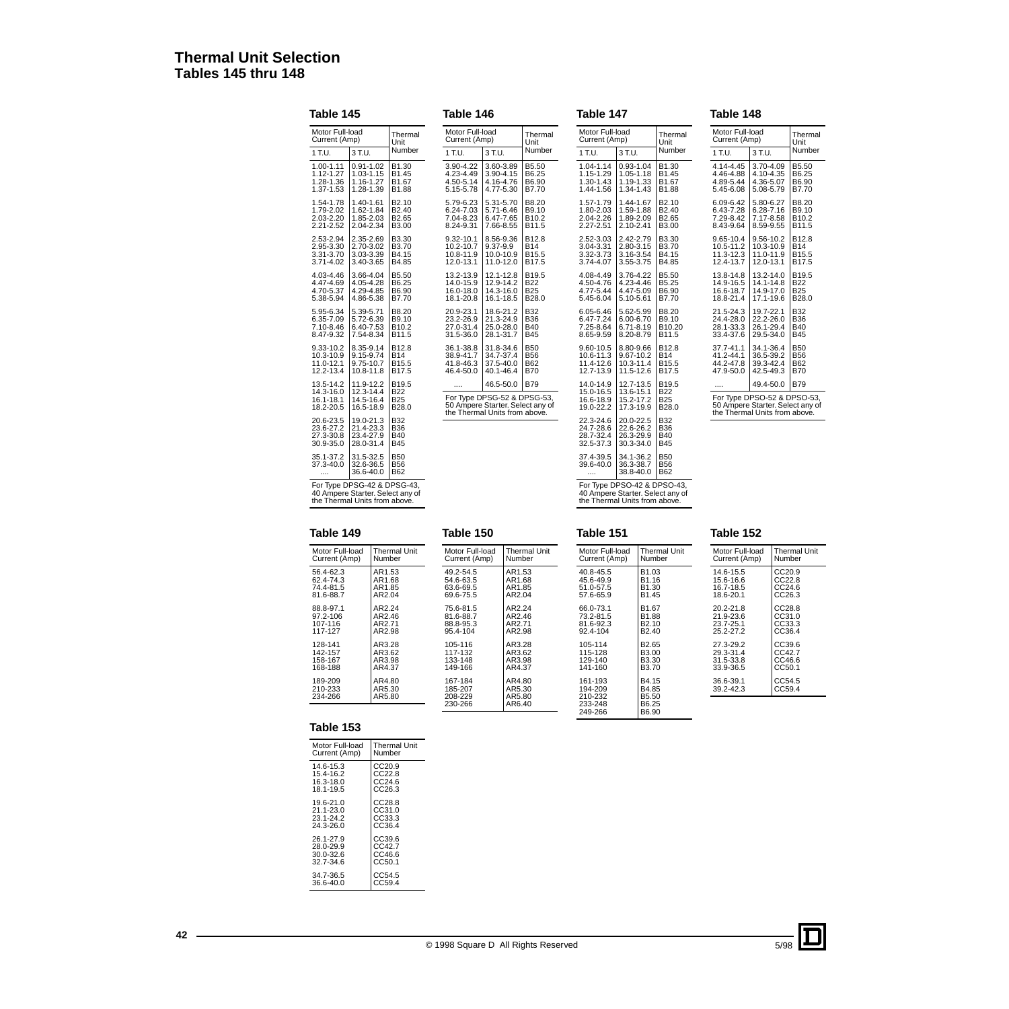### **Thermal Unit Selection Tables 145 thru 148**

#### **Table 145** Motor Full-load Motor Full-load<br>Current (Amp) [Thermal] Unit<br>Number  $1$  T.U.  $\boxed{3$  T.U. 1.00-1.11 1.12-1.27 1.28-1.36 1.37-1.53 0.91-1.02 1.03-1.15 1.16-1.27 1.28-1.39 **B1.30** B1.45 B1.67 B1.88 1.54-1.78 1.79-2.02 2.03-2.20 2.21-2.52 1.40-1.61 1.62-1.84 1.85-2.03 2.04-2.34 B2.10 B2.40 B2.65 B<sub>3.00</sub> 2.53-2.94 2.95-3.30 3.31-3.70  $3.71 - 4.02$ 2.35-2.69 2.70-3.02 3.03-3.39 3.40-3.65 B3.30 B3.70 B4.15 B<sub>4.85</sub> 4.03-4.46 4.47-4.69 4.70-5.37 5.38-5.94 3.66-4.04 4.05-4.28 4.29-4.85 4.86-5.38 B5.50 B6.25 B6.90 **B7.70** 5.95-6.34 6.35-7.09 7.10-8.46 8.47-9.32 5.39-5.71 5.72-6.39 6.40-7.53 7.54-8.34 B8.20 B9.10 B10.2 B11.5 9.33-10.2 10.3-10.9 11.0-12.1 12.2-13.4 8.35-9.14 9.15-9.74 9.75-10.7 10.8-11.8 B12.8 B14 B15.5 B17.5 13.5-14.2 14.3-16.0 16.1-18.1 18.2-20.5 11.9-12.2 12.3-14.4 14.5-16.4 16.5-18.9 B19.5<br>B22<br>B25<br>B28.0 20.6-23.5 23.6-27.2 27.3-30.8 30.9-35.0 19.0-21.3 21.4-23.3 23.4-27.9 28.0-31.4 B45 B32 B36  $B40$ 35.1-37.2 37.3-40.0 .... 31.5-32.5 32.6-36.5 36.6-40.0 B50<br>B56<br>B62 For Type DPSG-42 & DPSG-43, 40 Ampere Starter. Select any of the Thermal Units from above.

**Table 146** Motor Full-load Motor Full-load<br>Current (Amp) Thermal Unit<br>Number  $1 T.U.$  3 T.U. 3.90-4.22 4.23-4.49 4.50-5.14 5.15-5.78 3.60-3.89 3.90-4.15 4.16-4.76 4.77-5.30 B5.50 B6.25 B6.90 B7.70 5.79-6.23 6.24-7.03 7.04-8.23 8.24-9.31 5.31-5.70 5.71-6.46 6.47-7.65 7.66-8.55 B8.20 **B**9.10 B10.2 B11.5 9.32-10.1 10.2-10.7 10.8-11.9 12.0-13.1 8.56-9.36 9.37-9.9 10.0-10.9 11.0-12.0 B12.8<br>B14<br>B15.5<br>B17.5 13.2-13.9 14.0-15.9 16.0-18.0 18.1-20.8 12.1-12.8 12.9-14.2 14.3-16.0 16.1-18.5 B19.5 B22 B25 B<sub>28.0</sub> 20.9-23.1 23.2-26.9 27.0-31.4 31.5-36.0 18.6-21.2 21.3-24.9 25.0-28.0 28.1-31.7  $B32$ **B**36 B40 B45 36.1-38.8 38.9-41.7 41.8-46.3 46.4-50.0 31.8-34.6 34.7-37.4 37.5-40.0 40.1-46.4 B50<br>B56<br>B62<br>B70 46.5-50.0 B79 For Type DPSG-52 & DPSG-53, 50 Ampere Starter. Select any of the Thermal Units from above.

| Motor Full-load<br>Current (Amp) |           |                    | Thermal<br>Unit |  |
|----------------------------------|-----------|--------------------|-----------------|--|
| 1 T.U.                           | 3 T.U.    | Number             |                 |  |
| 1.04-1.14                        | 0.93-1.04 | B1.30              |                 |  |
| 1.15-1.29                        | 1.05-1.18 | B1.45              |                 |  |
| 1.30-1.43                        | 1.19-1.33 | B1.67              |                 |  |
| 1.44-1.56                        | 1.34-1.43 | B1.88              |                 |  |
| 1.57-1.79                        | 1.44-1.67 | B2.10              |                 |  |
| 1.80-2.03                        | 1.59-1.88 | B <sub>2.40</sub>  |                 |  |
| 2.04-2.26                        | 1.89-2.09 | B <sub>2.65</sub>  |                 |  |
| 2.27-2.51                        | 2.10-2.41 | B3.00              |                 |  |
| 2.52-3.03                        | 2.42-2.79 | B3.30              |                 |  |
| 3.04-3.31                        | 2.80-3.15 | B3.70              |                 |  |
| 3.32-3.73                        | 3.16-3.54 | B4.15              |                 |  |
| 3.74-4.07                        | 3.55-3.75 | B4.85              |                 |  |
| 4.08-4.49                        | 3.76-4.22 | B5.50              |                 |  |
| 4.50-4.76                        | 4.23-4.46 | B5.25              |                 |  |
| 4.77-5.44                        | 4.47-5.09 | B6.90              |                 |  |
| 5.45-6.04                        | 5.10-5.61 | B7.70              |                 |  |
| 6.05-6.46                        | 5.62-5.99 | B8.20              |                 |  |
| 6.47-7.24                        | 6.00-6.70 | B9.10              |                 |  |
| 7.25-8.64                        | 6.71-8.19 | B <sub>10.20</sub> |                 |  |
| 8.65-9.59                        | 8.20-8.79 | B11.5              |                 |  |
| 9.60-10.5                        | 8.80-9.66 | B12.8              |                 |  |
| 10.6-11.3                        | 9.67-10.2 | <b>B14</b>         |                 |  |
| 11.4-12.6                        | 10.3-11.4 | B15.5              |                 |  |
| 12.7-13.9                        | 11.5-12.6 | B <sub>17.5</sub>  |                 |  |
| 14.0-14.9                        | 12.7-13.5 | B19.5              |                 |  |
| 15.0-16.5                        | 13.6-15.1 | B22                |                 |  |
| 16.6-18.9                        | 15.2-17.2 | B25                |                 |  |
| 19.0-22.2                        | 17.3-19.9 | B28.0              |                 |  |
| 22.3-24.6                        | 20.0-22.5 | <b>B32</b>         |                 |  |
| 24.7-28.6                        | 22.6-26.2 | <b>B36</b>         |                 |  |
| 28.7-32.4                        | 26.3-29.9 | B40                |                 |  |
| 32.5-37.3                        | 30.3-34.0 | <b>B45</b>         |                 |  |
| 37.4-39.5                        | 34.1-36.2 | <b>B50</b>         |                 |  |
| 39.6-40.0                        | 36.3-38.7 | <b>B56</b>         |                 |  |
|                                  | 38.8-40.0 | B62                |                 |  |

**Table 148** lotor Full-load lotor Full-load<br>urrent (Amp) Unit<br>עוד היידור Number Unit  $T.U.$  3 T.U. 4.14-4.45 4.46-4.88 4.89-5.44 5.45-6.08 3.70-4.09 4.10-4.35 4.36-5.07 5.08-5.79 **B**5.50 B6.25 B6.90 B7.70 6.09-6.42 6.43-7.28 7.29-8.42 8.43-9.64 5.80-6.27 6.28-7.16 7.17-8.58 8.59-9.55 B8.20 B9.10 B10.2 B11.5 9.65-10.4 10.5-11.2 11.3-12.3 12.4-13.7 9.56-10.2 10.3-10.9 11.0-11.9 12.0-13.1 B12.8 B14 **B15.5 B17.5** 13.8-14.8 14.9-16.5 16.6-18.7 18.8-21.4 17.1-19.6 13.2-14.0 14.1-14.8 14.9-17.0 B<sub>19.5</sub> B22 B25 B<sub>28.0</sub> 21.5-24.3 24.4-28.0 28.1-33.3 33.4-37.6 19.7-22.1 22.2-26.0 26.1-29.4 29.5-34.0 B<sub>32</sub> B36 B40 **B45** 37.7-41.1 41.2-44.1 44.2-47.8 47.9-50.0 34.1-36.4 36.5-39.2 39.3-42.4 42.5-49.3 B50 B56<br>B62<br>B70 49.4-50.0 B79 or Type DPSO-52 & DPSO-53, 50 Ampere Starter. Select any of the Thermal Units from above.

#### **Table 149**

| Motor Full-load | <b>Thermal Unit</b> |
|-----------------|---------------------|
| Current (Amp)   | Number              |
| 56.4-62.3       | AR1.53              |
| 62.4-74.3       | AR1.68              |
| 74.4-81.5       | AR1.85              |
| 81.6-88.7       | AR2.04              |
| 88.8-97.1       | AR2.24              |
| 97.2-106        | AR2.46              |
| 107-116         | AR2.71              |
| 117-127         | AR2.98              |
| 128-141         | AR3.28              |
| 142-157         | AR3.62              |
| 158-167         | AR3.98              |
| 168-188         | AR4.37              |
| 189-209         | AR4.80              |
| 210-233         | AR5.30              |
| 234-266         | AR5.80              |

| Current (Amp)                                    | Number                               |
|--------------------------------------------------|--------------------------------------|
| 49.2-54.5<br>54.6-63.5<br>63.6-69.5<br>69.6-75.5 | AR1.53<br>AR1.68<br>AR1.85<br>AR2.04 |
| 75.6-81.5<br>81.6-88.7<br>88.8-95.3<br>95.4-104  | AR2.24<br>AR2.46<br>AR2.71<br>AR2.98 |
| 105-116<br>117-132<br>133-148<br>149-166         | AR3.28<br>AR3.62<br>AR3.98<br>AR4.37 |
| 167-184<br>185-207<br>208-229<br>230-266         | AR4.80<br>AR5.30<br>AR5.80<br>AR6.40 |

Motor Full-load Thermal Unit

**Table 150**

#### **Table 151**

Motor Full-load Current (Amp) Thermal Unit Number  $40.8 - 45.5$ 45.6-49.9 51.0-57.5 57.6-65.9 B1.03 B1.16 B1.30 B1.45 66.0-73.1 73.2-81.5 81.6-92.3 92.4-104 B1.67 B1.88 B2.10 B2.40 105-114 115-128 129-140 141-160 B2.65 B3.00 B3.30 B3.70 161-193 194-209 210-232 233-248 249-266 B4.15 B4.85 B5.50 B6.25 B6.90 Motor Full-load Current (Amp) 14.6-15.5 15.6-16.6 16.7-18.5 18.6-20.1 20.2-21.8 21.9-23.6 23.7-25.1 25.2-27.2 27.3-29.2 29.3-31.4 31.5-33.8 33.9-36.5 36.6-39.1 39.2-42.3

#### **Table 152**

| Motor Full-load<br>Current (Amp)                 | <b>Thermal Unit</b><br>Number        |
|--------------------------------------------------|--------------------------------------|
| 14.6-15.5<br>15.6-16.6<br>16.7-18.5<br>18.6-20.1 | CC20.9<br>CC22.8<br>CC24.6<br>CC26.3 |
| 20.2-21.8<br>21.9-23.6<br>23.7-25.1<br>25.2-27.2 | CC28.8<br>CC31.0<br>CC33.3<br>CC36.4 |
| 27.3-29.2<br>29.3-31.4<br>31.5-33.8<br>33.9-36.5 | CC39.6<br>CC42.7<br>CC46.6<br>CC50.1 |
| 36.6-39.1<br>39.2-42.3                           | CC54.5<br>CC59.4                     |
|                                                  |                                      |

| Table 153 |  |
|-----------|--|
|-----------|--|

| Motor Full-load | <b>Thermal Unit</b> |
|-----------------|---------------------|
| Current (Amp)   | Number              |
| 14.6-15.3       | CC20.9              |
| 15.4-16.2       | CC22.8              |
| 16.3-18.0       | CC24.6              |
| 18.1-19.5       | CC26.3              |
| 19.6-21.0       | CC28.8              |
| 21.1-23.0       | CC31.0              |
| 23.1-24.2       | CC33.3              |
| 24.3-26.0       | CC36.4              |
| 26.1-27.9       | CC39.6              |
| 28.0-29.9       | CC42.7              |
| $30.0 - 32.6$   | CC46.6              |
| 32 7-34 6       | CC50.1              |
| 34.7-36.5       | CC54.5              |
| 36.6-40.0       | CC59.4              |